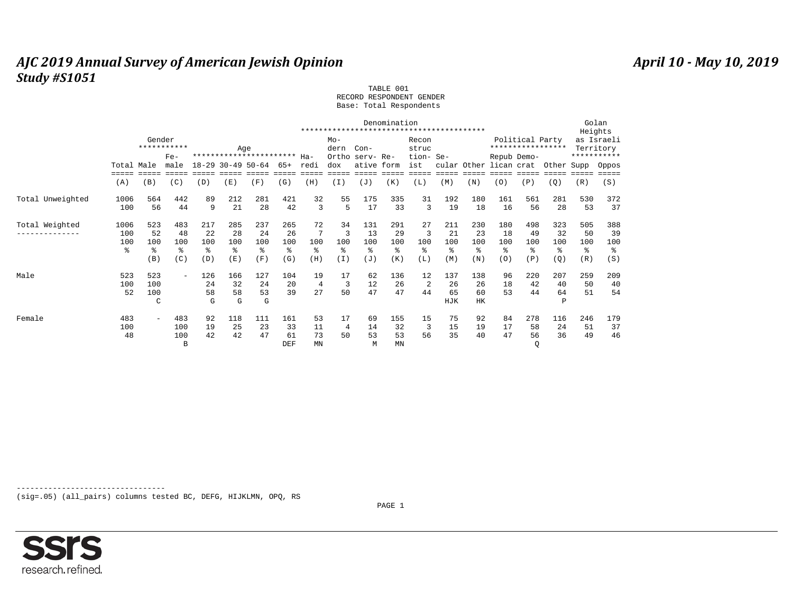#### TABLE 001 RECORD RESPONDENT GENDER Base: Total Respondents

|                  |                          |                          |                        |                               |                               |                       |                        |                      |                            |                       | Denomination          |                                  |                        |                       |                       |                                      |                        |                        | Golan<br>Heights                  |
|------------------|--------------------------|--------------------------|------------------------|-------------------------------|-------------------------------|-----------------------|------------------------|----------------------|----------------------------|-----------------------|-----------------------|----------------------------------|------------------------|-----------------------|-----------------------|--------------------------------------|------------------------|------------------------|-----------------------------------|
|                  |                          | Gender                   | ***********            |                               | Aqe                           |                       |                        |                      | $Mo-$<br>dern              | $Con-$                |                       | Recon<br>struc                   |                        |                       |                       | Political Party<br>***************** |                        |                        | as Israeli<br>Territory           |
|                  |                          |                          | $Fe-$                  |                               | *********************** Ha-   |                       |                        |                      |                            | Ortho serv- Re-       |                       | tion- Se-                        |                        |                       |                       | Repub Demo-                          |                        |                        | ***********                       |
|                  | Total Male               |                          | male                   |                               | $18 - 29$ $30 - 49$ $50 - 64$ |                       | 65+                    | redi                 | dox                        |                       | ative form ist        |                                  |                        |                       |                       | cular Other lican crat Other Supp    |                        |                        | Oppos                             |
|                  | (A)                      | (B)                      | (C)                    | (D)                           | (E)                           | (F)                   | (G)                    | (H)                  | $(\top)$                   | (J)                   | (K)                   | (L)                              | (M)                    | (N)                   | (0)                   | (P)                                  | (Q)                    | (R)                    | (S)                               |
| Total Unweighted | 1006<br>100              | 564<br>56                | 442<br>44              | 89<br>9                       | 212<br>21                     | 281<br>28             | 421<br>42              | 32<br>3              | 55<br>5                    | 175<br>17             | 335<br>33             | 31<br>3                          | 192<br>19              | 180<br>18             | 161<br>16             | 561<br>56                            | 281<br>28              | 530<br>53              | 372<br>37                         |
| Total Weighted   | 1006<br>100<br>100<br>÷, | 523<br>52<br>100<br>٩,   | 483<br>48<br>100<br>ి  | 217<br>22<br>100<br>$\approx$ | 285<br>28<br>100<br>ి         | 237<br>24<br>100<br>ႜ | 265<br>26<br>100<br>ႜ  | 72<br>100<br>ႜ       | 34<br>3<br>100<br>ి        | 131<br>13<br>100<br>ႜ | 291<br>29<br>100<br>⊱ | 27<br>$\overline{3}$<br>100<br>ి | 211<br>21<br>100<br>ႜ  | 230<br>23<br>100<br>ႜ | 180<br>18<br>100<br>ႜ | 498<br>49<br>100<br>နွ               | 323<br>32<br>100<br>ిక | 505<br>50<br>100<br>နွ | 388<br>39<br>100<br>$\frac{6}{3}$ |
|                  |                          | (B)                      | (C)                    | (D)                           | (E)                           | (F)                   | (G)                    | (H)                  | (T)                        | (J)                   | (K)                   | (L)                              | (M)                    | (N)                   | (0)                   | (P)                                  | (Q)                    | (R)                    | (S)                               |
| Male             | 523<br>100<br>52         | 523<br>100<br>100<br>C   |                        | 126<br>24<br>58<br>G          | 166<br>32<br>58<br>G          | 127<br>24<br>53<br>G  | 104<br>20<br>39        | 19<br>4<br>27        | 17<br>$\overline{3}$<br>50 | 62<br>12<br>47        | 136<br>26<br>47       | 12<br>$\overline{2}$<br>44       | 137<br>26<br>65<br>HJK | 138<br>26<br>60<br>HK | 96<br>18<br>53        | 220<br>42<br>44                      | 207<br>40<br>64<br>Ρ   | 259<br>50<br>51        | 209<br>40<br>54                   |
| Female           | 483<br>100<br>48         | $\overline{\phantom{a}}$ | 483<br>100<br>100<br>B | 92<br>19<br>42                | 118<br>25<br>42               | 111<br>23<br>47       | 161<br>33<br>61<br>DEF | 53<br>11<br>73<br>MN | 17<br>$\overline{4}$<br>50 | 69<br>14<br>53<br>M   | 155<br>32<br>53<br>MN | 15<br>-3<br>56                   | 75<br>15<br>35         | 92<br>19<br>40        | 84<br>17<br>47        | 278<br>58<br>56<br>Q                 | 116<br>24<br>36        | 246<br>51<br>49        | 179<br>37<br>46                   |

 $\frac{1}{2}$ 

(sig=.05) (all\_pairs) columns tested BC, DEFG, HIJKLMN, OPQ, RS

PAGE 1



April 10 - May 10, 2019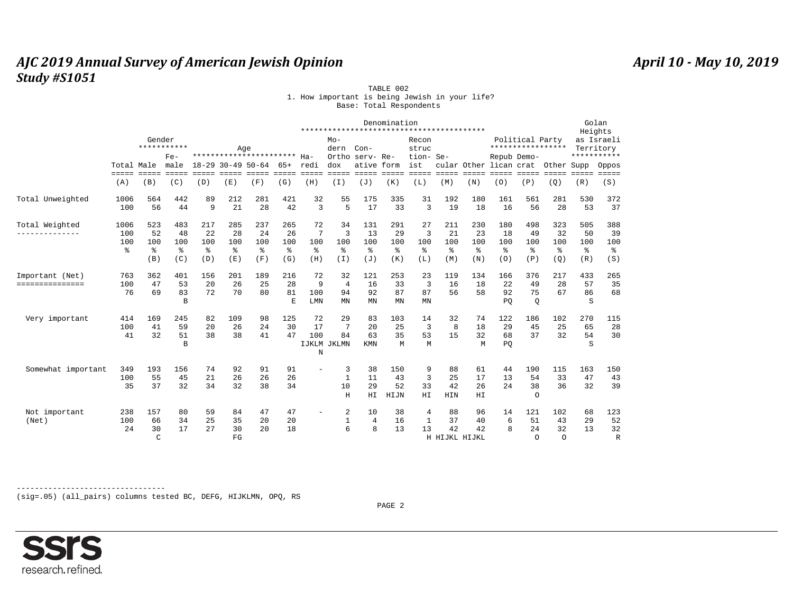# April 10 - May 10, 2019

#### TABLE 002 1. How important is being Jewish in your life? Base: Total Respondents

|                    |                        |                        |                        |                        |           |                         |              |                          |                             |                        | Denomination               |                     |                        |                     |                        |                                      |                        |              | Golan<br>Heights        |
|--------------------|------------------------|------------------------|------------------------|------------------------|-----------|-------------------------|--------------|--------------------------|-----------------------------|------------------------|----------------------------|---------------------|------------------------|---------------------|------------------------|--------------------------------------|------------------------|--------------|-------------------------|
|                    |                        | Gender                 | ***********            |                        |           | Aqe                     |              |                          | $M_O -$<br>dern             | $Con-$                 |                            | Recon<br>struc      |                        |                     |                        | Political Party<br>***************** |                        |              | as Israeli<br>Territory |
|                    |                        |                        | $Fe-$                  |                        |           | *********************** |              | $Ha-$                    |                             | Ortho serv- Re-        |                            | tion- Se-           |                        |                     |                        | Repub Demo-                          |                        |              | * * * * * * * * * * *   |
|                    | Total Male             |                        | male                   |                        |           | 18-29 30-49 50-64       | $65+$        | redi                     | dox                         | ative form             |                            | ist                 |                        |                     | cular Other lican crat |                                      | Other Supp             |              | Oppos                   |
|                    | $=$ $=$ $=$ $=$<br>(A) | $=$ $=$ $=$ $=$<br>(B) | $=$ $=$ $=$ $=$<br>(C) | $=$ $=$ $=$ $=$<br>(D) | (E)       | $=$ $=$<br>(F)          | =====<br>(G) | $=$ $=$ $=$ $=$<br>(H)   | $=$ $=$ $=$ $=$<br>$(\top)$ | $=$ $=$ $=$ $=$<br>(J) | $=$ $=$ $=$ $=$ $=$<br>(K) | <b>EEEEE</b><br>(L) | $=$ $=$ $=$ $=$<br>(M) | <b>EEEEE</b><br>(N) | $=$ $=$ $=$ $=$<br>(0) | $=$ $=$ $=$ $=$<br>(P)               | $=$ $=$ $=$ $=$<br>(Q) | =====<br>(R) | $=$ $=$ $=$ $=$<br>(S)  |
| Total Unweighted   | 1006                   | 564                    | 442                    | 89                     | 212       | 281                     | 421          | 32                       | 55                          | 175                    | 335                        | 31                  | 192                    | 180                 | 161                    | 561                                  | 281                    | 530          | 372                     |
|                    | 100                    | 56                     | 44                     | 9                      | 2.1       | 28                      | 42           | 3                        | 5                           | 17                     | 33                         | 3                   | 19                     | 18                  | 16                     | 56                                   | 28                     | 53           | 37                      |
| Total Weighted     | 1006                   | 523                    | 483                    | 217                    | 285       | 237                     | 265          | 72                       | 34                          | 131                    | 291                        | 27                  | 211                    | 230                 | 180                    | 498                                  | 323                    | 505          | 388                     |
|                    | 100                    | 52                     | 48                     | 22                     | 28        | 24                      | 26           | 7                        | 3                           | 13                     | 29                         | 3                   | 21                     | 23                  | 18                     | 49                                   | 32                     | 50           | 39                      |
|                    | 100                    | 100                    | 100                    | 100                    | 100       | 100                     | 100          | 100                      | 100                         | 100                    | 100                        | 100                 | 100                    | 100                 | 100                    | 100                                  | 100                    | 100          | 100                     |
|                    | ÷,                     | နွ                     | ႜ                      | နွ                     | $\approx$ | ÷,                      | နွ           | $\approx$                | $\approx$                   | $\approx$              | နွ                         | ి                   | $\approx$              | $\approx$           | နွ                     | $\approx$                            | $\approx$              | နွ           | နွ                      |
|                    |                        | (B)                    | (C)                    | (D)                    | (E)       | (F)                     | (G)          | (H)                      | (T)                         | (J)                    | (K)                        | (L)                 | (M)                    | (N)                 | (0)                    | (P)                                  | (Q)                    | (R)          | (S)                     |
| Important (Net)    | 763                    | 362                    | 401                    | 156                    | 201       | 189                     | 216          | 72                       | 32                          | 121                    | 253                        | 23                  | 119                    | 134                 | 166                    | 376                                  | 217                    | 433          | 265                     |
| ===============    | 100                    | 47                     | 53                     | 20                     | 26        | 25                      | 28           | 9                        | $\overline{4}$              | 16                     | 33                         | 3                   | 16                     | 18                  | 22                     | 49                                   | 28                     | 57           | 35                      |
|                    | 76                     | 69                     | 83                     | 72                     | 70        | 80                      | 81           | 100                      | 94                          | 92                     | 87                         | 87                  | 56                     | 58                  | 92                     | 75                                   | 67                     | 86           | 68                      |
|                    |                        |                        | B                      |                        |           |                         | E            | LMN                      | MN                          | MN                     | MN                         | MN                  |                        |                     | PQ                     | Q                                    |                        | S            |                         |
| Very important     | 414                    | 169                    | 245                    | 82                     | 109       | 98                      | 125          | 72                       | 29                          | 83                     | 103                        | 14                  | 32                     | 74                  | 122                    | 186                                  | 102                    | 270          | 115                     |
|                    | 100                    | 41                     | 59                     | 20                     | 26        | 24                      | 30           | 17                       | 7                           | 20                     | 25                         | 3                   | 8                      | 18                  | 29                     | 45                                   | 25                     | 65           | 28                      |
|                    | 41                     | 32                     | 51                     | 38                     | 38        | 41                      | 47           | 100                      | 84                          | 63                     | 35                         | 53                  | 1.5                    | 32                  | 68                     | 37                                   | 32                     | 54           | 30                      |
|                    |                        |                        | B                      |                        |           |                         |              |                          | IJKLM JKLMN                 | <b>KMN</b>             | M                          | M                   |                        | M                   | PO                     |                                      |                        | S            |                         |
|                    |                        |                        |                        |                        |           |                         |              | N                        |                             |                        |                            |                     |                        |                     |                        |                                      |                        |              |                         |
| Somewhat important | 349                    | 193                    | 156                    | 74                     | 92        | 91                      | 91           | $\overline{\phantom{0}}$ | 3                           | 38                     | 150                        | 9                   | 88                     | 61                  | 44                     | 190                                  | 115                    | 163          | 150                     |
|                    | 100                    | 55                     | 45                     | 21                     | 26        | 26                      | 26           |                          | $\mathbf{1}$                | 11                     | 43                         | 3                   | 25                     | 17                  | 13                     | 54                                   | 33                     | 47           | 43                      |
|                    | 35                     | 37                     | 32                     | 34                     | 32        | 38                      | 34           |                          | 10                          | 29                     | 52                         | 33                  | 42.                    | 2.6                 | 24                     | 38                                   | 36                     | 32           | 39                      |
|                    |                        |                        |                        |                        |           |                         |              |                          | H                           | HI                     | HIJN                       | HI                  | HIN                    | HI                  |                        | $\Omega$                             |                        |              |                         |
| Not important      | 238                    | 157                    | 80                     | 59                     | 84        | 47                      | 47           | $\overline{\phantom{0}}$ | $\overline{2}$              | 10                     | 38                         | 4                   | 88                     | 96                  | 14                     | 121                                  | 102                    | 68           | 123                     |
| (Net)              | 100                    | 66                     | 34                     | 25                     | 35        | 20                      | 20           |                          | $\mathbf{1}$                | 4                      | 16                         | 1                   | 37                     | 40                  | 6                      | 51                                   | 43                     | 29           | 52                      |
|                    | 24                     | 30                     | 17                     | 27                     | 30        | 20                      | 18           |                          | 6                           | $\mathsf{R}$           | 13                         | 13                  | 42                     | 42                  | 8                      | 24                                   | 32                     | 13           | 32                      |
|                    |                        | C                      |                        |                        | FG        |                         |              |                          |                             |                        |                            |                     | H HIJKL HIJKL          |                     |                        | $\Omega$                             | $\Omega$               |              | R                       |

----------------------------- $\frac{1}{2}$ 

(sig=.05) (all\_pairs) columns tested BC, DEFG, HIJKLMN, OPQ, RS

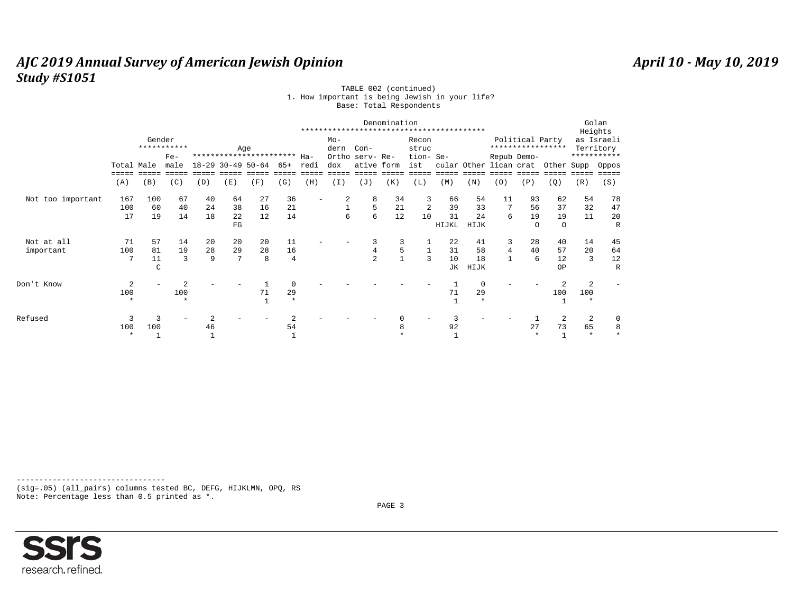# April 10 - May 10, 2019

#### TABLE 002 (continued) 1. How important is being Jewish in your life? Base: Total Respondents

|                   |                |             |       |           |                             |     |                |      |        |                 | Denomination |                |       |          |                |                   |                                   |         | Golan<br>Heights |
|-------------------|----------------|-------------|-------|-----------|-----------------------------|-----|----------------|------|--------|-----------------|--------------|----------------|-------|----------|----------------|-------------------|-----------------------------------|---------|------------------|
|                   |                | Gender      |       |           |                             |     |                |      | $MO -$ |                 |              | Recon          |       |          |                | Political Party   |                                   |         | as Israeli       |
|                   |                | *********** |       |           | Age                         |     |                |      | dern   | $Con-$          |              | struc          |       |          |                | ***************** |                                   |         | Territory        |
|                   |                |             | $Fe-$ |           | *********************** Ha- |     |                |      |        | Ortho serv- Re- |              | tion- Se-      |       |          |                | Repub Demo-       |                                   |         | ***********      |
|                   | Total Male     |             | male  | $18 - 29$ | $30 - 49$ 50-64             |     | $65+$          | redi | dox    |                 | ative form   | ist            |       |          |                |                   | cular Other lican crat Other Supp |         | Oppos            |
|                   |                |             |       |           |                             |     |                |      |        |                 |              |                |       |          |                |                   |                                   |         |                  |
|                   | (A)            | (B)         | (C)   | (D)       | (E)                         | (F) | (G)            | (H)  | (I)    | (J)             | (K)          | (L)            | (M)   | (N)      | (0)            | (P)               | (Q)                               | (R)     | (S)              |
| Not too important | 167            | 100         | 67    | 40        | 64                          | 27  | 36             |      | 2      | 8               | 34           | 3              | 66    | 54       | 11             | 93                | 62                                | 54      | 78               |
|                   | 100            | 60          | 40    | 24        | 38                          | 16  | 21             |      |        | 5               | 21           | $\overline{2}$ | 39    | 33       | 7              | 56                | 37                                | 32      | 47               |
|                   | 17             | 19          | 14    | 18        | 22                          | 12. | 14             |      | 6      | 6               | 12           | 10             | 31    | 2.4      | 6              | 19                | 19                                | 11      | 20               |
|                   |                |             |       |           | FG                          |     |                |      |        |                 |              |                | HIJKL | HIJK     |                | O                 | $\circ$                           |         | $\mathbb{R}$     |
| Not at all        | 71             | 57          | 14    | 20        | 20                          | 20  | 11             |      |        |                 | 3            |                | 22    | 41       | 3              | 28                | 40                                | 14      | 45               |
| important         | 100            | 81          | 19    | 28        | 29                          | 28  | 16             |      |        |                 | 5            |                | 31    | 58       | $\overline{4}$ | 40                | 57                                | 20      | 64               |
|                   | 7              | 11          | 3     | 9         | 7                           | 8   | $\overline{4}$ |      |        | $\overline{a}$  |              | 3              | 10    | 18       | $\mathbf{1}$   | 6                 | 12                                | 3       | 12               |
|                   |                | C           |       |           |                             |     |                |      |        |                 |              |                | JК    | HIJK     |                |                   | OP                                |         | $\mathbb R$      |
| Don't Know        | $\overline{2}$ |             |       |           |                             |     | $\Omega$       |      |        |                 |              |                |       | $\Omega$ |                |                   |                                   | 2       |                  |
|                   | 100            |             | 100   |           |                             | 71  | 29             |      |        |                 |              |                | 71    | 29       |                |                   | 100                               | 100     |                  |
|                   | $\star$        |             |       |           |                             |     | $\star$        |      |        |                 |              |                |       | $\star$  |                |                   |                                   | $\star$ |                  |
| Refused           | 3              | κ           |       | 2         |                             |     | 2              |      |        |                 |              |                | 3     |          |                |                   | 2                                 | 2       | 0                |
|                   | 100            | 100         |       | 46        |                             |     | 54             |      |        |                 | 8            |                | 92    |          |                | 27                | 73                                | 65      | 8                |
|                   | $\star$        |             |       |           |                             |     |                |      |        |                 |              |                |       |          |                |                   |                                   | $\star$ |                  |

-----------------------------

(sig=.05) (all\_pairs) columns tested BC, DEFG, HIJKLMN, OPQ, RS Note: Percentage less than 0.5 printed as \*.

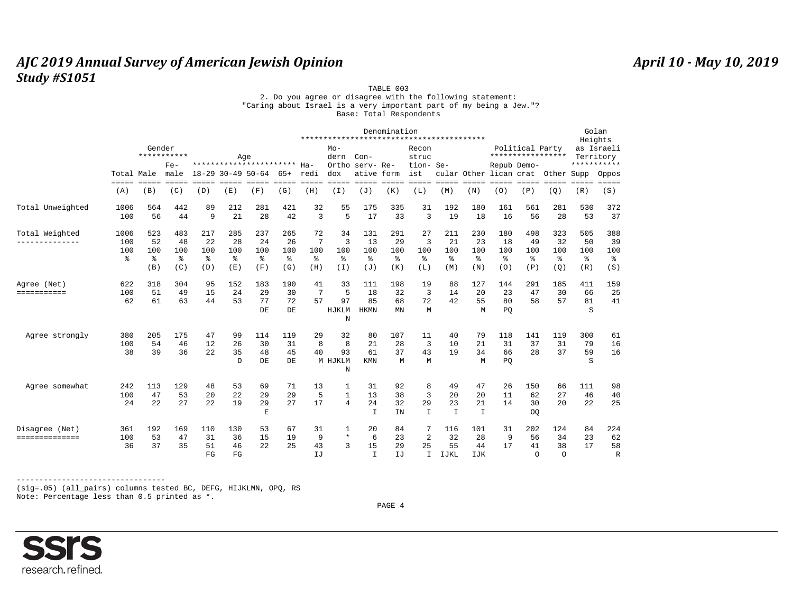#### TABLE 003 2. Do you agree or disagree with the following statement: "Caring about Israel is a very important part of my being a Jew."? Base: Total Respondents

|                  |                                   |                     |                         |                                  |              |                         |       |                |                      |                             | Denomination                         | ************************************** |                 |                                                                |               |                                      |                               |                 | Golan<br>Heights        |
|------------------|-----------------------------------|---------------------|-------------------------|----------------------------------|--------------|-------------------------|-------|----------------|----------------------|-----------------------------|--------------------------------------|----------------------------------------|-----------------|----------------------------------------------------------------|---------------|--------------------------------------|-------------------------------|-----------------|-------------------------|
|                  |                                   | Gender              | ***********             |                                  |              | Aqe                     |       |                | $M_O -$<br>dern      | $Con-$                      |                                      | Recon<br>struc                         |                 |                                                                |               | Political Party<br>***************** |                               |                 | as Israeli<br>Territory |
|                  |                                   |                     | $Fe-$                   |                                  |              | *********************** |       | Ha-            |                      | Ortho serv- Re-             |                                      | tion- Se-                              |                 |                                                                |               | Repub Demo-                          |                               |                 | * * * * * * * * * * *   |
|                  | Total Male<br>$=$ $=$ $=$ $=$ $=$ | $=$ $=$ $=$ $=$ $=$ | male<br>$=$ $=$ $=$ $=$ | 18-29 30-49 50-64<br>$= = = = =$ |              |                         | $65+$ | redi<br>----   | dox<br>$\frac{1}{2}$ | ative form<br>$\frac{1}{2}$ | $\equiv \equiv \equiv \equiv \equiv$ | ist<br><b>EEEEE</b>                    | $=$ $=$ $=$ $=$ | cular Other lican crat<br>$\equiv \equiv \equiv \equiv \equiv$ | $\frac{1}{2}$ | $=$ $=$ $=$ $=$ $=$                  | Other Supp<br>$=$ $=$ $=$ $=$ | $=$ $=$ $=$ $=$ | Oppos<br>$=$ = = = =    |
|                  | (A)                               | (B)                 | (C)                     | (D)                              | (E)          | (F)                     | (G)   | (H)            | $(\top)$             | (J)                         | (K)                                  | (L)                                    | (M)             | (N)                                                            | (0)           | (P)                                  | (Q)                           | (R)             | (S)                     |
| Total Unweighted | 1006                              | 564                 | 442                     | 89                               | 212          | 281                     | 421   | 32             | 55                   | 175                         | 335                                  | 31                                     | 192             | 180                                                            | 161           | 561                                  | 281                           | 530             | 372                     |
|                  | 100                               | 56                  | 44                      | 9                                | 21           | 28                      | 42    | 3              | 5                    | 17                          | 33                                   | 3                                      | 19              | 18                                                             | 16            | 56                                   | 28                            | 53              | 37                      |
| Total Weighted   | 1006                              | 523                 | 483                     | 217                              | 285          | 237                     | 265   | 72             | 34                   | 131                         | 291                                  | 27                                     | 211             | 230                                                            | 180           | 498                                  | 323                           | 505             | 388                     |
| --------------   | 100                               | 52                  | 48                      | 22                               | 28           | 24                      | 26    | $\overline{7}$ | 3                    | 13                          | 29                                   | 3                                      | 21              | 23                                                             | 18            | 49                                   | 32                            | 50              | 39                      |
|                  | 100                               | 100                 | 100                     | 100                              | 100          | 100                     | 100   | 100            | 100                  | 100                         | 100                                  | 100                                    | 100             | 100                                                            | 100           | 100                                  | 100                           | 100             | 100                     |
|                  | ۶.                                | ిక                  | နွ                      | ి                                | ៖            | ిక                      | ႜ     | $\epsilon$     | $\epsilon$           | ి                           | နွ                                   | $\epsilon$                             | ႜ               | ి                                                              | နွ            | ⊱                                    | နွ                            | ి               | ి                       |
|                  |                                   | (B)                 | (C)                     | (D)                              | (E)          | (F)                     | (G)   | (H)            | (T)                  | (J)                         | (K)                                  | (L)                                    | (M)             | (N)                                                            | (0)           | (P)                                  | (Q)                           | (R)             | (S)                     |
| Agree (Net)      | 622                               | 318                 | 304                     | 95                               | 152          | 183                     | 190   | 41             | 33                   | 111                         | 198                                  | 19                                     | 88              | 127                                                            | 144           | 291                                  | 185                           | 411             | 159                     |
| ===========      | 100                               | 51                  | 49                      | 15                               | 2.4          | 29                      | 30    | 7              | 5                    | 18                          | 32                                   | 3                                      | 14              | 20                                                             | 23            | 47                                   | 30                            | 66              | 25                      |
|                  | 62                                | 61                  | 63                      | 44                               | 53           | 77                      | 72    | 57             | 97                   | 85                          | 68                                   | 72                                     | 42              | 55                                                             | 80            | 58                                   | 57                            | 81              | 41                      |
|                  |                                   |                     |                         |                                  |              | DE                      | DE    |                | HJKLM<br>N           | <b>HKMN</b>                 | <b>MN</b>                            | M                                      |                 | M                                                              | PQ            |                                      |                               | S               |                         |
| Agree strongly   | 380                               | 205                 | 175                     | 47                               | 99           | 114                     | 119   | 29             | 32                   | 80                          | 107                                  | 11                                     | 40              | 79                                                             | 118           | 141                                  | 119                           | 300             | 61                      |
|                  | 100                               | 54                  | 46                      | 12                               | 26           | 30                      | 31    | 8              | 8                    | 21                          | 28                                   | 3                                      | 10              | 21                                                             | 31            | 37                                   | 31                            | 79              | 16                      |
|                  | 38                                | 39                  | 36                      | 22                               | 35           | 48                      | 45    | 40             | 93                   | 61                          | 37                                   | 43                                     | 19              | 34                                                             | 66            | 2.8                                  | 37                            | 59              | 16                      |
|                  |                                   |                     |                         |                                  | $\mathbb{D}$ | DE                      | DE.   |                | M HJKLM              | <b>KMN</b>                  | M                                    | M                                      |                 | M                                                              | PO            |                                      |                               | S               |                         |
|                  |                                   |                     |                         |                                  |              |                         |       |                | N                    |                             |                                      |                                        |                 |                                                                |               |                                      |                               |                 |                         |
| Agree somewhat   | 242                               | 113                 | 129                     | 48                               | 53           | 69                      | 71    | 13             | 1                    | 31                          | 92                                   | 8                                      | 49              | 47                                                             | 26            | 150                                  | 66                            | 111             | 98                      |
|                  | 100                               | 47                  | 53                      | 20                               | 22           | 29                      | 29    | 5              | $\mathbf 1$          | 13                          | 38                                   | 3                                      | 20              | 20                                                             | 11            | 62                                   | 27                            | 46              | 40                      |
|                  | 24                                | 22                  | 27                      | 22                               | 19           | 29                      | 27    | 17             | $\overline{4}$       | 24                          | 32                                   | 29                                     | 23              | 21                                                             | 14            | 30                                   | 20                            | 22              | 25                      |
|                  |                                   |                     |                         |                                  |              | E                       |       |                |                      | $\mathbf I$                 | IN                                   | $\mathbbm{I}$                          | $\mathbf I$     | $\mathbf I$                                                    |               | <b>OQ</b>                            |                               |                 |                         |
| Disagree (Net)   | 361                               | 192                 | 169                     | 110                              | 130          | 53                      | 67    | 31             | 1                    | 20                          | 84                                   | 7                                      | 116             | 101                                                            | 31            | 202                                  | 124                           | 84              | 224                     |
| --------------   | 100                               | 53                  | 47                      | 31                               | 36           | 15                      | 19    | 9              | $\star$              | 6                           | 23                                   | $\overline{a}$                         | 32              | 28                                                             | 9             | 56                                   | 34                            | 23              | 62                      |
|                  | 36                                | 37                  | 35                      | 51                               | 46           | 22                      | 25    | 43             | 3                    | 15                          | 29                                   | 25                                     | 55              | 44                                                             | 17            | 41                                   | 38                            | 17              | 58                      |
|                  |                                   |                     |                         | FG                               | FG           |                         |       | <b>IJ</b>      |                      | $\mathbf{T}$                | <b>IJ</b>                            | I                                      | IJKL            | <b>IJK</b>                                                     |               | $\Omega$                             | $\Omega$                      |                 | R                       |

----------------------------(sig=.05) (all\_pairs) columns tested BC, DEFG, HIJKLMN, OPQ, RS Note: Percentage less than 0.5 printed as \*.

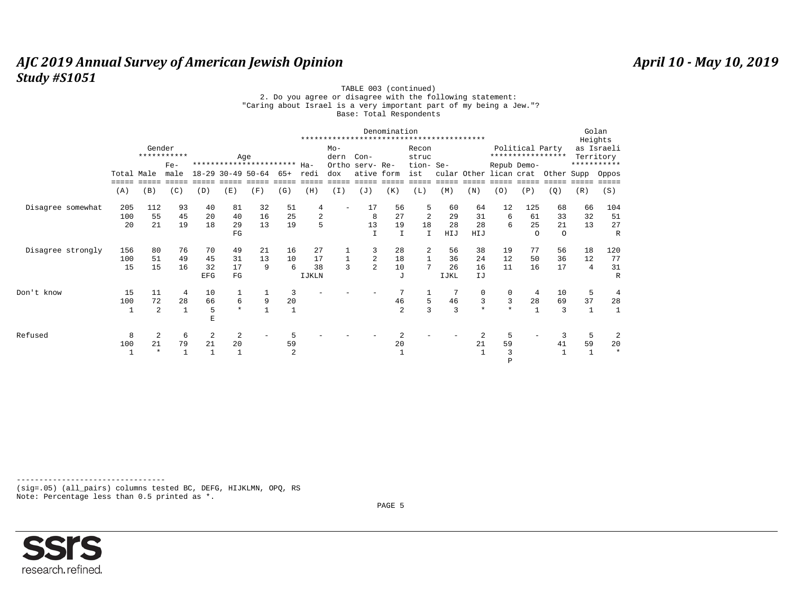#### TABLE 003 (continued) 2. Do you agree or disagree with the following statement: "Caring about Israel is a very important part of my being a Jew."? Base: Total Respondents

|                   |                 |                |               |                |          |                                                        |     |              |                   |                               | Denomination      |                   |              |                      |                        |                                      |               |                | Golan                              |
|-------------------|-----------------|----------------|---------------|----------------|----------|--------------------------------------------------------|-----|--------------|-------------------|-------------------------------|-------------------|-------------------|--------------|----------------------|------------------------|--------------------------------------|---------------|----------------|------------------------------------|
|                   |                 | Gender         | ***********   |                | Aqe      |                                                        |     |              | $Mo-$<br>dern     | $Con-$                        |                   | Recon<br>struc    |              |                      |                        | Political Party<br>***************** |               |                | Heights<br>as Israeli<br>Territory |
|                   | Total Male      |                | $Fe-$<br>male |                |          | *********************** Ha-<br>$18-29$ $30-49$ $50-64$ | 65+ | redi         | dox               | Ortho serv- Re-<br>ative form |                   | tion- Se-<br>ist  |              |                      | cular Other lican crat | Repub Demo-                          | Other Supp    | ***********    | Oppos                              |
|                   | $=$ $=$ $=$ $=$ |                |               |                |          |                                                        |     |              |                   |                               |                   |                   |              |                      |                        |                                      |               |                | =====                              |
|                   | (A)             | (B)            | (C)           | (D)            | (E)      | (F)                                                    | (G) | (H)          | (I <sub>1</sub> ) | (J)                           | (K)               | (L)               | (M)          | (N)                  | (0)                    | (P)                                  | (Q)           | (R)            | (S)                                |
| Disagree somewhat | 205             | 112            | 93            | 40             | 81       | 32                                                     | 51  | 4            |                   | 17                            | 56                | 5                 | 60           | 64                   | 12                     | 125                                  | 68            | 66             | 104                                |
|                   | 100             | 55             | 45            | 20             | 40       | 16                                                     | 25  | 2            |                   | 8                             | 27                | 2                 | 29           | 31                   | 6                      | 61                                   | 33            | 32             | 51                                 |
|                   | 20              | 21             | 19            | 18             | 29<br>FG | 13                                                     | 19  | 5            |                   | 13<br>T                       | 19<br>$\mathbf I$ | 18<br>$\mathbf I$ | 28<br>HIJ    | 28<br>HIJ            | 6                      | 25<br>$\circ$                        | 21<br>$\circ$ | 13             | 27<br>$\mathbb{R}$                 |
| Disagree strongly | 156             | 80             | 76            | 70             | 49       | 21                                                     | 16  | 27           |                   | 3                             | 28                | $\overline{2}$    | 56           | 38                   | 19                     | 77                                   | 56            | 18             | 120                                |
|                   | 100             | 51             | 49            | 45             | 31       | 13                                                     | 10  | 17           | $\mathbf{1}$      | 2                             | 18                | $\mathbf{1}$      | 36           | 24                   | 12                     | 50                                   | 36            | 12             | 77                                 |
|                   | 15              | 15             | 16            | 32             | 17       | 9                                                      | 6   | 38           | $\mathbf{3}$      | $\overline{a}$                | 10                | 7                 | 26           | 16                   | 11                     | 16                                   | 17            | $\overline{4}$ | 31                                 |
|                   |                 |                |               | <b>EFG</b>     | FG       |                                                        |     | <b>IJKLN</b> |                   |                               | J                 |                   | <b>IJKL</b>  | IJ                   |                        |                                      |               |                | $\mathbb{R}$                       |
| Don't know        | 15              | 11             | 4             | 10             |          |                                                        | 3   |              |                   |                               |                   |                   |              | 0                    | 0                      | 4                                    | 10            | 5              | 4                                  |
|                   | 100             | 72             | 28            | 66             | 6        | 9                                                      | 20  |              |                   |                               | 46                | 5                 | 46           | 3                    | 3                      | 28                                   | 69            | 37             | 28                                 |
|                   | $\mathbf{1}$    | $\overline{a}$ |               | 5<br>E         | $\star$  | $\mathbf{1}$                                           |     |              |                   |                               | $\overline{a}$    | 3                 | $\mathbf{3}$ | $\ddot{\phantom{0}}$ | $\star$                |                                      | 3             | $\mathbf{1}$   |                                    |
| Refused           | 8               | 2              | 6             | 2              | 2        |                                                        | 5   |              |                   |                               | 2                 |                   |              | 2                    | 5                      |                                      | 3             | 5              | 2                                  |
|                   | 100             | 21             | 79            | 21             | 20       |                                                        | 59  |              |                   |                               | 20                |                   |              | 21                   | 59                     |                                      | 41            | 59             | 20                                 |
|                   | $\mathbf{1}$    | $\star$        |               | $\overline{1}$ |          |                                                        | 2   |              |                   |                               |                   |                   |              |                      | 3<br>D.                |                                      |               | $\mathbf{1}$   | $\star$                            |

(sig=.05) (all\_pairs) columns tested BC, DEFG, HIJKLMN, OPQ, RS Note: Percentage less than 0.5 printed as \*.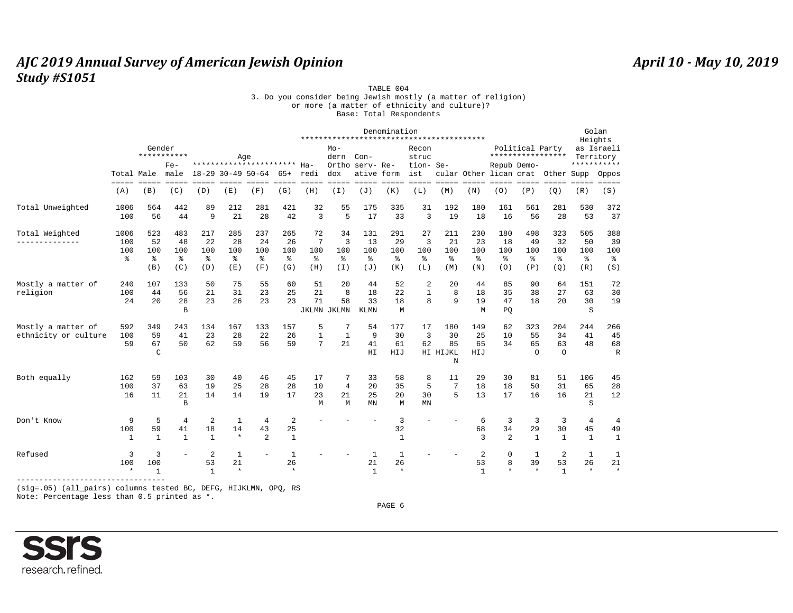#### TABLE 004 3. Do you consider being Jewish mostly (a matter of religion) or more (a matter of ethnicity and culture)? Base: Total Respondents

|                      |                     |                    |                          |                    |               |                                              |                    |                                |                       |                               | Denomination                                                                                                                                                                                                                                                                                                                                                                                                                                                                           |                   |                                             |              |                        |                                      |                                      |                    | Golan<br>Heights        |
|----------------------|---------------------|--------------------|--------------------------|--------------------|---------------|----------------------------------------------|--------------------|--------------------------------|-----------------------|-------------------------------|----------------------------------------------------------------------------------------------------------------------------------------------------------------------------------------------------------------------------------------------------------------------------------------------------------------------------------------------------------------------------------------------------------------------------------------------------------------------------------------|-------------------|---------------------------------------------|--------------|------------------------|--------------------------------------|--------------------------------------|--------------------|-------------------------|
|                      |                     | Gender             | ***********              |                    |               | Aqe                                          |                    |                                | $M_O -$<br>dern       | $Con-$                        |                                                                                                                                                                                                                                                                                                                                                                                                                                                                                        | Recon<br>struc    |                                             |              |                        | Political Party<br>***************** |                                      |                    | as Israeli<br>Territory |
|                      |                     | Total Male         | $Fe-$<br>male            |                    |               | ***********************<br>18-29 30-49 50-64 | $65+$              | $Ha-$<br>redi                  | dox                   | Ortho serv- Re-<br>ative form |                                                                                                                                                                                                                                                                                                                                                                                                                                                                                        | tion- Se-<br>ist  |                                             |              | cular Other lican crat | Repub Demo-                          | Other Supp                           |                    | ***********<br>Oppos    |
|                      |                     | eesse eesse        | <b>COSSE</b>             | <b>EEEEE</b>       |               | $\frac{1}{2}$                                |                    | $\frac{1}{2}$                  |                       | eesse eesse                   | $\begin{array}{cccccccccc} \multicolumn{2}{c}{} & \multicolumn{2}{c}{} & \multicolumn{2}{c}{} & \multicolumn{2}{c}{} & \multicolumn{2}{c}{} & \multicolumn{2}{c}{} & \multicolumn{2}{c}{} & \multicolumn{2}{c}{} & \multicolumn{2}{c}{} & \multicolumn{2}{c}{} & \multicolumn{2}{c}{} & \multicolumn{2}{c}{} & \multicolumn{2}{c}{} & \multicolumn{2}{c}{} & \multicolumn{2}{c}{} & \multicolumn{2}{c}{} & \multicolumn{2}{c}{} & \multicolumn{2}{c}{} & \multicolumn{2}{c}{} & \mult$ | <b>COOCO</b>      | $\equiv \equiv \equiv \equiv \equiv \equiv$ |              | doces codes doces      |                                      | $\equiv \equiv \equiv \equiv \equiv$ | $\frac{1}{2}$      | $=$ $=$ $=$ $=$         |
|                      | (A)                 | (B)                | (C)                      | (D)                | (E)           | (F)                                          | (G)                | (H)                            | (I)                   | (J)                           | (K)                                                                                                                                                                                                                                                                                                                                                                                                                                                                                    | (L)               | (M)                                         | (N)          | (0)                    | (P)                                  | (Q)                                  | (R)                | (S)                     |
| Total Unweighted     | 1006<br>100         | 564<br>56          | 442<br>44                | 89<br>9            | 212<br>21     | 281<br>28                                    | 421<br>42          | 32<br>3                        | 55<br>5               | 175<br>17                     | 335<br>33                                                                                                                                                                                                                                                                                                                                                                                                                                                                              | 31<br>3           | 192<br>19                                   | 180<br>18    | 161<br>16              | 561<br>56                            | 281<br>28                            | 530<br>53          | 372<br>37               |
| Total Weighted       | 1006                | 523                | 483                      | 217                | 285           | 237                                          | 265                | 72                             | 34                    | 131                           | 291                                                                                                                                                                                                                                                                                                                                                                                                                                                                                    | 27                | 211                                         | 230          | 180                    | 498                                  | 323                                  | 505                | 388                     |
|                      | 100<br>100          | 52<br>100          | 48<br>100                | 22<br>100          | 28<br>100     | 24<br>100                                    | 26<br>100          | 7<br>100                       | $\overline{3}$<br>100 | 13<br>100                     | 29<br>100                                                                                                                                                                                                                                                                                                                                                                                                                                                                              | 3<br>100          | 21<br>100                                   | 23<br>100    | 18<br>100              | 49<br>100                            | 32<br>100                            | 50<br>100          | 39<br>100               |
|                      | $\approx$           | ႜ                  | ႜ                        | နွ                 | $\epsilon$    | ి                                            | ႜ                  | $\epsilon$                     | ి                     | နွ                            | $\epsilon$                                                                                                                                                                                                                                                                                                                                                                                                                                                                             | ႜ                 | ి                                           | နွ           | နွ                     | ిక                                   | နွ                                   | နွ                 | $\epsilon$              |
|                      |                     | (B)                | (C)                      | (D)                | (E)           | (F)                                          | (G)                | (H)                            | (T)                   | (J)                           | (K)                                                                                                                                                                                                                                                                                                                                                                                                                                                                                    | (L)               | (M)                                         | (N)          | (0)                    | (P)                                  | (Q)                                  | (R)                | (S)                     |
| Mostly a matter of   | 240                 | 107                | 133                      | 50                 | 75            | 55                                           | 60                 | 51                             | 2.0                   | 44                            | 52                                                                                                                                                                                                                                                                                                                                                                                                                                                                                     | 2                 | 2.0                                         | 44           | 85                     | 90                                   | 64                                   | 151                | 72                      |
| religion             | 100<br>24           | 44<br>2.0          | 56<br>28                 | 21<br>23           | 31<br>26      | 23<br>23                                     | 25<br>2.3          | 21<br>71                       | 8<br>58               | 18<br>33                      | 22<br>18                                                                                                                                                                                                                                                                                                                                                                                                                                                                               | $\mathbf{1}$<br>8 | 8<br>9                                      | 18<br>19     | 35<br>47               | 38<br>18                             | 27<br>20                             | 63<br>30           | 30<br>19                |
|                      |                     |                    | $\mathbf B$              |                    |               |                                              |                    |                                | JKLMN JKLMN           | <b>KLMN</b>                   | M                                                                                                                                                                                                                                                                                                                                                                                                                                                                                      |                   |                                             | M            | PO                     |                                      |                                      | S                  |                         |
| Mostly a matter of   | 592                 | 349                | 243                      | 134                | 167           | 133                                          | 157                | 5                              | 7                     | 54                            | 177                                                                                                                                                                                                                                                                                                                                                                                                                                                                                    | 17                | 180                                         | 149          | 62                     | 323                                  | 204                                  | 244                | 266                     |
| ethnicity or culture | 100<br>59           | 59<br>67           | 41<br>50                 | 23<br>62           | 2.8<br>59     | 22<br>56                                     | 26<br>59           | $\mathbf{1}$<br>$\overline{7}$ | $\mathbf{1}$<br>21    | 9<br>41                       | 30<br>61                                                                                                                                                                                                                                                                                                                                                                                                                                                                               | 3<br>62           | 30<br>85                                    | 25<br>65     | 10<br>34               | 55<br>65                             | 34<br>63                             | 41<br>48           | 45<br>68                |
|                      |                     | $\mathsf C$        |                          |                    |               |                                              |                    |                                |                       | HI                            | HIJ                                                                                                                                                                                                                                                                                                                                                                                                                                                                                    |                   | HI HIJKL                                    | HIJ          |                        | $\Omega$                             | $\Omega$                             |                    | $\mathbb{R}$            |
|                      |                     |                    |                          |                    |               |                                              |                    |                                |                       |                               |                                                                                                                                                                                                                                                                                                                                                                                                                                                                                        |                   | $\mathbf N$                                 |              |                        |                                      |                                      |                    |                         |
| Both equally         | 162                 | 59                 | 103                      | 30                 | 40            | 46                                           | 45                 | 17                             | 7                     | 33                            | 58                                                                                                                                                                                                                                                                                                                                                                                                                                                                                     | 8                 | 11                                          | 29           | 30                     | 81                                   | 51                                   | 106                | 45                      |
|                      | 100                 | 37                 | 63                       | 19                 | 25            | 28<br>19                                     | 28<br>17           | 10                             | 4<br>21               | 20<br>25                      | 35                                                                                                                                                                                                                                                                                                                                                                                                                                                                                     | 5<br>30           | $7\phantom{.0}$<br>5                        | 18           | 18<br>17               | 50                                   | 31                                   | 65<br>21           | 28<br>12                |
|                      | 16                  | 11                 | 21<br>B                  | 14                 | 14            |                                              |                    | 23<br>M                        | М                     | MN                            | 2.0<br>M                                                                                                                                                                                                                                                                                                                                                                                                                                                                               | MN                |                                             | 13           |                        | 16                                   | 16                                   | S                  |                         |
| Don't Know           | 9                   | 5                  | 4                        | 2                  | 1             | $\overline{4}$                               | $\overline{a}$     |                                |                       |                               | $\overline{3}$                                                                                                                                                                                                                                                                                                                                                                                                                                                                         |                   |                                             | 6            | 3                      | 3                                    | 3                                    | $\overline{4}$     | 4                       |
|                      | 100<br>$\mathbf{1}$ | 59<br>$\mathbf{1}$ | 41<br>$\mathbf{1}$       | 18<br>$\mathbf{1}$ | 14<br>$\star$ | 43<br>2                                      | 25<br>$\mathbf{1}$ |                                |                       |                               | 32<br>$\mathbf{1}$                                                                                                                                                                                                                                                                                                                                                                                                                                                                     |                   |                                             | 68<br>3      | 34<br>$\mathfrak{D}$   | 29<br>$\mathbf{1}$                   | 30<br>$\mathbf{1}$                   | 45<br>$\mathbf{1}$ | 49<br>$\mathbf{1}$      |
| Refused              | 3                   | 3                  | $\overline{\phantom{a}}$ | 2                  | $\mathbf 1$   | $\overline{\phantom{a}}$                     | $\mathbf{1}$       |                                |                       | $\mathbf{1}$                  | 1                                                                                                                                                                                                                                                                                                                                                                                                                                                                                      |                   |                                             | 2            | $\Omega$               | $\mathbf{1}$                         | 2                                    | $\mathbf{1}$       | $\mathbf{1}$            |
|                      | 100                 | 100                |                          | 53                 | 21            |                                              | 26                 |                                |                       | 21                            | 26                                                                                                                                                                                                                                                                                                                                                                                                                                                                                     |                   |                                             | 53           | 8                      | 39                                   | 53                                   | 26                 | 21                      |
|                      | $\star$             | $\mathbf{1}$       |                          | $\mathbf{1}$       | $\star$       |                                              | $\star$            |                                |                       | $\mathbf{1}$                  | $\star$                                                                                                                                                                                                                                                                                                                                                                                                                                                                                |                   |                                             | $\mathbf{1}$ | $\star$                | $\star$                              | $\mathbf{1}$                         | $\star$            | $\star$                 |

(sig=.05) (all\_pairs) columns tested BC, DEFG, HIJKLMN, OPQ, RS Note: Percentage less than 0.5 printed as \*.

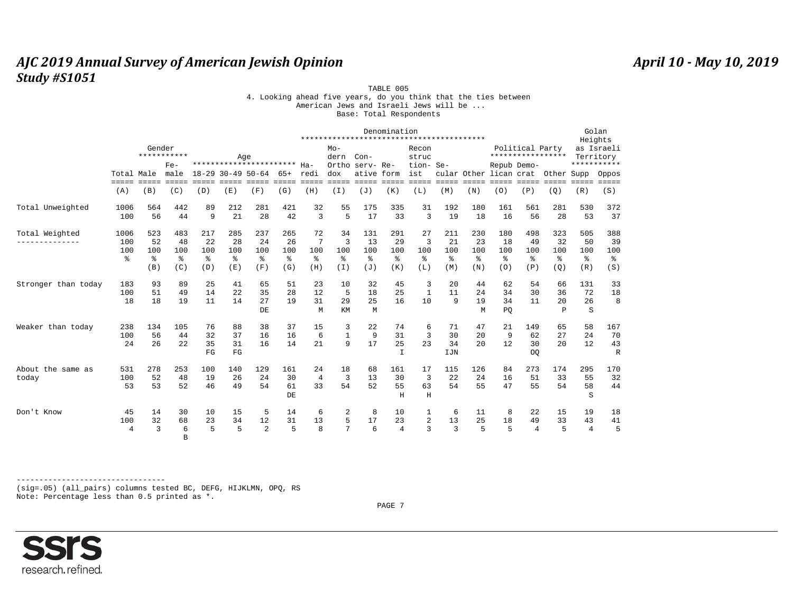#### TABLE 005 4. Looking ahead five years, do you think that the ties between American Jews and Israeli Jews will be ... Base: Total Respondents

|                     |                       |                    |                      |            |            |                             |              |                      |                           |                           | Denomination         |                             |                      |             |                        |                      |                   |                      | Golan<br>Heights                       |
|---------------------|-----------------------|--------------------|----------------------|------------|------------|-----------------------------|--------------|----------------------|---------------------------|---------------------------|----------------------|-----------------------------|----------------------|-------------|------------------------|----------------------|-------------------|----------------------|----------------------------------------|
|                     |                       | Gender             | ***********<br>$Fe-$ |            | Age        | *********************** Ha- |              |                      | $M_O-$<br>dern            | $Con-$<br>Ortho serv- Re- |                      | Recon<br>struc<br>tion- Se- |                      |             | Repub Demo-            | Political Party      | ***************** |                      | as Israeli<br>Territory<br>*********** |
|                     | Total Male            |                    | male                 |            |            | 18-29 30-49 50-64           | 65+          | redi                 | dox                       | ative form                |                      | ist                         |                      |             | cular Other lican crat |                      | Other Supp        |                      | Oppos                                  |
|                     | (A)                   | ===== =====<br>(B) | $= - - - -$<br>(C)   | (D)        | (E)        | (F)                         | -----<br>(G) | -----<br>(H)         | $\frac{1}{2}$<br>$(\top)$ | (J)                       | $\frac{1}{2}$<br>(K) | <b>EEEEE</b><br>(L)         | $\frac{1}{2}$<br>(M) | ----<br>(N) | $\frac{1}{2}$<br>(0)   | $\frac{1}{2}$<br>(P) | (Q)               | =====<br>(R)         | $=$ $=$ $=$ $=$<br>(S)                 |
| Total Unweighted    | 1006                  | 564                | 442                  | 89         | 212        | 281                         | 421          | 32                   | 55                        | 175                       | 335                  | 31                          | 192                  | 180         | 161                    | 561                  | 281               | 530                  | 372                                    |
|                     | 100                   | 56                 | 44                   | 9          | 21         | 28                          | 42           | 3                    | 5                         | 17                        | 33                   | 3                           | 19                   | 18          | 16                     | 56                   | 28                | 53                   | 37                                     |
| Total Weighted      | 1006                  | 523                | 483                  | 217        | 285        | 237                         | 265          | 72                   | 34                        | 131                       | 291                  | 27                          | 211                  | 230         | 180                    | 498                  | 323               | 505                  | 388                                    |
|                     | 100<br>100            | 52<br>100          | 48<br>100            | 2.2<br>100 | 2.8<br>100 | 24<br>100                   | 26<br>100    | 7<br>100             | 3<br>100                  | 13<br>100                 | 29<br>100            | 3<br>100                    | 21<br>100            | 23<br>100   | 18<br>100              | 49<br>100            | 32<br>100         | 50<br>100            | 39<br>100                              |
|                     | $\approx$             | ፠                  | ి                    | ۶.         | ి          | ႜ                           | $\approx$    | ి                    | ి                         | ి                         | ႜ                    | ి                           | $\approx$            | ి           | ႜ                      | န္                   | ి                 | ి                    | ి                                      |
|                     |                       | (B)                | (C)                  | (D)        | (E)        | (F)                         | (G)          | (H)                  | $(\top)$                  | (J)                       | (K)                  | (L)                         | (M)                  | (N)         | (0)                    | (P)                  | (Q)               | (R)                  | (S)                                    |
| Stronger than today | 183                   | 93                 | 89                   | 25         | 41         | 65                          | 51           | 23                   | 10                        | 32                        | 45                   | 3                           | 20                   | 44          | 62                     | 54                   | 66                | 131                  | 33                                     |
|                     | 100<br>18             | 51<br>18           | 49<br>19             | 14<br>11   | 2.2.<br>14 | 35<br>27                    | 2.8<br>19    | 12<br>31             | 5<br>29                   | 18<br>25                  | 25<br>16             | 1<br>10                     | 11<br>$\mathsf{Q}$   | 2.4<br>19   | 34<br>34               | 30<br>11             | 36<br>20          | 72<br>26             | 18<br>8                                |
|                     |                       |                    |                      |            |            | DE                          |              | М                    | KM                        | М                         |                      |                             |                      | M           | PQ                     |                      | P                 | $\rm S$              |                                        |
| Weaker than today   | 238                   | 134                | 105                  | 76         | 88         | 38                          | 37           | 15                   | 3                         | 22                        | 74                   | 6                           | 71                   | 47          | 21                     | 149                  | 65                | 58                   | 167                                    |
|                     | 100<br>24             | 56<br>26           | 44<br>22             | 32<br>35   | 37<br>31   | 16<br>16                    | 16<br>14     | 6<br>2.1             | $\mathbf{1}$<br>9         | 9<br>17                   | 31<br>2.5            | 3<br>2.3                    | 30<br>34             | 20<br>2.0   | 9<br>12                | 62<br>30             | 27<br>2.0         | 24<br>12             | 70<br>43                               |
|                     |                       |                    |                      | FG         | FG         |                             |              |                      |                           |                           | $\mathbbm{I}$        |                             | IJN                  |             |                        | OQ                   |                   |                      | $\mathbb R$                            |
| About the same as   | 531                   | 278                | 253                  | 100        | 140        | 129                         | 161          | 24                   | 18                        | 68                        | 161                  | 17                          | 115                  | 126         | 84                     | 273                  | 174               | 295                  | 170                                    |
| today               | 100                   | 52<br>53           | 48                   | 19<br>46   | 2.6<br>49  | 24<br>54                    | 30<br>61     | $\overline{4}$<br>33 | 3<br>54                   | 13<br>52                  | 30<br>55             | 3<br>63                     | 22<br>54             | 24<br>55    | 16<br>47               | 51<br>55             | 33<br>54          | 55                   | 32                                     |
|                     | 53                    |                    | 52                   |            |            |                             | DE.          |                      |                           |                           | H                    | H                           |                      |             |                        |                      |                   | 58<br>S              | 44                                     |
| Don't Know          | 45                    | 14                 | 30                   | 10         | 15         | 5                           | 14           | 6                    | 2                         | 8                         | 10                   | 1                           | 6                    | 11          | 8                      | 22                   | 15                | 19                   | 18                                     |
|                     | 100<br>$\overline{4}$ | 32<br>3            | 68<br>6              | 23<br>5    | 34<br>5    | 12<br>$\mathfrak{D}$        | 31<br>5      | 13<br>8              | 5<br>7                    | 17<br>6                   | 23<br>$\overline{4}$ | 2<br>3                      | 13<br>3              | 25<br>5     | 18<br>5                | 49<br>$\overline{4}$ | 33<br>5           | 43<br>$\overline{4}$ | 41<br>5                                |
|                     |                       |                    | B                    |            |            |                             |              |                      |                           |                           |                      |                             |                      |             |                        |                      |                   |                      |                                        |

----------------------------(sig=.05) (all\_pairs) columns tested BC, DEFG, HIJKLMN, OPQ, RS Note: Percentage less than 0.5 printed as \*.

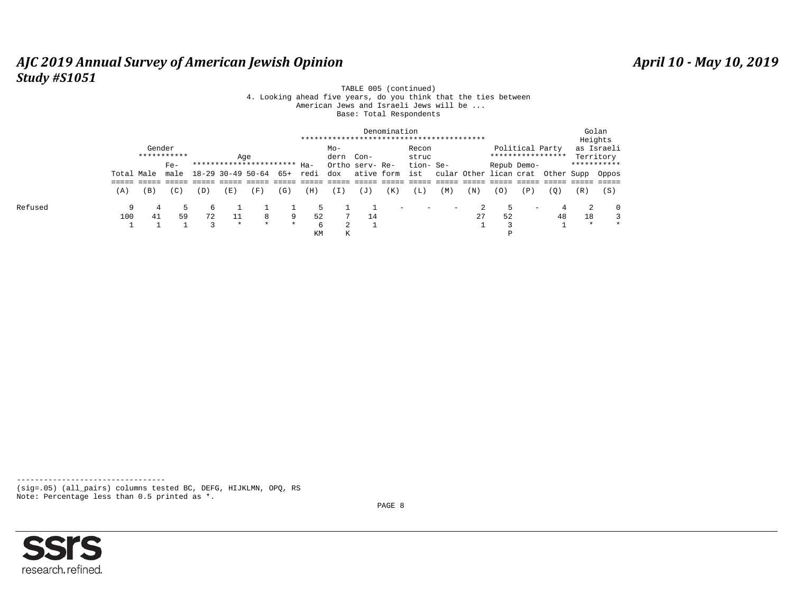# April 10 - May 10, 2019

#### TABLE 005 (continued) 4. Looking ahead five years, do you think that the ties between American Jews and Israeli Jews will be ... Base: Total Respondents

|         |            |        |                      |    |                   |                             |         |      |                     |                 | Denomination |                             |     |                      |             |                          |                                   |                | Golan<br>Heights                       |
|---------|------------|--------|----------------------|----|-------------------|-----------------------------|---------|------|---------------------|-----------------|--------------|-----------------------------|-----|----------------------|-------------|--------------------------|-----------------------------------|----------------|----------------------------------------|
|         |            | Gender | ***********<br>$Fe-$ |    | Age               | *********************** Ha- |         |      | $M_O-$<br>dern Con- | Ortho serv- Re- |              | Recon<br>struc<br>tion- Se- |     |                      | Repub Demo- | Political Party          | *****************                 |                | as Israeli<br>Territory<br>*********** |
|         | Total Male |        | male                 |    | 18-29 30-49 50-64 |                             | 65+     | redi | dox                 | ative form      |              | ist                         |     |                      |             |                          | cular Other lican crat Other Supp |                | Oppos                                  |
|         | (A)        | (B)    | (C)                  | D  | (E)               | (F)                         | (G)     | (H)  | ( I                 | ίJ              | (K)          | L)                          | (M) | $(\, \mathrm{N} \,)$ | (O)         | (P)                      | (Q)                               | (R)            | (S)                                    |
| Refused | 9          | 4      |                      | h  |                   |                             |         |      |                     |                 | -            | $\overline{\phantom{0}}$    |     |                      | 5           | $\overline{\phantom{a}}$ |                                   | $\mathfrak{D}$ |                                        |
|         | 100        | 41     | 59                   | 72 |                   | 8                           | 9       | 52   |                     | 14              |              |                             |     | 27                   | 52          |                          | 48                                | 18             |                                        |
|         |            |        |                      |    | $\star$           | $\star$                     | $\star$ | б.   | $\mathfrak{D}$      |                 |              |                             |     |                      |             |                          |                                   | $\star$        | $\star$                                |
|         |            |        |                      |    |                   |                             |         | KM   | K                   |                 |              |                             |     |                      | P           |                          |                                   |                |                                        |

----------------------------

(sig=.05) (all\_pairs) columns tested BC, DEFG, HIJKLMN, OPQ, RS Note: Percentage less than 0.5 printed as \*.

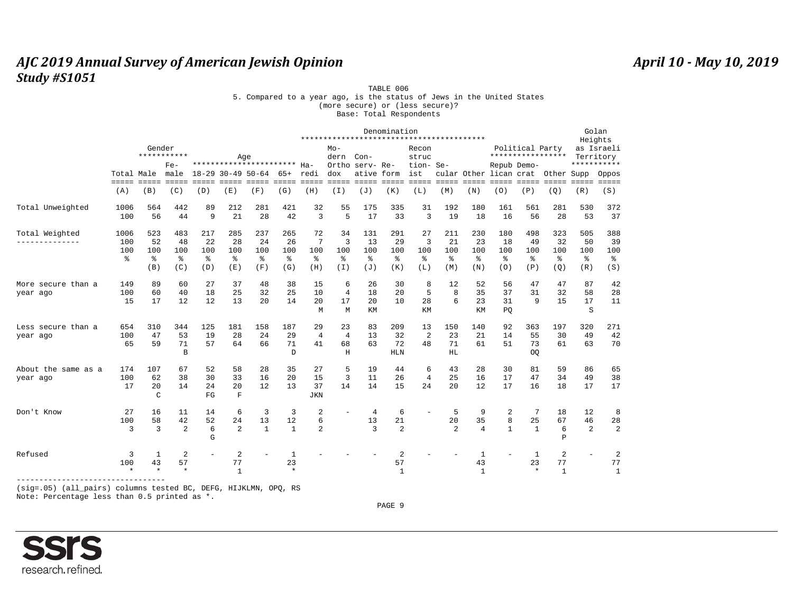#### TABLE 006 5. Compared to a year ago, is the status of Jews in the United States (more secure) or (less secure)? Base: Total Respondents

|                     |                |                               |                  |                      |                            |                             |                        |                        |                          |                          | Denomination       |                |                           |                    |                                   |                                      |                    |                     | Golan<br>Heights        |
|---------------------|----------------|-------------------------------|------------------|----------------------|----------------------------|-----------------------------|------------------------|------------------------|--------------------------|--------------------------|--------------------|----------------|---------------------------|--------------------|-----------------------------------|--------------------------------------|--------------------|---------------------|-------------------------|
|                     |                | Gender                        | ***********      |                      |                            | Aqe                         |                        |                        | $M_O -$<br>dern          | $Con-$                   |                    | Recon<br>struc |                           |                    |                                   | Political Party<br>***************** |                    |                     | as Israeli<br>Territory |
|                     |                |                               | $Fe-$            |                      |                            | *********************** Ha- |                        |                        |                          | Ortho serv- Re-          |                    | tion- Se-      |                           |                    |                                   | Repub Demo-                          |                    |                     | ***********             |
|                     |                | Total Male male               |                  |                      |                            | 18-29 30-49 50-64           | 65+                    | redi                   | dox                      | ative form               |                    | ist            |                           |                    | cular Other lican crat Other Supp |                                      |                    |                     | Oppos                   |
|                     | (A)            | ===== =====<br>(B)            | $= 22222$<br>(C) | $\frac{1}{2}$<br>(D) | $=$ $=$ $=$ $=$ $=$<br>(E) | $=$ $=$ $=$ $=$ $=$<br>(F)  | $=$ $=$ $=$ $=$<br>(G) | $=$ $=$ $=$ $=$<br>(H) | $(\top)$                 | ecces sesse coses<br>(J) | (K)                | (L)            | doces codes codes.<br>(M) | (N)                | (0)                               | eesse eesse<br>(P)                   | (Q)                | <b>EEEEE</b><br>(R) | $= 1.12$<br>(S)         |
| Total Unweighted    | 1006           | 564                           | 442              | 89                   | 212                        | 281                         | 421                    | 32                     | 55                       | 175                      | 335                | 31             | 192                       | 180                | 161                               | 561                                  | 281                | 530                 | 372                     |
|                     | 100            | 56                            | 44               | 9                    | 21                         | 28                          | 42                     | 3                      | 5                        | 17                       | 33                 | 3              | 19                        | 18                 | 16                                | 56                                   | 28                 | 53                  | 37                      |
| Total Weighted      | 1006           | 523                           | 483              | 217                  | 285                        | 237                         | 265                    | 72                     | 34                       | 131                      | 291                | 27             | 211                       | 230                | 180                               | 498                                  | 323                | 505                 | 388                     |
|                     | 100<br>100     | 52<br>100                     | 48<br>100        | 22<br>100            | 28<br>100                  | 24<br>100                   | 26<br>100              | 7<br>100               | 3<br>100                 | 13<br>100                | 29<br>100          | 3<br>100       | 21<br>100                 | 23<br>100          | 18<br>100                         | 49<br>100                            | 32<br>100          | 50<br>100           | 39<br>100               |
|                     | နွ             | ႜ                             | နွ               | ៖                    | နွ                         | $\epsilon$                  | ి                      | နွ                     | $\epsilon$               | $\,$ $\,$ $\,$           | ి                  | နွ             | နွ                        | ి                  | ి                                 | နွ                                   | နွ                 | နွ                  | ి                       |
|                     |                | (B)                           | (C)              | (D)                  | (E)                        | (F)                         | (G)                    | (H)                    | (T)                      | (J)                      | (K)                | (L)            | (M)                       | (N)                | (0)                               | (P)                                  | (Q)                | (R)                 | (S)                     |
| More secure than a  | 149            | 89                            | 60               | 27                   | 37                         | 48                          | 38                     | 15                     | 6                        | 26                       | 30                 | 8              | 12                        | 52                 | 56                                | 47                                   | 47                 | 87                  | 42                      |
| year ago            | 100            | 60<br>17                      | 40               | 18<br>12             | 25<br>13                   | 32<br>20                    | 25<br>14               | 10<br>2.0              | $\overline{4}$<br>17     | 18<br>20                 | 20<br>10           | 5              | 8<br>6                    | 35<br>23           | 37<br>31                          | 31<br>9                              | 32<br>15           | 58<br>17            | 28<br>11                |
|                     | 15             |                               | 12               |                      |                            |                             |                        | M                      | M                        | KM                       |                    | 28<br>KM       |                           | KM                 | PQ                                |                                      |                    | S                   |                         |
| Less secure than a  | 654            | 310                           | 344              | 125                  | 181                        | 158                         | 187                    | 29                     | 23                       | 83                       | 209                | 13             | 150                       | 140                | 92                                | 363                                  | 197                | 320                 | 271                     |
| year ago            | 100            | 47<br>59                      | 53<br>71         | 19<br>57             | 28<br>64                   | 24<br>66                    | 29<br>71               | $\overline{4}$<br>41   | $\overline{4}$<br>68     | 13<br>63                 | 32<br>72           | 2<br>48        | 23<br>71                  | 21<br>61           | 14<br>51                          | 55<br>73                             | 30<br>61           | 49<br>63            | 42<br>70                |
|                     | 65             |                               | $\mathbf{B}$     |                      |                            |                             | D                      |                        | H                        |                          | <b>HLN</b>         |                | <b>HL</b>                 |                    |                                   | OO.                                  |                    |                     |                         |
| About the same as a | 174            | 107                           | 67               | 52                   | 58                         | 28                          | 35                     | 27                     | 5                        | 19                       | 44                 | 6              | 43                        | 28                 | 30                                | 81                                   | 59                 | 86                  | 65                      |
| year ago            | 100            | 62                            | 38               | 30                   | 33                         | 16                          | 20                     | 15                     | 3                        | 11                       | 26                 | 4              | 25                        | 16                 | 17                                | 47                                   | 34                 | 49                  | 38                      |
|                     | 17             | $20^{\circ}$<br>$\mathcal{C}$ | 14               | 2.4<br>FG            | 20<br>$\mathbf F$          | 12                          | 13                     | 37<br><b>JKN</b>       | 14                       | 14                       | 1.5                | 2.4            | 2.0                       | 12                 | 17                                | 16                                   | 18                 | 17                  | 17                      |
| Don't Know          | 27             | 16                            | 11               | 14                   | 6                          | 3                           | 3                      | 2                      | $\overline{\phantom{a}}$ | 4                        | 6                  | $\equiv$       | 5                         | 9                  | 2                                 | 7                                    | 18                 | 12                  | 8                       |
|                     | 100            | 58                            | 42               | 52                   | 24                         | 13                          | 12                     | 6                      |                          | 13                       | 21                 |                | 20                        | 35                 | 8                                 | 25                                   | 67                 | 46                  | 28                      |
|                     | 3              | 3                             | $\overline{a}$   | 6<br>G               | $\mathfrak{D}$             | $\mathbf{1}$                | $\mathbf{1}$           | $\overline{a}$         |                          | 3                        | $\overline{2}$     |                | $\mathfrak{D}$            | $\overline{4}$     | $\mathbf{1}$                      | $\mathbf{1}$                         | 6<br>P             | $\overline{2}$      | $\overline{a}$          |
| Refused             | 3              | 1                             | 2                |                      | 2                          |                             | 1                      |                        |                          |                          | $\mathfrak{D}$     |                |                           | 1                  |                                   | -1                                   | 2                  |                     | 2                       |
|                     | 100<br>$\star$ | 43<br>$\star$                 | 57<br>$\star$    |                      | 77<br>$\mathbf{1}$         |                             | 23<br>$\star$          |                        |                          |                          | 57<br>$\mathbf{1}$ |                |                           | 43<br>$\mathbf{1}$ |                                   | 23<br>$\star$                        | 77<br>$\mathbf{1}$ |                     | 77<br>$\mathbf{1}$      |

(sig=.05) (all\_pairs) columns tested BC, DEFG, HIJKLMN, OPQ, RS Note: Percentage less than 0.5 printed as \*.

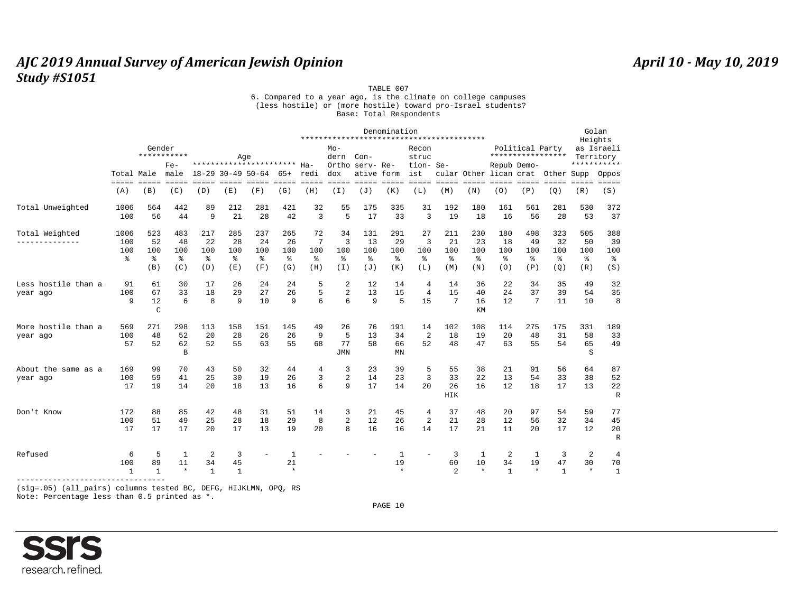#### TABLE 007 6. Compared to a year ago, is the climate on college campuses (less hostile) or (more hostile) toward pro-Israel students? Base: Total Respondents

|                                               |                          |                                                    |                                 |                                             |                                             |                                                                                                                                                                                                                                                                                                                                                                                                                                                                                               |                                                                                                                                                                                                                                                                                                                                                                                                                                                                                               |                                             |                             |                                       | Denomination                              |                                         |                              |                              |                                             |                                      |                               | Golan<br>Heights              |                                             |
|-----------------------------------------------|--------------------------|----------------------------------------------------|---------------------------------|---------------------------------------------|---------------------------------------------|-----------------------------------------------------------------------------------------------------------------------------------------------------------------------------------------------------------------------------------------------------------------------------------------------------------------------------------------------------------------------------------------------------------------------------------------------------------------------------------------------|-----------------------------------------------------------------------------------------------------------------------------------------------------------------------------------------------------------------------------------------------------------------------------------------------------------------------------------------------------------------------------------------------------------------------------------------------------------------------------------------------|---------------------------------------------|-----------------------------|---------------------------------------|-------------------------------------------|-----------------------------------------|------------------------------|------------------------------|---------------------------------------------|--------------------------------------|-------------------------------|-------------------------------|---------------------------------------------|
|                                               |                          | Gender                                             | ***********                     |                                             |                                             | Aqe                                                                                                                                                                                                                                                                                                                                                                                                                                                                                           |                                                                                                                                                                                                                                                                                                                                                                                                                                                                                               |                                             | $Mo-$<br>dern               | $Con-$                                |                                           | Recon<br>struc                          |                              |                              |                                             | Political Party<br>***************** |                               | Territory                     | as Israeli                                  |
|                                               |                          |                                                    | $Fe-$                           |                                             |                                             | *********************** Ha-                                                                                                                                                                                                                                                                                                                                                                                                                                                                   |                                                                                                                                                                                                                                                                                                                                                                                                                                                                                               |                                             |                             | Ortho serv- Re-                       |                                           | tion- Se-                               |                              |                              |                                             | Repub Demo-                          |                               |                               | ***********                                 |
|                                               |                          | Total Male male                                    |                                 |                                             |                                             | $18-29$ 30-49 50-64                                                                                                                                                                                                                                                                                                                                                                                                                                                                           | $65+$                                                                                                                                                                                                                                                                                                                                                                                                                                                                                         | redi                                        | dox                         | ative form<br>EEEEE EEEEE             |                                           | ist                                     |                              |                              | cular Other lican crat<br>esses esses esses |                                      | Other Supp<br>$-----$         |                               | Oppos                                       |
|                                               | $=$ $=$ $=$ $=$<br>(A)   | $\equiv \equiv \equiv \equiv \equiv \equiv$<br>(B) | $\frac{1}{2}$<br>(C)            | $\equiv \equiv \equiv \equiv \equiv$<br>(D) | $\equiv \equiv \equiv \equiv \equiv$<br>(E) | $\begin{array}{cccccccccc} \multicolumn{2}{c}{} & \multicolumn{2}{c}{} & \multicolumn{2}{c}{} & \multicolumn{2}{c}{} & \multicolumn{2}{c}{} & \multicolumn{2}{c}{} & \multicolumn{2}{c}{} & \multicolumn{2}{c}{} & \multicolumn{2}{c}{} & \multicolumn{2}{c}{} & \multicolumn{2}{c}{} & \multicolumn{2}{c}{} & \multicolumn{2}{c}{} & \multicolumn{2}{c}{} & \multicolumn{2}{c}{} & \multicolumn{2}{c}{} & \multicolumn{2}{c}{} & \multicolumn{2}{c}{} & \multicolumn{2}{c}{} & \mult$<br>(F) | $\begin{array}{cccccccccc} \multicolumn{2}{c}{} & \multicolumn{2}{c}{} & \multicolumn{2}{c}{} & \multicolumn{2}{c}{} & \multicolumn{2}{c}{} & \multicolumn{2}{c}{} & \multicolumn{2}{c}{} & \multicolumn{2}{c}{} & \multicolumn{2}{c}{} & \multicolumn{2}{c}{} & \multicolumn{2}{c}{} & \multicolumn{2}{c}{} & \multicolumn{2}{c}{} & \multicolumn{2}{c}{} & \multicolumn{2}{c}{} & \multicolumn{2}{c}{} & \multicolumn{2}{c}{} & \multicolumn{2}{c}{} & \multicolumn{2}{c}{} & \mult$<br>(G) | $\equiv \equiv \equiv \equiv \equiv$<br>(H) | (T)                         | (J)                                   | $\frac{1}{2}$<br>(K)                      | (L)                                     | esses esses<br>(M)           | (N)                          | (0)                                         | (P)                                  | (Q)                           | $\frac{1}{2}$<br>(R)          | $\equiv \equiv \equiv \equiv \equiv$<br>(S) |
| Total Unweighted                              | 1006<br>100              | 564<br>56                                          | 442<br>44                       | 89<br>9                                     | 212<br>21                                   | 281<br>28                                                                                                                                                                                                                                                                                                                                                                                                                                                                                     | 421<br>42                                                                                                                                                                                                                                                                                                                                                                                                                                                                                     | 32<br>3                                     | 55<br>5                     | 175<br>17                             | 335<br>33                                 | 31<br>3                                 | 192<br>19                    | 180<br>18                    | 161<br>16                                   | 561<br>56                            | 281<br>28                     | 530<br>53                     | 372<br>37                                   |
| Total Weighted<br>--------------              | 1006<br>100<br>100<br>နွ | 523<br>52<br>100<br>ి<br>(B)                       | 483<br>48<br>100<br>နွ<br>(C)   | 217<br>22<br>100<br>៖<br>(D)                | 285<br>28<br>100<br>နွ<br>(E)               | 237<br>24<br>100<br>៖<br>(F)                                                                                                                                                                                                                                                                                                                                                                                                                                                                  | 265<br>26<br>100<br>$\epsilon$<br>(G)                                                                                                                                                                                                                                                                                                                                                                                                                                                         | 72<br>$7\phantom{.0}$<br>100<br>နွ<br>(H)   | 34<br>3<br>100<br>ి<br>(T)  | 131<br>13<br>100<br>$\epsilon$<br>(J) | 291<br>29<br>100<br>$\,$ $\,$ $\,$<br>(K) | 27<br>$\overline{3}$<br>100<br>ి<br>(L) | 211<br>21<br>100<br>ి<br>(M) | 230<br>23<br>100<br>ႜ<br>(N) | 180<br>18<br>100<br>ి<br>(0)                | 498<br>49<br>100<br>ి<br>(P)         | 323<br>32<br>100<br>နွ<br>(Q) | 505<br>50<br>100<br>နွ<br>(R) | 388<br>39<br>100<br>နွ<br>(S)               |
| Less hostile than a<br>year ago               | 91<br>100<br>9           | 61<br>67<br>12<br>$\mathsf{C}$                     | 30<br>33<br>6                   | 17<br>18<br>8                               | 26<br>29<br>9                               | 24<br>27<br>10                                                                                                                                                                                                                                                                                                                                                                                                                                                                                | 24<br>26<br>9                                                                                                                                                                                                                                                                                                                                                                                                                                                                                 | 5<br>5<br>6                                 | 2<br>2<br>6                 | 12<br>13<br>9                         | 14<br>15<br>5                             | 4<br>$\overline{4}$<br>15               | 14<br>15<br>$7\phantom{.0}$  | 36<br>40<br>16<br>KM         | 22<br>24<br>12                              | 34<br>37<br>7                        | 35<br>39<br>11                | 49<br>54<br>10                | 32<br>35<br>8                               |
| More hostile than a<br>year ago               | 569<br>100<br>57         | 271<br>48<br>52                                    | 298<br>52<br>62<br>$\mathbf{B}$ | 113<br>20<br>52                             | 158<br>2.8<br>55                            | 151<br>26<br>63                                                                                                                                                                                                                                                                                                                                                                                                                                                                               | 145<br>26<br>55                                                                                                                                                                                                                                                                                                                                                                                                                                                                               | 49<br>9<br>68                               | 26<br>5<br>77<br><b>JMN</b> | 76<br>13<br>58                        | 191<br>34<br>66<br>MN                     | 14<br>2<br>52                           | 102<br>18<br>48              | 108<br>19<br>47              | 114<br>20<br>63                             | 275<br>48<br>55                      | 175<br>31<br>54               | 331<br>58<br>65<br>S          | 189<br>33<br>49                             |
| About the same as a<br>year ago               | 169<br>100<br>17         | 99<br>59<br>19                                     | 70<br>41<br>14                  | 43<br>25<br>2.0                             | 50<br>30<br>18                              | 32<br>19<br>13                                                                                                                                                                                                                                                                                                                                                                                                                                                                                | 44<br>26<br>16                                                                                                                                                                                                                                                                                                                                                                                                                                                                                | 4<br>3<br>6                                 | 3<br>$\overline{a}$<br>9    | 23<br>14<br>17                        | 39<br>23<br>14                            | 5<br>3<br>20                            | 55<br>33<br>26<br>HIK        | 38<br>22<br>16               | 21<br>13<br>12                              | 91<br>54<br>18                       | 56<br>33<br>17                | 64<br>38<br>13                | 87<br>52<br>22<br>$\mathbb R$               |
| Don't Know                                    | 172<br>100<br>17         | 88<br>51<br>17                                     | 85<br>49<br>17                  | 42<br>25<br>2.0                             | 48<br>28<br>17                              | 31<br>18<br>13                                                                                                                                                                                                                                                                                                                                                                                                                                                                                | 51<br>29<br>19                                                                                                                                                                                                                                                                                                                                                                                                                                                                                | 14<br>8<br>2.0                              | 3<br>2<br>8                 | 21<br>12<br>16                        | 45<br>26<br>16                            | 4<br>2<br>14                            | 37<br>21<br>17               | 48<br>28<br>21               | 20<br>12<br>11                              | 97<br>56<br>2.0                      | 54<br>32<br>17                | 59<br>34<br>12.               | 77<br>45<br>20<br>$\mathbb{R}$              |
| Refused<br>__________________________________ | 6<br>100<br>$\mathbf{1}$ | 5<br>89<br>$\mathbf{1}$                            | 1<br>11<br>$\star$              | 2<br>34<br>$\mathbf{1}$                     | 3<br>45<br>$\mathbf{1}$                     | $\overline{\phantom{a}}$                                                                                                                                                                                                                                                                                                                                                                                                                                                                      | 1<br>21<br>$\star$                                                                                                                                                                                                                                                                                                                                                                                                                                                                            |                                             |                             |                                       | 1<br>19<br>$\star$                        | $\overline{\phantom{a}}$                | 3<br>60<br>2                 | 1<br>10<br>$\star$           | 2<br>34<br>$\mathbf{1}$                     | 1<br>19<br>$\star$                   | 3<br>47<br>$\mathbf{1}$       | 2<br>30<br>$\star$            | 4<br>70<br>$\mathbf{1}$                     |

(sig=.05) (all\_pairs) columns tested BC, DEFG, HIJKLMN, OPQ, RS Note: Percentage less than 0.5 printed as \*.

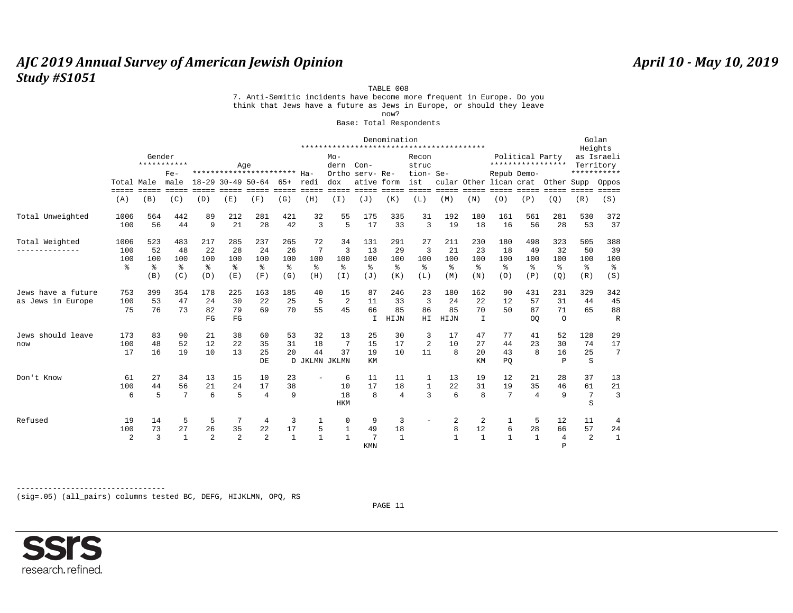# April 10 - May 10, 2019

TABLE 008

7. Anti-Semitic incidents have become more frequent in Europe. Do you think that Jews have a future as Jews in Europe, or should they leave now?

Base: Total Respondents

|                                         |                             |                              |                                             |                              |                                      |                                                        |                                      |                                    |                                                  |                                | Denomination                                |                                    |                              |                                 |                                                                                                                                                                                                                                                                                                                                                                                                                                                                                               |                                                                                                                                                                                                                                                                                                                                                                                                                                                                                               |                                             |                              | Golan<br>Heights               |
|-----------------------------------------|-----------------------------|------------------------------|---------------------------------------------|------------------------------|--------------------------------------|--------------------------------------------------------|--------------------------------------|------------------------------------|--------------------------------------------------|--------------------------------|---------------------------------------------|------------------------------------|------------------------------|---------------------------------|-----------------------------------------------------------------------------------------------------------------------------------------------------------------------------------------------------------------------------------------------------------------------------------------------------------------------------------------------------------------------------------------------------------------------------------------------------------------------------------------------|-----------------------------------------------------------------------------------------------------------------------------------------------------------------------------------------------------------------------------------------------------------------------------------------------------------------------------------------------------------------------------------------------------------------------------------------------------------------------------------------------|---------------------------------------------|------------------------------|--------------------------------|
|                                         |                             | Gender                       | ***********                                 |                              |                                      | Aqe                                                    |                                      |                                    | $M_O -$<br>dern                                  | $Con-$                         |                                             | Recon<br>struc                     |                              |                                 |                                                                                                                                                                                                                                                                                                                                                                                                                                                                                               | Political Party                                                                                                                                                                                                                                                                                                                                                                                                                                                                               | *****************                           |                              | as Israeli<br>Territory        |
|                                         | Total Male                  |                              | $Fe-$<br>male                               |                              |                                      | *********************** Ha-<br>$18-29$ 30-49 50-64 65+ |                                      | redi                               | dox                                              | Ortho serv- Re-<br>ative form  |                                             | tion- Se-<br>ist                   |                              |                                 | cular Other lican crat Other Supp                                                                                                                                                                                                                                                                                                                                                                                                                                                             | Repub Demo-                                                                                                                                                                                                                                                                                                                                                                                                                                                                                   |                                             |                              | ***********<br>Oppos           |
|                                         | $= 1.25$<br>(A)             | $= 2222$<br>(B)              | $\equiv \equiv \equiv \equiv \equiv$<br>(C) | $- -$<br>(D)                 | (E)                                  | (F)                                                    | (G)                                  | (H)                                | $\equiv \equiv \equiv \equiv \equiv$<br>$(\top)$ | ----<br>(J)                    | $\equiv \equiv \equiv \equiv \equiv$<br>(K) | $\frac{1}{2}$<br>(L)               | $= 1.12$<br>(M)              | <b>EEEEE</b><br>(N)             | $\begin{array}{cccccccccc} \multicolumn{2}{c}{} & \multicolumn{2}{c}{} & \multicolumn{2}{c}{} & \multicolumn{2}{c}{} & \multicolumn{2}{c}{} & \multicolumn{2}{c}{} & \multicolumn{2}{c}{} & \multicolumn{2}{c}{} & \multicolumn{2}{c}{} & \multicolumn{2}{c}{} & \multicolumn{2}{c}{} & \multicolumn{2}{c}{} & \multicolumn{2}{c}{} & \multicolumn{2}{c}{} & \multicolumn{2}{c}{} & \multicolumn{2}{c}{} & \multicolumn{2}{c}{} & \multicolumn{2}{c}{} & \multicolumn{2}{c}{} & \mult$<br>(0) | $\begin{array}{cccccccccc} \multicolumn{2}{c}{} & \multicolumn{2}{c}{} & \multicolumn{2}{c}{} & \multicolumn{2}{c}{} & \multicolumn{2}{c}{} & \multicolumn{2}{c}{} & \multicolumn{2}{c}{} & \multicolumn{2}{c}{} & \multicolumn{2}{c}{} & \multicolumn{2}{c}{} & \multicolumn{2}{c}{} & \multicolumn{2}{c}{} & \multicolumn{2}{c}{} & \multicolumn{2}{c}{} & \multicolumn{2}{c}{} & \multicolumn{2}{c}{} & \multicolumn{2}{c}{} & \multicolumn{2}{c}{} & \multicolumn{2}{c}{} & \mult$<br>(P) | $\equiv \equiv \equiv \equiv \equiv$<br>(Q) | $=$ $=$ $=$ $=$<br>(R)       | $=$ $=$ $=$ $=$<br>(S)         |
| Total Unweighted                        | 1006<br>100                 | 564<br>56                    | 442<br>44                                   | 89<br>9                      | 212<br>21                            | 281<br>28                                              | 421<br>42                            | 32<br>3                            | 55<br>5                                          | 175<br>17                      | 335<br>33                                   | 31<br>3                            | 192<br>19                    | 180<br>18                       | 161<br>16                                                                                                                                                                                                                                                                                                                                                                                                                                                                                     | 561<br>56                                                                                                                                                                                                                                                                                                                                                                                                                                                                                     | 281<br>28                                   | 530<br>53                    | 372<br>37                      |
| Total Weighted<br>--------------        | 1006<br>100<br>100<br>፠     | 523<br>52<br>100<br>ి<br>(B) | 483<br>48<br>100<br>°<br>(C)                | 217<br>22<br>100<br>፠<br>(D) | 285<br>28<br>100<br>$\approx$<br>(E) | 237<br>24<br>100<br>۶.<br>(F)                          | 265<br>26<br>100<br>$\approx$<br>(G) | 72<br>7<br>100<br>$\approx$<br>(H) | 34<br>3<br>100<br>$\approx$<br>$(\top)$          | 131<br>13<br>100<br>⊱<br>(J)   | 291<br>29<br>100<br>$\approx$<br>(K)        | 27<br>3<br>100<br>$\approx$<br>(L) | 211<br>21<br>100<br>⊱<br>(M) | 230<br>23<br>100<br>⊱<br>(N)    | 180<br>18<br>100<br>⊱<br>(0)                                                                                                                                                                                                                                                                                                                                                                                                                                                                  | 498<br>49<br>100<br>⊱<br>(P)                                                                                                                                                                                                                                                                                                                                                                                                                                                                  | 323<br>32<br>100<br>⊱<br>(Q)                | 505<br>50<br>100<br>⊱<br>(R) | 388<br>39<br>100<br>ి<br>(S)   |
| Jews have a future<br>as Jews in Europe | 753<br>100<br>75            | 399<br>53<br>76              | 354<br>47<br>73                             | 178<br>24<br>82<br>FG        | 225<br>30<br>79<br>FG                | 163<br>22<br>69                                        | 185<br>25<br>70                      | 40<br>5<br>55                      | 15<br>2<br>45                                    | 87<br>11<br>66<br>$\mathsf{T}$ | 246<br>33<br>85<br>HIJN                     | 23<br>$\overline{3}$<br>86<br>HI   | 180<br>24<br>85<br>HIJN      | 162<br>22<br>70<br>$\mathbf{I}$ | 90<br>12<br>50                                                                                                                                                                                                                                                                                                                                                                                                                                                                                | 431<br>57<br>87<br><b>OO</b>                                                                                                                                                                                                                                                                                                                                                                                                                                                                  | 231<br>31<br>71<br>$\Omega$                 | 329<br>44<br>65              | 342<br>45<br>88<br>$\mathbb R$ |
| Jews should leave<br>now                | 173<br>100<br>17            | 83<br>48<br>16               | 90<br>52<br>19                              | 21<br>12<br>10               | 38<br>22<br>13                       | 60<br>35<br>25<br>DE                                   | 53<br>31<br>20                       | 32<br>18<br>44                     | 13<br>7<br>37<br>D JKLMN JKLMN                   | 25<br>15<br>19<br>KM           | 30<br>17<br>10                              | 3<br>$\overline{a}$<br>11          | 17<br>10<br>8                | 47<br>27<br>20<br>KM            | 77<br>44<br>43<br>PO                                                                                                                                                                                                                                                                                                                                                                                                                                                                          | 41<br>23<br>$\mathsf{R}$                                                                                                                                                                                                                                                                                                                                                                                                                                                                      | 52<br>30<br>16<br>P                         | 128<br>74<br>25<br>S         | 29<br>17<br>7                  |
| Don't Know                              | 61<br>100<br>6              | 27<br>44<br>5                | 34<br>56<br>7                               | 13<br>21<br>6                | 15<br>24<br>5                        | 10<br>17<br>$\overline{4}$                             | 23<br>38<br>9                        |                                    | 6<br>10<br>18<br>HKM                             | 11<br>17<br>8                  | 11<br>18<br>$\overline{4}$                  | 1<br>$\mathbf 1$<br>3              | 13<br>22<br>6                | 19<br>31<br>8                   | 12<br>19<br>7                                                                                                                                                                                                                                                                                                                                                                                                                                                                                 | 21<br>35<br>4                                                                                                                                                                                                                                                                                                                                                                                                                                                                                 | 28<br>46<br>9                               | 37<br>61<br>7<br>S           | 13<br>21<br>3                  |
| Refused                                 | 19<br>100<br>$\overline{2}$ | 14<br>73<br>3                | 5<br>27<br>$\mathbf{1}$                     | 5<br>26<br>$\overline{a}$    | 7<br>35<br>2                         | 4<br>22<br>$\overline{2}$                              | 3<br>17<br>$\mathbf{1}$              | 1<br>5<br>$\mathbf{1}$             | 0<br>$\mathbf{1}$<br>$\mathbf{1}$                | 9<br>49<br>7<br><b>KMN</b>     | 3<br>18<br>$\mathbf{1}$                     |                                    | 2<br>8<br>$\mathbf{1}$       | 2<br>12<br>$\mathbf{1}$         | 1<br>6<br>$\mathbf{1}$                                                                                                                                                                                                                                                                                                                                                                                                                                                                        | 5<br>28<br>$\mathbf{1}$                                                                                                                                                                                                                                                                                                                                                                                                                                                                       | 12<br>66<br>$\overline{4}$<br>Þ             | 11<br>57<br>$\overline{2}$   | 4<br>24<br>$\mathbf{1}$        |

\_\_\_\_\_\_\_\_\_\_\_\_\_\_\_\_\_\_\_\_\_\_\_\_\_\_\_\_\_

(sig=.05) (all\_pairs) columns tested BC, DEFG, HIJKLMN, OPQ, RS

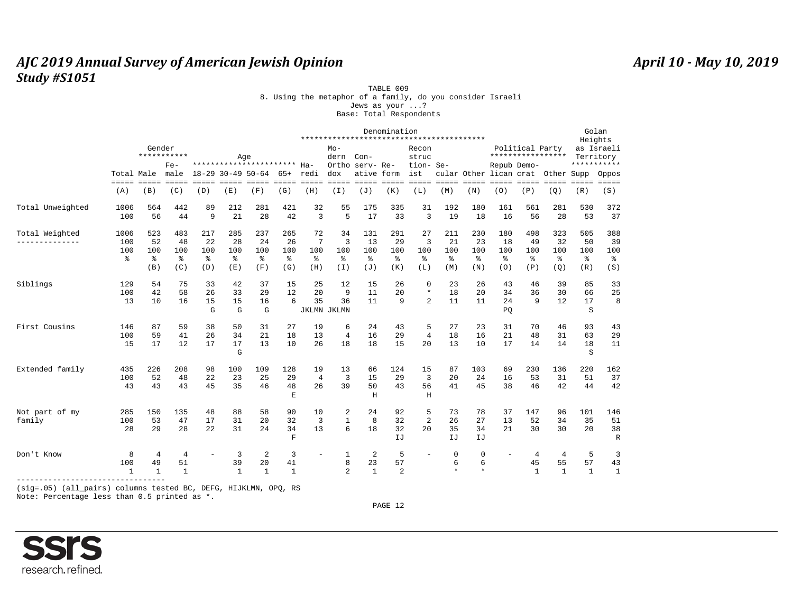#### TABLE 009 8. Using the metaphor of a family, do you consider Israeli Jews as your ...? Base: Total Respondents

|                                     |                          |                         |                         |                     |                         |                                    |                               |                                              |                              |                                                    | Denomination              |                                |                             |                      |                        |                                      |                             | Golan<br>Heights        |                                |
|-------------------------------------|--------------------------|-------------------------|-------------------------|---------------------|-------------------------|------------------------------------|-------------------------------|----------------------------------------------|------------------------------|----------------------------------------------------|---------------------------|--------------------------------|-----------------------------|----------------------|------------------------|--------------------------------------|-----------------------------|-------------------------|--------------------------------|
|                                     |                          | Gender                  | ***********             |                     |                         | Aqe                                |                               |                                              | $Mo-$<br>dern                | Con-                                               |                           | Recon<br>struc                 |                             |                      |                        | Political Party<br>***************** |                             | Territory               | as Israeli                     |
|                                     |                          |                         | $Fe-$                   |                     |                         | *********************** Ha-        |                               |                                              |                              | Ortho serv- Re-                                    |                           | tion- Se-                      |                             |                      |                        | Repub Demo-                          |                             |                         | ***********                    |
|                                     |                          | Total Male              | male                    |                     |                         | 18-29 30-49 50-64<br>$\frac{1}{2}$ | $65+$                         | redi<br>$\equiv \equiv \equiv \equiv \equiv$ | dox                          | ative form<br>$\equiv \equiv \equiv \equiv \equiv$ | $\frac{1}{2}$             | ist                            |                             | $\frac{1}{2}$        | cular Other lican crat | esses esses                          | Other Supp<br>$\frac{1}{2}$ | $\frac{1}{2}$           | Oppos                          |
|                                     | <b>EBBEE</b><br>(A)      | <b>EEEEE</b><br>(B)     | <b>EEEEE</b><br>(C)     | <b>EEEEE</b><br>(D) | $=$ $=$ $=$ $=$<br>(E)  | (F)                                | $= 1.12$<br>(G)               | (H)                                          | <b>EEEEE</b><br>(T)          | (J)                                                | (K)                       | (L)                            | esses esses<br>(M)          | (N)                  | (0)                    | (P)                                  | (Q)                         | (R)                     | $=$ $=$ $=$ $=$<br>(S)         |
| Total Unweighted                    | 1006<br>100              | 564<br>56               | 442<br>44               | 89<br>9             | 212<br>21               | 281<br>28                          | 421<br>42                     | 32<br>3                                      | 55<br>5                      | 175<br>17                                          | 335<br>33                 | 31<br>3                        | 192<br>19                   | 180<br>18            | 161<br>16              | 561<br>56                            | 281<br>28                   | 530<br>53               | 372<br>37                      |
| Total Weighted                      | 1006<br>100<br>100       | 523<br>52<br>100        | 483<br>48<br>100        | 217<br>22<br>100    | 285<br>28<br>100        | 237<br>24<br>100                   | 265<br>26<br>100              | 72<br>$7\phantom{.0}$<br>100                 | 34<br>$\overline{3}$<br>100  | 131<br>13<br>100                                   | 291<br>29<br>100          | 27<br>3<br>100                 | 211<br>21<br>100            | 230<br>23<br>100     | 180<br>18<br>100       | 498<br>49<br>100                     | 323<br>32<br>100            | 505<br>50<br>100        | 388<br>39<br>100               |
|                                     | ిక                       | နွ<br>(B)               | နွ<br>(C)               | နွ<br>(D)           | $\epsilon$<br>(E)       | ៖<br>(F)                           | နွ<br>(G)                     | နွ<br>(H)                                    | ి<br>$(\top)$                | $\epsilon$<br>(J)                                  | $\epsilon$<br>(K)         | နွ<br>(L)                      | ి<br>(M)                    | နွ<br>(N)            | နွ<br>(0)              | ి<br>(P)                             | နွ<br>(Q)                   | နွ<br>(R)               | နွ<br>(S)                      |
| Siblings                            | 129<br>100<br>13         | 54<br>42<br>10          | 75<br>58<br>16          | 33<br>26<br>15<br>G | 42<br>33<br>1.5<br>G    | 37<br>29<br>16<br>G                | 15<br>12<br>6                 | 25<br>20<br>35                               | 12<br>9<br>36<br>JKLMN JKLMN | 15<br>11<br>11                                     | 26<br>2.0<br>$\mathsf{Q}$ | 0<br>$\star$<br>$\overline{2}$ | 23<br>18<br>11              | 26<br>20<br>11       | 43<br>34<br>24<br>PQ   | 46<br>36<br>9                        | 39<br>30<br>12              | 85<br>66<br>17<br>S     | 33<br>25<br>8                  |
| First Cousins                       | 146<br>100<br>15         | 87<br>59<br>17          | 59<br>41<br>12          | 38<br>26<br>17      | 50<br>34<br>17<br>G     | 31<br>21<br>13                     | 27<br>18<br>10                | 19<br>13<br>26                               | 6<br>$\overline{4}$<br>18    | 24<br>16<br>18                                     | 43<br>29<br>15            | 5<br>$\overline{4}$<br>20      | 27<br>18<br>13              | 23<br>16<br>10       | 31<br>21<br>17         | 70<br>48<br>14                       | 46<br>31<br>14              | 93<br>63<br>18<br>S     | 43<br>29<br>11                 |
| Extended family                     | 435<br>100<br>43         | 226<br>52<br>43         | 208<br>48<br>43         | 98<br>22<br>45      | 100<br>23<br>35         | 109<br>25<br>46                    | 128<br>29<br>48<br>E          | 19<br>$\overline{4}$<br>2.6                  | 13<br>3<br>39                | 66<br>15<br>50<br>Η                                | 124<br>29<br>43           | 15<br>3<br>56<br>Η             | 87<br>20<br>41              | 103<br>24<br>45      | 69<br>16<br>38         | 230<br>53<br>46                      | 136<br>31<br>42             | 220<br>51<br>44         | 162<br>37<br>42                |
| Not part of my<br>family            | 285<br>100<br>28         | 150<br>53<br>29         | 135<br>47<br>28         | 48<br>17<br>22      | 88<br>31<br>31          | 58<br>20<br>24                     | 90<br>32<br>34<br>$\mathbf F$ | 10<br>3<br>13                                | 2<br>$\mathbf{1}$<br>6       | 24<br>8<br>18                                      | 92<br>32<br>32<br>IJ      | 5<br>2<br>20                   | 73<br>26<br>35<br>IJ        | 78<br>27<br>34<br>IJ | 37<br>13<br>21         | 147<br>52<br>30                      | 96<br>34<br>30              | 101<br>35<br>20         | 146<br>51<br>38<br>$\mathbb R$ |
| Don't Know<br>--------------------- | 8<br>100<br>$\mathbf{1}$ | 4<br>49<br>$\mathbf{1}$ | 4<br>51<br>$\mathbf{1}$ |                     | 3<br>39<br>$\mathbf{1}$ | 2<br>20<br>$\mathbf{1}$            | 3<br>41<br>$\mathbf{1}$       |                                              | 1<br>8<br>$\overline{a}$     | 2<br>23<br>$\mathbf{1}$                            | 5<br>57<br>$\overline{a}$ | $\equiv$                       | $\mathbf 0$<br>6<br>$\star$ | 0<br>6<br>$\star$    |                        | 4<br>45<br>$\mathbf{1}$              | 4<br>55<br>$\mathbf{1}$     | 5<br>57<br>$\mathbf{1}$ | 3<br>43<br>$\mathbf{1}$        |

(sig=.05) (all\_pairs) columns tested BC, DEFG, HIJKLMN, OPQ, RS Note: Percentage less than 0.5 printed as \*.

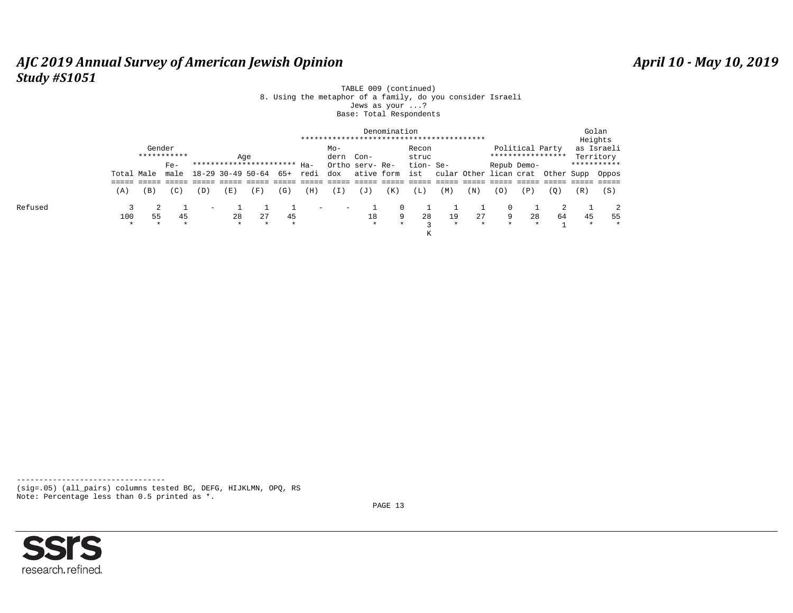# April 10 - May 10, 2019

#### TABLE 009 (continued) 8. Using the metaphor of a family, do you consider Israeli Jews as your ...? Base: Total Respondents

|         |            |         |             |                        |         |                             |         |                          |                          |                 | Denomination |                                       |         |         |         |                 |                   |         | Golan                   |
|---------|------------|---------|-------------|------------------------|---------|-----------------------------|---------|--------------------------|--------------------------|-----------------|--------------|---------------------------------------|---------|---------|---------|-----------------|-------------------|---------|-------------------------|
|         |            |         |             |                        |         |                             |         |                          |                          |                 |              |                                       |         |         |         |                 |                   |         | Heights                 |
|         |            | Gender  | *********** |                        |         | Aqe                         |         |                          | $M_O -$<br>dern Con-     |                 |              | Recon<br>struc                        |         |         |         | Political Party | ***************** |         | as Israeli<br>Territory |
|         |            |         | $Fe-$       |                        |         | *********************** Ha- |         |                          |                          | Ortho serv- Re- |              | tion- Se-                             |         |         |         | Repub Demo-     |                   |         | ***********             |
|         | Total Male |         |             | male 18-29 30-49 50-64 |         |                             | 65+     | redi                     | dox                      | ative form      |              | ist cular Other lican crat Other Supp |         |         |         |                 |                   |         | Oppos                   |
|         |            |         |             |                        |         |                             |         |                          |                          |                 |              |                                       |         |         |         |                 |                   |         |                         |
|         | (A)        | (B)     | (C)         | (D)                    | (E)     | F                           | ( G )   | (H)                      | ŒΙ                       | (J)             | (K)          | . L )                                 | (M)     | (N)     | (0)     | (P)             | (Q)               | (R)     | (S)                     |
| Refused |            |         |             | -                      |         |                             |         | $\overline{\phantom{a}}$ | $\overline{\phantom{a}}$ |                 |              |                                       |         |         |         |                 |                   |         |                         |
|         | 100        | 55      | 45          |                        | 28      | 27                          | 45      |                          |                          | 18              | 9            | 28                                    | 19      | 27      | 9       | 28              | 64                | 45      | 55                      |
|         | $\star$    | $\star$ | $\star$     |                        | $\star$ | $\star$                     | $\star$ |                          |                          | $\star$         | $\ast$       | ર                                     | $\star$ | $\star$ | $\star$ | $\star$         |                   | $\star$ | $\star$                 |
|         |            |         |             |                        |         |                             |         |                          |                          |                 |              | Κ                                     |         |         |         |                 |                   |         |                         |

-----------------------------

(sig=.05) (all\_pairs) columns tested BC, DEFG, HIJKLMN, OPQ, RS Note: Percentage less than 0.5 printed as \*.

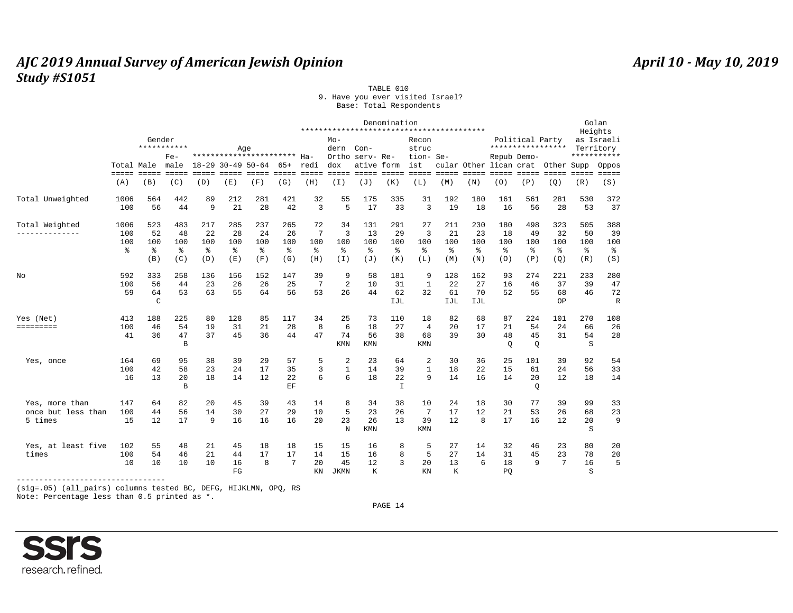|                                  | TABLE 010 |  |
|----------------------------------|-----------|--|
| 9. Have you ever visited Israel? |           |  |
| Base: Total Respondents          |           |  |

|                                                 |                        |                        |                                |                 |                                                                                                                                                                                                                                                                                                                                                                                                                                                                                               |                                                                                                                                                                                                                                                                                                                                                                                                                                                                                               |                      |                          |                               |                              | Denomination                    |                        |                     |                              |                        |                                      |                 |                      | Golan<br>Heights        |
|-------------------------------------------------|------------------------|------------------------|--------------------------------|-----------------|-----------------------------------------------------------------------------------------------------------------------------------------------------------------------------------------------------------------------------------------------------------------------------------------------------------------------------------------------------------------------------------------------------------------------------------------------------------------------------------------------|-----------------------------------------------------------------------------------------------------------------------------------------------------------------------------------------------------------------------------------------------------------------------------------------------------------------------------------------------------------------------------------------------------------------------------------------------------------------------------------------------|----------------------|--------------------------|-------------------------------|------------------------------|---------------------------------|------------------------|---------------------|------------------------------|------------------------|--------------------------------------|-----------------|----------------------|-------------------------|
|                                                 |                        | Gender                 | ***********                    |                 |                                                                                                                                                                                                                                                                                                                                                                                                                                                                                               | Aqe                                                                                                                                                                                                                                                                                                                                                                                                                                                                                           |                      |                          | $MO -$<br>dern                | $Con-$                       |                                 | Recon<br>struc         |                     |                              |                        | Political Party<br>***************** |                 |                      | as Israeli<br>Territory |
|                                                 |                        |                        | $Fe-$                          |                 |                                                                                                                                                                                                                                                                                                                                                                                                                                                                                               | *********************** Ha-                                                                                                                                                                                                                                                                                                                                                                                                                                                                   |                      |                          |                               | Ortho serv- Re-              |                                 | tion- Se-              |                     |                              | Repub Demo-            |                                      |                 |                      | * * * * * * * * * * *   |
|                                                 | Total Male             |                        | male                           |                 |                                                                                                                                                                                                                                                                                                                                                                                                                                                                                               | 18-29 30-49 50-64                                                                                                                                                                                                                                                                                                                                                                                                                                                                             | $65+$                | redi                     | dox                           | ative form                   |                                 | ist                    |                     |                              | cular Other lican crat |                                      | Other Supp      |                      | Oppos                   |
|                                                 | $=$ $=$ $=$ $=$<br>(A) | $=$ $=$ $=$ $=$<br>(B) | $=$ $=$ $=$ $=$<br>(C)         | $= 1.12$<br>(D) | $\begin{array}{cccccccccc} \multicolumn{2}{c}{} & \multicolumn{2}{c}{} & \multicolumn{2}{c}{} & \multicolumn{2}{c}{} & \multicolumn{2}{c}{} & \multicolumn{2}{c}{} & \multicolumn{2}{c}{} & \multicolumn{2}{c}{} & \multicolumn{2}{c}{} & \multicolumn{2}{c}{} & \multicolumn{2}{c}{} & \multicolumn{2}{c}{} & \multicolumn{2}{c}{} & \multicolumn{2}{c}{} & \multicolumn{2}{c}{} & \multicolumn{2}{c}{} & \multicolumn{2}{c}{} & \multicolumn{2}{c}{} & \multicolumn{2}{c}{} & \mult$<br>(E) | $\begin{array}{cccccccccc} \multicolumn{2}{c}{} & \multicolumn{2}{c}{} & \multicolumn{2}{c}{} & \multicolumn{2}{c}{} & \multicolumn{2}{c}{} & \multicolumn{2}{c}{} & \multicolumn{2}{c}{} & \multicolumn{2}{c}{} & \multicolumn{2}{c}{} & \multicolumn{2}{c}{} & \multicolumn{2}{c}{} & \multicolumn{2}{c}{} & \multicolumn{2}{c}{} & \multicolumn{2}{c}{} & \multicolumn{2}{c}{} & \multicolumn{2}{c}{} & \multicolumn{2}{c}{} & \multicolumn{2}{c}{} & \multicolumn{2}{c}{} & \mult$<br>(F) | $= = = = =$<br>(G)   | $=$ $=$ $=$ $=$<br>(H)   | <b>EBBED</b><br>(T)           | $= 1.12$<br>(J)              | $= 1.12$<br>(K)                 | asses.<br>(L)          | $= 1.12$<br>(M)     | <b>EEEEE</b><br>(N)          | <b>EEEEE</b><br>(0)    | $= 22222$<br>(P)                     | $= 1.12$<br>(Q) | $=$ $=$ $=$<br>(R)   | $= 22222$<br>(S)        |
| Total Unweighted                                | 1006<br>100            | 564<br>56              | 442<br>44                      | 89<br>9         | 212<br>21                                                                                                                                                                                                                                                                                                                                                                                                                                                                                     | 281<br>28                                                                                                                                                                                                                                                                                                                                                                                                                                                                                     | 421<br>42            | 32<br>3                  | 55<br>5                       | 175<br>17                    | 335<br>33                       | 31<br>3                | 192<br>19           | 180<br>18                    | 161<br>16              | 561<br>56                            | 281<br>28       | 530<br>53            | 372<br>37               |
| Total Weighted<br>--------------                | 1006<br>100            | 523<br>52              | 483<br>48                      | 217<br>22       | 285<br>28                                                                                                                                                                                                                                                                                                                                                                                                                                                                                     | 237<br>24                                                                                                                                                                                                                                                                                                                                                                                                                                                                                     | 265<br>26            | 72<br>7                  | 34<br>$\overline{3}$          | 131<br>13                    | 291<br>29                       | 27<br>3                | 211<br>21           | 230<br>23                    | 180<br>18              | 498<br>49                            | 323<br>32       | 505<br>50            | 388<br>39               |
|                                                 | 100<br>ႜ               | 100<br>ႜ<br>(B)        | 100<br>ి<br>(C)                | 100<br>ి<br>(D) | 100<br>နွ<br>(E)                                                                                                                                                                                                                                                                                                                                                                                                                                                                              | 100<br>ి<br>(F)                                                                                                                                                                                                                                                                                                                                                                                                                                                                               | 100<br>ႜ<br>(G)      | 100<br>$\epsilon$<br>(H) | 100<br>ి<br>$(\top)$          | 100<br>ి<br>(J)              | 100<br>ి<br>(K)                 | 100<br>ి<br>(L)        | 100<br>ి<br>(M)     | 100<br>$\,$ $\,$ $\,$<br>(N) | 100<br>ి<br>(0)        | 100<br>ి<br>(P)                      | 100<br>ి<br>(Q) | 100<br>ి<br>(R)      | 100<br>နွ<br>(S)        |
| No                                              | 592<br>100             | 333<br>56              | 258<br>44                      | 136<br>23       | 156<br>26                                                                                                                                                                                                                                                                                                                                                                                                                                                                                     | 152<br>26                                                                                                                                                                                                                                                                                                                                                                                                                                                                                     | 147<br>25            | 39<br>7                  | 9<br>$\overline{a}$           | 58<br>10                     | 181<br>31                       | 9<br>$\mathbf{1}$      | 128<br>22           | 162<br>27                    | 93<br>16               | 274<br>46                            | 221<br>37       | 233<br>39            | 280<br>47               |
|                                                 | 59                     | 64<br>$\mathsf{C}$     | 53                             | 63              | 55                                                                                                                                                                                                                                                                                                                                                                                                                                                                                            | 64                                                                                                                                                                                                                                                                                                                                                                                                                                                                                            | 56                   | 53                       | 26                            | 44                           | 62<br>IJL                       | 32                     | 61<br>IJL           | 70<br>IJL                    | 52                     | 55                                   | 68<br>OP        | 46                   | 72<br>$\mathbb R$       |
| Yes (Net)                                       | 413<br>100<br>41       | 188<br>46<br>36        | 225<br>54<br>47<br>$\mathbf B$ | 80<br>19<br>37  | 128<br>31<br>45                                                                                                                                                                                                                                                                                                                                                                                                                                                                               | 85<br>21<br>36                                                                                                                                                                                                                                                                                                                                                                                                                                                                                | 117<br>28<br>44      | 34<br>8<br>47            | 25<br>6<br>74<br><b>KMN</b>   | 73<br>18<br>56<br><b>KMN</b> | 110<br>27<br>38                 | 18<br>4<br>68<br>KMN   | 82<br>20<br>39      | 68<br>17<br>30               | 87<br>21<br>48<br>Q    | 224<br>54<br>45<br>$\circ$           | 101<br>24<br>31 | 270<br>66<br>54<br>S | 108<br>26<br>28         |
| Yes, once                                       | 164<br>100<br>16       | 69<br>42<br>13         | 95<br>58<br>20<br>$\, {\bf B}$ | 38<br>23<br>18  | 39<br>24<br>14                                                                                                                                                                                                                                                                                                                                                                                                                                                                                | 29<br>17<br>12                                                                                                                                                                                                                                                                                                                                                                                                                                                                                | 57<br>35<br>22<br>EF | 5<br>3<br>6              | 2<br>$\mathbf{1}$<br>6        | 23<br>14<br>18               | 64<br>39<br>22<br>$\mathbbm{I}$ | 2<br>$\mathbf{1}$<br>9 | 30<br>18<br>14      | 36<br>22<br>16               | 25<br>15<br>14         | 101<br>61<br>20<br>Q                 | 39<br>24<br>12  | 92<br>56<br>18       | 54<br>33<br>14          |
| Yes, more than<br>once but less than<br>5 times | 147<br>100<br>15       | 64<br>44<br>12         | 82<br>56<br>17                 | 20<br>14<br>9   | 45<br>30<br>16                                                                                                                                                                                                                                                                                                                                                                                                                                                                                | 39<br>27<br>16                                                                                                                                                                                                                                                                                                                                                                                                                                                                                | 43<br>29<br>16       | 14<br>10<br>2.0          | 8<br>5<br>23<br>N             | 34<br>23<br>26<br><b>KMN</b> | 38<br>26<br>13                  | 10<br>7<br>39<br>KMN   | 24<br>17<br>12      | 18<br>12.<br>8               | 30<br>21<br>17         | 77<br>53<br>16                       | 39<br>26<br>12  | 99<br>68<br>20<br>S  | 33<br>23<br>9           |
| Yes, at least five<br>times                     | 102<br>100<br>10       | 55<br>54<br>10         | 48<br>46<br>10                 | 21<br>21<br>10  | 45<br>44<br>16<br>FG                                                                                                                                                                                                                                                                                                                                                                                                                                                                          | 18<br>17<br>8                                                                                                                                                                                                                                                                                                                                                                                                                                                                                 | 18<br>17<br>7        | 15<br>14<br>2.0<br>KN    | 15<br>15<br>45<br><b>JKMN</b> | 16<br>16<br>12<br>K          | 8<br>8<br>$\overline{3}$        | 5<br>5<br>20<br>KN     | 27<br>27<br>13<br>K | 14<br>14<br>6                | 32<br>31<br>18<br>PO   | 46<br>45<br>9                        | 23<br>23<br>7   | 80<br>78<br>16<br>S  | 20<br>20<br>5           |

(sig=.05) (all\_pairs) columns tested BC, DEFG, HIJKLMN, OPQ, RS Note: Percentage less than 0.5 printed as \*.



---------------------------------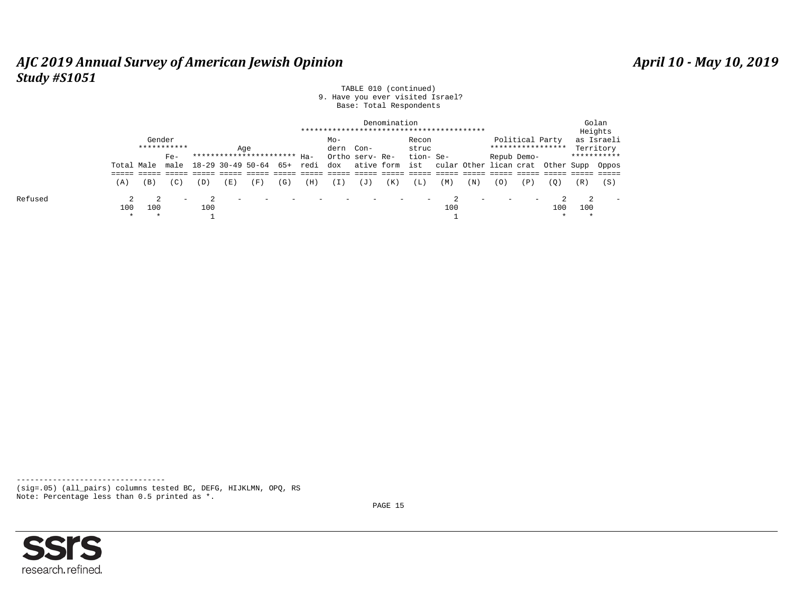#### TABLE 010 (continued) 9. Have you ever visited Israel? Base: Total Respondents

|         |                |                       |                          |     |                             |     |     |      |                      |                 | Denomination             |                             |     |                          |                          |                          |                                                  |                | Golan<br>Heights                       |
|---------|----------------|-----------------------|--------------------------|-----|-----------------------------|-----|-----|------|----------------------|-----------------|--------------------------|-----------------------------|-----|--------------------------|--------------------------|--------------------------|--------------------------------------------------|----------------|----------------------------------------|
|         |                | Gender<br>*********** | $Fe-$                    |     | *********************** Ha- | Age |     |      | $M_O -$<br>dern Con- | Ortho serv- Re- |                          | Recon<br>struc<br>tion- Se- |     |                          | Repub Demo-              |                          | Political Party<br>*****************             |                | as Israeli<br>Territory<br>*********** |
|         | Total Male     |                       |                          |     | male 18-29 30-49 50-64      |     | 65+ | redi | dox                  |                 |                          |                             |     |                          |                          |                          | ative form ist cular Other lican crat Other Supp |                | Oppos                                  |
|         | (A)            | (B)                   | (C)                      | (D) | (E)                         | .F  | (G) | (H)  |                      | ( J             | (K)                      | (L)                         | (M) | (N)                      | (0)                      | (P                       | (Q)                                              | (R)            | (S)                                    |
| Refused | 100<br>$\star$ | 100<br>$\star$        | $\overline{\phantom{a}}$ | 100 | $\overline{\phantom{0}}$    |     |     |      |                      |                 | $\overline{\phantom{a}}$ |                             | 100 | $\overline{\phantom{0}}$ | $\overline{\phantom{0}}$ | $\overline{\phantom{0}}$ | 100<br>$\star$                                   | 100<br>$\star$ | $\qquad \qquad -$                      |

---------------------------------

(sig=.05) (all\_pairs) columns tested BC, DEFG, HIJKLMN, OPQ, RS Note: Percentage less than 0.5 printed as \*.

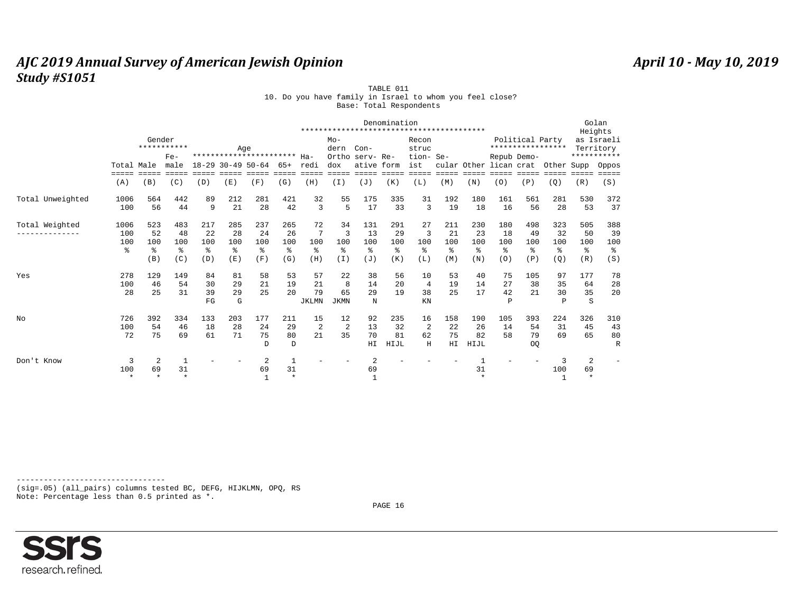#### TABLE 011 10. Do you have family in Israel to whom you feel close? Base: Total Respondents

|                  |                               |         |             |           |     |                         |         |              |             |                                     | Denomination |           |                   |              |                        |                   |              |         | Golan        |
|------------------|-------------------------------|---------|-------------|-----------|-----|-------------------------|---------|--------------|-------------|-------------------------------------|--------------|-----------|-------------------|--------------|------------------------|-------------------|--------------|---------|--------------|
|                  |                               |         |             |           |     |                         |         |              |             | * * * * * * * * * * * * * * * * * * |              |           | ***************** |              |                        |                   |              |         | Heights      |
|                  |                               | Gender  |             |           |     |                         |         |              | $Mo-$       |                                     |              | Recon     |                   |              |                        | Political Party   |              |         | as Israeli   |
|                  |                               |         | *********** |           |     | Aqe                     |         |              | dern        | $Con-$                              |              | struc     |                   |              |                        | ***************** |              |         | Territory    |
|                  |                               |         | $Fe-$       |           |     | *********************** |         | Ha-          | Ortho       | serv- Re-                           |              | tion- Se- |                   |              |                        | Repub Demo-       |              |         | ***********  |
|                  | Total Male<br>$=$ $=$ $=$ $=$ |         | male        |           |     | 18-29 30-49 50-64       | 65+     | redi         | dox         | ative form                          |              | ist       |                   |              | cular Other lican crat |                   | Other Supp   |         | Oppos        |
|                  | (A)                           | (B)     | (C)         | (D)       | (E) | (F)                     | (G)     | (H)          | (T)         | (J)                                 | (K)          | (L)       | (M)               | (N)          | (0)                    | (P)               | (Q)          | (R)     | =====<br>(S) |
| Total Unweighted | 1006                          | 564     | 442         | 89        | 212 | 281                     | 421     | 32           | 55          | 175                                 | 335          | 31        | 192               | 180          | 161                    | 561               | 281          | 530     | 372          |
|                  | 100                           | 56      | 44          | 9         | 21  | 28                      | 42      | 3            | 5           | 17                                  | 33           | 3         | 19                | 18           | 16                     | 56                | 28           | 53      | 37           |
| Total Weighted   | 1006                          | 523     | 483         | 217       | 285 | 237                     | 265     | 72           | 34          | 131                                 | 291          | 27        | 211               | 230          | 180                    | 498               | 323          | 505     | 388          |
| ----------       | 100                           | 52      | 48          | 22        | 28  | 24                      | 26      | 7            | 3           | 13                                  | 29           | 3         | 21                | 23           | 18                     | 49                | 32           | 50      | 39           |
|                  | 100                           | 100     | 100         | 100       | 100 | 100                     | 100     | 100          | 100         | 100                                 | 100          | 100       | 100               | 100          | 100                    | 100               | 100          | 100     | 100          |
|                  | $\approx$                     | ⊱       | ి           | $\approx$ | ⊱   | ి                       | ⊱       | ⊱            | ႜ           | ⊱                                   | ⊱            | ి         | ⊱                 | ့            | ి                      | 昙                 | 昙            | နွ      | $\epsilon$   |
|                  |                               | (B)     | (C)         | (D)       | (E) | (F)                     | (G)     | (H)          | (T)         | (J)                                 | (K)          | (L)       | (M)               | (N)          | (0)                    | (P)               | (Q)          | (R)     | (S)          |
| Yes              | 278                           | 129     | 149         | 84        | 81  | 58                      | 53      | 57           | 22          | 38                                  | 56           | 10        | 53                | 40           | 75                     | 105               | 97           | 177     | 78           |
|                  | 100                           | 46      | 54          | 30        | 29  | 21                      | 19      | 21           | 8           | 14                                  | 20           | 4         | 19                | 14           | 27                     | 38                | 35           | 64      | 28           |
|                  | 28                            | 25      | 31          | 39        | 29  | 25                      | 20      | 79           | 65          | 29                                  | 19           | 38        | 25                | 17           | 42                     | 21                | 30           | 35      | 20           |
|                  |                               |         |             | FG        | G   |                         |         | <b>JKLMN</b> | <b>JKMN</b> | $\mathbf N$                         |              | KN        |                   |              | $\mathbf{P}$           |                   | $\mathsf{P}$ | S       |              |
| No               | 726                           | 392     | 334         | 133       | 203 | 177                     | 211     | 15           | 12          | 92                                  | 235          | 16        | 158               | 190          | 105                    | 393               | 224          | 326     | 310          |
|                  | 100                           | 54      | 46          | 18        | 28  | 24                      | 29      | 2            | 2           | 13                                  | 32           | 2         | 22                | 26           | 14                     | 54                | 31           | 45      | 43           |
|                  | 72                            | 75      | 69          | 61        | 71  | 75                      | 80      | 21           | 35          | 70                                  | 81           | 62        | 75                | 82           | 58                     | 79                | 69           | 65      | 80           |
|                  |                               |         |             |           |     | D                       | D       |              |             | HI                                  | HIJL         | Η         | HI                | HIJL         |                        | OQ                |              |         | $\mathbb{R}$ |
| Don't Know       | 3                             | 2       |             |           |     | $\overline{2}$          |         |              |             | $\overline{a}$                      |              |           |                   |              |                        |                   | 3            | 2       |              |
|                  | 100                           | 69      | 31          |           |     | 69                      | 31      |              |             | 69                                  |              |           |                   | 31           |                        |                   | 100          | 69      |              |
|                  | $\star$                       | $\star$ | $\star$     |           |     | $\mathbf{1}$            | $\star$ |              |             |                                     |              |           |                   | $\mathbf{r}$ |                        |                   | $\mathbf{1}$ | $\star$ |              |

------------------------------

(sig=.05) (all\_pairs) columns tested BC, DEFG, HIJKLMN, OPQ, RS Note: Percentage less than 0.5 printed as \*.

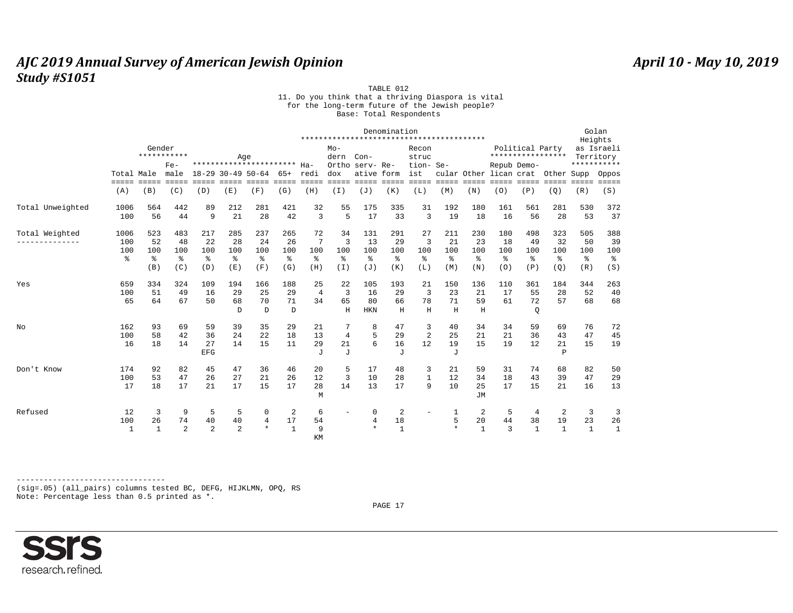#### TABLE 012 11. Do you think that a thriving Diaspora is vital for the long-term future of the Jewish people? Base: Total Respondents

|                  |              |              |                |                   |                  |                             |              |                      |                 |                   | Denomination     |                   |                  |              |                                   |                                      |              |              | Golan                   |
|------------------|--------------|--------------|----------------|-------------------|------------------|-----------------------------|--------------|----------------------|-----------------|-------------------|------------------|-------------------|------------------|--------------|-----------------------------------|--------------------------------------|--------------|--------------|-------------------------|
|                  |              |              |                |                   |                  |                             |              |                      |                 |                   |                  |                   |                  |              |                                   |                                      |              |              | Heights                 |
|                  |              | Gender       | ***********    |                   |                  | Age                         |              |                      | $Mo-$<br>dern   | $Con-$            |                  | Recon<br>struc    |                  |              |                                   | Political Party<br>***************** |              |              | as Israeli<br>Territory |
|                  |              |              | $Fe-$          |                   |                  | *********************** Ha- |              |                      |                 | Ortho serv- Re-   |                  | tion- Se-         |                  |              | Repub Demo-                       |                                      |              |              | ***********             |
|                  | Total Male   |              | male           | 18-29 30-49 50-64 |                  |                             |              | 65+ redi             | dox             | ative form        |                  | ist               |                  |              | cular Other lican crat Other Supp |                                      |              |              | Oppos                   |
|                  | =====        |              | eesse sesse    | $=$ $=$ $=$ $=$   |                  | $=$ $=$                     | $=$ $=$ $=$  | $= 2222$             | $=$ $=$ $=$ $=$ |                   | eesse eesse      |                   |                  |              | deces cocos cocos cocos.          |                                      | esses esses  | esses esses  |                         |
|                  | (A)          | (B)          | (C)            | (D)               | (E)              | (F)                         | (G)          | (H)                  | $(\top)$        | (J)               | (K)              | (L)               | (M)              | (N)          | (0)                               | (P)                                  | (Q)          | (R)          | (S)                     |
| Total Unweighted | 1006         | 564          | 442            | 89                | 212              | 281                         | 421          | 32                   | 55              | 175               | 335              | 31                | 192              | 180          | 161                               | 561                                  | 281          | 530          | 372                     |
|                  | 100          | 56           | 44             | 9                 | 21               | 28                          | 42           | 3                    | 5               | 17                | 33               | 3                 | 19               | 18           | 16                                | 56                                   | 28           | 53           | 37                      |
| Total Weighted   | 1006         | 523          | 483            | 217               | 285              | 237                         | 265          | 72                   | 34              | 131               | 291              | 27                | 211              | 230          | 180                               | 498                                  | 323          | 505          | 388                     |
| --------------   | 100          | 52           | 48             | 22                | 28               | 24                          | 26           | 7                    | $\overline{3}$  | 13                | 29               | 3                 | 21               | 23           | 18                                | 49                                   | 32           | 50           | 39                      |
|                  | 100<br>る     | 100<br>۶.    | 100<br>ႜ       | 100<br>$\approx$  | 100<br>$\approx$ | 100<br>$\approx$            | 100<br>နွ    | 100<br>နွ            | 100<br>ి        | 100<br>$\epsilon$ | 100<br>$\approx$ | 100<br>နွ         | 100<br>$\approx$ | 100<br>နွ    | 100<br>$\approx$                  | 100<br>⊱                             | 100<br>နွ    | 100<br>နွ    | 100<br>နွ               |
|                  |              | (B)          | (C)            | (D)               | (E)              | (F)                         | (G)          | (H)                  | $(\top)$        | (J)               | (K)              | (L)               | (M)              | (N)          | (0)                               | (P)                                  | (Q)          | (R)          | (S)                     |
| Yes              | 659          | 334          | 324            | 109               | 194              | 166                         | 188          | 25                   | 22              | 105               | 193              | 21                | 150              | 136          | 110                               | 361                                  | 184          | 344          | 263                     |
|                  | 100          | 51           | 49             | 16                | 29               | 25                          | 29           | 4                    | 3               | 16                | 29               | 3                 | 23               | 21           | 17                                | 55                                   | 28           | 52           | 40                      |
|                  | 65           | 64           | 67             | 50                | 68               | 70                          | 71           | 34                   | 65              | 80                | 66               | 78                | 71               | 59           | 61                                | 72                                   | 57           | 68           | 68                      |
|                  |              |              |                |                   | $\Gamma$         | D                           | D            |                      | H               | <b>HKN</b>        | H                | H                 | H                | H            |                                   | Q                                    |              |              |                         |
| No               | 162          | 93           | 69             | 59                | 39               | 35                          | 29           | 21                   |                 | 8                 | 47               | 3                 | 40               | 34           | 34                                | 59                                   | 69           | 76           | 72                      |
|                  | 100          | 58           | 42             | 36                | 2.4              | 22                          | 18           | 13                   | $\overline{4}$  | 5                 | 29               | 2                 | 25               | 21           | 21                                | 36                                   | 43           | 47           | 45                      |
|                  | 16           | 18           | 14             | 27<br><b>EFG</b>  | 14               | 15                          | 11           | 29<br>$\overline{J}$ | 21<br>J         | 6                 | 16<br>J          | 12                | 19<br>J          | 15           | 19                                | 12                                   | 21<br>P      | 15           | 19                      |
|                  |              |              |                |                   |                  |                             |              |                      |                 |                   |                  |                   |                  |              |                                   |                                      |              |              |                         |
| Don't Know       | 174<br>100   | 92<br>53     | 82<br>47       | 45<br>26          | 47<br>27         | 36<br>21                    | 46<br>26     | 20<br>12             | 5<br>3          | 17<br>10          | 48<br>28         | 3<br>$\mathbf{1}$ | 21<br>12         | 59<br>34     | 31<br>18                          | 74<br>43                             | 68<br>39     | 82<br>47     | 50<br>29                |
|                  | 17           | 18           | 17             | 21                | 17               | 15                          | 17           | 2.8                  | 14              | 13                | 17               | 9                 | 10               | 25           | 17                                | 1.5                                  | 21           | 16           | 13                      |
|                  |              |              |                |                   |                  |                             |              | M                    |                 |                   |                  |                   |                  | JM           |                                   |                                      |              |              |                         |
| Refused          | 12           | 3            | 9              | 5                 | 5                | 0                           | 2            | 6                    |                 | 0                 | 2                |                   | 1                | 2            | 5                                 | 4                                    | 2            | 3            | 3                       |
|                  | 100          | 26           | 74             | 40                | 40               | 4                           | 17           | 54                   |                 | 4                 | 18               |                   | 5                | 20           | 44                                | 38                                   | 19           | 23           | 26                      |
|                  | $\mathbf{1}$ | $\mathbf{1}$ | $\overline{a}$ | $\overline{a}$    | $\overline{a}$   | $\star$                     | $\mathbf{1}$ | 9<br>KM              |                 | $\star$           | $\mathbf{1}$     |                   |                  | $\mathbf{1}$ | 3                                 | $\mathbf{1}$                         | $\mathbf{1}$ | $\mathbf{1}$ | $\mathbf{1}$            |

----------------------------------(sig=.05) (all\_pairs) columns tested BC, DEFG, HIJKLMN, OPQ, RS

Note: Percentage less than 0.5 printed as \*.

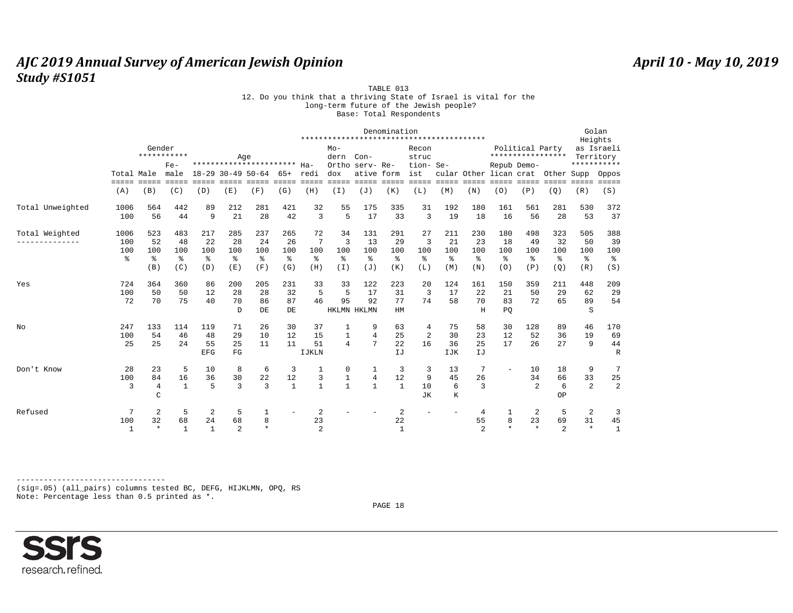#### TABLE 013 12. Do you think that a thriving State of Israel is vital for the long-term future of the Jewish people? Base: Total Respondents

|                  |              |                                                                                                                                                                                                                                                                                                                                                                                                                                                                                               |                      |                       |                      |                         |              |                        |                                                                                                                                                                                                                                                                                                                                                                                                                                                                                               |                           | Denomination          |                          |           |                      |                        |                                                                                                                                                                                                                                                                                                                                                                                                                                                                                               |                                                                                                                                                                                                                                                                                                                                                                                                                                                                                               |               | Golan                    |
|------------------|--------------|-----------------------------------------------------------------------------------------------------------------------------------------------------------------------------------------------------------------------------------------------------------------------------------------------------------------------------------------------------------------------------------------------------------------------------------------------------------------------------------------------|----------------------|-----------------------|----------------------|-------------------------|--------------|------------------------|-----------------------------------------------------------------------------------------------------------------------------------------------------------------------------------------------------------------------------------------------------------------------------------------------------------------------------------------------------------------------------------------------------------------------------------------------------------------------------------------------|---------------------------|-----------------------|--------------------------|-----------|----------------------|------------------------|-----------------------------------------------------------------------------------------------------------------------------------------------------------------------------------------------------------------------------------------------------------------------------------------------------------------------------------------------------------------------------------------------------------------------------------------------------------------------------------------------|-----------------------------------------------------------------------------------------------------------------------------------------------------------------------------------------------------------------------------------------------------------------------------------------------------------------------------------------------------------------------------------------------------------------------------------------------------------------------------------------------|---------------|--------------------------|
|                  |              | Gender                                                                                                                                                                                                                                                                                                                                                                                                                                                                                        |                      |                       |                      |                         |              |                        | $M_O -$                                                                                                                                                                                                                                                                                                                                                                                                                                                                                       |                           |                       | Recon                    |           |                      |                        | Political Party                                                                                                                                                                                                                                                                                                                                                                                                                                                                               |                                                                                                                                                                                                                                                                                                                                                                                                                                                                                               | Heights       | as Israeli               |
|                  |              |                                                                                                                                                                                                                                                                                                                                                                                                                                                                                               | ***********<br>$Fe-$ |                       | Aqe                  | *********************** |              | $Ha-$                  | dern                                                                                                                                                                                                                                                                                                                                                                                                                                                                                          | $Con-$<br>Ortho serv- Re- |                       | struc<br>tion- Se-       |           |                      | Repub Demo-            | *****************                                                                                                                                                                                                                                                                                                                                                                                                                                                                             |                                                                                                                                                                                                                                                                                                                                                                                                                                                                                               |               | Territory<br>*********** |
|                  | Total Male   |                                                                                                                                                                                                                                                                                                                                                                                                                                                                                               | male                 | $18 - 29$ 30-49 50-64 |                      |                         | $65+$        | redi                   | dox                                                                                                                                                                                                                                                                                                                                                                                                                                                                                           | ative form                |                       | ist                      |           |                      | cular Other lican crat |                                                                                                                                                                                                                                                                                                                                                                                                                                                                                               | Other Supp                                                                                                                                                                                                                                                                                                                                                                                                                                                                                    |               | Oppos                    |
|                  | =====<br>(A) | $\begin{array}{cccccccccc} \multicolumn{2}{c}{} & \multicolumn{2}{c}{} & \multicolumn{2}{c}{} & \multicolumn{2}{c}{} & \multicolumn{2}{c}{} & \multicolumn{2}{c}{} & \multicolumn{2}{c}{} & \multicolumn{2}{c}{} & \multicolumn{2}{c}{} & \multicolumn{2}{c}{} & \multicolumn{2}{c}{} & \multicolumn{2}{c}{} & \multicolumn{2}{c}{} & \multicolumn{2}{c}{} & \multicolumn{2}{c}{} & \multicolumn{2}{c}{} & \multicolumn{2}{c}{} & \multicolumn{2}{c}{} & \multicolumn{2}{c}{} & \mult$<br>(B) | -----<br>(C)         | (D)                   | (E)                  | (F)                     | (G)          | (H)                    | $\begin{array}{cccccccccc} \multicolumn{2}{c}{} & \multicolumn{2}{c}{} & \multicolumn{2}{c}{} & \multicolumn{2}{c}{} & \multicolumn{2}{c}{} & \multicolumn{2}{c}{} & \multicolumn{2}{c}{} & \multicolumn{2}{c}{} & \multicolumn{2}{c}{} & \multicolumn{2}{c}{} & \multicolumn{2}{c}{} & \multicolumn{2}{c}{} & \multicolumn{2}{c}{} & \multicolumn{2}{c}{} & \multicolumn{2}{c}{} & \multicolumn{2}{c}{} & \multicolumn{2}{c}{} & \multicolumn{2}{c}{} & \multicolumn{2}{c}{} & \mult$<br>(I) | (J)                       | (K)                   | =====<br>(L)             | (M)       | (N)                  | (0)                    | $\begin{array}{cccccccccc} \multicolumn{2}{c}{} & \multicolumn{2}{c}{} & \multicolumn{2}{c}{} & \multicolumn{2}{c}{} & \multicolumn{2}{c}{} & \multicolumn{2}{c}{} & \multicolumn{2}{c}{} & \multicolumn{2}{c}{} & \multicolumn{2}{c}{} & \multicolumn{2}{c}{} & \multicolumn{2}{c}{} & \multicolumn{2}{c}{} & \multicolumn{2}{c}{} & \multicolumn{2}{c}{} & \multicolumn{2}{c}{} & \multicolumn{2}{c}{} & \multicolumn{2}{c}{} & \multicolumn{2}{c}{} & \multicolumn{2}{c}{} & \mult$<br>(P) | $\begin{array}{cccccccccc} \multicolumn{2}{c}{} & \multicolumn{2}{c}{} & \multicolumn{2}{c}{} & \multicolumn{2}{c}{} & \multicolumn{2}{c}{} & \multicolumn{2}{c}{} & \multicolumn{2}{c}{} & \multicolumn{2}{c}{} & \multicolumn{2}{c}{} & \multicolumn{2}{c}{} & \multicolumn{2}{c}{} & \multicolumn{2}{c}{} & \multicolumn{2}{c}{} & \multicolumn{2}{c}{} & \multicolumn{2}{c}{} & \multicolumn{2}{c}{} & \multicolumn{2}{c}{} & \multicolumn{2}{c}{} & \multicolumn{2}{c}{} & \mult$<br>(Q) | =====<br>(R)  | $=$ $=$ $=$ $=$<br>(S)   |
| Total Unweighted | 1006<br>100  | 564<br>56                                                                                                                                                                                                                                                                                                                                                                                                                                                                                     | 442<br>44            | 89<br>9               | 212<br>21            | 281<br>28               | 421<br>42    | 32<br>3                | 55<br>5                                                                                                                                                                                                                                                                                                                                                                                                                                                                                       | 175<br>17                 | 335<br>33             | 31<br>3                  | 192<br>19 | 180<br>18            | 161<br>16              | 561<br>56                                                                                                                                                                                                                                                                                                                                                                                                                                                                                     | 281<br>28                                                                                                                                                                                                                                                                                                                                                                                                                                                                                     | 530<br>53     | 372<br>37                |
| Total Weighted   | 1006         | 523                                                                                                                                                                                                                                                                                                                                                                                                                                                                                           | 483                  | 217                   | 285                  | 237                     | 265          | 72                     | 34                                                                                                                                                                                                                                                                                                                                                                                                                                                                                            | 131                       | 291                   | 27                       | 211       | 230                  | 180                    | 498                                                                                                                                                                                                                                                                                                                                                                                                                                                                                           | 323                                                                                                                                                                                                                                                                                                                                                                                                                                                                                           | 505           | 388                      |
| --------------   | 100<br>100   | 52<br>100                                                                                                                                                                                                                                                                                                                                                                                                                                                                                     | 48<br>100            | 22<br>100             | 28<br>100            | 24<br>100               | 26<br>100    | $7\phantom{.0}$<br>100 | $\overline{3}$<br>100                                                                                                                                                                                                                                                                                                                                                                                                                                                                         | 13<br>100                 | 29<br>100             | $\overline{3}$<br>100    | 21<br>100 | 23<br>100            | 18<br>100              | 49<br>100                                                                                                                                                                                                                                                                                                                                                                                                                                                                                     | 32<br>100                                                                                                                                                                                                                                                                                                                                                                                                                                                                                     | 50<br>100     | 39<br>100                |
|                  | ి            | ႜ<br>(B)                                                                                                                                                                                                                                                                                                                                                                                                                                                                                      | ి<br>(C)             | ៖<br>(D)              | ៖<br>(E)             | ి<br>(F)                | ి<br>(G)     | ి<br>(H)               | ి<br>$(\top)$                                                                                                                                                                                                                                                                                                                                                                                                                                                                                 | ႜ<br>(J)                  | $\,$ $\,$ $\,$<br>(K) | ి<br>(L)                 | ి<br>(M)  | နွ<br>(N)            | ి<br>(0)               | ిక<br>(P)                                                                                                                                                                                                                                                                                                                                                                                                                                                                                     | နွ<br>(Q)                                                                                                                                                                                                                                                                                                                                                                                                                                                                                     | နွ<br>(R)     | နွ<br>(S)                |
| Yes              | 724<br>100   | 364<br>50                                                                                                                                                                                                                                                                                                                                                                                                                                                                                     | 360<br>50            | 86<br>12              | 200<br>2.8           | 205<br>28               | 231<br>32    | 33<br>5                | 33<br>5                                                                                                                                                                                                                                                                                                                                                                                                                                                                                       | 122<br>17                 | 223<br>31             | 20<br>3                  | 124<br>17 | 161<br>22            | 150<br>21              | 359<br>50                                                                                                                                                                                                                                                                                                                                                                                                                                                                                     | 211<br>29                                                                                                                                                                                                                                                                                                                                                                                                                                                                                     | 448<br>62     | 209                      |
|                  | 72           | 70                                                                                                                                                                                                                                                                                                                                                                                                                                                                                            | 75                   | 40                    | 70<br>D              | 86<br>DE                | 87<br>DE     | 46                     | 95                                                                                                                                                                                                                                                                                                                                                                                                                                                                                            | 92<br>HKLMN HKLMN         | 77<br>HM              | 74                       | 58        | 70<br>H              | 83<br>PQ               | 72                                                                                                                                                                                                                                                                                                                                                                                                                                                                                            | 65                                                                                                                                                                                                                                                                                                                                                                                                                                                                                            | 89<br>S       | 29<br>54                 |
| No               | 247          | 133                                                                                                                                                                                                                                                                                                                                                                                                                                                                                           | 114                  | 119                   | 71                   | 26                      | 30           | 37                     | 1                                                                                                                                                                                                                                                                                                                                                                                                                                                                                             | 9                         | 63                    | 4                        | 75        | 58                   | 30                     | 128                                                                                                                                                                                                                                                                                                                                                                                                                                                                                           | 89                                                                                                                                                                                                                                                                                                                                                                                                                                                                                            | 46            | 170                      |
|                  | 100<br>25    | 54<br>25                                                                                                                                                                                                                                                                                                                                                                                                                                                                                      | 46<br>24             | 48<br>55              | 29<br>25             | 10<br>11                | 12<br>11     | 15<br>51               | 1<br>$\overline{4}$                                                                                                                                                                                                                                                                                                                                                                                                                                                                           | 4<br>7                    | 25<br>22              | 2<br>16                  | 30<br>36  | 23<br>25             | 12<br>17               | 52<br>26                                                                                                                                                                                                                                                                                                                                                                                                                                                                                      | 36<br>27                                                                                                                                                                                                                                                                                                                                                                                                                                                                                      | 19<br>9       | 69<br>44                 |
|                  |              |                                                                                                                                                                                                                                                                                                                                                                                                                                                                                               |                      | <b>EFG</b>            | FG                   |                         |              | <b>IJKLN</b>           |                                                                                                                                                                                                                                                                                                                                                                                                                                                                                               |                           | IJ                    |                          | IJK       | <b>IJ</b>            |                        |                                                                                                                                                                                                                                                                                                                                                                                                                                                                                               |                                                                                                                                                                                                                                                                                                                                                                                                                                                                                               |               | $\mathbb R$              |
| Don't Know       | 28<br>100    | 23<br>84                                                                                                                                                                                                                                                                                                                                                                                                                                                                                      | 5<br>16              | 10<br>36              | 8<br>30              | 6<br>22                 | 3<br>12      | 3                      | 0<br>$\mathbf 1$                                                                                                                                                                                                                                                                                                                                                                                                                                                                              | $\sqrt{4}$                | 3<br>12               | 3<br>9                   | 13<br>45  | 7<br>26              |                        | 10<br>34                                                                                                                                                                                                                                                                                                                                                                                                                                                                                      | 18<br>66                                                                                                                                                                                                                                                                                                                                                                                                                                                                                      | 9<br>33       | 7<br>25                  |
|                  | 3            | $\overline{4}$<br>C                                                                                                                                                                                                                                                                                                                                                                                                                                                                           | $\overline{1}$       | 5                     | 3                    | $\mathbf{z}$            | $\mathbf{1}$ | $\mathbf{1}$           | $\mathbf{1}$                                                                                                                                                                                                                                                                                                                                                                                                                                                                                  | $\mathbf{1}$              | $\mathbf{1}$          | 10<br><b>JK</b>          | 6<br>K    | $\mathbf{3}$         |                        | $\mathfrak{D}$                                                                                                                                                                                                                                                                                                                                                                                                                                                                                | 6<br>OP                                                                                                                                                                                                                                                                                                                                                                                                                                                                                       | 2             | $\overline{2}$           |
| Refused          | 7            | 2                                                                                                                                                                                                                                                                                                                                                                                                                                                                                             | 5                    | 2                     | 5                    | 1                       |              | 2                      |                                                                                                                                                                                                                                                                                                                                                                                                                                                                                               |                           | $\overline{2}$        | $\overline{\phantom{0}}$ |           | 4                    | 1                      | 2                                                                                                                                                                                                                                                                                                                                                                                                                                                                                             | 5                                                                                                                                                                                                                                                                                                                                                                                                                                                                                             | 2             | 3                        |
|                  | 100          | 32<br>$\star$                                                                                                                                                                                                                                                                                                                                                                                                                                                                                 | 68<br>$\mathbf{1}$   | 24<br>$\overline{1}$  | 68<br>$\mathfrak{D}$ | 8<br>$\star$            |              | 23<br>$\overline{a}$   |                                                                                                                                                                                                                                                                                                                                                                                                                                                                                               |                           | 22                    |                          |           | 55<br>$\overline{a}$ | 8<br>$\star$           | 23<br>$\star$                                                                                                                                                                                                                                                                                                                                                                                                                                                                                 | 69<br>$\overline{a}$                                                                                                                                                                                                                                                                                                                                                                                                                                                                          | 31<br>$\star$ | 45<br>$\mathbf{1}$       |

----------------------------(sig=.05) (all\_pairs) columns tested BC, DEFG, HIJKLMN, OPQ, RS

Note: Percentage less than 0.5 printed as \*.

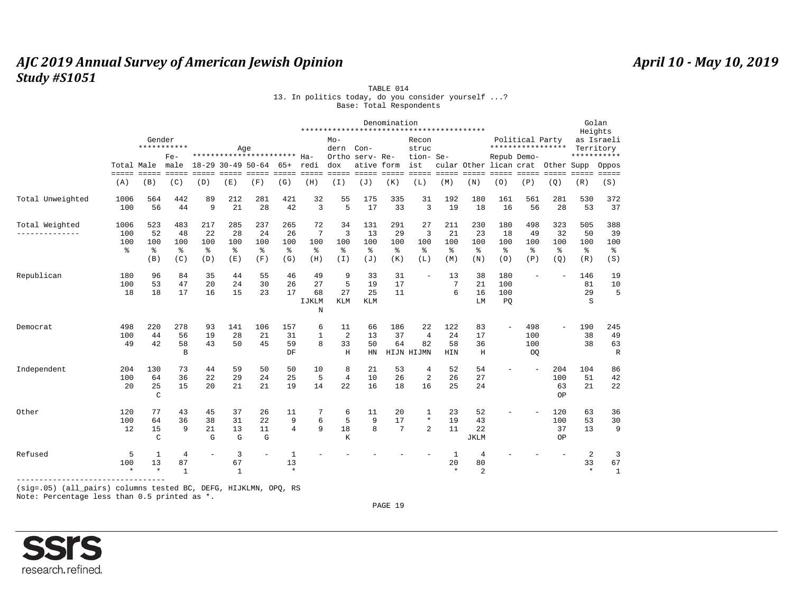|                  |                         |                              |                                                     |                               |                                             |                                                                |                               |                                               | *************                           |                                                    | Denomination<br>******                      |                                          | *************                 |                                             |                               |                              |                                             |                                 | Golan<br>Heights                |
|------------------|-------------------------|------------------------------|-----------------------------------------------------|-------------------------------|---------------------------------------------|----------------------------------------------------------------|-------------------------------|-----------------------------------------------|-----------------------------------------|----------------------------------------------------|---------------------------------------------|------------------------------------------|-------------------------------|---------------------------------------------|-------------------------------|------------------------------|---------------------------------------------|---------------------------------|---------------------------------|
|                  |                         | Gender                       | ***********                                         |                               |                                             | Aqe                                                            |                               |                                               | $M_O -$<br>dern                         | $Con-$                                             |                                             | Recon<br>struc                           |                               |                                             |                               | Political Party              | *****************                           |                                 | as Israeli<br>Territory         |
|                  |                         | Total Male                   | $Fe-$                                               |                               |                                             | *********************** Ha-<br>male 18-29 30-49 50-64 65+ redi |                               |                                               | dox                                     | Ortho serv- Re-<br>ative form                      |                                             | tion- Se-<br>ist                         |                               | cular Other lican crat Other Supp           |                               | Repub Demo-                  |                                             |                                 | * * * * * * * * * * *<br>Oppos  |
|                  | (A)                     | eesse eesse<br>(B)           | $\equiv \equiv \equiv \equiv \equiv \equiv$<br>(C)  | (D)                           | $\equiv \equiv \equiv \equiv \equiv$<br>(E) | $\equiv \equiv \equiv \equiv \equiv$<br>(F)                    | (G)                           | (H)                                           | $\frac{1}{2}$<br>$(\top)$               | $\equiv \equiv \equiv \equiv \equiv \equiv$<br>(J) | $\equiv \equiv \equiv \equiv \equiv$<br>(K) | $\pm\pm\pm\pm\pm$<br>(L)                 | $\frac{1}{2}$<br>(M)          | $\equiv \equiv \equiv \equiv \equiv$<br>(N) | (0)                           | $\pm\pm\pm\pm\pm$<br>(P)     | $\equiv \equiv \equiv \equiv \equiv$<br>(Q) | $\pm\pm\pm\pm\pm$<br>(R)        | $= 1.12$<br>(S)                 |
| Total Unweighted | 1006<br>100             | 564<br>56                    | 442<br>44                                           | 89<br>9                       | 212<br>21                                   | 281<br>28                                                      | 421<br>42                     | 32<br>3                                       | 55<br>5                                 | 175<br>17                                          | 335<br>33                                   | 31<br>3                                  | 192<br>19                     | 180<br>18                                   | 161<br>16                     | 561<br>56                    | 281<br>28                                   | 530<br>53                       | 372<br>37                       |
| Total Weighted   | 1006<br>100<br>100<br>፠ | 523<br>52<br>100<br>៖<br>(B) | 483<br>48<br>100<br>$\,{}^{\circ}_{\circ}\,$<br>(C) | 217<br>22<br>100<br>နွ<br>(D) | 285<br>28<br>100<br>⊱<br>(E)                | 237<br>24<br>100<br>နွ<br>(F)                                  | 265<br>26<br>100<br>ి<br>(G)  | 72<br>7<br>100<br>ి<br>(H)                    | 34<br>$\overline{3}$<br>100<br>ి<br>(T) | 131<br>13<br>100<br>နွ<br>(J)                      | 291<br>29<br>100<br>နွ<br>(K)               | 27<br>3<br>100<br>ి<br>(L)               | 211<br>21<br>100<br>နွ<br>(M) | 230<br>23<br>100<br>ి<br>(N)                | 180<br>18<br>100<br>နွ<br>(0) | 498<br>49<br>100<br>ి<br>(P) | 323<br>32<br>100<br>$\epsilon$<br>(Q)       | 505<br>50<br>100<br>နွ<br>(R)   | 388<br>39<br>100<br>နွ<br>(S)   |
| Republican       | 180<br>100<br>18        | 96<br>53<br>18               | 84<br>47<br>17                                      | 35<br>20<br>16                | 44<br>24<br>15                              | 55<br>30<br>2.3                                                | 46<br>26<br>17                | 49<br>27<br>68<br><b>IJKLM</b><br>$\mathbf N$ | 9<br>5<br>27<br><b>KLM</b>              | 33<br>19<br>25<br><b>KLM</b>                       | 31<br>17<br>11                              | $\overline{\phantom{a}}$                 | 13<br>7<br>6                  | 38<br>21<br>16<br>LM                        | 180<br>100<br>100<br>PO       |                              |                                             | 146<br>81<br>29<br>S            | 1 <sup>°</sup><br>10<br>5       |
| Democrat         | 498<br>100<br>49        | 220<br>44<br>42              | 278<br>56<br>58<br>B                                | 93<br>19<br>43                | 141<br>28<br>50                             | 106<br>21<br>45                                                | 157<br>31<br>59<br>DF         | 6<br>$\mathbf{1}$<br>8                        | 11<br>2<br>33<br>H                      | 66<br>13<br>50<br>HN                               | 186<br>37<br>64                             | 22<br>$\overline{4}$<br>82<br>HIJN HIJMN | 122<br>24<br>58<br>HIN        | 83<br>17<br>36<br>H                         | $\overline{\phantom{0}}$      | 498<br>100<br>100<br>OQ      |                                             | 190<br>38<br>38                 | 245<br>49<br>63<br>$\mathbb{R}$ |
| Independent      | 204<br>100<br>20        | 130<br>64<br>25<br>C         | 73<br>36<br>1.5                                     | 44<br>22<br>20                | 59<br>29<br>21                              | 50<br>24<br>2.1                                                | 50<br>25<br>19                | 10<br>5<br>14                                 | 8<br>$\overline{4}$<br>22               | 21<br>10<br>16                                     | 53<br>26<br>18                              | $\overline{4}$<br>2<br>16                | 52<br>26<br>25                | 54<br>27<br>24                              |                               | $\overline{\phantom{a}}$     | 204<br>100<br>63<br>OP                      | 104<br>51<br>2.1                | 86<br>42<br>22                  |
| Other            | 120<br>100<br>12        | 77<br>64<br>15<br>C          | 43<br>36<br>9                                       | 45<br>38<br>21<br>G           | 37<br>31<br>13<br>$\mathsf{G}$              | 26<br>22<br>11<br>G                                            | 11<br>9<br>$\overline{4}$     | 7<br>6<br>$\mathsf{Q}$                        | 6<br>5<br>18<br>K                       | 11<br>9<br>8                                       | 20<br>17<br>$7\overline{ }$                 | 1<br>$\star$<br>2                        | 23<br>19<br>11                | 52<br>43<br>22<br><b>JKLM</b>               |                               | $\overline{\phantom{a}}$     | 120<br>100<br>37<br>OP                      | 63<br>53<br>13                  | 36<br>30<br>g                   |
| Refused          | 5<br>100<br>$\star$     | 1<br>13<br>$\star$           | 4<br>87<br>$\mathbf{1}$                             | $\equiv$                      | 3<br>67<br>$\mathbf{1}$                     |                                                                | $\mathbf{1}$<br>13<br>$\star$ |                                               |                                         |                                                    |                                             |                                          | $\mathbf{1}$<br>20<br>$\star$ | 4<br>80<br>$\overline{a}$                   |                               |                              |                                             | $\overline{a}$<br>33<br>$\star$ | 3<br>67<br>$\mathbf{1}$         |

#### TABLE 014 13. In politics today, do you consider yourself ...? Base: Total Respondents

----------------------------------(sig=.05) (all\_pairs) columns tested BC, DEFG, HIJKLMN, OPQ, RS Note: Percentage less than 0.5 printed as \*.

PAGE 19

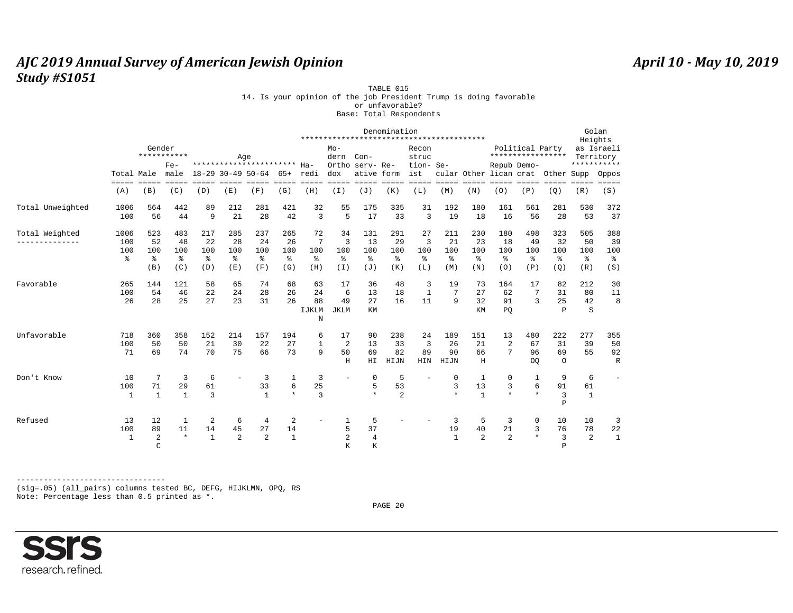#### TABLE 015 14. Is your opinion of the job President Trump is doing favorable or unfavorable? Base: Total Respondents

|                  |                     | Denomination<br>Gender<br>$Mo-$<br>Political Party<br>Recon<br>*****************<br>***********<br>$Con-$<br>dern<br>struc<br>Age<br>*********************** Ha-<br>Ortho serv- Re-<br>$Fe-$<br>tion- Se-<br>Repub Demo-<br>ative form<br>male<br>18-29 30-49 50-64<br>dox<br>cular Other lican crat<br>Total Male<br>redi<br>ist<br>65+<br>$= 1.12$<br>$= 1.12$<br>$\equiv \equiv \equiv \equiv \equiv$<br><b>EEEEE</b><br><b>EEEEE</b><br><b>EEEEE</b><br>----<br>$=$ $=$ $=$ $=$ $=$<br>$=$ $=$ $=$ $=$<br>(P)<br>(B)<br>(C)<br>(D)<br>(E)<br>(F)<br>(G)<br>(H)<br>(I <sub>1</sub> )<br>(J)<br>(K)<br>(L)<br>(M)<br>(N)<br>(0)<br>212<br>32<br>564<br>442<br>89<br>281<br>421<br>55<br>175<br>335<br>31<br>192<br>180<br>161<br>561<br>44<br>21<br>3<br>5<br>3<br>56<br>9<br>28<br>42<br>17<br>33<br>19<br>18<br>16<br>56<br>483<br>285<br>237<br>72<br>180<br>523<br>217<br>265<br>34<br>131<br>291<br>27<br>211<br>230<br>498<br>7<br>3<br>$\overline{3}$<br>52<br>48<br>22<br>28<br>24<br>26<br>13<br>29<br>21<br>23<br>18<br>49<br>100<br>100<br>100<br>100<br>100<br>100<br>100<br>100<br>100<br>100<br>100<br>100<br>100<br>100<br>100<br>နွ<br>နွ<br>$\epsilon$<br>နွ<br>နွ<br>$\,$ $\,$ $\,$<br>$\epsilon$<br>ి<br>နွ<br>နွ<br>နွ<br>$\approx$<br>ి<br>ి<br>ి<br>ిక<br>(B)<br>(C)<br>(D)<br>(E)<br>(F)<br>(G)<br>(H)<br>$(\top)$<br>(J)<br>(N)<br>(0)<br>(P)<br>(K)<br>(L)<br>(M)<br>144<br>121<br>74<br>68<br>17<br>48<br>3<br>19<br>73<br>164<br>17<br>58<br>65<br>63<br>36<br>22<br>28<br>26<br>54<br>46<br>24<br>24<br>6<br>13<br>18<br>$\mathbf 1$<br>7<br>27<br>62<br>7<br>27<br>2.3<br>31<br>26<br>88<br>49<br>27<br>16<br>11<br>32<br>26<br>28<br>25<br>9<br>91<br>$\mathbf{3}$<br><b>JKLM</b><br>KM<br>PQ<br>IJKLM<br>KM<br>N<br>214<br>360<br>358<br>152<br>157<br>194<br>17<br>90<br>238<br>24<br>189<br>151<br>13<br>480<br>6<br>27<br>50<br>21<br>30<br>22<br>$\overline{2}$<br>13<br>3<br>26<br>21<br>2<br>50<br>1<br>33<br>67 |              |                |                |                |              |                |                          |                     |                |           |              |                |                |                 |                        | Golan                  |                        |  |
|------------------|---------------------|---------------------------------------------------------------------------------------------------------------------------------------------------------------------------------------------------------------------------------------------------------------------------------------------------------------------------------------------------------------------------------------------------------------------------------------------------------------------------------------------------------------------------------------------------------------------------------------------------------------------------------------------------------------------------------------------------------------------------------------------------------------------------------------------------------------------------------------------------------------------------------------------------------------------------------------------------------------------------------------------------------------------------------------------------------------------------------------------------------------------------------------------------------------------------------------------------------------------------------------------------------------------------------------------------------------------------------------------------------------------------------------------------------------------------------------------------------------------------------------------------------------------------------------------------------------------------------------------------------------------------------------------------------------------------------------------------------------------------------------------------------------------------------------------------------------------------------------------------------------------------------------------------------------------------------------------------------|--------------|----------------|----------------|----------------|--------------|----------------|--------------------------|---------------------|----------------|-----------|--------------|----------------|----------------|-----------------|------------------------|------------------------|------------------------|--|
|                  |                     |                                                                                                                                                                                                                                                                                                                                                                                                                                                                                                                                                                                                                                                                                                                                                                                                                                                                                                                                                                                                                                                                                                                                                                                                                                                                                                                                                                                                                                                                                                                                                                                                                                                                                                                                                                                                                                                                                                                                                         |              |                |                |                |              |                |                          |                     |                |           |              |                |                |                 |                        | Heights<br>Territory   | as Israeli             |  |
|                  |                     |                                                                                                                                                                                                                                                                                                                                                                                                                                                                                                                                                                                                                                                                                                                                                                                                                                                                                                                                                                                                                                                                                                                                                                                                                                                                                                                                                                                                                                                                                                                                                                                                                                                                                                                                                                                                                                                                                                                                                         |              |                |                |                |              |                |                          |                     |                |           |              |                |                |                 |                        |                        | ***********            |  |
|                  |                     |                                                                                                                                                                                                                                                                                                                                                                                                                                                                                                                                                                                                                                                                                                                                                                                                                                                                                                                                                                                                                                                                                                                                                                                                                                                                                                                                                                                                                                                                                                                                                                                                                                                                                                                                                                                                                                                                                                                                                         |              |                |                |                |              |                |                          |                     |                |           |              |                |                |                 | Other Supp             |                        | Oppos                  |  |
|                  | <b>EBBEE</b><br>(A) |                                                                                                                                                                                                                                                                                                                                                                                                                                                                                                                                                                                                                                                                                                                                                                                                                                                                                                                                                                                                                                                                                                                                                                                                                                                                                                                                                                                                                                                                                                                                                                                                                                                                                                                                                                                                                                                                                                                                                         |              |                |                |                |              |                |                          |                     |                |           |              |                |                |                 | $=$ $=$ $=$ $=$<br>(Q) | $=$ $=$ $=$ $=$<br>(R) | $=$ $=$ $=$ $=$<br>(S) |  |
| Total Unweighted | 1006                |                                                                                                                                                                                                                                                                                                                                                                                                                                                                                                                                                                                                                                                                                                                                                                                                                                                                                                                                                                                                                                                                                                                                                                                                                                                                                                                                                                                                                                                                                                                                                                                                                                                                                                                                                                                                                                                                                                                                                         |              |                |                |                |              |                |                          |                     |                |           |              |                |                |                 | 281                    | 530                    | 372                    |  |
|                  | 100                 |                                                                                                                                                                                                                                                                                                                                                                                                                                                                                                                                                                                                                                                                                                                                                                                                                                                                                                                                                                                                                                                                                                                                                                                                                                                                                                                                                                                                                                                                                                                                                                                                                                                                                                                                                                                                                                                                                                                                                         |              |                |                |                |              |                |                          |                     |                |           |              |                |                |                 | 28                     | 53                     | 37                     |  |
| Total Weighted   | 1006                |                                                                                                                                                                                                                                                                                                                                                                                                                                                                                                                                                                                                                                                                                                                                                                                                                                                                                                                                                                                                                                                                                                                                                                                                                                                                                                                                                                                                                                                                                                                                                                                                                                                                                                                                                                                                                                                                                                                                                         |              |                |                |                |              |                |                          |                     |                |           |              |                |                |                 | 323                    | 505                    | 388                    |  |
|                  | 100                 |                                                                                                                                                                                                                                                                                                                                                                                                                                                                                                                                                                                                                                                                                                                                                                                                                                                                                                                                                                                                                                                                                                                                                                                                                                                                                                                                                                                                                                                                                                                                                                                                                                                                                                                                                                                                                                                                                                                                                         |              |                |                |                |              |                |                          |                     |                |           |              |                |                |                 | 32                     | 50                     | 39                     |  |
|                  | 100                 |                                                                                                                                                                                                                                                                                                                                                                                                                                                                                                                                                                                                                                                                                                                                                                                                                                                                                                                                                                                                                                                                                                                                                                                                                                                                                                                                                                                                                                                                                                                                                                                                                                                                                                                                                                                                                                                                                                                                                         |              |                |                |                |              |                |                          |                     |                |           |              |                |                |                 | 100<br>နွ              | 100<br>နွ              | 100<br>$\epsilon$      |  |
|                  |                     |                                                                                                                                                                                                                                                                                                                                                                                                                                                                                                                                                                                                                                                                                                                                                                                                                                                                                                                                                                                                                                                                                                                                                                                                                                                                                                                                                                                                                                                                                                                                                                                                                                                                                                                                                                                                                                                                                                                                                         |              |                |                |                |              |                |                          |                     |                |           |              |                |                |                 | (Q)                    | (R)                    | (S)                    |  |
| Favorable        | 265                 |                                                                                                                                                                                                                                                                                                                                                                                                                                                                                                                                                                                                                                                                                                                                                                                                                                                                                                                                                                                                                                                                                                                                                                                                                                                                                                                                                                                                                                                                                                                                                                                                                                                                                                                                                                                                                                                                                                                                                         |              |                |                |                |              |                |                          |                     |                |           |              |                |                |                 | 82                     | 212                    | 30                     |  |
|                  | 100                 |                                                                                                                                                                                                                                                                                                                                                                                                                                                                                                                                                                                                                                                                                                                                                                                                                                                                                                                                                                                                                                                                                                                                                                                                                                                                                                                                                                                                                                                                                                                                                                                                                                                                                                                                                                                                                                                                                                                                                         |              |                |                |                |              |                |                          |                     |                |           |              |                |                |                 | 31                     | 80                     | 11                     |  |
|                  |                     |                                                                                                                                                                                                                                                                                                                                                                                                                                                                                                                                                                                                                                                                                                                                                                                                                                                                                                                                                                                                                                                                                                                                                                                                                                                                                                                                                                                                                                                                                                                                                                                                                                                                                                                                                                                                                                                                                                                                                         |              |                |                |                |              |                |                          |                     |                |           |              |                |                |                 | 25<br>$\mathsf{p}$     | 42<br>S                | 8                      |  |
| Unfavorable      | 718                 |                                                                                                                                                                                                                                                                                                                                                                                                                                                                                                                                                                                                                                                                                                                                                                                                                                                                                                                                                                                                                                                                                                                                                                                                                                                                                                                                                                                                                                                                                                                                                                                                                                                                                                                                                                                                                                                                                                                                                         |              |                |                |                |              |                |                          |                     |                |           |              |                |                |                 | 222                    | 277                    | 355                    |  |
|                  | 100                 |                                                                                                                                                                                                                                                                                                                                                                                                                                                                                                                                                                                                                                                                                                                                                                                                                                                                                                                                                                                                                                                                                                                                                                                                                                                                                                                                                                                                                                                                                                                                                                                                                                                                                                                                                                                                                                                                                                                                                         |              |                |                |                |              |                |                          |                     |                |           |              |                |                |                 | 31                     | 39                     | 50                     |  |
|                  | 71                  | 69                                                                                                                                                                                                                                                                                                                                                                                                                                                                                                                                                                                                                                                                                                                                                                                                                                                                                                                                                                                                                                                                                                                                                                                                                                                                                                                                                                                                                                                                                                                                                                                                                                                                                                                                                                                                                                                                                                                                                      | 74           | 70             | 75             | 66             | 73           | 9              | 50<br>H                  | 69<br>HI            | 82<br>HIJN     | 89<br>HIN | 90<br>HIJN   | 66<br>H        | 7              | 96<br><b>OO</b> | 69<br>$\circ$          | 55                     | 92<br>$\mathbb{R}$     |  |
| Don't Know       | 10                  | 7                                                                                                                                                                                                                                                                                                                                                                                                                                                                                                                                                                                                                                                                                                                                                                                                                                                                                                                                                                                                                                                                                                                                                                                                                                                                                                                                                                                                                                                                                                                                                                                                                                                                                                                                                                                                                                                                                                                                                       | 3            | 6              |                | 3              | 1            | 3              | $\overline{\phantom{0}}$ | $\Omega$            | 5              | $\equiv$  | 0            | 1              | $\mathbf 0$    | 1               | 9                      | 6                      |                        |  |
|                  | 100                 | 71                                                                                                                                                                                                                                                                                                                                                                                                                                                                                                                                                                                                                                                                                                                                                                                                                                                                                                                                                                                                                                                                                                                                                                                                                                                                                                                                                                                                                                                                                                                                                                                                                                                                                                                                                                                                                                                                                                                                                      | 29           | 61             |                | 33             | 6            | 25             |                          | 5                   | 53             |           | 3            | 13             | 3              | 6               | 91                     | 61                     |                        |  |
|                  | 1                   | $\mathbf{1}$                                                                                                                                                                                                                                                                                                                                                                                                                                                                                                                                                                                                                                                                                                                                                                                                                                                                                                                                                                                                                                                                                                                                                                                                                                                                                                                                                                                                                                                                                                                                                                                                                                                                                                                                                                                                                                                                                                                                            | $\mathbf{1}$ | $\overline{3}$ |                | $\mathbf{1}$   | $\star$      | $\overline{3}$ |                          | $\star$             | $\overline{a}$ |           | $\star$      | $\overline{1}$ | $\star$        | $\star$         | 3<br>$\mathsf{P}$      | $\mathbf{1}$           |                        |  |
| Refused          | 13                  | 12                                                                                                                                                                                                                                                                                                                                                                                                                                                                                                                                                                                                                                                                                                                                                                                                                                                                                                                                                                                                                                                                                                                                                                                                                                                                                                                                                                                                                                                                                                                                                                                                                                                                                                                                                                                                                                                                                                                                                      | 1            | 2              | 6              | $\overline{4}$ | 2            |                | 1                        | 5                   |                |           | 3            | 5              | 3              | 0               | 10                     | 10                     | 3                      |  |
|                  | 100                 | 89                                                                                                                                                                                                                                                                                                                                                                                                                                                                                                                                                                                                                                                                                                                                                                                                                                                                                                                                                                                                                                                                                                                                                                                                                                                                                                                                                                                                                                                                                                                                                                                                                                                                                                                                                                                                                                                                                                                                                      | 11           | 14             | 45             | 27             | 14           |                | 5                        | 37                  |                |           | 19           | 40             | 21             | 3               | 76                     | 78                     | 22                     |  |
|                  | 1                   | $\overline{2}$<br>C                                                                                                                                                                                                                                                                                                                                                                                                                                                                                                                                                                                                                                                                                                                                                                                                                                                                                                                                                                                                                                                                                                                                                                                                                                                                                                                                                                                                                                                                                                                                                                                                                                                                                                                                                                                                                                                                                                                                     | $\star$      | $\mathbf{1}$   | $\overline{2}$ | $\overline{c}$ | $\mathbf{1}$ |                | $\overline{a}$<br>K      | $\overline{4}$<br>K |                |           | $\mathbf{1}$ | $\overline{a}$ | $\overline{2}$ | $\star$         | $\overline{3}$<br>P    | $\overline{2}$         | $\mathbf{1}$           |  |
|                  |                     |                                                                                                                                                                                                                                                                                                                                                                                                                                                                                                                                                                                                                                                                                                                                                                                                                                                                                                                                                                                                                                                                                                                                                                                                                                                                                                                                                                                                                                                                                                                                                                                                                                                                                                                                                                                                                                                                                                                                                         |              |                |                |                |              |                |                          |                     |                |           |              |                |                |                 |                        |                        |                        |  |

-----------------------------(sig=.05) (all\_pairs) columns tested BC, DEFG, HIJKLMN, OPQ, RS Note: Percentage less than 0.5 printed as \*.

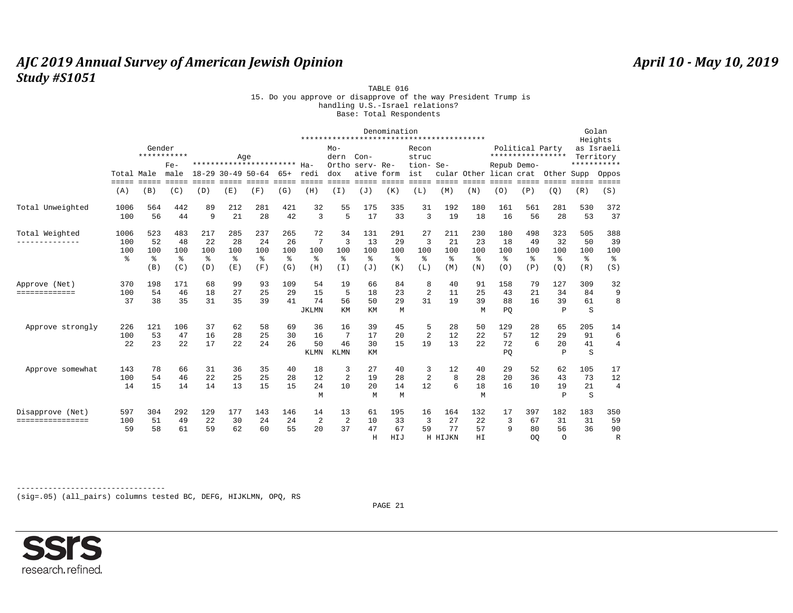#### TABLE 016 15. Do you approve or disapprove of the way President Trump is handling U.S.-Israel relations? Base: Total Respondents

|                                  |                    |                  |                      |                                      |                                 |                         |                  |                                                                                                                                                                                                                                                                                                                                                                                                                                                                                                |                     |                           | Denomination     |                             |                   |                 |                                              |                                      |                                                                                                                                                                                                                                                                                                                                                                                                                                                                                                      | Golan<br>Heights |                 |  |
|----------------------------------|--------------------|------------------|----------------------|--------------------------------------|---------------------------------|-------------------------|------------------|------------------------------------------------------------------------------------------------------------------------------------------------------------------------------------------------------------------------------------------------------------------------------------------------------------------------------------------------------------------------------------------------------------------------------------------------------------------------------------------------|---------------------|---------------------------|------------------|-----------------------------|-------------------|-----------------|----------------------------------------------|--------------------------------------|------------------------------------------------------------------------------------------------------------------------------------------------------------------------------------------------------------------------------------------------------------------------------------------------------------------------------------------------------------------------------------------------------------------------------------------------------------------------------------------------------|------------------|-----------------|--|
|                                  |                    | Gender           | ***********          |                                      |                                 | Age                     |                  |                                                                                                                                                                                                                                                                                                                                                                                                                                                                                                | $M_O -$<br>dern     | $Con-$                    |                  | Recon<br>struc              |                   |                 |                                              | Political Party<br>***************** |                                                                                                                                                                                                                                                                                                                                                                                                                                                                                                      | Territory        | as Israeli      |  |
|                                  |                    |                  | $Fe-$                |                                      |                                 | *********************** |                  | $Ha-$                                                                                                                                                                                                                                                                                                                                                                                                                                                                                          |                     | Ortho serv- Re-           |                  | tion- Se-                   |                   |                 |                                              | Repub Demo-                          |                                                                                                                                                                                                                                                                                                                                                                                                                                                                                                      |                  | ***********     |  |
|                                  | Total Male         | dodoo dodoo      | male<br><b>EEEEE</b> | $\equiv \equiv \equiv \equiv \equiv$ |                                 | 18-29 30-49 50-64       | $65+$<br>$= -$   | redi<br>$\begin{array}{cccccccccc} \multicolumn{2}{c}{} & \multicolumn{2}{c}{} & \multicolumn{2}{c}{} & \multicolumn{2}{c}{} & \multicolumn{2}{c}{} & \multicolumn{2}{c}{} & \multicolumn{2}{c}{} & \multicolumn{2}{c}{} & \multicolumn{2}{c}{} & \multicolumn{2}{c}{} & \multicolumn{2}{c}{} & \multicolumn{2}{c}{} & \multicolumn{2}{c}{} & \multicolumn{2}{c}{} & \multicolumn{2}{c}{} & \multicolumn{2}{c}{} & \multicolumn{2}{c}{} & \multicolumn{2}{c}{} & \multicolumn{2}{c}{} & \mult$ | dox                 | ative form<br>eesse eesse | <b>EEEE</b>      | ist<br><b>EEEEE</b>         |                   |                 | cular Other lican crat<br>doodd doodd doodd. | <b>EEEEE</b>                         | Other Supp<br>$\begin{array}{cccccccccc} \multicolumn{2}{c}{} & \multicolumn{2}{c}{} & \multicolumn{2}{c}{} & \multicolumn{2}{c}{} & \multicolumn{2}{c}{} & \multicolumn{2}{c}{} & \multicolumn{2}{c}{} & \multicolumn{2}{c}{} & \multicolumn{2}{c}{} & \multicolumn{2}{c}{} & \multicolumn{2}{c}{} & \multicolumn{2}{c}{} & \multicolumn{2}{c}{} & \multicolumn{2}{c}{} & \multicolumn{2}{c}{} & \multicolumn{2}{c}{} & \multicolumn{2}{c}{} & \multicolumn{2}{c}{} & \multicolumn{2}{c}{} & \mult$ | esses esses      | Oppos           |  |
|                                  | (A)                | (B)              | (C)                  | (D)                                  | (E)                             | (F)                     | (G)              | (H)                                                                                                                                                                                                                                                                                                                                                                                                                                                                                            | (T)                 | (J)                       | (K)              | (L)                         | (M)               | (N)             | (0)                                          | (P)                                  | (Q)                                                                                                                                                                                                                                                                                                                                                                                                                                                                                                  | (R)              | (S)             |  |
| Total Unweighted                 | 1006<br>100        | 564<br>56        | 442<br>44            | 89<br>9                              | 212<br>2.1                      | 281<br>2.8              | 421<br>42        | 32<br>3                                                                                                                                                                                                                                                                                                                                                                                                                                                                                        | 55<br>5             | 175<br>17                 | 335<br>33        | 31<br>3                     | 192<br>19         | 180<br>18       | 161<br>16                                    | 561<br>56                            | 281<br>28                                                                                                                                                                                                                                                                                                                                                                                                                                                                                            | 530<br>53        | 372<br>37       |  |
| Total Weighted<br>-------------- | 1006<br>100<br>100 | 523<br>52<br>100 | 483<br>48<br>100     | 217<br>22<br>100                     | 285<br>28<br>100                | 237<br>24<br>100        | 265<br>26<br>100 | 72<br>7<br>100                                                                                                                                                                                                                                                                                                                                                                                                                                                                                 | 34<br>3<br>100      | 131<br>13<br>100          | 291<br>29<br>100 | 27<br>$\overline{3}$<br>100 | 211<br>2.1<br>100 | 230<br>23       | 180<br>18<br>100                             | 498<br>49<br>100                     | 323<br>32<br>100                                                                                                                                                                                                                                                                                                                                                                                                                                                                                     | 505<br>50<br>100 | 388<br>39       |  |
|                                  | $\approx$          | ి<br>(B)         | ి<br>(C)             | ႜ<br>(D)                             | $\,{}^{\circ}\!\!\delta$<br>(E) | ి<br>(F)                | $\approx$<br>(G) | $\epsilon$<br>(H)                                                                                                                                                                                                                                                                                                                                                                                                                                                                              | ి<br>(T)            | $\approx$<br>(J)          | ႜ<br>(K)         | ့<br>(L)                    | $\approx$<br>(M)  | 100<br>ႜ<br>(N) | ႜ<br>(0)                                     | $\approx$<br>(P)                     | နွ<br>(Q)                                                                                                                                                                                                                                                                                                                                                                                                                                                                                            | ႜ<br>(R)         | 100<br>ి<br>(S) |  |
| Approve (Net)                    | 370                | 198              | 171                  | 68                                   | 99                              | 93                      | 109              | 54                                                                                                                                                                                                                                                                                                                                                                                                                                                                                             | 19                  | 66                        | 84               | 8                           | 40                | 91              | 158                                          | 79                                   | 127                                                                                                                                                                                                                                                                                                                                                                                                                                                                                                  | 309              | 32              |  |
| -------------                    | 100<br>37          | 54<br>38         | 46<br>35             | 18<br>31                             | 27<br>35                        | 25<br>39                | 29<br>41         | 15<br>74<br><b>JKLMN</b>                                                                                                                                                                                                                                                                                                                                                                                                                                                                       | 5<br>56<br>KM       | 18<br>50<br>KM            | 23<br>29<br>M    | 2<br>31                     | 11<br>19          | 25<br>39<br>M   | 43<br>88<br>PO                               | 21<br>16                             | 34<br>39<br>$\mathsf{p}$                                                                                                                                                                                                                                                                                                                                                                                                                                                                             | 84<br>61<br>S    | 9<br>8          |  |
| Approve strongly                 | 226<br>100         | 121<br>53        | 106<br>47            | 37<br>16                             | 62<br>28                        | 58<br>25                | 69<br>30         | 36<br>16                                                                                                                                                                                                                                                                                                                                                                                                                                                                                       | 16<br>7             | 39<br>17                  | 45<br>20         | 5<br>$\overline{a}$         | 28<br>12          | 50<br>22        | 129<br>57                                    | 28<br>12                             | 65<br>29                                                                                                                                                                                                                                                                                                                                                                                                                                                                                             | 205<br>91        | 14<br>6         |  |
|                                  | 22                 | 2.3              | 22                   | 17                                   | 2.2.                            | 24                      | 2.6              | 50<br>KLMN                                                                                                                                                                                                                                                                                                                                                                                                                                                                                     | 46<br><b>KLMN</b>   | 30<br>KM                  | 15               | 19                          | 13                | 2.2.            | 72<br>PO                                     | 6                                    | 20<br>$\mathsf{P}$                                                                                                                                                                                                                                                                                                                                                                                                                                                                                   | 41<br>S          | $\overline{4}$  |  |
| Approve somewhat                 | 143<br>100         | 78<br>54         | 66<br>46             | 31<br>22                             | 36<br>25                        | 35<br>25                | 40<br>28         | 18<br>12                                                                                                                                                                                                                                                                                                                                                                                                                                                                                       | 3<br>$\overline{a}$ | 27<br>19                  | 40<br>28         | 3<br>$\overline{a}$         | 12<br>8           | 40<br>28        | 29<br>20                                     | 52<br>36                             | 62<br>43                                                                                                                                                                                                                                                                                                                                                                                                                                                                                             | 105<br>73        | 17<br>12        |  |
|                                  | 14                 | 1.5              | 14                   | 14                                   | 13                              | 1.5                     | 15               | 2.4<br>M                                                                                                                                                                                                                                                                                                                                                                                                                                                                                       | 10                  | 2.0<br>M                  | 14<br>M          | 12.                         | 6                 | 18<br>М         | 16                                           | 10                                   | 19<br>$\mathbf P$                                                                                                                                                                                                                                                                                                                                                                                                                                                                                    | 21<br>$\mbox{S}$ | $\overline{4}$  |  |
| Disapprove (Net)                 | 597                | 304              | 292                  | 129                                  | 177                             | 143                     | 146              | 14                                                                                                                                                                                                                                                                                                                                                                                                                                                                                             | 13                  | 61                        | 195              | 16                          | 164               | 132             | 17                                           | 397                                  | 182                                                                                                                                                                                                                                                                                                                                                                                                                                                                                                  | 183              | 350             |  |
| ================                 | 100<br>59          | 51<br>58         | 49<br>61             | 22<br>59                             | 30<br>62                        | 24<br>60                | 24<br>55         | 2<br>20                                                                                                                                                                                                                                                                                                                                                                                                                                                                                        | 2<br>37             | 10<br>47                  | 33<br>67         | 3<br>59                     | 27<br>77          | 22<br>57        | 3<br>9                                       | 67<br>80                             | 31<br>56                                                                                                                                                                                                                                                                                                                                                                                                                                                                                             | 31<br>36         | 59<br>90        |  |
|                                  |                    |                  |                      |                                      |                                 |                         |                  |                                                                                                                                                                                                                                                                                                                                                                                                                                                                                                |                     | H                         | HIJ              |                             | H HIJKN           | HI              |                                              | <b>OO</b>                            | $\Omega$                                                                                                                                                                                                                                                                                                                                                                                                                                                                                             |                  | $\mathbb R$     |  |

---------------------------------

(sig=.05) (all\_pairs) columns tested BC, DEFG, HIJKLMN, OPQ, RS

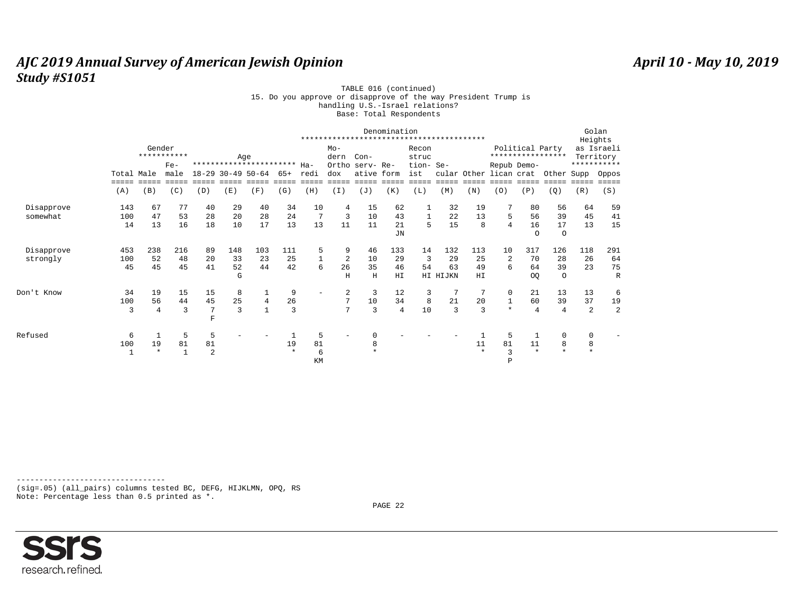#### TABLE 016 (continued) 15. Do you approve or disapprove of the way President Trump is handling U.S.-Israel relations? Base: Total Respondents

|            |                     |                |             |                      |                       |                                |       |               |                          |                 | Denomination    |                |                |               |                         |                                      |                |              | Golan<br>Heights                       |
|------------|---------------------|----------------|-------------|----------------------|-----------------------|--------------------------------|-------|---------------|--------------------------|-----------------|-----------------|----------------|----------------|---------------|-------------------------|--------------------------------------|----------------|--------------|----------------------------------------|
|            |                     | Gender         | *********** |                      |                       | Age<br>*********************** |       |               | $Mo-$<br>dern            | $Con-$          |                 | Recon<br>struc |                |               |                         | Political Party<br>***************** |                |              | as Israeli<br>Territory<br>*********** |
|            |                     |                | $Fe-$       |                      |                       |                                |       | $Ha-$         |                          | Ortho serv- Re- |                 | tion- Se-      |                |               |                         | Repub Demo-                          |                |              |                                        |
|            | Total Male          |                | male        |                      | $18 - 29$ 30-49 50-64 |                                | $65+$ | redi          | dox                      | ative form      |                 | ist            |                |               |                         | cular Other lican crat Other         |                | Supp         | Oppos                                  |
|            | (A)                 | (B)            | (C)         | (D)                  | (E)                   | (F)                            | (G)   | (H)           | $(\top)$                 | (J)             | (K)             | (L)            | (M)            | (N)           | (0)                     | (P)                                  | (Q)            | (R)          | (S)                                    |
| Disapprove | 143                 | 67             | 77          | 40                   | 29                    | 40                             | 34    | 10            | $\overline{4}$           | 15              | 62              | $\mathbf{1}$   | 32             | 19            |                         | 80                                   | 56             | 64           | 59                                     |
| somewhat   | 100                 | 47             | 53          | 28                   | 20                    | 28                             | 24    |               | 3                        | 10              | 43              | $\mathbf{1}$   | 22             | 13            | 5                       | 56                                   | 39             | 45           | 41                                     |
|            | 14                  | 13             | 16          | 18                   | 10                    | 17                             | 13    | 13            | 11                       | 11              | 21<br><b>JN</b> | 5              | 15             | 8             | $\overline{4}$          | 16<br>$\Omega$                       | 17<br>$\Omega$ | 13           | 15                                     |
| Disapprove | 453                 | 238            | 216         | 89                   | 148                   | 103                            | 111   | 5             | 9                        | 46              | 133             | 14             | 132            | 113           | 10                      | 317                                  | 126            | 118          | 291                                    |
| strongly   | 100                 | 52             | 48          | 20                   | 33                    | 23                             | 25    |               | 2                        | 10              | 29              | 3              | 29             | 25            | 2                       | 70                                   | 28             | 26           | 64                                     |
|            | 45                  | 45             | 45          | 41                   | 52<br>G               | 44                             | 42    | 6             | 26<br>H                  | 35<br>H         | 46<br>HI        | 54             | 63<br>HI HIJKN | 49<br>HI      | 6                       | 64<br>OO                             | 39<br>$\Omega$ | 23           | 75<br>$\mathbb{R}$                     |
| Don't Know | 34                  | 19             | 15          | 15                   | 8                     | $\mathbf{1}$                   | 9     |               | 2                        | 3               | 12              | 3              |                | 7             | 0                       | 21                                   | 13             | 13           | 6                                      |
|            | 100                 | 56             | 44          | 45                   | 25                    | $\overline{4}$                 | 26    |               | 7                        | 10              | 34              | 8              | 21             | 20            | $\mathbf{1}$            | 60                                   | 39             | 37           | 19                                     |
|            | 3                   | $\overline{4}$ | 3           | 7<br>$\mathbf F$     | 3                     | $\mathbf{1}$                   | 3     |               | 7                        | 3               | $\overline{4}$  | 10             | 3              | 3             | $\star$                 | $\overline{4}$                       | $\overline{4}$ | 2            | 2                                      |
| Refused    | 6                   | 1              | 5           | 5                    |                       |                                |       | 5             | $\overline{\phantom{0}}$ | $\Omega$        |                 |                |                |               | 5                       |                                      | $\Omega$       | $\mathbf 0$  |                                        |
|            | 100<br>$\mathbf{1}$ | 19<br>$\star$  | 81<br>-1    | 81<br>$\overline{2}$ |                       |                                | 19    | 81<br>6<br>KM |                          | 8               |                 |                |                | 11<br>$\star$ | 81<br>3<br>$\mathbf{P}$ | 11<br>$\star$                        | 8<br>$\star$   | 8<br>$\star$ |                                        |

---------------------------------

(sig=.05) (all\_pairs) columns tested BC, DEFG, HIJKLMN, OPQ, RS Note: Percentage less than 0.5 printed as \*.

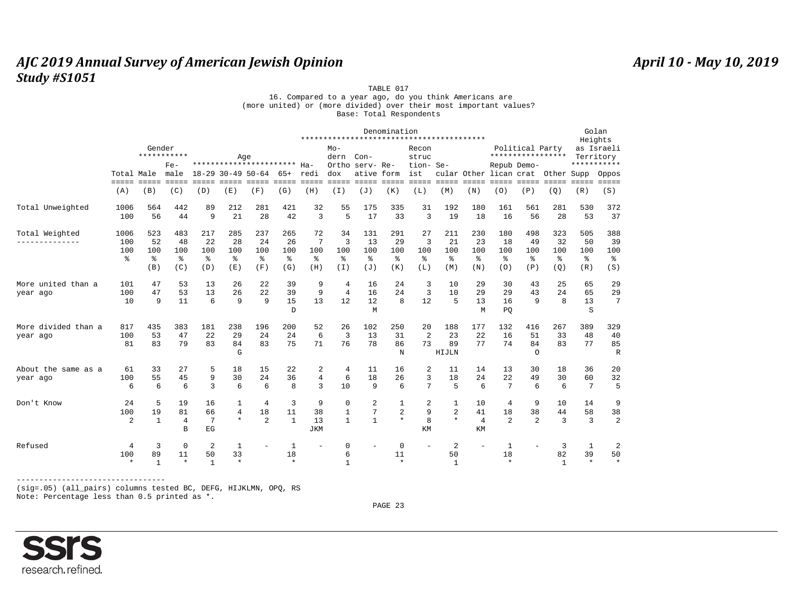#### TABLE 017 16. Compared to a year ago, do you think Americans are (more united) or (more divided) over their most important values? Base: Total Respondents

|                                  |                             |                               |                                 |                              |                                |                               |                              |                             |                                          |                               | Denomination                  |                            |                                |                                                           |                                       |                                      |                              |                               | Golan<br>Heights               |
|----------------------------------|-----------------------------|-------------------------------|---------------------------------|------------------------------|--------------------------------|-------------------------------|------------------------------|-----------------------------|------------------------------------------|-------------------------------|-------------------------------|----------------------------|--------------------------------|-----------------------------------------------------------|---------------------------------------|--------------------------------------|------------------------------|-------------------------------|--------------------------------|
|                                  |                             | Gender                        | ***********                     |                              |                                | Aqe                           |                              |                             | $M_O -$<br>dern                          | Con-                          |                               | Recon<br>struc             |                                |                                                           |                                       | Political Party<br>***************** |                              |                               | as Israeli<br>Territory        |
|                                  | Total Male                  |                               | $Fe-$<br>male                   | 18-29 30-49 50-64            |                                | *********************** Ha-   | 65+                          | redi                        | dox                                      | Ortho serv- Re-<br>ative form |                               | tion- Se-<br>ist           |                                |                                                           | Repub Demo-<br>cular Other lican crat |                                      | Other Supp                   |                               | ***********<br>Oppos           |
|                                  | $=$ $=$ $=$ $=$ $=$<br>(A)  | $=$ $=$ $=$ $=$<br>(B)        | $=$ $=$ $=$ $=$<br>(C)          | $=$ $=$ $=$ $=$ $=$<br>(D)   | (E)                            | (F)                           | (G)                          | ====<br>(H)                 | $=$ $=$ $=$ $=$<br>$(\top)$              | $\frac{1}{2}$<br>(J)          | $= = = = =$<br>(K)            | <b>EEEEE</b><br>(L)        | $\frac{1}{2}$<br>(M)           | $\qquad \qquad \equiv \equiv \equiv \equiv \equiv$<br>(N) | $=$ $=$ $=$ $=$ $=$<br>(0)            | $= 22222$<br>(P)                     | $=$ $=$ $=$ $=$<br>(Q)       | $=$ $=$ $=$ $=$<br>(R)        | $=$ $=$ $=$ $=$<br>(S)         |
| Total Unweighted                 | 1006<br>100                 | 564<br>56                     | 442<br>44                       | 89<br>9                      | 212<br>21                      | 281<br>28                     | 421<br>42                    | 32<br>3                     | 55<br>5                                  | 175<br>17                     | 335<br>33                     | 31<br>3                    | 192<br>19                      | 180<br>18                                                 | 161<br>16                             | 561<br>56                            | 281<br>28                    | 530<br>53                     | 372<br>37                      |
| Total Weighted<br>-------------- | 1006<br>100<br>100<br>⊱     | 523<br>52<br>100<br>နွ<br>(B) | 483<br>48<br>100<br>ႜ<br>(C)    | 217<br>22<br>100<br>ి<br>(D) | 285<br>28<br>100<br>ి<br>(E)   | 237<br>24<br>100<br>နွ<br>(F) | 265<br>26<br>100<br>ి<br>(G) | 72<br>7<br>100<br>ి<br>(H)  | 34<br>3<br>100<br>ి<br>(T)               | 131<br>13<br>100<br>ి<br>(J)  | 291<br>29<br>100<br>နွ<br>(K) | 27<br>3<br>100<br>ి<br>(L) | 211<br>21<br>100<br>ి<br>(M)   | 230<br>23<br>100<br>ి<br>(N)                              | 180<br>18<br>100<br>ి<br>(0)          | 498<br>49<br>100<br>နွ<br>(P)        | 323<br>32<br>100<br>ి<br>(Q) | 505<br>50<br>100<br>နွ<br>(R) | 388<br>39<br>100<br>ి<br>(S)   |
| More united than a<br>year ago   | 101<br>100<br>10            | 47<br>47<br>9                 | 53<br>53<br>11                  | 13<br>13<br>6                | 26<br>26<br>9                  | 22<br>22<br>9                 | 39<br>39<br>15<br>D          | 9<br>9<br>13                | $\overline{4}$<br>$\overline{4}$<br>12   | 16<br>16<br>12<br>M           | 24<br>2.4<br>8                | 3<br>3<br>12               | 10<br>10<br>5                  | 29<br>29<br>13<br>M                                       | 30<br>29<br>16<br>PQ                  | 43<br>43<br>9                        | 25<br>24<br>8                | 65<br>65<br>13<br>S           | 29<br>29<br>7                  |
| More divided than a<br>year ago  | 817<br>100<br>81            | 435<br>53<br>83               | 383<br>47<br>79                 | 181<br>22<br>83              | 238<br>29<br>84<br>G           | 196<br>24<br>83               | 200<br>24<br>75              | 52<br>6<br>71               | 26<br>3<br>76                            | 102<br>13<br>78               | 250<br>31<br>86<br>N          | 20<br>2<br>73              | 188<br>23<br>89<br>HIJLN       | 177<br>22<br>77                                           | 132<br>16<br>74                       | 416<br>51<br>84<br>$\circ$           | 267<br>33<br>83              | 389<br>48<br>77               | 329<br>40<br>85<br>$\mathbb R$ |
| About the same as a<br>year ago  | 61<br>100<br>6              | 33<br>55<br>6                 | 27<br>45<br>6                   | 5<br>9<br>3                  | 18<br>30<br>6                  | 15<br>24<br>6                 | 22<br>36<br>8                | 2<br>$\overline{4}$<br>3    | 4<br>6<br>10                             | 11<br>18<br>9                 | 16<br>26<br>6                 | 2<br>3<br>7                | 11<br>18<br>5                  | 14<br>24<br>6                                             | 13<br>22<br>7                         | 30<br>49<br>6                        | 18<br>30<br>6                | 36<br>60<br>7                 | 20<br>32<br>5                  |
| Don't Know                       | 24<br>100<br>$\overline{a}$ | 5<br>19<br>1                  | 19<br>81<br>$\overline{4}$<br>B | 16<br>66<br>7<br>EG          | 1<br>$\overline{4}$<br>$\star$ | $\overline{4}$<br>18<br>2     | 3<br>11<br>$\mathbf{1}$      | 9<br>38<br>13<br><b>JKM</b> | $\Omega$<br>$\mathbf{1}$<br>$\mathbf{1}$ | 2<br>7<br>$\mathbf{1}$        | 1<br>2<br>$\star$             | 2<br>9<br>8<br>KM          | 1<br>$\overline{a}$<br>$\star$ | 10<br>41<br>$\overline{4}$<br>KM                          | 4<br>18<br>2                          | 9<br>38<br>$\mathfrak{D}$            | 10<br>44<br>3                | 14<br>58<br>3                 | 9<br>38<br>$\overline{2}$      |
| Refused                          | 4<br>100<br>$\star$         | 3<br>89<br>$\mathbf{1}$       | $\mathbf 0$<br>11<br>$\star$    | 2<br>50<br>$\mathbf{1}$      | 1<br>33<br>$\star$             | $\overline{\phantom{0}}$      | 1<br>18<br>$\star$           |                             | 0<br>6<br>$\mathbf{1}$                   |                               | $\mathbf 0$<br>11<br>$\star$  | $\qquad \qquad$            | 2<br>50<br>$\overline{1}$      |                                                           | 1<br>18<br>$\star$                    |                                      | 3<br>82<br>$\mathbf{1}$      | 1<br>39<br>$\star$            | 2<br>50<br>$\star$             |

(sig=.05) (all\_pairs) columns tested BC, DEFG, HIJKLMN, OPQ, RS Note: Percentage less than 0.5 printed as \*.

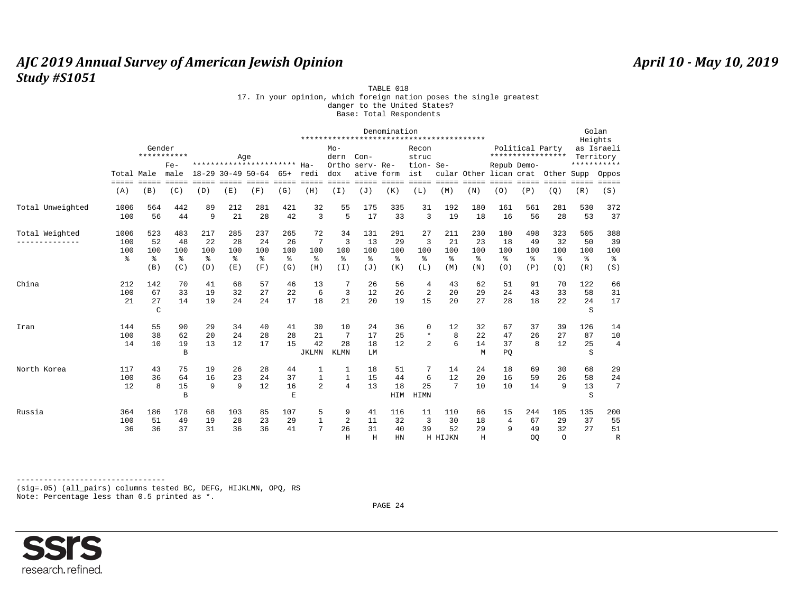### TABLE 018 17. In your opinion, which foreign nation poses the single greatest danger to the United States? Base: Total Respondents

|                  |               |            |                  |                         |           |                             |             |                |                      |                                                                                                                                                                                                                                                                                                                                                                                                                                                                                        | Denomination                                           |                |              |               |                |                                                                                                                                                                                                                                                                                                                                                                                                                                                                                        |                                               |                     | Golan<br>Heights        |
|------------------|---------------|------------|------------------|-------------------------|-----------|-----------------------------|-------------|----------------|----------------------|----------------------------------------------------------------------------------------------------------------------------------------------------------------------------------------------------------------------------------------------------------------------------------------------------------------------------------------------------------------------------------------------------------------------------------------------------------------------------------------|--------------------------------------------------------|----------------|--------------|---------------|----------------|----------------------------------------------------------------------------------------------------------------------------------------------------------------------------------------------------------------------------------------------------------------------------------------------------------------------------------------------------------------------------------------------------------------------------------------------------------------------------------------|-----------------------------------------------|---------------------|-------------------------|
|                  |               | Gender     | ***********      |                         |           | Aqe                         |             |                | $M_O -$<br>dern      | $Con-$                                                                                                                                                                                                                                                                                                                                                                                                                                                                                 |                                                        | Recon<br>struc |              |               |                | Political Party<br>*****************                                                                                                                                                                                                                                                                                                                                                                                                                                                   |                                               |                     | as Israeli<br>Territory |
|                  |               |            | $Fe-$            |                         |           | *********************** Ha- |             |                |                      | Ortho serv- Re-                                                                                                                                                                                                                                                                                                                                                                                                                                                                        |                                                        | tion- Se-      |              |               |                | Repub Demo-                                                                                                                                                                                                                                                                                                                                                                                                                                                                            |                                               |                     | ***********             |
|                  | $\frac{1}{2}$ | Total Male | male<br>$= 2222$ | $18-29$ 30-49 50-64 65+ |           |                             |             | redi           | dox<br>$\frac{1}{2}$ | $\begin{array}{cccccccccc} \multicolumn{2}{c}{} & \multicolumn{2}{c}{} & \multicolumn{2}{c}{} & \multicolumn{2}{c}{} & \multicolumn{2}{c}{} & \multicolumn{2}{c}{} & \multicolumn{2}{c}{} & \multicolumn{2}{c}{} & \multicolumn{2}{c}{} & \multicolumn{2}{c}{} & \multicolumn{2}{c}{} & \multicolumn{2}{c}{} & \multicolumn{2}{c}{} & \multicolumn{2}{c}{} & \multicolumn{2}{c}{} & \multicolumn{2}{c}{} & \multicolumn{2}{c}{} & \multicolumn{2}{c}{} & \multicolumn{2}{c}{} & \mult$ | ative form ist<br>$\equiv \equiv \equiv \equiv \equiv$ |                | doced coded. | $\frac{1}{2}$ | <b>COSS</b>    | $\begin{array}{cccccccccc} \multicolumn{2}{c}{} & \multicolumn{2}{c}{} & \multicolumn{2}{c}{} & \multicolumn{2}{c}{} & \multicolumn{2}{c}{} & \multicolumn{2}{c}{} & \multicolumn{2}{c}{} & \multicolumn{2}{c}{} & \multicolumn{2}{c}{} & \multicolumn{2}{c}{} & \multicolumn{2}{c}{} & \multicolumn{2}{c}{} & \multicolumn{2}{c}{} & \multicolumn{2}{c}{} & \multicolumn{2}{c}{} & \multicolumn{2}{c}{} & \multicolumn{2}{c}{} & \multicolumn{2}{c}{} & \multicolumn{2}{c}{} & \mult$ | cular Other lican crat Other Supp<br>$= 2222$ | $=$ $=$ $=$ $=$ $=$ | Oppos<br>$= 12.53$      |
|                  | (A)           | (B)        | (C)              | (D)                     | (E)       | (F)                         | (G)         | (H)            | $(\top)$             | (J)                                                                                                                                                                                                                                                                                                                                                                                                                                                                                    | (K)                                                    | (L)            | (M)          | (N)           | (0)            | (P)                                                                                                                                                                                                                                                                                                                                                                                                                                                                                    | (Q)                                           | (R)                 | (S)                     |
| Total Unweighted | 1006<br>100   | 564<br>56  | 442<br>44        | 89<br>9                 | 212<br>21 | 281<br>28                   | 421<br>42   | 32<br>3        | 55<br>5              | 175<br>17                                                                                                                                                                                                                                                                                                                                                                                                                                                                              | 335<br>33                                              | 31<br>3        | 192<br>19    | 180<br>18     | 161<br>16      | 561<br>56                                                                                                                                                                                                                                                                                                                                                                                                                                                                              | 281<br>28                                     | 530<br>53           | 372<br>37               |
| Total Weighted   | 1006          | 523        | 483              | 217                     | 285       | 237                         | 265         | 72             | 34                   | 131                                                                                                                                                                                                                                                                                                                                                                                                                                                                                    | 291                                                    | 27             | 211          | 230           | 180            | 498                                                                                                                                                                                                                                                                                                                                                                                                                                                                                    | 323                                           | 505                 | 388                     |
| --------------   | 100           | 52         | 48               | 22                      | 28        | 24                          | 26          | 7              | $\overline{3}$       | 13                                                                                                                                                                                                                                                                                                                                                                                                                                                                                     | 29                                                     | 3              | 21           | 23            | 18             | 49                                                                                                                                                                                                                                                                                                                                                                                                                                                                                     | 32                                            | 50                  | 39                      |
|                  | 100           | 100        | 100              | 100                     | 100       | 100                         | 100         | 100            | 100                  | 100                                                                                                                                                                                                                                                                                                                                                                                                                                                                                    | 100                                                    | 100            | 100          | 100           | 100            | 100                                                                                                                                                                                                                                                                                                                                                                                                                                                                                    | 100                                           | 100                 | 100                     |
|                  | ⊱             | ۶.         | ۶.               | $\approx$               | $\approx$ | ۶.                          | $\approx$   | $\approx$      | $\approx$            | $\approx$                                                                                                                                                                                                                                                                                                                                                                                                                                                                              | $\approx$                                              | $\approx$      | ፠            | $\approx$     | ۰×             | ⊱                                                                                                                                                                                                                                                                                                                                                                                                                                                                                      | $\approx$                                     | $\approx$           | ి                       |
|                  |               | (B)        | (C)              | (D)                     | (E)       | (F)                         | (G)         | (H)            | (T)                  | (J)                                                                                                                                                                                                                                                                                                                                                                                                                                                                                    | (K)                                                    | (L)            | (M)          | (N)           | (0)            | (P)                                                                                                                                                                                                                                                                                                                                                                                                                                                                                    | (Q)                                           | (R)                 | (S)                     |
| China            | 212           | 142        | 70               | 41                      | 68        | 57                          | 46          | 13             | 7                    | 26                                                                                                                                                                                                                                                                                                                                                                                                                                                                                     | 56                                                     | 4              | 43           | 62            | 51             | 91                                                                                                                                                                                                                                                                                                                                                                                                                                                                                     | 70                                            | 122                 | 66                      |
|                  | 100           | 67         | 33               | 19                      | 32        | 27                          | 22          | 6              | 3                    | 12                                                                                                                                                                                                                                                                                                                                                                                                                                                                                     | 26                                                     | 2              | 20           | 29            | 24             | 43                                                                                                                                                                                                                                                                                                                                                                                                                                                                                     | 33                                            | 58                  | 31                      |
|                  | 21            | 2.7<br>C   | 14               | 19                      | 2.4       | 2.4                         | 17          | 18             | 2.1                  | 2.0                                                                                                                                                                                                                                                                                                                                                                                                                                                                                    | 19                                                     | 15             | 2.0          | 2.7           | 2.8            | 18                                                                                                                                                                                                                                                                                                                                                                                                                                                                                     | 2.2.                                          | 24<br>S             | 17                      |
| Iran             | 144           | 55         | 90               | 29                      | 34        | 40                          | 41          | 30             | 10                   | 24                                                                                                                                                                                                                                                                                                                                                                                                                                                                                     | 36                                                     | $\Omega$       | 12           | 32            | 67             | 37                                                                                                                                                                                                                                                                                                                                                                                                                                                                                     | 39                                            | 126                 | 14                      |
|                  | 100           | 38         | 62               | 20                      | 24        | 28                          | 28          | 21             | 7                    | 17                                                                                                                                                                                                                                                                                                                                                                                                                                                                                     | 25                                                     | $\star$        | 8            | 22            | 47             | 26                                                                                                                                                                                                                                                                                                                                                                                                                                                                                     | 27                                            | 87                  | 10                      |
|                  | 14            | 10         | 19               | 13                      | 12        | 17                          | 15          | 42             | 28                   | 18                                                                                                                                                                                                                                                                                                                                                                                                                                                                                     | 12                                                     | $\overline{2}$ | 6            | 14            | 37             | 8                                                                                                                                                                                                                                                                                                                                                                                                                                                                                      | 12                                            | 25                  | $\overline{4}$          |
|                  |               |            | B                |                         |           |                             |             | <b>JKLMN</b>   | <b>KLMN</b>          | LM                                                                                                                                                                                                                                                                                                                                                                                                                                                                                     |                                                        |                |              | M             | PQ             |                                                                                                                                                                                                                                                                                                                                                                                                                                                                                        |                                               | $\rm S$             |                         |
| North Korea      | 117           | 43         | 75               | 19                      | 26        | 28                          | 44          | 1              | 1                    | 18                                                                                                                                                                                                                                                                                                                                                                                                                                                                                     | 51                                                     | 7              | 14           | 24            | 18             | 69                                                                                                                                                                                                                                                                                                                                                                                                                                                                                     | 30                                            | 68                  | 29                      |
|                  | 100           | 36         | 64               | 16                      | 23        | 24                          | 37          | $\mathbf{1}$   | $\mathbf{1}$         | 15                                                                                                                                                                                                                                                                                                                                                                                                                                                                                     | 44                                                     | 6              | 12           | 20            | 16             | 59                                                                                                                                                                                                                                                                                                                                                                                                                                                                                     | 26                                            | 58                  | 24                      |
|                  | 12            | 8          | 15               | 9                       | 9         | 12                          | 16          | $\overline{2}$ | $\overline{4}$       | 13                                                                                                                                                                                                                                                                                                                                                                                                                                                                                     | 18                                                     | 25             | 7            | 10            | 10             | 14                                                                                                                                                                                                                                                                                                                                                                                                                                                                                     | 9                                             | 13                  | 7                       |
|                  |               |            | $\, {\bf B}$     |                         |           |                             | $\mathbf E$ |                |                      |                                                                                                                                                                                                                                                                                                                                                                                                                                                                                        | HIM                                                    | HIMN           |              |               |                |                                                                                                                                                                                                                                                                                                                                                                                                                                                                                        |                                               | S                   |                         |
| Russia           | 364           | 186        | 178              | 68                      | 103       | 85                          | 107         | 5              | 9                    | 41                                                                                                                                                                                                                                                                                                                                                                                                                                                                                     | 116                                                    | 11             | 110          | 66            | 15             | 244                                                                                                                                                                                                                                                                                                                                                                                                                                                                                    | 105                                           | 135                 | 200                     |
|                  | 100           | 51         | 49               | 19                      | 28        | 23                          | 29          | $\mathbf{1}$   | $\overline{a}$       | 11                                                                                                                                                                                                                                                                                                                                                                                                                                                                                     | 32                                                     | 3              | 30           | 18            | $\overline{4}$ | 67                                                                                                                                                                                                                                                                                                                                                                                                                                                                                     | 29                                            | 37                  | 55                      |
|                  | 36            | 36         | 37               | 31                      | 36        | 36                          | 41          | 7              | 26                   | 31                                                                                                                                                                                                                                                                                                                                                                                                                                                                                     | 40                                                     | 39             | 52           | 29            | 9              | 49                                                                                                                                                                                                                                                                                                                                                                                                                                                                                     | 32                                            | 27                  | 51                      |
|                  |               |            |                  |                         |           |                             |             |                | H                    | H                                                                                                                                                                                                                                                                                                                                                                                                                                                                                      | HN                                                     |                | H HIJKN      | H             |                | OO                                                                                                                                                                                                                                                                                                                                                                                                                                                                                     | $\Omega$                                      |                     | $\mathbb R$             |

----------------------------(sig=.05) (all\_pairs) columns tested BC, DEFG, HIJKLMN, OPQ, RS

Note: Percentage less than 0.5 printed as \*.

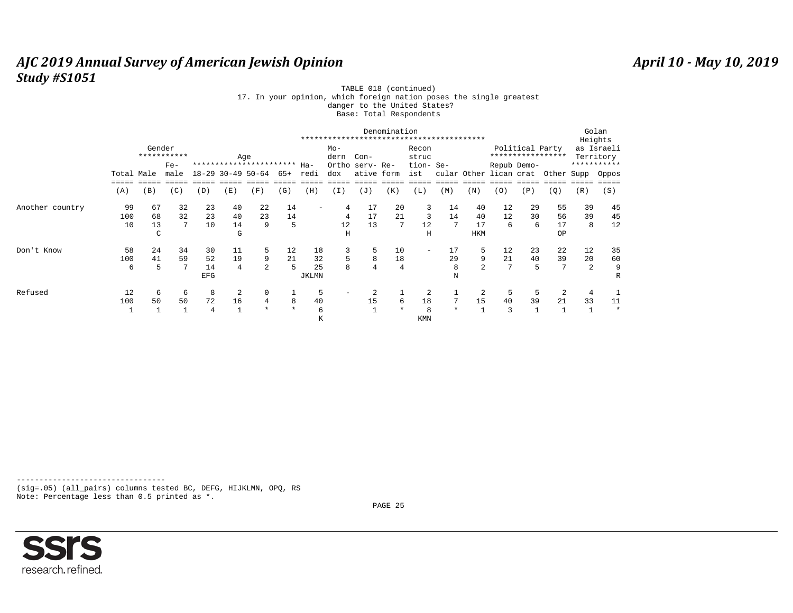#### TABLE 018 (continued) 17. In your opinion, which foreign nation poses the single greatest danger to the United States? Base: Total Respondents

|                 |            |        |             |                |                |                             |         |       |         |                 | Denomination |                   |         |                        |     |                 |                   |                | Golan        |
|-----------------|------------|--------|-------------|----------------|----------------|-----------------------------|---------|-------|---------|-----------------|--------------|-------------------|---------|------------------------|-----|-----------------|-------------------|----------------|--------------|
|                 |            |        |             |                |                |                             |         |       |         |                 |              |                   |         |                        |     |                 |                   |                | Heights      |
|                 |            | Gender |             |                |                |                             |         |       | $M_O -$ |                 |              | Recon             |         |                        |     | Political Party |                   |                | as Israeli   |
|                 |            |        | *********** |                | Age            |                             |         |       | dern    | $Con-$          |              | struc             |         |                        |     |                 | ***************** |                | Territory    |
|                 |            |        | $Fe-$       |                |                | *********************** Ha- |         |       |         | Ortho serv- Re- |              | tion- Se-         |         |                        |     | Repub Demo-     |                   |                | ***********  |
|                 | Total Male |        | male        |                |                | $18 - 29$ 30-49 50-64       | $65+$   | redi  | dox     | ative form      |              | ist               |         | cular Other lican crat |     |                 | Other Supp        |                | Oppos        |
|                 |            |        |             |                |                |                             |         |       |         |                 |              |                   |         |                        |     |                 |                   |                |              |
|                 | (A)        | (B)    | (C)         | (D)            | (E)            | (F)                         | (G)     | (H)   | (T)     | (J)             | (K)          | (L)               | (M)     | (N)                    | (0) | (P)             | (Q)               | (R)            | (S)          |
| Another country | 99         | 67     | 32          | 23             | 40             | 22                          | 14      |       | 4       | 17              | 2.0          | 3                 | 14      | 40                     | 12  | 29              | 55                | 39             | 45           |
|                 | 100        | 68     | 32          | 23             | 40             | 23                          | 14      |       | 4       | 17              | 21           | 3                 | 14      | 40                     | 12  | 30              | 56                | 39             | 45           |
|                 | 10         | 13     |             | 10             | 14             | 9                           | 5       |       | 12      | 13              | 7            | 12                | 7       | 17                     | 6   | 6               | 17                | 8              | 12           |
|                 |            | C      |             |                | G              |                             |         |       | H       |                 |              | H                 |         | HKM                    |     |                 | OP                |                |              |
| Don't Know      | 58         | 24     | 34          | 30             | 11             | 5                           | 12      | 18    | 3       | 5               | 10           | $\qquad \qquad -$ | 17      | 5                      | 12  | 23              | 22                | 12             | 35           |
|                 | 100        | 41     | 59          | 52             | 19             | 9                           | 21      | 32    | 5       | 8               | 18           |                   | 29      | 9                      | 21  | 40              | 39                | 20             | 60           |
|                 | 6          | 5      |             | 14             | $\overline{4}$ | 2                           | 5       | 25    | 8       | 4               | 4            |                   | 8       | $\overline{2}$         | 7   | 5               | 7                 | 2              | 9            |
|                 |            |        |             | EFG            |                |                             |         | JKLMN |         |                 |              |                   | N       |                        |     |                 |                   |                | $\mathbb{R}$ |
| Refused         | 12         | 6      | 6           | 8              | $\overline{a}$ | $\mathbf 0$                 |         | 5     |         |                 |              | $\overline{a}$    |         | 2                      | 5   | 5               | 2                 | $\overline{4}$ |              |
|                 | 100        | 50     | 50          | 72             | 16             | $\overline{4}$              | 8       | 40    |         | 15              | 6            | 18                |         | 15                     | 40  | 39              | 21                | 33             | 11           |
|                 |            |        |             | $\overline{4}$ |                | $\star$                     | $\star$ | 6     |         |                 | $\star$      | 8                 | $\star$ |                        | 3   |                 |                   | $\mathbf{1}$   | $\star$      |
|                 |            |        |             |                |                |                             |         | K     |         |                 |              | KMN               |         |                        |     |                 |                   |                |              |

---------------------------------

(sig=.05) (all\_pairs) columns tested BC, DEFG, HIJKLMN, OPQ, RS Note: Percentage less than 0.5 printed as \*.

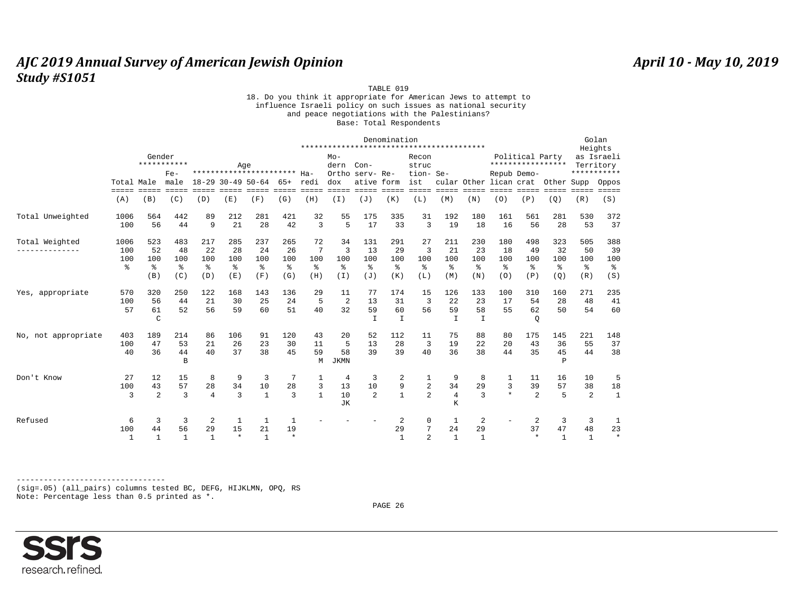TABLE 019

### 18. Do you think it appropriate for American Jews to attempt to influence Israeli policy on such issues as national security and peace negotiations with the Palestinians? Base: Total Respondents

|                     |                        | Denomination<br>Gender<br>Political Party<br>$M_O -$<br>Recon<br>***********<br>*****************<br>$Con-$<br>dern<br>struc<br>Aqe<br>*********************** Ha-<br>Ortho serv- Re-<br>tion- Se-<br>$Fe-$<br>Repub Demo-<br>$18-29$ 30-49 50-64<br>ative form<br>cular Other lican crat<br>Total Male<br>male<br>redi<br>dox<br>ist<br>$65+$<br>$=$ $=$ $=$ $=$<br><b>EEEEE</b><br>-----<br>-----<br>$---$<br>=====<br>$\equiv \equiv \equiv \equiv \equiv$<br>(B)<br>(C)<br>(D)<br>(E)<br>(F)<br>(G)<br>(H)<br>(T)<br>(L)<br>(0)<br>(P)<br>(J)<br>(K)<br>(M)<br>(N)<br>442<br>89<br>212<br>281<br>421<br>32<br>55<br>175<br>335<br>31<br>192<br>180<br>161<br>564<br>561<br>5<br>44<br>9<br>21<br>28<br>42<br>3<br>17<br>33<br>3<br>19<br>16<br>56<br>18<br>56 |              |                |              |                |              |              |                |                |              |                |                |              |            |                |              | Golan        |                        |
|---------------------|------------------------|-------------------------------------------------------------------------------------------------------------------------------------------------------------------------------------------------------------------------------------------------------------------------------------------------------------------------------------------------------------------------------------------------------------------------------------------------------------------------------------------------------------------------------------------------------------------------------------------------------------------------------------------------------------------------------------------------------------------------------------------------------------------|--------------|----------------|--------------|----------------|--------------|--------------|----------------|----------------|--------------|----------------|----------------|--------------|------------|----------------|--------------|--------------|------------------------|
|                     |                        |                                                                                                                                                                                                                                                                                                                                                                                                                                                                                                                                                                                                                                                                                                                                                                   |              |                |              |                |              |              |                |                |              |                |                |              |            |                |              |              | Heights                |
|                     |                        |                                                                                                                                                                                                                                                                                                                                                                                                                                                                                                                                                                                                                                                                                                                                                                   |              |                |              |                |              |              |                |                |              |                |                |              |            |                |              |              | as Israeli             |
|                     |                        |                                                                                                                                                                                                                                                                                                                                                                                                                                                                                                                                                                                                                                                                                                                                                                   |              |                |              |                |              |              |                |                |              |                |                |              |            |                |              |              | Territory              |
|                     |                        |                                                                                                                                                                                                                                                                                                                                                                                                                                                                                                                                                                                                                                                                                                                                                                   |              |                |              |                |              |              |                |                |              |                |                |              |            |                |              |              | ***********            |
|                     |                        |                                                                                                                                                                                                                                                                                                                                                                                                                                                                                                                                                                                                                                                                                                                                                                   |              |                |              |                |              |              |                |                |              |                |                |              |            |                | Other Supp   |              | Oppos                  |
|                     | $=$ $=$ $=$ $=$<br>(A) |                                                                                                                                                                                                                                                                                                                                                                                                                                                                                                                                                                                                                                                                                                                                                                   |              |                |              |                |              |              |                |                |              |                |                |              |            |                | (Q)          | =====<br>(R) | $=$ $=$ $=$ $=$<br>(S) |
|                     |                        |                                                                                                                                                                                                                                                                                                                                                                                                                                                                                                                                                                                                                                                                                                                                                                   |              |                |              |                |              |              |                |                |              |                |                |              |            |                |              |              |                        |
| Total Unweighted    | 1006                   |                                                                                                                                                                                                                                                                                                                                                                                                                                                                                                                                                                                                                                                                                                                                                                   |              |                |              |                |              |              |                |                |              |                |                |              |            |                | 281          | 530          | 372                    |
|                     | 100                    |                                                                                                                                                                                                                                                                                                                                                                                                                                                                                                                                                                                                                                                                                                                                                                   |              |                |              |                |              |              |                |                |              |                |                |              |            |                | 28           | 53           | 37                     |
| Total Weighted      | 1006                   | 523                                                                                                                                                                                                                                                                                                                                                                                                                                                                                                                                                                                                                                                                                                                                                               | 483          | 217            | 285          | 237            | 265          | 72           | 34             | 131            | 291          | 27             | 211            | 230          | 180        | 498            | 323          | 505          | 388                    |
| --------------      | 100                    | 52                                                                                                                                                                                                                                                                                                                                                                                                                                                                                                                                                                                                                                                                                                                                                                | 48           | 22             | 28           | 24             | 26           | 7            | $\overline{3}$ | 13             | 29           | 3              | 21             | 23           | 18         | 49             | 32           | 50           | 39                     |
|                     | 100                    | 100                                                                                                                                                                                                                                                                                                                                                                                                                                                                                                                                                                                                                                                                                                                                                               | 100          | 100            | 100          | 100            | 100          | 100          | 100            | 100            | 100          | 100            | 100            | 100          | 100        | 100            | 100          | 100          | 100                    |
|                     | ÷,                     | ి                                                                                                                                                                                                                                                                                                                                                                                                                                                                                                                                                                                                                                                                                                                                                                 | ి            | ిం             | ႜ            | ႜ              | ి            | ႜ            | ి              | ႜ              | ి            | ႜ              | ႜ              | ి            | $\epsilon$ | နွ             | နွ           | ి            | ిక                     |
|                     |                        | (B)                                                                                                                                                                                                                                                                                                                                                                                                                                                                                                                                                                                                                                                                                                                                                               | (C)          | (D)            | (E)          | (F)            | (G)          | (H)          | $(\top)$       | (J)            | (K)          | (L)            | (M)            | (N)          | (0)        | (P)            | (Q)          | (R)          | (S)                    |
| Yes, appropriate    | 570                    | 320                                                                                                                                                                                                                                                                                                                                                                                                                                                                                                                                                                                                                                                                                                                                                               | 250          | 122            | 168          | 143            | 136          | 29           | 11             | 77             | 174          | 15             | 126            | 133          | 100        | 310            | 160          | 271          | 235                    |
|                     | 100                    | 56                                                                                                                                                                                                                                                                                                                                                                                                                                                                                                                                                                                                                                                                                                                                                                | 44           | 21             | 30           | 25             | 24           | 5            | 2              | 13             | 31           | $\overline{3}$ | 22             | 23           | 17         | 54             | 28           | 48           | 41                     |
|                     | 57                     | 61                                                                                                                                                                                                                                                                                                                                                                                                                                                                                                                                                                                                                                                                                                                                                                | 52           | 56             | 59           | 60             | 51           | 40           | 32             | 59             | 60           | 56             | 59             | 58           | 55         | 62             | 50           | 54           | 60                     |
|                     |                        | C                                                                                                                                                                                                                                                                                                                                                                                                                                                                                                                                                                                                                                                                                                                                                                 |              |                |              |                |              |              |                | T.             | $\mathbb{I}$ |                | $\mathsf{T}$   | T.           |            | $\circ$        |              |              |                        |
| No, not appropriate | 403                    | 189                                                                                                                                                                                                                                                                                                                                                                                                                                                                                                                                                                                                                                                                                                                                                               | 214          | 86             | 106          | 91             | 120          | 43           | 20             | 52             | 112          | 11             | 75             | 88           | 80         | 175            | 145          | 221          | 148                    |
|                     | 100                    | 47                                                                                                                                                                                                                                                                                                                                                                                                                                                                                                                                                                                                                                                                                                                                                                | 53           | 21             | 26           | 23             | 30           | 11           | 5              | 13             | 28           | $\mathbf{3}$   | 19             | 22           | 20         | 43             | 36           | 55           | 37                     |
|                     | 40                     | 36                                                                                                                                                                                                                                                                                                                                                                                                                                                                                                                                                                                                                                                                                                                                                                | 44           | 40             | 37           | 38             | 45           | 59           | 58             | 39             | 39           | 40             | 36             | 38           | 44         | 35             | 45           | 44           | 38                     |
|                     |                        |                                                                                                                                                                                                                                                                                                                                                                                                                                                                                                                                                                                                                                                                                                                                                                   | B            |                |              |                |              | M            | <b>JKMN</b>    |                |              |                |                |              |            |                | $\mathsf{P}$ |              |                        |
| Don't Know          | 27                     | 12                                                                                                                                                                                                                                                                                                                                                                                                                                                                                                                                                                                                                                                                                                                                                                | 15           | 8              | 9            | 3              | 7            | 1            | 4              | 3              | 2            | 1              | 9              | 8            | 1          | 11             | 16           | 10           | 5                      |
|                     | 100                    | 43                                                                                                                                                                                                                                                                                                                                                                                                                                                                                                                                                                                                                                                                                                                                                                | 57           | 28             | 34           | 10             | 28           | 3            | 13             | 10             | 9            | $\overline{a}$ | 34             | 29           | 3          | 39             | 57           | 38           | 18                     |
|                     | 3                      | $\mathfrak{D}$                                                                                                                                                                                                                                                                                                                                                                                                                                                                                                                                                                                                                                                                                                                                                    | $\mathbf{R}$ | $\overline{4}$ | $\mathbf{3}$ | $\overline{1}$ | $\mathbf{3}$ | $\mathbf{1}$ | 10             | $\overline{2}$ | $\mathbf{1}$ | $\overline{a}$ | $\overline{4}$ | $\mathbf{3}$ | $\star$    | $\overline{2}$ | 5            | 2            | 1                      |
|                     |                        |                                                                                                                                                                                                                                                                                                                                                                                                                                                                                                                                                                                                                                                                                                                                                                   |              |                |              |                |              |              | <b>JK</b>      |                |              |                | K              |              |            |                |              |              |                        |
| Refused             | 6                      | 3                                                                                                                                                                                                                                                                                                                                                                                                                                                                                                                                                                                                                                                                                                                                                                 | 3            | 2              | 1            | 1              | 1            |              |                |                | 2            | 0              | 1              | 2            | $\equiv$   | 2              | 3            | 3            |                        |
|                     | 100                    | 44                                                                                                                                                                                                                                                                                                                                                                                                                                                                                                                                                                                                                                                                                                                                                                | 56           | 29             | 15           | 21             | 19           |              |                |                | 29           | 7              | 24             | 29           |            | 37             | 47           | 48           | 23                     |
|                     | $\mathbf{1}$           | $\mathbf{1}$                                                                                                                                                                                                                                                                                                                                                                                                                                                                                                                                                                                                                                                                                                                                                      | $\mathbf{1}$ | $\mathbf{1}$   | $\star$      | $\mathbf{1}$   | $\star$      |              |                |                | -1           | $\overline{a}$ | $\mathbf{1}$   | $\mathbf{1}$ |            | $\star$        | $\mathbf{1}$ | $\mathbf{1}$ | $\star$                |

----------------------------(sig=.05) (all\_pairs) columns tested BC, DEFG, HIJKLMN, OPQ, RS Note: Percentage less than 0.5 printed as \*.

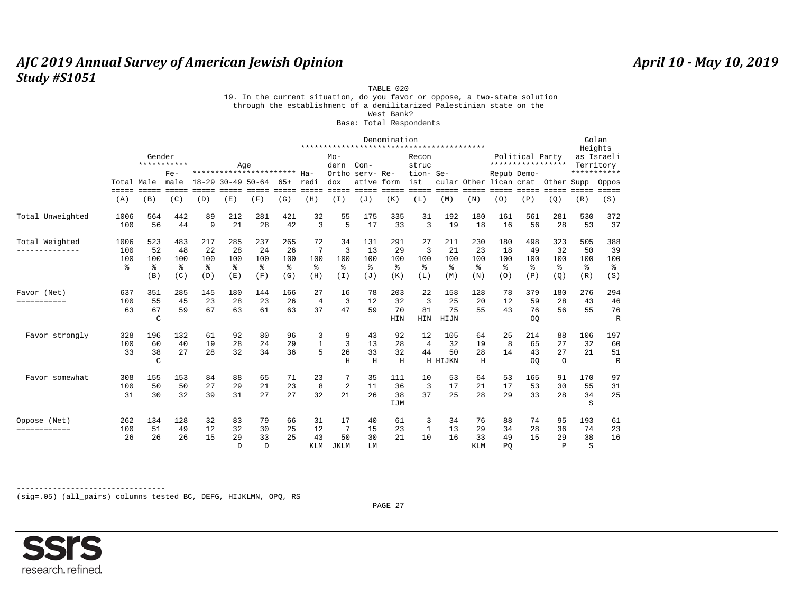#### TABLE 020

19. In the current situation, do you favor or oppose, a two-state solution through the establishment of a demilitarized Palestinian state on the West Bank?

Base: Total Respondents

|                              |                          |                                                                                                                                                                                                                                                                                                                                                                                                                                                                                               |                              |                                             |                              |                              |                              |                                             |                              |                                             | Denomination                                |                            |                                             |                              |                                                                                                                                                                                                                                                                                                                                                                                                                                                                                               |                                                                                                                                                                                                                                                                                                                                                                                                                                                                                               |                                                                                                                                                                                                                                                                                                                                                                                                                                                                                               |                               | Golan<br>Heights                |
|------------------------------|--------------------------|-----------------------------------------------------------------------------------------------------------------------------------------------------------------------------------------------------------------------------------------------------------------------------------------------------------------------------------------------------------------------------------------------------------------------------------------------------------------------------------------------|------------------------------|---------------------------------------------|------------------------------|------------------------------|------------------------------|---------------------------------------------|------------------------------|---------------------------------------------|---------------------------------------------|----------------------------|---------------------------------------------|------------------------------|-----------------------------------------------------------------------------------------------------------------------------------------------------------------------------------------------------------------------------------------------------------------------------------------------------------------------------------------------------------------------------------------------------------------------------------------------------------------------------------------------|-----------------------------------------------------------------------------------------------------------------------------------------------------------------------------------------------------------------------------------------------------------------------------------------------------------------------------------------------------------------------------------------------------------------------------------------------------------------------------------------------|-----------------------------------------------------------------------------------------------------------------------------------------------------------------------------------------------------------------------------------------------------------------------------------------------------------------------------------------------------------------------------------------------------------------------------------------------------------------------------------------------|-------------------------------|---------------------------------|
|                              |                          | Gender                                                                                                                                                                                                                                                                                                                                                                                                                                                                                        | ***********                  |                                             |                              | Aqe                          |                              |                                             | $Mo-$<br>dern                | $Con-$                                      |                                             | Recon<br>struc             |                                             |                              |                                                                                                                                                                                                                                                                                                                                                                                                                                                                                               | Political Party<br>*****************                                                                                                                                                                                                                                                                                                                                                                                                                                                          |                                                                                                                                                                                                                                                                                                                                                                                                                                                                                               |                               | as Israeli<br>Territory         |
|                              | Total Male               |                                                                                                                                                                                                                                                                                                                                                                                                                                                                                               | $Fe-$<br>male                | 18-29 30-49 50-64                           |                              | ***********************      | $65+$                        | $Ha-$<br>redi                               | dox                          | Ortho serv- Re-<br>ative form               |                                             | tion- Se-<br>ist           |                                             |                              | cular Other lican crat                                                                                                                                                                                                                                                                                                                                                                                                                                                                        | Repub Demo-                                                                                                                                                                                                                                                                                                                                                                                                                                                                                   | Other Supp                                                                                                                                                                                                                                                                                                                                                                                                                                                                                    |                               | ***********<br>Oppos            |
|                              | -----<br>(A)             | $\begin{array}{cccccccccc} \multicolumn{2}{c}{} & \multicolumn{2}{c}{} & \multicolumn{2}{c}{} & \multicolumn{2}{c}{} & \multicolumn{2}{c}{} & \multicolumn{2}{c}{} & \multicolumn{2}{c}{} & \multicolumn{2}{c}{} & \multicolumn{2}{c}{} & \multicolumn{2}{c}{} & \multicolumn{2}{c}{} & \multicolumn{2}{c}{} & \multicolumn{2}{c}{} & \multicolumn{2}{c}{} & \multicolumn{2}{c}{} & \multicolumn{2}{c}{} & \multicolumn{2}{c}{} & \multicolumn{2}{c}{} & \multicolumn{2}{c}{} & \mult$<br>(B) | $=$ $=$ $=$ $=$<br>(C)       | $\equiv \equiv \equiv \equiv \equiv$<br>(D) | (E)                          | (F)                          | (G)                          | $\equiv \equiv \equiv \equiv \equiv$<br>(H) | $\frac{1}{2}$<br>(T)         | $\equiv \equiv \equiv \equiv \equiv$<br>(J) | $\equiv \equiv \equiv \equiv \equiv$<br>(K) | $=$ $=$ $=$ $=$ $=$<br>(L) | $\equiv \equiv \equiv \equiv \equiv$<br>(M) | <b>EEEEE</b><br>(N)          | $\begin{array}{cccccccccc} \multicolumn{2}{c}{} & \multicolumn{2}{c}{} & \multicolumn{2}{c}{} & \multicolumn{2}{c}{} & \multicolumn{2}{c}{} & \multicolumn{2}{c}{} & \multicolumn{2}{c}{} & \multicolumn{2}{c}{} & \multicolumn{2}{c}{} & \multicolumn{2}{c}{} & \multicolumn{2}{c}{} & \multicolumn{2}{c}{} & \multicolumn{2}{c}{} & \multicolumn{2}{c}{} & \multicolumn{2}{c}{} & \multicolumn{2}{c}{} & \multicolumn{2}{c}{} & \multicolumn{2}{c}{} & \multicolumn{2}{c}{} & \mult$<br>(0) | $\begin{array}{cccccccccc} \multicolumn{2}{c}{} & \multicolumn{2}{c}{} & \multicolumn{2}{c}{} & \multicolumn{2}{c}{} & \multicolumn{2}{c}{} & \multicolumn{2}{c}{} & \multicolumn{2}{c}{} & \multicolumn{2}{c}{} & \multicolumn{2}{c}{} & \multicolumn{2}{c}{} & \multicolumn{2}{c}{} & \multicolumn{2}{c}{} & \multicolumn{2}{c}{} & \multicolumn{2}{c}{} & \multicolumn{2}{c}{} & \multicolumn{2}{c}{} & \multicolumn{2}{c}{} & \multicolumn{2}{c}{} & \multicolumn{2}{c}{} & \mult$<br>(P) | $\begin{array}{cccccccccc} \multicolumn{2}{c}{} & \multicolumn{2}{c}{} & \multicolumn{2}{c}{} & \multicolumn{2}{c}{} & \multicolumn{2}{c}{} & \multicolumn{2}{c}{} & \multicolumn{2}{c}{} & \multicolumn{2}{c}{} & \multicolumn{2}{c}{} & \multicolumn{2}{c}{} & \multicolumn{2}{c}{} & \multicolumn{2}{c}{} & \multicolumn{2}{c}{} & \multicolumn{2}{c}{} & \multicolumn{2}{c}{} & \multicolumn{2}{c}{} & \multicolumn{2}{c}{} & \multicolumn{2}{c}{} & \multicolumn{2}{c}{} & \mult$<br>(Q) | $=$ $=$ $=$ $=$<br>(R)        | $= 2222$<br>(S)                 |
| Total Unweighted             | 1006<br>100              | 564<br>56                                                                                                                                                                                                                                                                                                                                                                                                                                                                                     | 442<br>44                    | 89<br>9                                     | 212<br>21                    | 281<br>28                    | 421<br>42                    | 32<br>3                                     | 55<br>5                      | 175<br>17                                   | 335<br>33                                   | 31<br>3                    | 192<br>19                                   | 180<br>18                    | 161<br>16                                                                                                                                                                                                                                                                                                                                                                                                                                                                                     | 561<br>56                                                                                                                                                                                                                                                                                                                                                                                                                                                                                     | 281<br>28                                                                                                                                                                                                                                                                                                                                                                                                                                                                                     | 530<br>53                     | 372<br>37                       |
| Total Weighted<br>.          | 1006<br>100<br>100<br>နွ | 523<br>52<br>100<br>နွ<br>(B)                                                                                                                                                                                                                                                                                                                                                                                                                                                                 | 483<br>48<br>100<br>ి<br>(C) | 217<br>22<br>100<br>ిక<br>(D)               | 285<br>28<br>100<br>ి<br>(E) | 237<br>24<br>100<br>ి<br>(F) | 265<br>26<br>100<br>ి<br>(G) | 72<br>7<br>100<br>ి<br>(H)                  | 34<br>3<br>100<br>ႜ<br>(T)   | 131<br>13<br>100<br>ႜ<br>(J)                | 291<br>29<br>100<br>ి<br>(K)                | 27<br>3<br>100<br>ႜ<br>(L) | 211<br>21<br>100<br>ႜ<br>(M)                | 230<br>23<br>100<br>ႜ<br>(N) | 180<br>18<br>100<br>ႜ<br>(0)                                                                                                                                                                                                                                                                                                                                                                                                                                                                  | 498<br>49<br>100<br>နွ<br>(P)                                                                                                                                                                                                                                                                                                                                                                                                                                                                 | 323<br>32<br>100<br>ి<br>(Q)                                                                                                                                                                                                                                                                                                                                                                                                                                                                  | 505<br>50<br>100<br>နွ<br>(R) | 388<br>39<br>100<br>ి<br>(S)    |
| Favor (Net)<br>===========   | 637<br>100<br>63         | 351<br>55<br>67<br>C                                                                                                                                                                                                                                                                                                                                                                                                                                                                          | 285<br>45<br>59              | 145<br>23<br>67                             | 180<br>28<br>63              | 144<br>23<br>61              | 166<br>26<br>63              | 27<br>$\overline{4}$<br>37                  | 16<br>3<br>47                | 78<br>12<br>59                              | 203<br>32<br>70<br>HIN                      | 22<br>3<br>81<br>HIN       | 158<br>25<br>75<br>HIJN                     | 128<br>20<br>55              | 78<br>12<br>43                                                                                                                                                                                                                                                                                                                                                                                                                                                                                | 379<br>59<br>76<br>OO                                                                                                                                                                                                                                                                                                                                                                                                                                                                         | 180<br>28<br>56                                                                                                                                                                                                                                                                                                                                                                                                                                                                               | 276<br>43<br>55               | 294<br>46<br>76<br>$\mathbb{R}$ |
| Favor strongly               | 328<br>100<br>33         | 196<br>60<br>38<br>$\mathcal{C}$                                                                                                                                                                                                                                                                                                                                                                                                                                                              | 132<br>40<br>27              | 61<br>19<br>2.8                             | 92<br>28<br>32               | 80<br>24<br>34               | 96<br>29<br>36               | 3<br>$\mathbf{1}$<br>$\overline{5}$         | 9<br>3<br>26<br>H            | 43<br>13<br>33<br>H                         | 92<br>28<br>32<br>H                         | 12<br>$\overline{4}$<br>44 | 105<br>32<br>50<br>H HIJKN                  | 64<br>19<br>2.8<br>H         | 25<br>8<br>14                                                                                                                                                                                                                                                                                                                                                                                                                                                                                 | 214<br>65<br>43<br>OQ                                                                                                                                                                                                                                                                                                                                                                                                                                                                         | 88<br>27<br>2.7<br>$\Omega$                                                                                                                                                                                                                                                                                                                                                                                                                                                                   | 106<br>32<br>2.1              | 197<br>60<br>51<br>$\mathbb{R}$ |
| Favor somewhat               | 308<br>100<br>31         | 155<br>50<br>30                                                                                                                                                                                                                                                                                                                                                                                                                                                                               | 153<br>50<br>32              | 84<br>27<br>39                              | 88<br>29<br>31               | 65<br>21<br>27               | 71<br>23<br>27               | 23<br>8<br>32                               | 7<br>$\overline{2}$<br>21    | 35<br>11<br>26                              | 111<br>36<br>38<br><b>IJM</b>               | 10<br>3<br>37              | 53<br>17<br>2.5                             | 64<br>21<br>2.8              | 53<br>17<br>29                                                                                                                                                                                                                                                                                                                                                                                                                                                                                | 165<br>53<br>33                                                                                                                                                                                                                                                                                                                                                                                                                                                                               | 91<br>30<br>2.8                                                                                                                                                                                                                                                                                                                                                                                                                                                                               | 170<br>55<br>34<br>S          | 97<br>31<br>25                  |
| Oppose (Net)<br>============ | 262<br>100<br>26         | 134<br>51<br>26                                                                                                                                                                                                                                                                                                                                                                                                                                                                               | 128<br>49<br>26              | 32<br>12<br>15                              | 83<br>32<br>29<br>D          | 79<br>30<br>33<br>D          | 66<br>25<br>25               | 31<br>12<br>43<br><b>KLM</b>                | 17<br>7<br>50<br><b>JKLM</b> | 40<br>15<br>30<br><b>LM</b>                 | 61<br>23<br>2.1                             | 3<br>$\mathbf{1}$<br>10    | 34<br>13<br>16                              | 76<br>29<br>33<br><b>KLM</b> | 88<br>34<br>49<br>PO                                                                                                                                                                                                                                                                                                                                                                                                                                                                          | 74<br>28<br>15                                                                                                                                                                                                                                                                                                                                                                                                                                                                                | 95<br>36<br>29<br>$\mathbf{P}$                                                                                                                                                                                                                                                                                                                                                                                                                                                                | 193<br>74<br>38<br>S          | 61<br>23<br>16                  |

(sig=.05) (all\_pairs) columns tested BC, DEFG, HIJKLMN, OPQ, RS

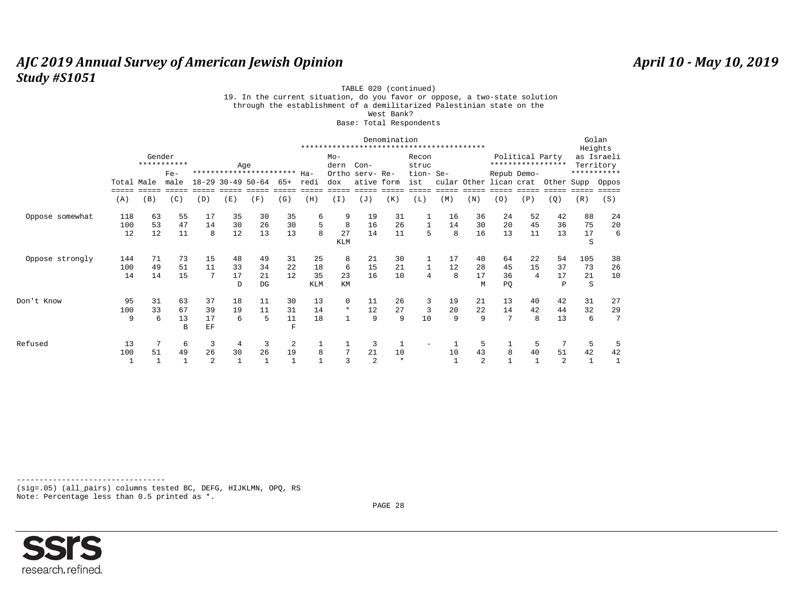# April 10 - May 10, 2019

#### TABLE 020 (continued) 19. In the current situation, do you favor or oppose, a two-state solution through the establishment of a demilitarized Palestinian state on the West Bank? Base: Total Respondents

|                 |            |                    |               |          |               |                                              |          |                   |                         |                               | Denomination  |                                |         |                               |                        |                                      |                          | Heights            | Golan                   |
|-----------------|------------|--------------------|---------------|----------|---------------|----------------------------------------------|----------|-------------------|-------------------------|-------------------------------|---------------|--------------------------------|---------|-------------------------------|------------------------|--------------------------------------|--------------------------|--------------------|-------------------------|
|                 |            | Gender             | ***********   |          | Aqe           |                                              |          |                   | $M_O -$<br>dern         | $Con-$                        |               | Recon<br>struc                 |         |                               |                        | Political Party<br>***************** |                          |                    | as Israeli<br>Territory |
|                 | Total Male |                    | $Fe-$<br>male |          |               | ***********************<br>18-29 30-49 50-64 | 65+      | $Ha-$<br>redi     | dox                     | Ortho serv- Re-<br>ative form |               | tion- Se-<br>ist               |         |                               | cular Other lican crat | Repub Demo-                          | Other Supp               | ***********        | Oppos                   |
|                 |            |                    |               |          |               |                                              |          |                   |                         |                               |               |                                |         |                               |                        |                                      |                          |                    |                         |
|                 | (A)        | (B)                | (C)           | (D)      | (E)           | (F)                                          | (G)      | (H)               | (T)                     | (J)                           | (K)           | (L)                            | (M)     | (N)                           | (0)                    | (P)                                  | (Q)                      | (R)                | (S)                     |
| Oppose somewhat | 118        | 63                 | 55            | 17       | 35            | 30                                           | 35       | 6                 | 9                       | 19                            | 31            | 1                              | 16      | 36                            | 24                     | 52                                   | 42                       | 88                 | 24                      |
|                 | 100        | 53                 | 47            | 14       | 30            | 26                                           | 30       | 5                 | 8                       | 16                            | 26            | $\mathbf{1}$                   | 14      | 30                            | 20                     | 45                                   | 36                       | 75                 | 20                      |
|                 | 12         | 12                 | 11            | 8        | 12            | 13                                           | 13       | 8                 | 27<br><b>KLM</b>        | 14                            | 11            | 5                              | 8       | 16                            | 13                     | 11                                   | 13                       | 17<br>S            | 6                       |
| Oppose strongly | 144        | 71                 | 73            | 15       | 48            | 49                                           | 31       | 25                | 8                       | 21                            | 30            |                                | 17      | 40                            | 64                     | 22                                   | 54                       | 105                | 38                      |
|                 | 100<br>14  | 49<br>14           | 51<br>15      | 11<br>7  | 33<br>17<br>D | 34<br>21<br>DG                               | 22<br>12 | 18<br>35<br>KLM   | 6<br>23<br>KM           | 15<br>16                      | 21<br>10      | $\mathbf{1}$<br>$\overline{4}$ | 12<br>8 | 28<br>17<br>M                 | 45<br>36<br>PQ         | 15<br>$\overline{4}$                 | 37<br>17<br>$\mathbf{P}$ | 73<br>21<br>S      | 26<br>10                |
| Don't Know      | 95         | 31                 | 63            | 37       | 18            | 11                                           | 30       | 13                | 0                       | 11                            | 26            | 3                              | 19      | 21                            | 13                     | 40                                   | 42                       | 31                 | 27                      |
|                 | 100<br>9   | 33<br>6            | 67<br>13      | 39<br>17 | 19<br>6       | 11<br>5                                      | 31<br>11 | 14<br>18          | $\star$<br>$\mathbf{1}$ | 12<br>9                       | 27<br>9       | $\mathbf{3}$<br>10             | 20<br>9 | 22<br>9                       | 14<br>7                | 42<br>8                              | 44<br>13                 | 32<br>6            | 29<br>$\overline{7}$    |
|                 |            |                    | B             | EF       |               |                                              | F        |                   |                         |                               |               |                                |         |                               |                        |                                      |                          |                    |                         |
| Refused         | 13         | 7                  | 6             | 3        | 4             | 3                                            | 2        |                   | 1                       | 3                             | 1             |                                |         | 5                             |                        | 5                                    | 7                        | 5                  | -5                      |
|                 | 100        | 51<br>$\mathbf{1}$ | 49            | 26<br>2  | 30            | 26<br>$\mathbf{1}$                           | 19       | 8<br>$\mathbf{1}$ | $\sqrt{ }$<br>3         | 21<br>$\overline{2}$          | 10<br>$\star$ |                                | 10      | 43<br>$\overline{\mathbf{c}}$ | 8                      | 40                                   | 51<br>$\overline{a}$     | 42<br>$\mathbf{1}$ | 42                      |

(sig=.05) (all\_pairs) columns tested BC, DEFG, HIJKLMN, OPQ, RS Note: Percentage less than 0.5 printed as \*.

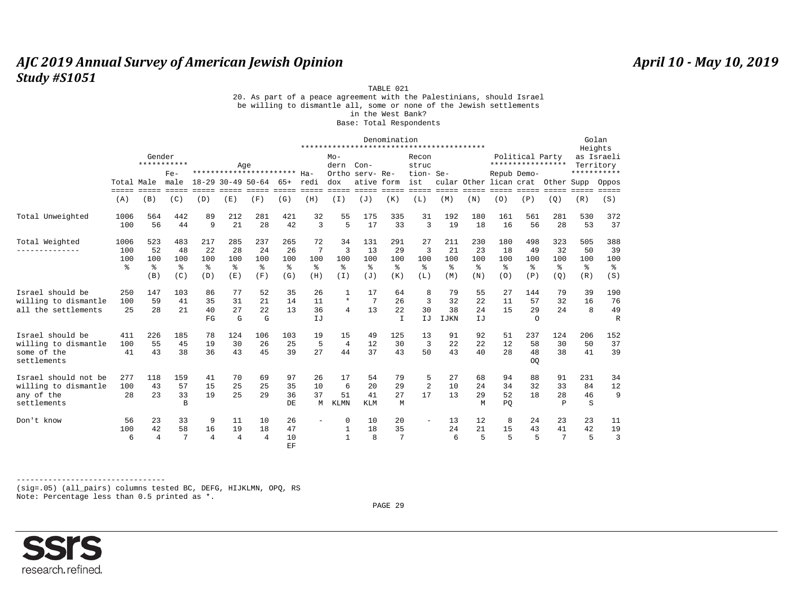TABLE 021

20. As part of a peace agreement with the Palestinians, should Israel be willing to dismantle all, some or none of the Jewish settlements in the West Bank? Base: Total Respondents

|                                                                           |                         |                              |                                |                              |                                      |                              |                                      |                                                                                                                                                                                                                                                                                                                                                                                                                                                                                               |                                             |                               | Denomination                         |                            |                                             |                              |                                       |                                      |                                      | Golan<br>Heights                     |                                |
|---------------------------------------------------------------------------|-------------------------|------------------------------|--------------------------------|------------------------------|--------------------------------------|------------------------------|--------------------------------------|-----------------------------------------------------------------------------------------------------------------------------------------------------------------------------------------------------------------------------------------------------------------------------------------------------------------------------------------------------------------------------------------------------------------------------------------------------------------------------------------------|---------------------------------------------|-------------------------------|--------------------------------------|----------------------------|---------------------------------------------|------------------------------|---------------------------------------|--------------------------------------|--------------------------------------|--------------------------------------|--------------------------------|
|                                                                           |                         | Gender                       | ***********                    |                              | Aqe                                  |                              |                                      |                                                                                                                                                                                                                                                                                                                                                                                                                                                                                               | $M_O -$<br>dern                             | $Con-$                        |                                      | Recon<br>struc             |                                             |                              |                                       | Political Party<br>***************** |                                      | Territory                            | as Israeli                     |
|                                                                           | Total Male              |                              | $Fe-$<br>male                  | $18-29$ 30-49 50-64 65+      | *********************** Ha-          |                              |                                      | redi                                                                                                                                                                                                                                                                                                                                                                                                                                                                                          | dox                                         | Ortho serv- Re-<br>ative form |                                      | tion- Se-<br>ist           |                                             |                              | Repub Demo-<br>cular Other lican crat |                                      | Other Supp                           |                                      | ***********<br>Oppos           |
|                                                                           | =====<br>(A)            | $=$ $=$ $=$ $=$<br>(B)       | (C)                            | (D)                          | (E)                                  | (F)                          | (G)                                  | $\begin{array}{cccccccccc} \multicolumn{2}{c}{} & \multicolumn{2}{c}{} & \multicolumn{2}{c}{} & \multicolumn{2}{c}{} & \multicolumn{2}{c}{} & \multicolumn{2}{c}{} & \multicolumn{2}{c}{} & \multicolumn{2}{c}{} & \multicolumn{2}{c}{} & \multicolumn{2}{c}{} & \multicolumn{2}{c}{} & \multicolumn{2}{c}{} & \multicolumn{2}{c}{} & \multicolumn{2}{c}{} & \multicolumn{2}{c}{} & \multicolumn{2}{c}{} & \multicolumn{2}{c}{} & \multicolumn{2}{c}{} & \multicolumn{2}{c}{} & \mult$<br>(H) | $\frac{1}{2}$<br>(T)                        | (J)                           | (K)                                  | <b>EEEEE</b><br>(L)        | $\equiv \equiv \equiv \equiv \equiv$<br>(M) | (N)                          | $=$ $=$ $=$ $=$<br>(0)                | $=$ $=$ $=$ $=$<br>(P)               | (Q)                                  | ====<br>(R)                          | $= 1.12$<br>(S)                |
| Total Unweighted                                                          | 1006<br>100             | 564<br>56                    | 442<br>44                      | 89<br>9                      | 212<br>21                            | 281<br>28                    | 421<br>42                            | 32<br>3                                                                                                                                                                                                                                                                                                                                                                                                                                                                                       | 55<br>5                                     | 175<br>17                     | 335<br>33                            | 31<br>3                    | 192<br>19                                   | 180<br>18                    | 161<br>16                             | 561<br>56                            | 281<br>28                            | 530<br>53                            | 372<br>37                      |
| Total Weighted<br>--------------                                          | 1006<br>100<br>100<br>့ | 523<br>52<br>100<br>፠<br>(B) | 483<br>48<br>100<br>°<br>(C)   | 217<br>22<br>100<br>⊱<br>(D) | 285<br>28<br>100<br>$\approx$<br>(E) | 237<br>24<br>100<br>⊱<br>(F) | 265<br>26<br>100<br>$\approx$<br>(G) | 72<br>7<br>100<br>$\approx$<br>(H)                                                                                                                                                                                                                                                                                                                                                                                                                                                            | 34<br>3<br>100<br>$\approx$<br>$(\top)$     | 131<br>13<br>100<br>⊱<br>(J)  | 291<br>29<br>100<br>$\approx$<br>(K) | 27<br>3<br>100<br>⊱<br>(L) | 211<br>21<br>100<br>°<br>(M)                | 230<br>23<br>100<br>፠<br>(N) | 180<br>18<br>100<br>٥Ŗ<br>(0)         | 498<br>49<br>100<br>°<br>(P)         | 323<br>32<br>100<br>$\approx$<br>(0) | 505<br>50<br>100<br>$\approx$<br>(R) | 388<br>39<br>100<br>⊱<br>(S)   |
| Israel should be<br>willing to dismantle<br>all the settlements           | 250<br>100<br>25        | 147<br>59<br>2.8             | 103<br>41<br>2.1               | 86<br>35<br>40<br>FG         | 77<br>31<br>27<br>$\mathsf{G}$       | 52<br>21<br>2.2.<br>G        | 35<br>14<br>13                       | 26<br>11<br>36<br>LJ                                                                                                                                                                                                                                                                                                                                                                                                                                                                          | $\mathbf{1}$<br>$\star$<br>4                | 17<br>7<br>13                 | 64<br>26<br>2.2.<br>$\mathbf{T}$     | 8<br>3<br>30<br>IJ         | 79<br>32<br>38<br><b>LJKN</b>               | 55<br>22<br>2.4<br><b>IJ</b> | 27<br>11<br>15                        | 144<br>57<br>29<br>$\Omega$          | 79<br>32<br>2.4                      | 39<br>16<br>8                        | 190<br>76<br>49<br>$\mathbb R$ |
| Israel should be<br>willing to dismantle<br>some of the<br>settlements    | 411<br>100<br>41        | 226<br>55<br>43              | 185<br>45<br>38                | 78<br>19<br>36               | 124<br>30<br>43                      | 106<br>26<br>45              | 103<br>25<br>39                      | 19<br>5<br>27                                                                                                                                                                                                                                                                                                                                                                                                                                                                                 | 15<br>$\overline{4}$<br>44                  | 49<br>12<br>37                | 125<br>30<br>43                      | 13<br>3<br>50              | 91<br>22<br>43                              | 92<br>22<br>40               | 51<br>12<br>2.8                       | 237<br>58<br>48<br><b>OO</b>         | 124<br>30<br>38                      | 206<br>50<br>41                      | 152<br>37<br>39                |
| Israel should not be<br>willing to dismantle<br>any of the<br>settlements | 277<br>100<br>28        | 118<br>43<br>23              | 159<br>57<br>33<br>$\mathbf B$ | 41<br>15<br>19               | 70<br>25<br>2.5                      | 69<br>25<br>2.9              | 97<br>35<br>36<br>DE                 | 26<br>10<br>37<br>M                                                                                                                                                                                                                                                                                                                                                                                                                                                                           | 17<br>6<br>51<br>KLMN                       | 54<br>20<br>41<br><b>KLM</b>  | 79<br>29<br>2.7<br>M                 | 5<br>2<br>17               | 27<br>10<br>13                              | 68<br>24<br>29<br>М          | 94<br>34<br>52<br>PQ                  | 88<br>32<br>18                       | 91<br>33<br>28<br>$\mathsf{P}$       | 231<br>84<br>46<br>S                 | 34<br>12<br>9                  |
| Don't know                                                                | 56<br>100<br>6          | 23<br>42<br>$\overline{4}$   | 33<br>58<br>7                  | 9<br>16<br>4                 | 11<br>19<br>$\overline{4}$           | 10<br>18<br>$\overline{4}$   | 26<br>47<br>10<br>E.F                | $\overline{\phantom{0}}$                                                                                                                                                                                                                                                                                                                                                                                                                                                                      | $\mathbf 0$<br>$\mathbf{1}$<br>$\mathbf{1}$ | 10<br>18<br>8                 | 20<br>35<br>7                        | $\equiv$                   | 13<br>24<br>$\epsilon$                      | 12<br>21<br>5                | 8<br>15<br>5                          | 24<br>43<br>5                        | 23<br>41<br>7                        | 23<br>42<br>5                        | 11<br>19<br>$\overline{3}$     |

----------------------------------(sig=.05) (all\_pairs) columns tested BC, DEFG, HIJKLMN, OPQ, RS Note: Percentage less than 0.5 printed as \*.

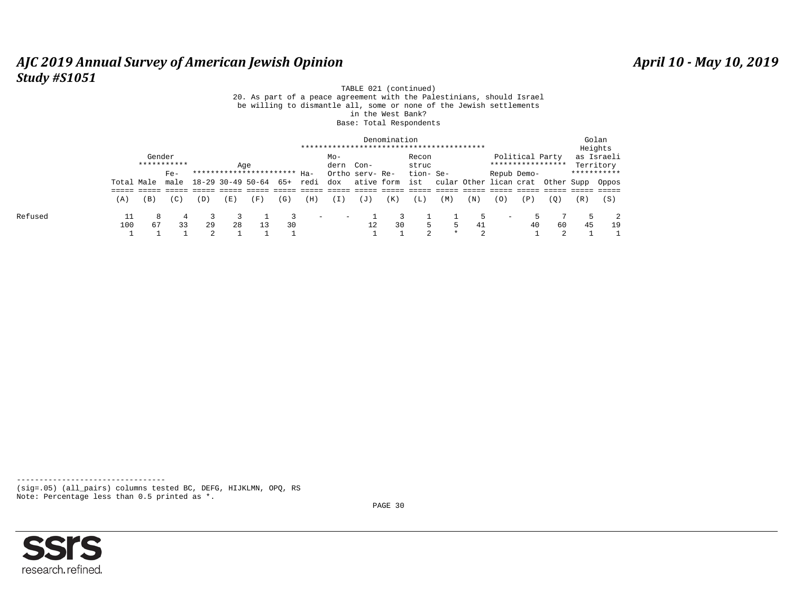# April 10 - May 10, 2019

### TABLE 021 (continued) 20. As part of a peace agreement with the Palestinians, should Israel be willing to dismantle all, some or none of the Jewish settlements in the West Bank? Base: Total Respondents

|         |            |        |             |     |     |                             |     |                          |                          |                 | Denomination   |               |         |                      |                          |                   |                                   |     | Golan       |
|---------|------------|--------|-------------|-----|-----|-----------------------------|-----|--------------------------|--------------------------|-----------------|----------------|---------------|---------|----------------------|--------------------------|-------------------|-----------------------------------|-----|-------------|
|         |            |        |             |     |     |                             |     |                          |                          |                 |                |               |         |                      |                          |                   |                                   |     | Heights     |
|         |            | Gender |             |     |     |                             |     |                          | $M_O -$                  |                 |                | Recon         |         |                      |                          | Political Party   |                                   |     | as Israeli  |
|         |            |        | *********** |     |     | Age                         |     |                          | dern Con-                |                 |                | struc         |         |                      |                          | ***************** |                                   |     | Territory   |
|         |            |        | $Fe-$       |     |     | *********************** Ha- |     |                          |                          | Ortho serv- Re- |                | tion- Se-     |         |                      | Repub Demo-              |                   |                                   |     | *********** |
|         | Total Male |        | male        |     |     | 18-29 30-49 50-64           | 65+ | redi                     | dox                      |                 | ative form ist |               |         |                      |                          |                   | cular Other lican crat Other Supp |     | Oppos       |
|         |            |        |             |     |     |                             |     |                          |                          |                 |                |               |         |                      |                          |                   |                                   |     |             |
|         | (A)        | (B)    | C           | (D) | (E) | Έ.                          | (G) | (H)                      | I                        | ( J             | 'K.            | (L)           | (M)     | $(\, \mathrm{N} \,)$ | ( O )                    | (P                | (Q)                               | (R) | (S)         |
| Refused |            | 8      |             |     |     |                             |     | $\overline{\phantom{a}}$ | $\overline{\phantom{a}}$ |                 |                |               |         |                      | $\overline{\phantom{m}}$ |                   |                                   | 5   | - 2.        |
|         | 100        | 67     | 33          | 29  | 28  | 13                          | 30  |                          |                          | 12              | 30             | $\mathcal{P}$ | ∽       | 41                   |                          | 40                | 60                                | 45  | 19          |
|         |            |        |             |     |     |                             |     |                          |                          |                 |                | 2             | $\star$ |                      |                          |                   |                                   |     |             |

-----------------------------

(sig=.05) (all\_pairs) columns tested BC, DEFG, HIJKLMN, OPQ, RS Note: Percentage less than 0.5 printed as \*.

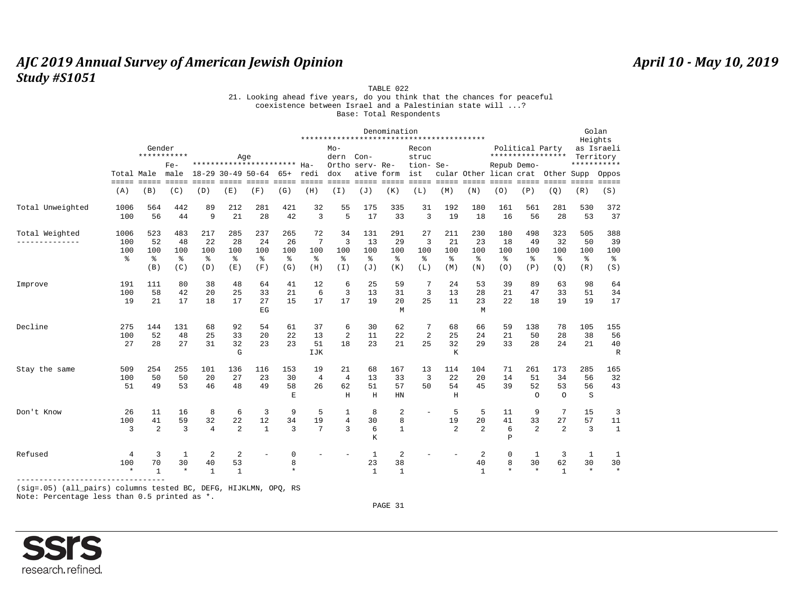#### TABLE 022 21. Looking ahead five years, do you think that the chances for peaceful coexistence between Israel and a Palestinian state will ...? Base: Total Respondents

|                                |                                  |                                                           |                               |                           |                           |                                       |                            |                              |                                 |                                                    | Denomination                         |                     |                                      |                                      |                                        |                                      |                                                    | Golan<br>Heights               |                                |
|--------------------------------|----------------------------------|-----------------------------------------------------------|-------------------------------|---------------------------|---------------------------|---------------------------------------|----------------------------|------------------------------|---------------------------------|----------------------------------------------------|--------------------------------------|---------------------|--------------------------------------|--------------------------------------|----------------------------------------|--------------------------------------|----------------------------------------------------|--------------------------------|--------------------------------|
|                                |                                  | Gender                                                    | ***********                   |                           |                           | Aqe                                   |                            |                              | $Mo-$<br>dern                   | $Con-$                                             |                                      | Recon<br>struc      |                                      |                                      |                                        | Political Party<br>***************** |                                                    | Territory                      | as Israeli                     |
|                                |                                  |                                                           | $Fe-$                         |                           |                           | *********************** Ha-           |                            |                              |                                 | Ortho serv- Re-                                    |                                      | tion- Se-           |                                      |                                      |                                        | Repub Demo-                          |                                                    |                                | ***********                    |
|                                | $=$ $=$ $=$ $=$                  | Total Male<br>$\equiv \equiv \equiv \equiv \equiv \equiv$ | male<br>$= 1.12$              | <b>EEEEE</b>              | $-----$                   | 18-29 30-49 50-64<br>$-------$        | $65+$                      | redi<br>$\frac{1}{2}$        | dox<br><b>EBBED</b>             | ative form<br>$\equiv \equiv \equiv \equiv \equiv$ | $\equiv \equiv \equiv \equiv \equiv$ | ist<br>$= 1.12$     | $\equiv \equiv \equiv \equiv \equiv$ | $\equiv \equiv \equiv \equiv \equiv$ | cular Other lican crat<br><b>EEEEE</b> | $\equiv \equiv \equiv \equiv \equiv$ | Other Supp<br>$\equiv \equiv \equiv \equiv \equiv$ | <b>EBBED</b>                   | Oppos<br>$= 1.12$              |
|                                | (A)                              | (B)                                                       | (C)                           | (D)                       | (E)                       | (F)                                   | $=$ $=$ $=$ $=$ $=$<br>(G) | (H)                          | $(\top)$                        | (J)                                                | (K)                                  | (L)                 | (M)                                  | (N)                                  | (0)                                    | (P)                                  | (Q)                                                | (R)                            | (S)                            |
| Total Unweighted               | 1006<br>100                      | 564<br>56                                                 | 442<br>44                     | 89<br>9                   | 212<br>21                 | 281<br>28                             | 421<br>42                  | 32<br>3                      | 55<br>5                         | 175<br>17                                          | 335<br>33                            | 31<br>3             | 192<br>19                            | 180<br>18                            | 161<br>16                              | 561<br>56                            | 281<br>28                                          | 530<br>53                      | 372<br>37                      |
| Total Weighted                 | 1006<br>100<br>100<br>፠          | 523<br>52<br>100<br>ి                                     | 483<br>48<br>100<br>ి         | 217<br>22<br>100<br>ႜ     | 285<br>28<br>100<br>န့    | 237<br>24<br>100<br>နွ                | 265<br>26<br>100<br>ႜ      | 72<br>7<br>100<br>ႜ          | 34<br>3<br>100<br>နွ            | 131<br>13<br>100<br>နွ                             | 291<br>29<br>100<br>ి                | 27<br>3<br>100<br>ႜ | 211<br>21<br>100<br>ႜ                | 230<br>23<br>100<br>$\epsilon$       | 180<br>18<br>100<br>ႜ                  | 498<br>49<br>100<br>ిక               | 323<br>32<br>100<br>နွ                             | 505<br>50<br>100<br>$\epsilon$ | 388<br>39<br>100<br>$\epsilon$ |
|                                |                                  | (B)                                                       | (C)                           | (D)                       | (E)                       | (F)                                   | (G)                        | (H)                          | $(\top)$                        | (J)                                                | (K)                                  | (L)                 | (M)                                  | (N)                                  | (0)                                    | (P)                                  | (Q)                                                | (R)                            | (S)                            |
| Improve                        | 191<br>100<br>19                 | 111<br>58<br>21                                           | 80<br>42<br>17                | 38<br>20<br>18            | 48<br>25<br>17            | 64<br>33<br>27<br>$\operatorname{EG}$ | 41<br>21<br>15             | 12<br>6<br>17                | 6<br>3<br>17                    | 25<br>13<br>19                                     | 59<br>31<br>20<br>М                  | 7<br>3<br>25        | 24<br>13<br>11                       | 53<br>28<br>23<br>M                  | 39<br>21<br>22                         | 89<br>47<br>18                       | 63<br>33<br>19                                     | 98<br>51<br>19                 | 64<br>34<br>17                 |
| Decline                        | 275<br>100<br>27                 | 144<br>52<br>28                                           | 131<br>48<br>27               | 68<br>25<br>31            | 92<br>33<br>32<br>G       | 54<br>20<br>23                        | 61<br>22<br>2.3            | 37<br>13<br>51<br><b>IJK</b> | 6<br>$\overline{a}$<br>18       | 30<br>11<br>23                                     | 62<br>22<br>2.1                      | 7<br>2<br>25        | 68<br>25<br>32<br>K                  | 66<br>24<br>29                       | 59<br>21<br>33                         | 138<br>50<br>28                      | 78<br>28<br>24                                     | 105<br>38<br>21                | 155<br>56<br>40<br>$\mathbb R$ |
| Stay the same                  | 509<br>100<br>51                 | 254<br>50<br>49                                           | 255<br>50<br>53               | 101<br>20<br>46           | 136<br>27<br>48           | 116<br>23<br>49                       | 153<br>30<br>58<br>E       | 19<br>$\overline{4}$<br>26   | 21<br>$\overline{4}$<br>62<br>H | 68<br>13<br>51<br>H                                | 167<br>33<br>57<br>HN                | 13<br>3<br>50       | 114<br>22<br>54<br>H                 | 104<br>20<br>45                      | 71<br>14<br>39                         | 261<br>51<br>52<br>$\Omega$          | 173<br>34<br>53<br>$\Omega$                        | 285<br>56<br>56<br>S           | 165<br>32<br>43                |
| Don't Know                     | 26<br>100<br>3                   | 11<br>41<br>2                                             | 16<br>59<br>$\overline{3}$    | 8<br>32<br>$\overline{4}$ | 6<br>22<br>$\overline{2}$ | 3<br>12<br>$\mathbf{1}$               | 9<br>34<br>3               | 5<br>19<br>7                 | 1<br>$\overline{4}$<br>3        | 8<br>30<br>6<br>K                                  | $\overline{2}$<br>8<br>$\mathbf{1}$  | $\equiv$            | 5<br>19<br>$\mathfrak{D}$            | 5<br>20<br>2                         | 11<br>41<br>6<br>$\, {\bf P}$          | 9<br>33<br>$\overline{2}$            | 7<br>27<br>2                                       | 15<br>57<br>3                  | 3<br>11<br>$\mathbf{1}$        |
| Refused<br>------------------- | $\overline{4}$<br>100<br>$\star$ | 3<br>70<br>$\mathbf{1}$                                   | $\mathbf{1}$<br>30<br>$\star$ | 2<br>40<br>$\mathbf{1}$   | 2<br>53<br>$\mathbf{1}$   |                                       | $\Omega$<br>8<br>$\star$   |                              |                                 | $\mathbf{1}$<br>23<br>$\mathbf{1}$                 | $\overline{2}$<br>38<br>$\mathbf{1}$ |                     |                                      | 2<br>40<br>$\mathbf{1}$              | $\mathbf 0$<br>8<br>$\star$            | 1<br>30<br>$\star$                   | 3<br>62<br>$\mathbf{1}$                            | $\mathbf{1}$<br>30<br>$\star$  | 1<br>30<br>$\star$             |

(sig=.05) (all\_pairs) columns tested BC, DEFG, HIJKLMN, OPQ, RS Note: Percentage less than 0.5 printed as \*.

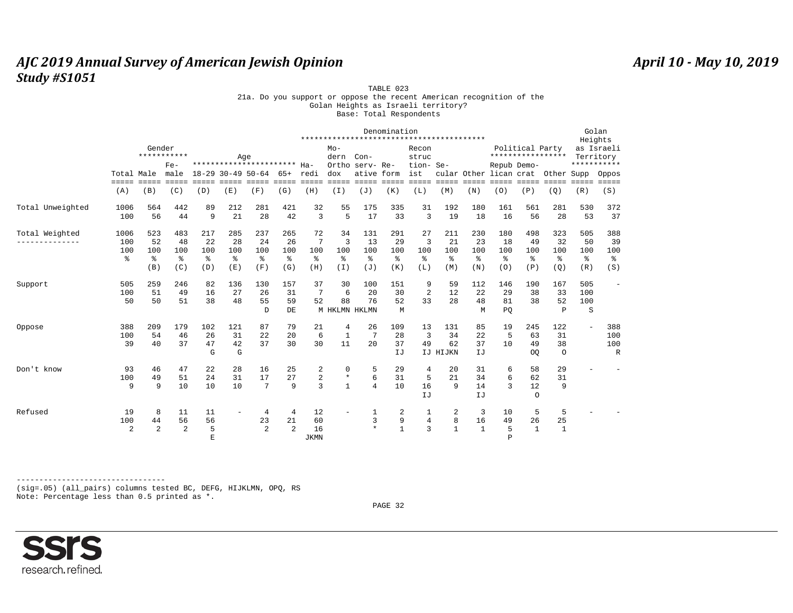#### TABLE 023 21a. Do you support or oppose the recent American recognition of the Golan Heights as Israeli territory? Base: Total Respondents

|                                  |                                 |                              |                                             |                              |                              |                                    |                              |                               |                                          |                                      | Denomination                 |                            |                                                                                                                                                                                                                                                                                                                                                                                                                                                                                               |                              |                                             |                              |                                 |                               | Golan<br>Heights                 |
|----------------------------------|---------------------------------|------------------------------|---------------------------------------------|------------------------------|------------------------------|------------------------------------|------------------------------|-------------------------------|------------------------------------------|--------------------------------------|------------------------------|----------------------------|-----------------------------------------------------------------------------------------------------------------------------------------------------------------------------------------------------------------------------------------------------------------------------------------------------------------------------------------------------------------------------------------------------------------------------------------------------------------------------------------------|------------------------------|---------------------------------------------|------------------------------|---------------------------------|-------------------------------|----------------------------------|
|                                  |                                 | Gender                       | ***********<br>$Fe-$                        |                              |                              | Aqe<br>*********************** Ha- |                              |                               | $M_O -$<br>dern                          | $Con-$<br>Ortho serv- Re-            |                              | Recon<br>struc             |                                                                                                                                                                                                                                                                                                                                                                                                                                                                                               |                              |                                             | Political Party              | *****************               | Territory                     | as Israeli<br>***********        |
|                                  | Total Male                      |                              | male                                        |                              |                              | 18-29 30-49 50-64                  | 65+                          | redi                          | dox                                      | ative form                           |                              | tion- Se-<br>ist           |                                                                                                                                                                                                                                                                                                                                                                                                                                                                                               |                              | cular Other lican crat                      | Repub Demo-                  | Other Supp                      |                               | Oppos                            |
|                                  | $=$ $=$ $=$ $=$<br>(A)          | $=$ $=$ $=$ $=$<br>(B)       | $\equiv \equiv \equiv \equiv \equiv$<br>(C) | (D)                          | (E)                          | (F)                                | (G)                          | -----<br>(H)                  | $\frac{1}{2}$<br>$(\top)$                | (J)                                  | ----<br>(K)                  | $=$ $=$ $=$ $=$ $=$<br>(L) | $\begin{array}{cccccccccc} \multicolumn{2}{c}{} & \multicolumn{2}{c}{} & \multicolumn{2}{c}{} & \multicolumn{2}{c}{} & \multicolumn{2}{c}{} & \multicolumn{2}{c}{} & \multicolumn{2}{c}{} & \multicolumn{2}{c}{} & \multicolumn{2}{c}{} & \multicolumn{2}{c}{} & \multicolumn{2}{c}{} & \multicolumn{2}{c}{} & \multicolumn{2}{c}{} & \multicolumn{2}{c}{} & \multicolumn{2}{c}{} & \multicolumn{2}{c}{} & \multicolumn{2}{c}{} & \multicolumn{2}{c}{} & \multicolumn{2}{c}{} & \mult$<br>(M) | (N)                          | $\equiv \equiv \equiv \equiv \equiv$<br>(0) | $\frac{1}{2}$<br>(P)         | (Q)                             | ====<br>(R)                   | $= 122224$<br>(S)                |
| Total Unweighted                 | 1006<br>100                     | 564<br>56                    | 442<br>44                                   | 89<br>9                      | 212<br>21                    | 281<br>28                          | 421<br>42                    | 32<br>3                       | 55<br>5                                  | 175<br>17                            | 335<br>33                    | 31<br>3                    | 192<br>19                                                                                                                                                                                                                                                                                                                                                                                                                                                                                     | 180<br>18                    | 161<br>16                                   | 561<br>56                    | 281<br>28                       | 530<br>53                     | 372<br>37                        |
| Total Weighted<br>-------------- | 1006<br>100<br>100<br>$\approx$ | 523<br>52<br>100<br>ి<br>(B) | 483<br>48<br>100<br>°<br>(C)                | 217<br>22<br>100<br>፠<br>(D) | 285<br>28<br>100<br>፠<br>(E) | 237<br>24<br>100<br>۶.<br>(F)      | 265<br>26<br>100<br>⊱<br>(G) | 72<br>7<br>100<br>နွ<br>(H)   | 34<br>$\overline{3}$<br>100<br>နွ<br>(T) | 131<br>13<br>100<br>$\approx$<br>(J) | 291<br>29<br>100<br>ి<br>(K) | 27<br>3<br>100<br>ి<br>(L) | 211<br>21<br>100<br>⊱<br>(M)                                                                                                                                                                                                                                                                                                                                                                                                                                                                  | 230<br>23<br>100<br>ႜ<br>(N) | 180<br>18<br>100<br>ႜ<br>(0)                | 498<br>49<br>100<br>昙<br>(P) | 323<br>32<br>100<br>ႜ<br>(Q)    | 505<br>50<br>100<br>နွ<br>(R) | 388<br>39<br>100<br>နွ<br>(S)    |
| Support                          | 505<br>100<br>50                | 259<br>51<br>50              | 246<br>49<br>51                             | 82<br>16<br>38               | 136<br>2.7<br>48             | 130<br>26<br>55<br>D               | 157<br>31<br>59<br>DE        | 37<br>7<br>52                 | 30<br>6<br>88<br>M HKLMN HKLMN           | 100<br>20<br>76                      | 151<br>30<br>52<br>M         | 9<br>2<br>33               | 59<br>12<br>2.8                                                                                                                                                                                                                                                                                                                                                                                                                                                                               | 112<br>22<br>48<br>M         | 146<br>29<br>81<br>PQ                       | 190<br>38<br>38              | 167<br>33<br>52<br>$\mathsf{P}$ | 505<br>100<br>100<br>S        |                                  |
| Oppose                           | 388<br>100<br>39                | 209<br>54<br>40              | 179<br>46<br>37                             | 102<br>26<br>47<br>G         | 121<br>31<br>42<br>G         | 87<br>22<br>37                     | 79<br>20<br>30               | 21<br>6<br>30                 | 4<br>1<br>11                             | 26<br>2.0                            | 109<br>28<br>37<br>T.T       | 13<br>3<br>49              | 131<br>34<br>62<br>IJ HIJKN                                                                                                                                                                                                                                                                                                                                                                                                                                                                   | 85<br>22<br>37<br>IJ         | 19<br>5<br>10                               | 245<br>63<br>49<br>OQ        | 122<br>31<br>38<br>$\Omega$     | $\overline{\phantom{a}}$      | 388<br>100<br>100<br>$\mathbb R$ |
| Don't know                       | 93<br>100<br>9                  | 46<br>49<br>9                | 47<br>51<br>10                              | 22<br>24<br>10               | 28<br>31<br>10               | 16<br>17<br>7                      | 25<br>27<br>9                | 2<br>$\sqrt{2}$<br>3          | 0<br>$\star$<br>$\mathbf{1}$             | 5<br>6<br>$\overline{4}$             | 29<br>31<br>10               | 4<br>5<br>16<br>IJ         | 20<br>21<br>9                                                                                                                                                                                                                                                                                                                                                                                                                                                                                 | 31<br>34<br>14<br>IJ         | 6<br>6<br>3                                 | 58<br>62<br>12<br>$\circ$    | 29<br>31<br>9                   |                               |                                  |
| Refused                          | 19<br>100<br>$\overline{a}$     | 8<br>44<br>2                 | 11<br>56<br>$\overline{2}$                  | 11<br>56<br>5<br>F.          |                              | 4<br>23<br>$\overline{2}$          | 4<br>21<br>2                 | 12<br>60<br>16<br><b>JKMN</b> | -                                        | 3<br>$\Phi$                          | 2<br>9<br>$\mathbf{1}$       | 1<br>4<br>3                | 2<br>8<br>$\mathbf{1}$                                                                                                                                                                                                                                                                                                                                                                                                                                                                        | 3<br>16<br>$\mathbf{1}$      | 10<br>49<br>5<br>$\mathsf{P}$               | 5<br>26<br>$\mathbf{1}$      | 5<br>25<br>$\mathbf{1}$         |                               |                                  |

--------------------------------- (sig=.05) (all\_pairs) columns tested BC, DEFG, HIJKLMN, OPQ, RS

Note: Percentage less than 0.5 printed as \*.

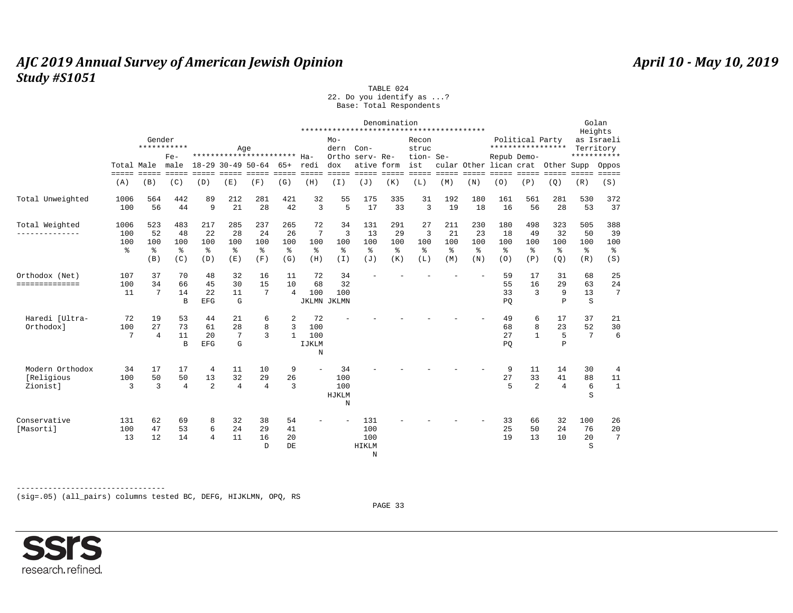#### TABLE 024 22. Do you identify as ...? Base: Total Respondents

|                                           |                                 |                                       |                                      |                                      |                                                                                                                                                                                                                                                                                                                                                                                                                                                                                        |                                    |                                               |                                                 |                                         |                                        | Denomination                         |                                         |                                      |                               |                              |                                      |                                |                                     | Golan<br>Heights             |
|-------------------------------------------|---------------------------------|---------------------------------------|--------------------------------------|--------------------------------------|----------------------------------------------------------------------------------------------------------------------------------------------------------------------------------------------------------------------------------------------------------------------------------------------------------------------------------------------------------------------------------------------------------------------------------------------------------------------------------------|------------------------------------|-----------------------------------------------|-------------------------------------------------|-----------------------------------------|----------------------------------------|--------------------------------------|-----------------------------------------|--------------------------------------|-------------------------------|------------------------------|--------------------------------------|--------------------------------|-------------------------------------|------------------------------|
|                                           |                                 | Gender                                | ***********                          |                                      |                                                                                                                                                                                                                                                                                                                                                                                                                                                                                        | Age                                |                                               |                                                 | $M_O -$<br>dern Con-                    |                                        |                                      | Recon<br>struc                          |                                      |                               |                              | Political Party                      | *****************              |                                     | as Israeli<br>Territory      |
|                                           |                                 |                                       | $Fe-$                                |                                      |                                                                                                                                                                                                                                                                                                                                                                                                                                                                                        | ***********************            |                                               | $Ha-$                                           |                                         | Ortho serv- Re-                        |                                      | tion- Se-                               |                                      |                               | Repub Demo-                  |                                      |                                |                                     | ***********                  |
|                                           |                                 | Total Male<br>sesse sesse             | male<br><b>EBBER</b>                 |                                      | $\begin{array}{cccccccccc} \multicolumn{2}{c}{} & \multicolumn{2}{c}{} & \multicolumn{2}{c}{} & \multicolumn{2}{c}{} & \multicolumn{2}{c}{} & \multicolumn{2}{c}{} & \multicolumn{2}{c}{} & \multicolumn{2}{c}{} & \multicolumn{2}{c}{} & \multicolumn{2}{c}{} & \multicolumn{2}{c}{} & \multicolumn{2}{c}{} & \multicolumn{2}{c}{} & \multicolumn{2}{c}{} & \multicolumn{2}{c}{} & \multicolumn{2}{c}{} & \multicolumn{2}{c}{} & \multicolumn{2}{c}{} & \multicolumn{2}{c}{} & \mult$ | 18-29 30-49 50-64<br>$\frac{1}{2}$ | $65+$<br>$\equiv \equiv \equiv \equiv \equiv$ | redi                                            | dox<br>$\frac{1}{2}$                    | ative form<br>$- - - - - -$            | $\equiv \equiv \equiv \equiv \equiv$ | ist<br>$\frac{1}{2}$                    |                                      | $\frac{1}{2}$                 | cular Other lican crat       | eeese eesse                          | Other Supp                     | $\frac{1}{2}$                       | Oppos<br>$= 1.12$            |
|                                           | (A)                             | (B)                                   | (C)                                  | (D)                                  | (E)                                                                                                                                                                                                                                                                                                                                                                                                                                                                                    | (F)                                | (G)                                           | (H)                                             | (T)                                     | (J)                                    | (K)                                  | (L)                                     | (M)                                  | (N)                           | (0)                          | (P)                                  | (Q)                            | (R)                                 | (S)                          |
| Total Unweighted                          | 1006<br>100                     | 564<br>56                             | 442<br>44                            | 89<br>9                              | 212<br>21                                                                                                                                                                                                                                                                                                                                                                                                                                                                              | 281<br>28                          | 421<br>42                                     | 32<br>$\overline{3}$                            | 55<br>5                                 | 175<br>17                              | 335<br>33                            | 31<br>3                                 | 192<br>19                            | 180<br>18                     | 161<br>16                    | 561<br>56                            | 281<br>28                      | 530<br>53                           | 372<br>37                    |
| Total Weighted<br>--------------          | 1006<br>100<br>100<br>$\approx$ | 523<br>52<br>100<br>$\epsilon$<br>(B) | 483<br>48<br>100<br>$\approx$<br>(C) | 217<br>22<br>100<br>$\approx$<br>(D) | 285<br>28<br>100<br>နွ<br>(E)                                                                                                                                                                                                                                                                                                                                                                                                                                                          | 237<br>24<br>100<br>៖<br>(F)       | 265<br>26<br>100<br>ి<br>(G)                  | 72<br>$7\phantom{.0}$<br>100<br>နွ<br>(H)       | 34<br>$\overline{3}$<br>100<br>ి<br>(T) | 131<br>13<br>100<br>ి<br>(J)           | 291<br>29<br>100<br>နွ<br>(K)        | 27<br>$\overline{3}$<br>100<br>ి<br>(L) | 211<br>21<br>100<br>$\approx$<br>(M) | 230<br>23<br>100<br>နွ<br>(N) | 180<br>18<br>100<br>ి<br>(0) | 498<br>49<br>100<br>$\approx$<br>(P) | 323<br>32<br>100<br>နွ<br>(Q)  | 505<br>50<br>100<br>နွ<br>(R)       | 388<br>39<br>100<br>ి<br>(S) |
| Orthodox (Net)<br>--------------          | 107<br>100<br>11                | 37<br>34<br>7                         | 70<br>66<br>14<br>B                  | 48<br>45<br>22<br><b>EFG</b>         | 32<br>30<br>11<br>$\mathsf{G}$                                                                                                                                                                                                                                                                                                                                                                                                                                                         | 16<br>15<br>7                      | 11<br>10<br>$\overline{4}$                    | 72<br>68<br>100                                 | 34<br>32<br>100<br>JKLMN JKLMN          |                                        |                                      |                                         |                                      |                               | 59<br>55<br>33<br>PQ         | 17<br>16<br>$\mathbf{3}$             | 31<br>2.9<br>9<br>$\mathsf{P}$ | 68<br>63<br>13<br>S                 | 25<br>24<br>7                |
| Haredi [Ultra-<br>Orthodox]               | 72<br>100<br>7                  | 19<br>27<br>$\overline{4}$            | 53<br>73<br>11<br>B                  | 44<br>61<br>20<br><b>EFG</b>         | 21<br>28<br>7<br>G                                                                                                                                                                                                                                                                                                                                                                                                                                                                     | 6<br>8<br>$\mathbf{3}$             | 2<br>3<br>$\mathbf{1}$                        | 72<br>100<br>100<br><b>IJKLM</b><br>$\mathbb N$ |                                         |                                        |                                      |                                         |                                      |                               | 49<br>68<br>27<br>PQ         | 6<br>8<br>$\mathbf{1}$               | 17<br>23<br>5<br>$\mathbf{P}$  | 37<br>52<br>7                       | 21<br>30<br>6                |
| Modern Orthodox<br>[Religious<br>Zionist] | 34<br>100<br>3                  | 17<br>50<br>3                         | 17<br>50<br>$\overline{4}$           | 4<br>13<br>$\overline{a}$            | 11<br>32<br>$\overline{4}$                                                                                                                                                                                                                                                                                                                                                                                                                                                             | 10<br>29<br>$\overline{4}$         | 9<br>26<br>3                                  | $\overline{\phantom{a}}$                        | 34<br>100<br>100<br>HJKLM<br>$\rm N$    |                                        |                                      |                                         |                                      |                               | 9<br>27<br>5                 | 11<br>33<br>$\overline{a}$           | 14<br>41<br>$\overline{4}$     | 30<br>88<br>6<br>$\, \mathbb{S} \,$ | 4<br>11<br>$\mathbf{1}$      |
| Conservative<br>[Masorti]                 | 131<br>100<br>13                | 62<br>47<br>12                        | 69<br>53<br>14                       | 8<br>6<br>$\overline{4}$             | 32<br>24<br>11                                                                                                                                                                                                                                                                                                                                                                                                                                                                         | 38<br>29<br>16<br>$\mathbf{D}$     | 54<br>41<br>20<br>DE                          |                                                 |                                         | 131<br>100<br>100<br><b>HIKLM</b><br>N |                                      |                                         |                                      |                               | 33<br>25<br>19               | 66<br>50<br>13                       | 32<br>24<br>10                 | 100<br>76<br>20<br>S                | 26<br>20<br>7                |

----------------------------- $\frac{1}{2}$ 

(sig=.05) (all\_pairs) columns tested BC, DEFG, HIJKLMN, OPQ, RS

PAGE 33



# April 10 - May 10, 2019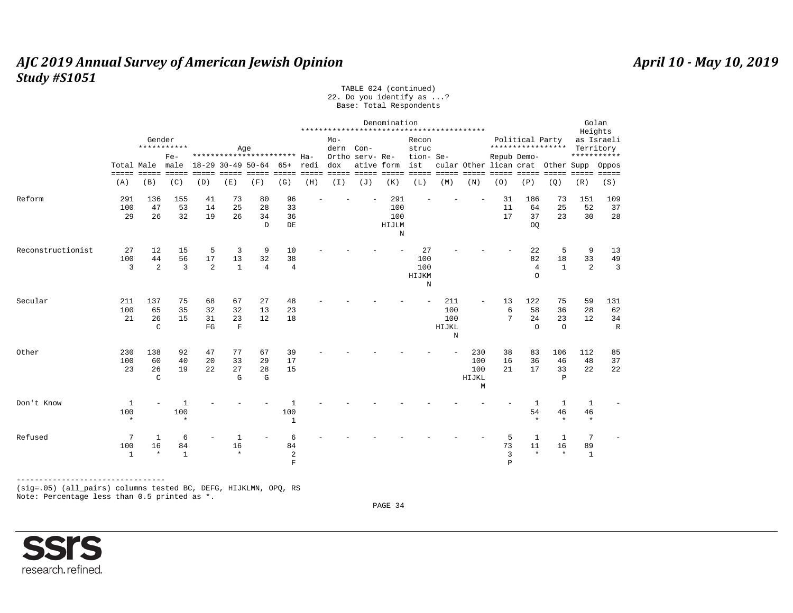# April 10 - May 10, 2019

TABLE 024 (continued) 22. Do you identify as ...? Base: Total Respondents

|                   |                                |                                             |                                |                      |                                             |                             |                                           |              | *********            |                          | Denomination                              | ***********************                  |                                                                                                                                                                                                                                                                                                                                                                                                                                                                                              |                                 |                              |                                                     |                                 | Heights                               | Golan                                  |
|-------------------|--------------------------------|---------------------------------------------|--------------------------------|----------------------|---------------------------------------------|-----------------------------|-------------------------------------------|--------------|----------------------|--------------------------|-------------------------------------------|------------------------------------------|----------------------------------------------------------------------------------------------------------------------------------------------------------------------------------------------------------------------------------------------------------------------------------------------------------------------------------------------------------------------------------------------------------------------------------------------------------------------------------------------|---------------------------------|------------------------------|-----------------------------------------------------|---------------------------------|---------------------------------------|----------------------------------------|
|                   |                                | Gender                                      | ***********<br>$Fe-$           |                      | Aqe                                         | *********************** Ha- |                                           |              | $M_O -$<br>dern Con- | Ortho serv- Re-          |                                           | Recon<br>struc<br>tion- Se-              |                                                                                                                                                                                                                                                                                                                                                                                                                                                                                              |                                 |                              | Political Party<br>*****************<br>Repub Demo- |                                 |                                       | as Israeli<br>Territory<br>*********** |
|                   | Total Male                     |                                             | male                           |                      |                                             | 18-29 30-49 50-64           | $65+$                                     | redi         | dox                  | ative form               |                                           | ist                                      |                                                                                                                                                                                                                                                                                                                                                                                                                                                                                              |                                 | cular Other lican crat       |                                                     | Other Supp                      |                                       | Oppos                                  |
|                   | $=$ $=$ $=$ $=$ $=$<br>(A)     | $\equiv \equiv \equiv \equiv \equiv$<br>(B) | (C)                            | EEEEE EEEEE<br>(D)   | $\equiv \equiv \equiv \equiv \equiv$<br>(E) | --<br>(F)                   | $- - - - - -$<br>(G)                      | $---$<br>(H) | $\frac{1}{2}$<br>(I) | $\pm\pm\pm\pm\pm$<br>(J) | $\frac{1}{2}$<br>(K)                      | $\frac{1}{2}$<br>(L)                     | $\begin{array}{ccccccccc} \multicolumn{2}{c}{} & \multicolumn{2}{c}{} & \multicolumn{2}{c}{} & \multicolumn{2}{c}{} & \multicolumn{2}{c}{} & \multicolumn{2}{c}{} & \multicolumn{2}{c}{} & \multicolumn{2}{c}{} & \multicolumn{2}{c}{} & \multicolumn{2}{c}{} & \multicolumn{2}{c}{} & \multicolumn{2}{c}{} & \multicolumn{2}{c}{} & \multicolumn{2}{c}{} & \multicolumn{2}{c}{} & \multicolumn{2}{c}{} & \multicolumn{2}{c}{} & \multicolumn{2}{c}{} & \multicolumn{2}{c}{} & \mult$<br>(M) | $\frac{1}{2}$<br>(N)            | $\frac{1}{2}$<br>(0)         | (P)                                                 | $\frac{1}{2}$<br>(Q)            | $= - - - -$<br>(R)                    | $= - - - -$<br>(S)                     |
| Reform            | 291<br>100<br>29               | 136<br>47<br>26                             | 155<br>53<br>32                | 41<br>14<br>19       | 73<br>2.5<br>26                             | 80<br>2.8<br>34<br>D        | 96<br>33<br>36<br>DE                      |              |                      |                          | 291<br>100<br>100<br>HIJLM<br>$\mathbb N$ |                                          |                                                                                                                                                                                                                                                                                                                                                                                                                                                                                              |                                 | 31<br>11<br>17               | 186<br>64<br>37<br><b>OO</b>                        | 73<br>25<br>23                  | 151<br>52<br>30                       | 109<br>37<br>28                        |
| Reconstructionist | 27<br>100<br>3                 | 12<br>44<br>2                               | 15<br>56<br>$\overline{3}$     | 5<br>17<br>2         | 3<br>13<br>$\mathbf{1}$                     | 9<br>32<br>$\overline{4}$   | 10<br>38<br>$\overline{4}$                |              |                      |                          |                                           | 27<br>100<br>100<br>HIJKM<br>$\mathbf N$ |                                                                                                                                                                                                                                                                                                                                                                                                                                                                                              |                                 |                              | 22<br>82<br>$\overline{4}$<br>$\Omega$              | 5<br>18<br>$\mathbf{1}$         | 9<br>33<br>2                          | 13<br>49<br>3                          |
| Secular           | 211<br>100<br>21               | 137<br>65<br>26<br>$\mathcal{C}$            | 75<br>35<br>15                 | 68<br>32<br>31<br>FG | 67<br>32<br>23<br>$\rm F$                   | 27<br>13<br>12              | 48<br>23<br>18                            |              |                      |                          |                                           |                                          | 211<br>100<br>100<br>HIJKL<br>$\mathbb N$                                                                                                                                                                                                                                                                                                                                                                                                                                                    |                                 | 13<br>6<br>$7\phantom{.0}$   | 122<br>58<br>24<br>$\Omega$                         | 75<br>36<br>23<br>$\Omega$      | 59<br>28<br>12.                       | 131<br>62<br>34<br>$\mathbb{R}$        |
| Other             | 230<br>100<br>23               | 138<br>60<br>26<br>$\mathsf{C}$             | 92<br>40<br>19                 | 47<br>20<br>22       | 77<br>33<br>27<br>G                         | 67<br>29<br>28<br>G         | 39<br>17<br>15                            |              |                      |                          |                                           |                                          |                                                                                                                                                                                                                                                                                                                                                                                                                                                                                              | 230<br>100<br>100<br>HIJKL<br>М | 38<br>16<br>21               | 83<br>36<br>17                                      | 106<br>46<br>33<br>$\, {\bf P}$ | 112<br>48<br>22                       | 85<br>37<br>22                         |
| Don't Know        | $\mathbf{1}$<br>100<br>$\star$ |                                             | $\mathbf{1}$<br>100<br>$\star$ |                      |                                             |                             | 1<br>100<br>$\mathbf{1}$                  |              |                      |                          |                                           |                                          |                                                                                                                                                                                                                                                                                                                                                                                                                                                                                              |                                 |                              | $\mathbf{1}$<br>54<br>$\star$                       | 1<br>46<br>$\star$              | 1<br>46<br>$\star$                    |                                        |
| Refused           | 7<br>100<br>$\mathbf{1}$       | $\mathbf{1}$<br>16<br>$\star$               | 6<br>84<br>$\mathbf{1}$        |                      | 1<br>16<br>$\star$                          |                             | 6<br>84<br>$\overline{2}$<br>$\mathbf{F}$ |              |                      |                          |                                           |                                          |                                                                                                                                                                                                                                                                                                                                                                                                                                                                                              |                                 | 5<br>73<br>3<br>$\, {\bf P}$ | 1<br>11<br>$\star$                                  | $\mathbf{1}$<br>16<br>$\star$   | $7\phantom{.0}$<br>89<br>$\mathbf{1}$ |                                        |

(sig=.05) (all\_pairs) columns tested BC, DEFG, HIJKLMN, OPQ, RS Note: Percentage less than 0.5 printed as \*.

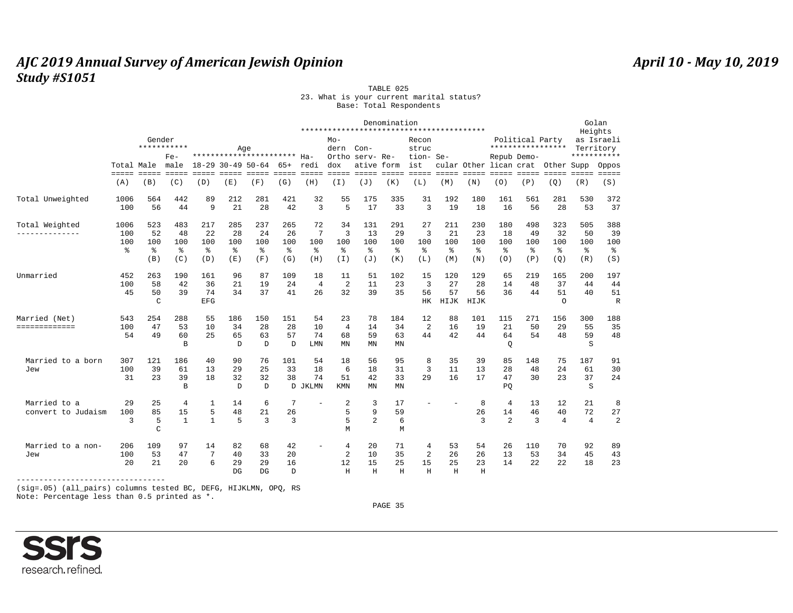# April 10 - May 10, 2019

### TABLE 025 23. What is your current marital status? Base: Total Respondents

|                                  |                               |                                             |                                              |                         |                                      |                                                                                                                                                                                                                                                                                                                                                                                                                                                                                                             |                                               |                                              |                      |                                                           | Denomination                         |                              |                         |                         |                      |                                      |                                 | Heights              | Golan                    |
|----------------------------------|-------------------------------|---------------------------------------------|----------------------------------------------|-------------------------|--------------------------------------|-------------------------------------------------------------------------------------------------------------------------------------------------------------------------------------------------------------------------------------------------------------------------------------------------------------------------------------------------------------------------------------------------------------------------------------------------------------------------------------------------------------|-----------------------------------------------|----------------------------------------------|----------------------|-----------------------------------------------------------|--------------------------------------|------------------------------|-------------------------|-------------------------|----------------------|--------------------------------------|---------------------------------|----------------------|--------------------------|
|                                  |                               | Gender                                      | ***********                                  |                         |                                      | Age                                                                                                                                                                                                                                                                                                                                                                                                                                                                                                         |                                               |                                              | $M_O -$<br>dern      | $Con-$                                                    |                                      | Recon<br>struc               |                         |                         |                      | Political Party<br>***************** |                                 |                      | as Israeli<br>Territory  |
|                                  |                               |                                             | $Fe-$                                        |                         |                                      | *********************** Ha-                                                                                                                                                                                                                                                                                                                                                                                                                                                                                 |                                               |                                              |                      | Ortho serv- Re-                                           |                                      | tion- Se-                    |                         |                         |                      | Repub Demo-                          |                                 | ***********          |                          |
|                                  | Total Male<br>$=$ $=$ $=$ $=$ | $\equiv \equiv \equiv \equiv \equiv \equiv$ | male<br>$\equiv \equiv \equiv \equiv \equiv$ | $= 22222$               | $\equiv \equiv \equiv \equiv \equiv$ | 18-29 30-49 50-64<br>$\begin{array}{cccccccccc} \multicolumn{2}{c}{} & \multicolumn{2}{c}{} & \multicolumn{2}{c}{} & \multicolumn{2}{c}{} & \multicolumn{2}{c}{} & \multicolumn{2}{c}{} & \multicolumn{2}{c}{} & \multicolumn{2}{c}{} & \multicolumn{2}{c}{} & \multicolumn{2}{c}{} & \multicolumn{2}{c}{} & \multicolumn{2}{c}{} & \multicolumn{2}{c}{} & \multicolumn{2}{c}{} & \multicolumn{2}{c}{} & \multicolumn{2}{c}{} & \multicolumn{2}{c}{} & \multicolumn{2}{c}{} & \multicolumn{2}{c}{} & \mult$ | $65+$<br>$\equiv \equiv \equiv \equiv \equiv$ | redi<br>$\equiv \equiv \equiv \equiv \equiv$ | dox                  | ative form<br>$\equiv \equiv \equiv \equiv \equiv \equiv$ | $\equiv \equiv \equiv \equiv \equiv$ | ist                          | esses esses esses:      | cular Other lican crat  |                      |                                      | Other Supp<br>doces codes codes |                      | Oppos<br>eesse eesse     |
|                                  | (A)                           | (B)                                         | (C)                                          | (D)                     | (E)                                  | (F)                                                                                                                                                                                                                                                                                                                                                                                                                                                                                                         | (G)                                           | (H)                                          | $(\top)$             | (J)                                                       | (K)                                  | (L)                          | (M)                     | (N)                     | (0)                  | (P)                                  | (Q)                             | (R)                  | (S)                      |
| Total Unweighted                 | 1006<br>100                   | 564<br>56                                   | 442<br>44                                    | 89<br>9                 | 212<br>21                            | 281<br>28                                                                                                                                                                                                                                                                                                                                                                                                                                                                                                   | 421<br>42                                     | 32<br>3                                      | 55<br>5              | 175<br>17                                                 | 335<br>33                            | 31<br>$\overline{3}$         | 192<br>19               | 180<br>18               | 161<br>16            | 561<br>56                            | 281<br>28                       | 530<br>53            | 372<br>37                |
| Total Weighted<br>-------------- | 1006<br>100                   | 523<br>52                                   | 483<br>48                                    | 217<br>22               | 285<br>28                            | 237<br>24                                                                                                                                                                                                                                                                                                                                                                                                                                                                                                   | 265<br>26                                     | 72<br>7                                      | 34<br>$\overline{3}$ | 131<br>13                                                 | 291<br>29                            | 27<br>$\overline{3}$         | 211<br>21               | 230<br>23               | 180<br>18            | 498<br>49                            | 323<br>32                       | 505<br>50            | 388<br>39                |
|                                  | 100<br>$\approx$              | 100<br>နွ<br>(B)                            | 100<br>$\approx$<br>(C)                      | 100<br>$\approx$<br>(D) | 100<br>$\approx$<br>(E)              | 100<br>$\approx$<br>(F)                                                                                                                                                                                                                                                                                                                                                                                                                                                                                     | 100<br>$\approx$<br>(G)                       | 100<br>$\,$ $\,$ $\,$<br>(H)                 | 100<br>ి<br>(T)      | 100<br>ి<br>(J)                                           | 100<br>$\approx$<br>(K)              | 100<br>$\,$ $\,$ $\,$<br>(L) | 100<br>$\approx$<br>(M) | 100<br>$\approx$<br>(N) | 100<br>ి<br>(0)      | 100<br>ి<br>(P)                      | 100<br>$\approx$<br>(Q)         | 100<br>နွ<br>(R)     | 100<br>နွ<br>(S)         |
| Unmarried                        | 452                           | 263                                         | 190                                          | 161                     | 96                                   | 87                                                                                                                                                                                                                                                                                                                                                                                                                                                                                                          | 109                                           | 18                                           | 11                   | 51                                                        | 102                                  | 15                           | 120                     | 129                     | 65                   | 219                                  | 165                             | 200                  | 197                      |
|                                  | 100<br>45                     | 58<br>50<br>$\mathsf{C}$                    | 42<br>39                                     | 36<br>74<br><b>EFG</b>  | 21<br>34                             | 19<br>37                                                                                                                                                                                                                                                                                                                                                                                                                                                                                                    | 24<br>41                                      | $\overline{4}$<br>26                         | 2<br>32              | 11<br>39                                                  | 23<br>35                             | 3<br>56<br>HK                | 27<br>57<br>HIJK        | 2.8<br>56<br>HIJK       | 14<br>36             | 48<br>44                             | 37<br>51<br>$\Omega$            | 44<br>40             | 44<br>51<br>$\mathbb{R}$ |
| Married (Net)                    | 543                           | 254                                         | 288                                          | 55                      | 186                                  | 150                                                                                                                                                                                                                                                                                                                                                                                                                                                                                                         | 151                                           | 54                                           | 23                   | 78                                                        | 184                                  | 12                           | 88                      | 101                     | 115                  | 271                                  | 156                             | 300                  | 188                      |
| =============                    | 100                           | 47                                          | 53                                           | 10                      | 34                                   | 28                                                                                                                                                                                                                                                                                                                                                                                                                                                                                                          | 28                                            | 10                                           | $\overline{4}$       | 14                                                        | 34                                   | 2                            | 16                      | 19                      | 21                   | 50                                   | 29                              | 55                   | 35                       |
|                                  | 54                            | 49                                          | 60<br>B                                      | 25                      | 65<br>D                              | 63<br>$\mathbf{D}$                                                                                                                                                                                                                                                                                                                                                                                                                                                                                          | 57<br>D                                       | 74<br>LMN                                    | 68<br>MN             | 59<br><b>MN</b>                                           | 63<br>MN                             | 44                           | 42                      | 44                      | 64<br>Q              | 54                                   | 48                              | 59<br>$\rm S$        | 48                       |
| Married to a born                | 307                           | 121                                         | 186                                          | 40                      | 90                                   | 76                                                                                                                                                                                                                                                                                                                                                                                                                                                                                                          | 101                                           | 54                                           | 18                   | 56                                                        | 95                                   | 8                            | 35                      | 39                      | 85                   | 148                                  | 75                              | 187                  | 91                       |
| Jew                              | 100<br>31                     | 39<br>23                                    | 61<br>39                                     | 13<br>18                | 29<br>32                             | 25<br>32                                                                                                                                                                                                                                                                                                                                                                                                                                                                                                    | 33<br>38                                      | 18<br>74                                     | 6<br>51              | 18<br>42                                                  | 31<br>33                             | $\overline{3}$<br>29         | 11<br>16                | 13<br>17                | 28<br>47             | 48<br>30                             | 24<br>23                        | 61<br>37             | 30<br>24                 |
|                                  |                               |                                             | $\mathbf B$                                  |                         | D                                    | D                                                                                                                                                                                                                                                                                                                                                                                                                                                                                                           |                                               | D JKLMN                                      | <b>KMN</b>           | MN                                                        | MN                                   |                              |                         |                         | PQ                   |                                      |                                 | S                    |                          |
| Married to a                     | 29                            | 25                                          | 4                                            | 1                       | 14                                   | 6                                                                                                                                                                                                                                                                                                                                                                                                                                                                                                           | 7                                             |                                              | $\overline{2}$       | 3                                                         | 17                                   |                              |                         | 8                       | $\overline{4}$       | 13                                   | 12                              | 21                   | 8                        |
| convert to Judaism               | 100<br>3                      | 85<br>5<br>$\mathcal{C}$                    | 15<br>$\mathbf{1}$                           | 5<br>$\mathbf{1}$       | 48<br>5                              | 21<br>3                                                                                                                                                                                                                                                                                                                                                                                                                                                                                                     | 26<br>$\overline{3}$                          |                                              | 5<br>5<br>M          | 9<br>$\overline{a}$                                       | 59<br>6<br>M                         |                              |                         | 26<br>3                 | 14<br>$\overline{a}$ | 46<br>3                              | 40<br>$\overline{4}$            | 72<br>$\overline{4}$ | 27<br>$\overline{a}$     |
| Married to a non-<br>Jew         | 206<br>100                    | 109<br>53                                   | 97<br>47                                     | 14<br>7                 | 82<br>40                             | 68<br>33                                                                                                                                                                                                                                                                                                                                                                                                                                                                                                    | 42<br>20                                      |                                              | $\overline{4}$<br>2  | 20<br>10                                                  | 71<br>35                             | 4<br>2                       | 53<br>26                | 54<br>26                | 26<br>13             | 110<br>53                            | 70<br>34                        | 92<br>45             | 89<br>43                 |
|                                  | 20                            | 21                                          | 20                                           | 6                       | 29<br>DG.                            | 29<br>DG                                                                                                                                                                                                                                                                                                                                                                                                                                                                                                    | 16<br>D                                       |                                              | 12<br>Η              | 15<br>Η                                                   | 25<br>Η                              | 15<br>Н                      | 25<br>H                 | 2.3<br>H                | 14                   | 22                                   | 22                              | 18                   | 23                       |

(sig=.05) (all\_pairs) columns tested BC, DEFG, HIJKLMN, OPQ, RS Note: Percentage less than 0.5 printed as \*.

PAGE 35



 $\frac{1}{2}$ 

-----------------------------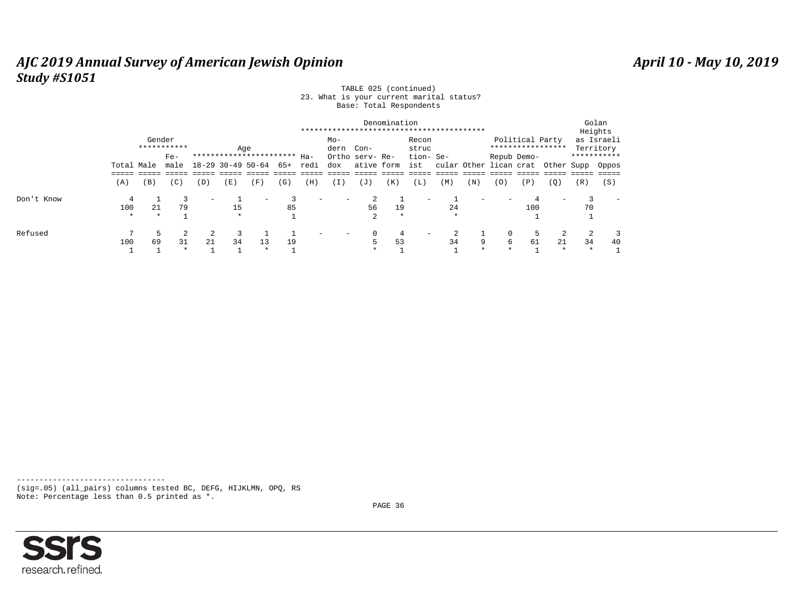# April 10 - May 10, 2019

#### TABLE 025 (continued) 23. What is your current marital status? Base: Total Respondents

|            |                     |                |                      |         |     |                                    |     |                          |                      |                 | Denomination  |                             |                                   |              |                            |                                      |               |                   | Golan                                             |
|------------|---------------------|----------------|----------------------|---------|-----|------------------------------------|-----|--------------------------|----------------------|-----------------|---------------|-----------------------------|-----------------------------------|--------------|----------------------------|--------------------------------------|---------------|-------------------|---------------------------------------------------|
|            |                     | Gender         | ***********<br>$Fe-$ |         |     | Aqe<br>*********************** Ha- |     |                          | $M_O -$<br>dern Con- | Ortho serv- Re- |               | Recon<br>struc<br>tion- Se- |                                   |              | Repub Demo-                | Political Party<br>***************** |               |                   | Heights<br>as Israeli<br>Territory<br>*********** |
|            | Total Male          |                | male                 |         |     | 18-29 30-49 50-64                  | 65+ | redi                     | dox                  | ative form      |               | ist                         | cular Other lican crat Other Supp |              |                            |                                      |               |                   | Oppos                                             |
|            | (A)                 | (B)            | (C)                  | (D)     | (E) | (F)                                | (G) | (H)                      | ΞD)                  | (J)             | (K)           | (L)                         | (M)                               | (N)          | (0)                        | (P)                                  | (Q)           | (R)               | (S)                                               |
| Don't Know | 4<br>100<br>$\star$ | 2.1<br>$\star$ | 3<br>79              |         | 15  |                                    | 85  | $\overline{\phantom{a}}$ |                      | 56              | 19<br>$\star$ |                             | 24                                |              |                            | 100                                  |               | 70                |                                                   |
| Refused    | 100                 | 69             | 31<br>$\ast$         | 2<br>21 | 34  | 13<br>$\ast$                       | 19  | $\overline{\phantom{0}}$ | -                    | $\star$         | 4<br>53       | $\overline{\phantom{a}}$    | 34                                | 9<br>$\star$ | $\mathbf 0$<br>6<br>$\ast$ | 61                                   | 21<br>$\star$ | 2<br>34<br>$\ast$ | 40                                                |

----------------------------------

(sig=.05) (all\_pairs) columns tested BC, DEFG, HIJKLMN, OPQ, RS Note: Percentage less than 0.5 printed as \*.

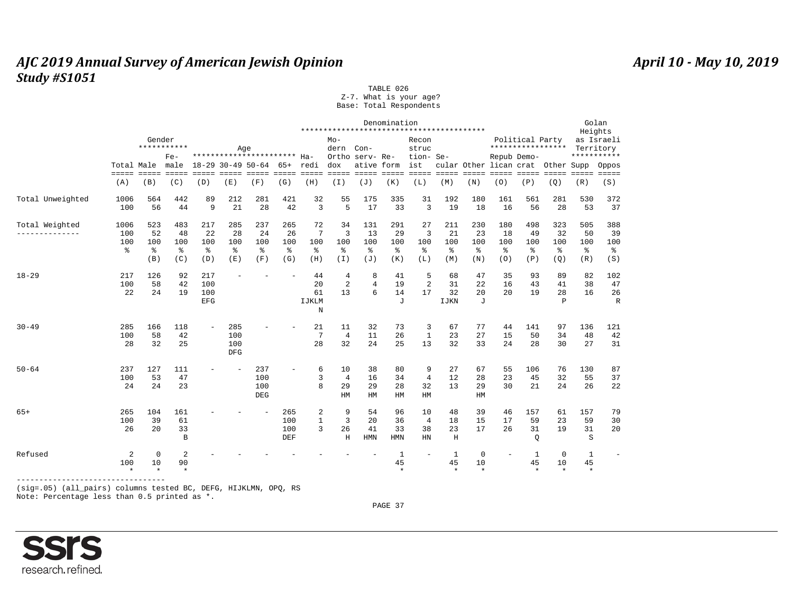#### TABLE 026 Z-7. What is your age? Base: Total Respondents

|                                  |                                 |                               |                                             |                                 |                                             |                                    |                                             |                                               |                                         |                               | Denomination                          |                                                  |                               |                               |                              |                                      |                                   | Heights                       | Golan                                 |
|----------------------------------|---------------------------------|-------------------------------|---------------------------------------------|---------------------------------|---------------------------------------------|------------------------------------|---------------------------------------------|-----------------------------------------------|-----------------------------------------|-------------------------------|---------------------------------------|--------------------------------------------------|-------------------------------|-------------------------------|------------------------------|--------------------------------------|-----------------------------------|-------------------------------|---------------------------------------|
|                                  |                                 | Gender                        | ***********                                 |                                 |                                             | Age<br>*********************** Ha- |                                             |                                               | $M_O -$<br>dern Con-                    |                               |                                       | Recon<br>struc                                   |                               |                               |                              | Political Party<br>***************** |                                   | ***********                   | as Israeli<br>Territory               |
|                                  |                                 | Total Male male               | $Fe-$                                       |                                 |                                             | 18-29 30-49 50-64                  | $65+$                                       | redi                                          | dox                                     | Ortho serv- Re-               | ative form ist                        | tion- Se-                                        |                               |                               |                              | Repub Demo-                          | cular Other lican crat Other Supp |                               | Oppos                                 |
|                                  | -----<br>(A)                    | (B)                           | $\equiv \equiv \equiv \equiv \equiv$<br>(C) | (D)                             | $\equiv \equiv \equiv \equiv \equiv$<br>(E) | $\frac{1}{2}$<br>(F)               | $\equiv \equiv \equiv \equiv \equiv$<br>(G) | $\pm\pm\pm\pm\pm$<br>(H)                      | $\frac{1}{2}$<br>(T)                    | (J)                           | $\pm\pm\pm\pm\pm$<br>(K)              | $\frac{1}{2}$<br>(L)                             | (M)                           | (N)                           | (0)                          | esses esses<br>(P)                   | $\pm\pm\pm\pm\pm$<br>(Q)          | doods doods<br>(R)            | (S)                                   |
| Total Unweighted                 | 1006<br>100                     | 564<br>56                     | 442<br>44                                   | 89<br>$\mathsf{Q}$              | 212<br>21                                   | 281<br>28                          | 421<br>42                                   | 32<br>3                                       | 55<br>5                                 | 175<br>17                     | 335<br>33                             | 31<br>3                                          | 192<br>19                     | 180<br>18                     | 161<br>16                    | 561<br>56                            | 281<br>28                         | 530<br>53                     | 372<br>37                             |
| Total Weighted<br>-------------- | 1006<br>100<br>100<br>$\approx$ | 523<br>52<br>100<br>နွ<br>(B) | 483<br>48<br>100<br>ి<br>(C)                | 217<br>22<br>100<br>နွ<br>(D)   | 285<br>28<br>100<br>⊱<br>(E)                | 237<br>24<br>100<br>နွ<br>(F)      | 265<br>26<br>100<br>$\epsilon$<br>(G)       | 72<br>$7\phantom{.0}$<br>100<br>ి<br>(H)      | 34<br>$\overline{3}$<br>100<br>ి<br>(T) | 131<br>13<br>100<br>နွ<br>(J) | 291<br>29<br>100<br>$\epsilon$<br>(K) | 27<br>$\overline{3}$<br>100<br>$\epsilon$<br>(L) | 211<br>21<br>100<br>နွ<br>(M) | 230<br>23<br>100<br>နွ<br>(N) | 180<br>18<br>100<br>ి<br>(0) | 498<br>49<br>100<br>နွ<br>(P)        | 323<br>32<br>100<br>နွ<br>(0)     | 505<br>50<br>100<br>နွ<br>(R) | 388<br>39<br>100<br>$\epsilon$<br>(S) |
| $18 - 29$                        | 217<br>100<br>22                | 126<br>58<br>2.4              | 92<br>42<br>19                              | 217<br>100<br>100<br><b>EFG</b> |                                             |                                    |                                             | 44<br>20<br>61<br><b>IJKLM</b><br>$\mathbb N$ | $\overline{4}$<br>2<br>13               | 8<br>$\overline{4}$<br>6      | 41<br>19<br>14<br>J                   | 5<br>2<br>17                                     | 68<br>31<br>32<br><b>IJKN</b> | 47<br>22<br>2.0<br>J          | 35<br>16<br>2.0              | 93<br>43<br>19                       | 89<br>41<br>28<br>$\mathbf{P}$    | 82<br>38<br>16                | 102<br>47<br>26<br>$\mathbb R$        |
| $30 - 49$                        | 285<br>100<br>28                | 166<br>58<br>32               | 118<br>42<br>25                             |                                 | 285<br>100<br>100<br>DFG                    |                                    |                                             | 21<br>$7\phantom{.0}$<br>2.8                  | 11<br>$\overline{4}$<br>32              | 32<br>11<br>24                | 73<br>26<br>2.5                       | 3<br>$\mathbf{1}$<br>13                          | 67<br>23<br>32                | 77<br>27<br>33                | 44<br>15<br>24               | 141<br>50<br>28                      | 97<br>34<br>30                    | 136<br>48<br>27               | 121<br>42<br>31                       |
| $50 - 64$                        | 237<br>100<br>24                | 127<br>53<br>2.4              | 111<br>47<br>23                             |                                 | ÷                                           | 237<br>100<br>100<br>DEG           |                                             | 6<br>3<br>8                                   | 10<br>$\overline{4}$<br>29<br>HM        | 38<br>16<br>29<br>HM          | 80<br>34<br>2.8<br>HM                 | 9<br>$\overline{4}$<br>32<br>HM                  | 27<br>12<br>13                | 67<br>28<br>29<br>HM          | 55<br>23<br>30               | 106<br>45<br>21                      | 76<br>32<br>2.4                   | 130<br>55<br>26               | 87<br>37<br>22                        |
| $65+$                            | 265<br>100<br>26                | 104<br>39<br>20               | 161<br>61<br>33<br>$\mathbf B$              |                                 |                                             |                                    | 265<br>100<br>100<br>DEF                    | 2<br>$\mathbf{1}$<br>3                        | 9<br>$\overline{3}$<br>26<br>H          | 54<br>20<br>41<br><b>HMN</b>  | 96<br>36<br>33<br><b>HMN</b>          | 10<br>$\overline{4}$<br>38<br>HN                 | 48<br>18<br>23<br>H           | 39<br>15<br>17                | 46<br>17<br>26               | 157<br>59<br>31<br>Q                 | 61<br>23<br>19                    | 157<br>59<br>31<br>S          | 79<br>30<br>20                        |
| Refused                          | 2<br>100<br>$\star$             | $\Omega$<br>10<br>$\star$     | $\overline{2}$<br>90<br>$\star$             |                                 |                                             |                                    |                                             |                                               |                                         |                               | $\mathbf{1}$<br>45<br>$\star$         |                                                  | $\mathbf{1}$<br>45<br>$\star$ | $\mathbf 0$<br>10<br>$\star$  | $\overline{\phantom{a}}$     | 1<br>45<br>$\star$                   | $\Omega$<br>10<br>$\star$         | $\mathbf{1}$<br>45<br>$\star$ |                                       |

(sig=.05) (all\_pairs) columns tested BC, DEFG, HIJKLMN, OPQ, RS Note: Percentage less than 0.5 printed as \*.

PAGE 37



# April 10 - May 10, 2019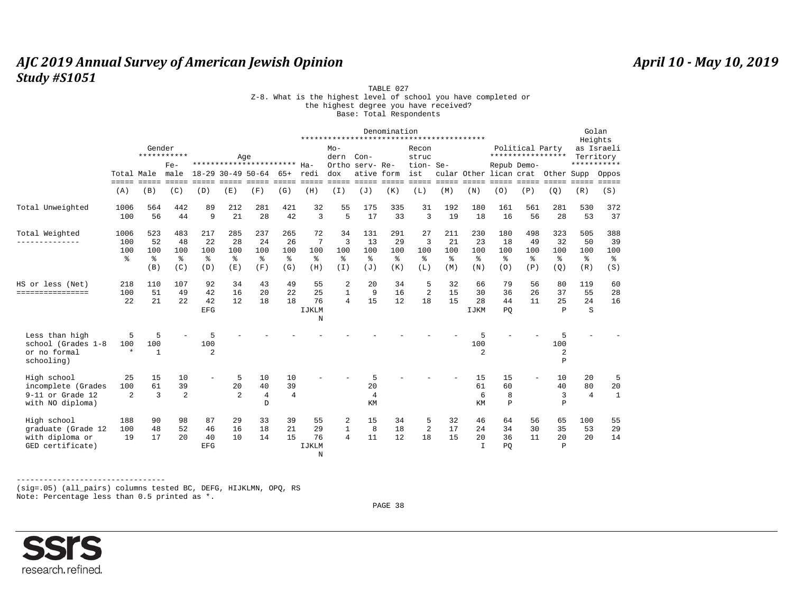### TABLE 027 Z-8. What is the highest level of school you have completed or the highest degree you have received? Base: Total Respondents

|                                                                             |                             |                                           |                               |                               |                              |                                           |                              |                                     |                                         |                                 | Denomination                          |                                         |                              |                                       |                                       |                                      |                                                                                                                                                                                                                                                                                                                                                                                                                                                                                                      |                               | Golan<br>Heights              |  |
|-----------------------------------------------------------------------------|-----------------------------|-------------------------------------------|-------------------------------|-------------------------------|------------------------------|-------------------------------------------|------------------------------|-------------------------------------|-----------------------------------------|---------------------------------|---------------------------------------|-----------------------------------------|------------------------------|---------------------------------------|---------------------------------------|--------------------------------------|------------------------------------------------------------------------------------------------------------------------------------------------------------------------------------------------------------------------------------------------------------------------------------------------------------------------------------------------------------------------------------------------------------------------------------------------------------------------------------------------------|-------------------------------|-------------------------------|--|
|                                                                             |                             | Gender                                    | ***********                   |                               |                              | Aqe                                       |                              |                                     | $M_O -$<br>dern                         | $Con-$                          |                                       | Recon<br>struc                          |                              |                                       |                                       | Political Party<br>***************** |                                                                                                                                                                                                                                                                                                                                                                                                                                                                                                      |                               | as Israeli<br>Territory       |  |
|                                                                             | Total Male                  | $=$ $=$ $=$ $=$                           | $Fe-$<br>male                 | 18-29 30-49 50-64             |                              | ***********************                   | $65+$                        | $Ha-$<br>redi                       | dox                                     | Ortho serv- Re-<br>ative form   |                                       | tion- Se-<br>ist                        |                              |                                       | Repub Demo-<br>cular Other lican crat | $\frac{1}{2}$                        | Other Supp<br>$\begin{array}{cccccccccc} \multicolumn{2}{c}{} & \multicolumn{2}{c}{} & \multicolumn{2}{c}{} & \multicolumn{2}{c}{} & \multicolumn{2}{c}{} & \multicolumn{2}{c}{} & \multicolumn{2}{c}{} & \multicolumn{2}{c}{} & \multicolumn{2}{c}{} & \multicolumn{2}{c}{} & \multicolumn{2}{c}{} & \multicolumn{2}{c}{} & \multicolumn{2}{c}{} & \multicolumn{2}{c}{} & \multicolumn{2}{c}{} & \multicolumn{2}{c}{} & \multicolumn{2}{c}{} & \multicolumn{2}{c}{} & \multicolumn{2}{c}{} & \mult$ |                               | ***********<br>Oppos          |  |
|                                                                             | =====<br>(A)                | (B)                                       | $=$ $=$ $=$ $=$ $=$<br>(C)    | (D)                           | (E)                          | (F)                                       | (G)                          | (H)                                 | (T)                                     | (J)                             | (K)                                   | (L)                                     | (M)                          | (N)                                   | (0)                                   | (P)                                  | (Q)                                                                                                                                                                                                                                                                                                                                                                                                                                                                                                  | (R)                           | $=$ $=$ $=$ $=$<br>(S)        |  |
| Total Unweighted                                                            | 1006<br>100                 | 564<br>56                                 | 442<br>44                     | 89<br>9                       | 212<br>21                    | 281<br>28                                 | 421<br>42                    | 32<br>3                             | 55<br>5                                 | 175<br>17                       | 335<br>33                             | 31<br>3                                 | 192<br>19                    | 180<br>18                             | 161<br>16                             | 561<br>56                            | 281<br>28                                                                                                                                                                                                                                                                                                                                                                                                                                                                                            | 530<br>53                     | 372<br>37                     |  |
| Total Weighted                                                              | 1006<br>100<br>100<br>ి     | 523<br>52<br>100<br>$\,$ $\,$ $\,$<br>(B) | 483<br>48<br>100<br>နွ<br>(C) | 217<br>22<br>100<br>နွ<br>(D) | 285<br>28<br>100<br>⊱<br>(E) | 237<br>24<br>100<br>ి<br>(F)              | 265<br>26<br>100<br>ႜ<br>(G) | 72<br>7<br>100<br>ి<br>(H)          | 34<br>$\overline{3}$<br>100<br>ి<br>(I) | 131<br>13<br>100<br>ႜ<br>(J)    | 291<br>29<br>100<br>$\epsilon$<br>(K) | 27<br>$\overline{3}$<br>100<br>ి<br>(L) | 211<br>21<br>100<br>ႜ<br>(M) | 230<br>23<br>100<br>$\epsilon$<br>(N) | 180<br>18<br>100<br>နွ<br>(0)         | 498<br>49<br>100<br>နွ<br>(P)        | 323<br>32<br>100<br>ႜ<br>(Q)                                                                                                                                                                                                                                                                                                                                                                                                                                                                         | 505<br>50<br>100<br>နွ<br>(R) | 388<br>39<br>100<br>နွ<br>(S) |  |
| HS or less (Net)<br>================                                        | 218<br>100<br>22            | 110<br>51<br>21                           | 107<br>49<br>22               | 92<br>42<br>42<br><b>EFG</b>  | 34<br>16<br>12               | 43<br>20<br>18                            | 49<br>22<br>18               | 55<br>25<br>76<br>IJKLM<br>N        | 2<br>$\mathbf{1}$<br>4                  | 20<br>9<br>15                   | 34<br>16<br>12                        | 5<br>2<br>18                            | 32<br>15<br>15               | 66<br>30<br>28<br>IJKM                | 79<br>36<br>44<br>PQ                  | 56<br>26<br>11                       | 80<br>37<br>25<br>P                                                                                                                                                                                                                                                                                                                                                                                                                                                                                  | 119<br>55<br>24<br>S          | 60<br>28<br>16                |  |
| Less than high<br>school (Grades 1-8<br>or no formal<br>schooling)          | 5<br>100<br>$\star$         | 5<br>100<br>$\mathbf{1}$                  |                               | 5<br>100<br>2                 |                              |                                           |                              |                                     |                                         |                                 |                                       |                                         |                              | 5<br>100<br>$\overline{a}$            |                                       |                                      | 5<br>100<br>2<br>$\mathsf{P}$                                                                                                                                                                                                                                                                                                                                                                                                                                                                        |                               |                               |  |
| High school<br>incomplete (Grades<br>$9-11$ or Grade 12<br>with NO diploma) | 25<br>100<br>$\mathfrak{D}$ | 15<br>61<br>3                             | 10<br>39<br>$\overline{2}$    |                               | 5<br>20<br>$\overline{2}$    | 10<br>40<br>$\overline{4}$<br>$\mathbb D$ | 10<br>39<br>$\overline{4}$   |                                     |                                         | 5<br>20<br>$\overline{4}$<br>KM |                                       |                                         |                              | 15<br>61<br>6<br>KM                   | 15<br>60<br>8<br>P                    |                                      | 10<br>40<br>3<br>P                                                                                                                                                                                                                                                                                                                                                                                                                                                                                   | 20<br>80<br>$\overline{4}$    | 5<br>20<br>$\mathbf{1}$       |  |
| High school<br>graduate (Grade 12<br>with diploma or<br>GED certificate)    | 188<br>100<br>19            | 90<br>48<br>17                            | 98<br>52<br>2.0               | 87<br>46<br>40<br><b>EFG</b>  | 29<br>16<br>10               | 33<br>18<br>14                            | 39<br>21<br>15               | 55<br>29<br>76<br><b>IJKLM</b><br>N | 2<br>$\mathbf{1}$<br>4                  | 15<br>8<br>11                   | 34<br>18<br>12                        | 5<br>2<br>18                            | 32<br>17<br>15               | 46<br>24<br>20<br>$\mathbf{I}$        | 64<br>34<br>36<br>PQ                  | 56<br>30<br>11                       | 65<br>35<br>20<br>$\mathsf{P}$                                                                                                                                                                                                                                                                                                                                                                                                                                                                       | 100<br>53<br>2.0              | 55<br>29<br>14                |  |

(sig=.05) (all\_pairs) columns tested BC, DEFG, HIJKLMN, OPQ, RS Note: Percentage less than 0.5 printed as \*.

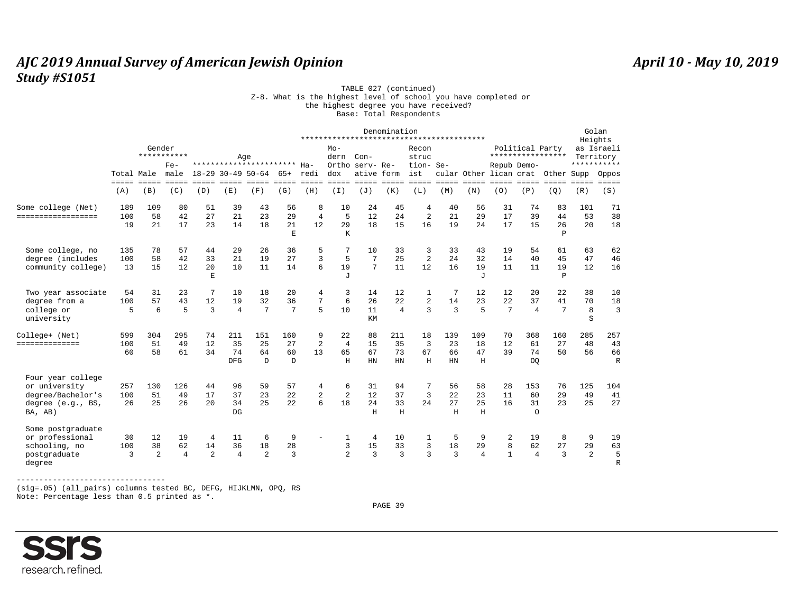# April 10 - May 10, 2019

#### TABLE 027 (continued) Z-8. What is the highest level of school you have completed or the highest degree you have received? Base: Total Respondents

|                        |            |                |                  |                |                  |                                      |                    |                 |                      |                             | Denomination   |                      |               |                |                        |                 |                    |                | Golan<br>Heights                                     |  |
|------------------------|------------|----------------|------------------|----------------|------------------|--------------------------------------|--------------------|-----------------|----------------------|-----------------------------|----------------|----------------------|---------------|----------------|------------------------|-----------------|--------------------|----------------|------------------------------------------------------|--|
|                        |            | Gender         | ***********      |                |                  | Age                                  |                    |                 | $M_O -$<br>dern Con- |                             |                | Recon<br>struc       |               |                |                        | Political Party | *****************  |                | as Israeli<br>Territory                              |  |
|                        |            |                | $Fe-$            |                |                  | ***********************              |                    | $Ha-$           |                      | Ortho serv- Re-             |                | tion- Se-            |               |                | Repub Demo-            |                 |                    |                | ***********                                          |  |
|                        | Total Male | sesse sesse    | male<br>$= 1.12$ | $\frac{1}{2}$  | <b>EEEEE</b>     | $18-29$ 30-49 50-64<br>$\frac{1}{2}$ | $65+$<br>$= 22222$ | redi<br>$-----$ | dox<br>$\frac{1}{2}$ | ative form<br>$- - - - - -$ | $-----$        | ist<br>$\frac{1}{2}$ | $\frac{1}{2}$ | $- - - - - -$  | cular Other lican crat | eesse seess     | Other Supp         | <b>EBEED</b>   | Oppos<br>$\equiv \equiv \equiv \equiv \equiv \equiv$ |  |
|                        | (A)        | (B)            | (C)              | (D)            | (E)              | (F)                                  | (G)                | (H)             | (I)                  | (J)                         | (K)            | (L)                  | (M)           | (N)            | (0)                    | (P)             | (Q)                | (R)            | (S)                                                  |  |
| Some college (Net)     | 189        | 109            | 80               | 51             | 39               | 43                                   | 56                 | 8               | 10                   | 24                          | 45             | $\overline{4}$       | 40            | 56             | 31                     | 74              | 83                 | 101            | 71                                                   |  |
| ------------------     | 100        | 58             | 42               | 27             | 21               | 23                                   | 29                 | $\overline{4}$  | 5                    | 12                          | 24             | 2                    | 21            | 29             | 17                     | 39              | 44                 | 53             | 38                                                   |  |
|                        | 19         | 21             | 17               | 23             | 14               | 18                                   | 21<br>E            | 12              | 29<br>K              | 18                          | 15             | 16                   | 19            | 2.4            | 17                     | 15              | 26<br>$\mathsf{p}$ | 20             | 18                                                   |  |
| Some college, no       | 135        | 78             | 57               | 44             | 29               | 26                                   | 36                 | 5               | 7                    | 10                          | 33             | 3                    | 33            | 43             | 19                     | 54              | 61                 | 63             | 62                                                   |  |
| degree (includes       | 100        | 58             | 42               | 33             | 21               | 19                                   | 27                 | 3               | 5                    | 7                           | 25             | 2                    | 24            | 32             | 14                     | 40              | 45                 | 47             | 46                                                   |  |
| community college)     | 13         | 1.5            | 12               | 20             | 10               | 11                                   | 14                 | 6               | 19                   | $7\overline{ }$             | 11             | 12                   | 16            | 19             | 11                     | 11              | 19                 | 12             | 16                                                   |  |
|                        |            |                |                  | $\mathbf E$    |                  |                                      |                    |                 | J                    |                             |                |                      |               | J              |                        |                 | $\, {\bf P}$       |                |                                                      |  |
| Two year associate     | 54         | 31             | 23               | 7              | 10               | 18                                   | 20                 | 4               | 3                    | 14                          | 12             | 1                    | 7             | 12             | 12                     | $20^{\circ}$    | 22                 | 38             | 10                                                   |  |
| degree from a          | 100        | 57             | 43               | 12             | 19               | 32                                   | 36                 | 7               | 6                    | 26                          | 22             | 2                    | 14            | 23             | 22                     | 37              | 41                 | 70             | 18                                                   |  |
| college or             | 5          | 6              | 5                | 3              | $\overline{4}$   | $7\phantom{.0}$                      | $7\overline{ }$    | $\overline{5}$  | 10                   | 11                          | $\overline{4}$ | 3                    | 3             | $\overline{5}$ | $7\phantom{.0}$        | $\overline{4}$  | $7^{\circ}$        | 8              | $\overline{3}$                                       |  |
| university             |            |                |                  |                |                  |                                      |                    |                 |                      | KM                          |                |                      |               |                |                        |                 |                    | S              |                                                      |  |
| College+ (Net)         | 599        | 304            | 295              | 74             | 211              | 151                                  | 160                | 9               | 22                   | 88                          | 211            | 18                   | 139           | 109            | 70                     | 368             | 160                | 285            | 257                                                  |  |
| ==============         | 100        | 51             | 49               | 12             | 35               | 25                                   | 27                 | 2               | $\overline{4}$       | 15                          | 35             | $\overline{3}$       | 23            | 18             | 12                     | 61              | 27                 | 48             | 43                                                   |  |
|                        | 60         | 58             | 61               | 34             | 74<br><b>DFG</b> | 64<br>D                              | 60<br>D            | 13              | 65<br>H              | 67<br>HM                    | 73<br>HN       | 67<br>H              | 66<br>HN      | 47<br>H        | 39                     | 74<br>OO        | 50                 | 56             | 66<br>$\mathbb R$                                    |  |
| Four year college      |            |                |                  |                |                  |                                      |                    |                 |                      |                             |                |                      |               |                |                        |                 |                    |                |                                                      |  |
| or university          | 257        | 130            | 126              | 44             | 96               | 59                                   | 57                 | 4               | 6                    | 31                          | 94             | 7                    | 56            | 58             | 28                     | 153             | 76                 | 125            | 104                                                  |  |
| degree/Bachelor's      | 100        | 51             | 49               | 17             | 37               | 23                                   | 22                 | $\overline{a}$  | 2                    | 12                          | 37             | 3                    | 22            | 23             | 11                     | 60              | 29                 | 49             | 41                                                   |  |
| degree (e.g., BS,      | 26         | 25             | 26               | 20             | 34               | 25                                   | 22                 | $6\overline{6}$ | 18                   | 24                          | 33             | 24                   | 27            | 25             | 16                     | 31              | 23                 | 25             | 27                                                   |  |
| BA, AB)                |            |                |                  |                | DG               |                                      |                    |                 |                      | H                           | H              |                      | H             | H              |                        | $\Omega$        |                    |                |                                                      |  |
| Some postgraduate      |            |                |                  |                |                  |                                      |                    |                 |                      |                             |                |                      |               |                |                        |                 |                    |                |                                                      |  |
| or professional        | 30         | 12             | 19               | 4              | 11               | 6                                    | 9                  |                 | 1                    | 4                           | 10             | 1                    | 5             | 9              | 2                      | 19              | 8                  | 9              | 19                                                   |  |
| schooling, no          | 100        | 38             | 62               | 14             | 36               | 18                                   | 28                 |                 | 3                    | 15                          | 33             | 3                    | 18            | 29             | 8                      | 62              | 27                 | 29             | 63                                                   |  |
| postgraduate<br>degree | 3          | $\overline{2}$ | $\overline{4}$   | $\overline{2}$ | $\overline{4}$   | $\overline{a}$                       | 3                  |                 | $\overline{a}$       | $\mathbf{z}$                | $\mathbf{R}$   | 3                    | 3             | $\overline{4}$ | $\mathbf{1}$           | $\overline{4}$  | $\mathbf{R}$       | $\overline{2}$ | 5<br>$\mathbb{R}$                                    |  |

----------------------------

(sig=.05) (all\_pairs) columns tested BC, DEFG, HIJKLMN, OPQ, RS Note: Percentage less than 0.5 printed as \*.

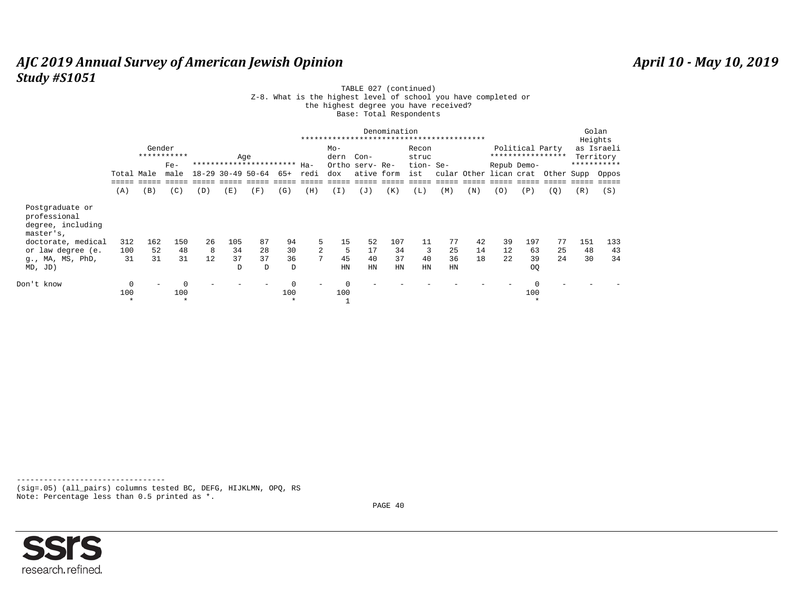# April 10 - May 10, 2019

#### TABLE 027 (continued) Z-8. What is the highest level of school you have completed or the highest degree you have received? Base: Total Respondents

|                                                                   |            |        |             |     |                       |                         |         |                |                 |                 | Denomination |                |     |     |                        |                                      |            |     | Golan<br>Heights        |
|-------------------------------------------------------------------|------------|--------|-------------|-----|-----------------------|-------------------------|---------|----------------|-----------------|-----------------|--------------|----------------|-----|-----|------------------------|--------------------------------------|------------|-----|-------------------------|
|                                                                   |            | Gender | *********** |     |                       | Age                     |         |                | $M_O -$<br>dern | Con-            |              | Recon<br>struc |     |     |                        | Political Party<br>***************** |            |     | as Israeli<br>Territory |
|                                                                   |            |        | $Fe-$       |     |                       | *********************** |         | Ha-            |                 | Ortho serv- Re- |              | tion- Se-      |     |     |                        | Repub Demo-                          |            |     | ***********             |
|                                                                   | Total Male |        | male        |     | $18 - 29$ 30-49 50-64 |                         | $65+$   | redi           | dox             | ative form      |              | ist            |     |     | cular Other lican crat |                                      | Other Supp |     | Oppos                   |
|                                                                   | (A)        | (B)    | (C)         | (D) | (E)                   | (F)                     | (G)     | (H)            | (I)             | (J)             | (K)          | (L)            | (M) | (N) | (0)                    | (P)                                  | (Q)        | (R) | (S)                     |
| Postgraduate or<br>professional<br>degree, including<br>master's, |            |        |             |     |                       |                         |         |                |                 |                 |              |                |     |     |                        |                                      |            |     |                         |
| doctorate, medical                                                | 312        | 162    | 150         | 26  | 105                   | 87                      | 94      | 5              | 15              | 52              | 107          | 11             | 77  | 42  | 39                     | 197                                  | 77         | 151 | 133                     |
| or law degree (e.                                                 | 100        | 52     | 48          | 8   | 34                    | 28                      | 30      | $\mathfrak{D}$ | 5               | 17              | 34           | 3              | 25  | 14  | 12                     | 63                                   | 25         | 48  | 43                      |
| $q.$ , MA, MS, PhD,                                               | 31         | 31     | 31          | 12  | 37                    | 37                      | 36      |                | 45              | 40              | 37           | 40             | 36  | 18  | 22                     | 39                                   | 24         | 30  | 34                      |
| MD, JD)                                                           |            |        |             |     | D                     | D                       | D       |                | HN              | HN              | HN           | HN             | HN  |     |                        | OQ                                   |            |     |                         |
| Don't know                                                        | $\Omega$   |        | $\Omega$    |     |                       |                         |         |                |                 |                 |              |                |     |     |                        |                                      |            |     |                         |
|                                                                   | 100        |        | 100         |     |                       |                         | 100     |                | 100             |                 |              |                |     |     |                        | 100                                  |            |     |                         |
|                                                                   | $\star$    |        | $\star$     |     |                       |                         | $\star$ |                |                 |                 |              |                |     |     |                        | $\star$                              |            |     |                         |

----------------------------

(sig=.05) (all\_pairs) columns tested BC, DEFG, HIJKLMN, OPQ, RS Note: Percentage less than 0.5 printed as \*.

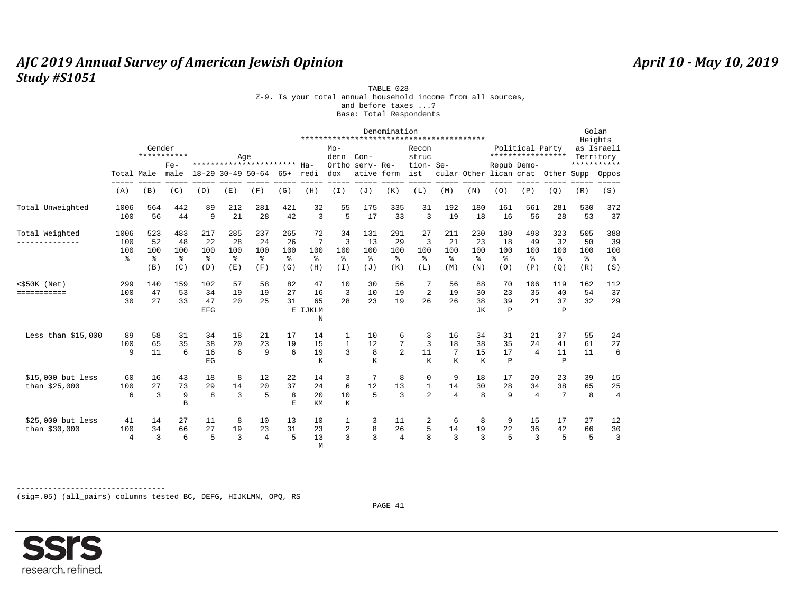#### TABLE 028 Z-9. Is your total annual household income from all sources, and before taxes ...? Base: Total Respondents

|                     |                |                 |                        |              |                |                         |                |                        |                        |                        | Denomination           |                 |                      |                     |                        |                                      |                 | Golan                |                 |
|---------------------|----------------|-----------------|------------------------|--------------|----------------|-------------------------|----------------|------------------------|------------------------|------------------------|------------------------|-----------------|----------------------|---------------------|------------------------|--------------------------------------|-----------------|----------------------|-----------------|
|                     |                | Gender          | ***********            |              |                | Aqe                     |                |                        | $M_O -$<br>dern        | $Con-$                 |                        | Recon<br>struc  |                      |                     |                        | Political Party<br>***************** |                 | Heights<br>Territory | as Israeli      |
|                     |                |                 | $Fe-$                  |              |                | *********************** |                | $Ha-$                  |                        | Ortho serv- Re-        |                        | tion- Se-       |                      |                     |                        | Repub Demo-                          |                 | ***********          |                 |
|                     | Total Male     |                 | male                   |              |                | 18-29 30-49 50-64       | $65+$          | redi                   | dox                    | ative form             |                        | ist             |                      |                     | cular Other lican crat |                                      | Other Supp      |                      | Oppos           |
|                     | -----<br>(A)   | $= 1.12$<br>(B) | $=$ $=$ $=$ $=$<br>(C) | (D)          | (E)            | (F)                     | $=$ $=$<br>(G) | $=$ $=$ $=$ $=$<br>(H) | $=$ $=$ $=$ $=$<br>(T) | $=$ $=$ $=$ $=$<br>(J) | $=$ $=$ $=$ $=$<br>(K) | $= 1.12$<br>(L) | $\frac{1}{2}$<br>(M) | <b>EEEEE</b><br>(N) | $= 1.12$<br>(0)        | <b>EBBED</b><br>(P)                  | $= 1.12$<br>(Q) | <b>EBBED</b><br>(R)  | $= 2222$<br>(S) |
| Total Unweighted    | 1006           | 564             | 442                    | 89           | 212            | 281                     | 421            | 32                     | 55                     | 175                    | 335                    | 31              | 192                  | 180                 | 161                    | 561                                  | 281             | 530                  | 372             |
|                     | 100            | 56              | 44                     | q            | 21             | 28                      | 42             | 3                      | 5                      | 17                     | 33                     | $\overline{3}$  | 19                   | 18                  | 16                     | 56                                   | 28              | 53                   | 37              |
| Total Weighted      | 1006           | 523             | 483                    | 217          | 285            | 237                     | 265            | 72                     | 34                     | 131                    | 291                    | 27              | 211                  | 230                 | 180                    | 498                                  | 323             | 505                  | 388             |
|                     | 100            | 52              | 48                     | 22           | 28             | 24                      | 26             | 7                      | 3                      | 13                     | 29                     | $\overline{3}$  | 21                   | 23                  | 18                     | 49                                   | 32              | 50                   | 39              |
|                     | 100            | 100             | 100                    | 100          | 100            | 100                     | 100            | 100                    | 100                    | 100                    | 100                    | 100             | 100                  | 100                 | 100                    | 100                                  | 100             | 100                  | 100             |
|                     | ፠              | နွ              | ៖                      | $\approx$    | နွ             | နွ                      | ⊱              | $\epsilon$             | ి                      | ့                      | နွ                     | ి               | ⊱                    | $\epsilon$          | နွ                     | ⊱                                    | ి               | ి                    | နွ              |
|                     |                | (B)             | (C)                    | (D)          | (E)            | (F)                     | (G)            | (H)                    | $(\top)$               | (J)                    | (K)                    | (L)             | (M)                  | (N)                 | (0)                    | (P)                                  | (Q)             | (R)                  | (S)             |
| <\$50K (Net)        | 299            | 140             | 159                    | 102          | 57             | 58                      | 82             | 47                     | 10                     | 30                     | 56                     | 7               | 56                   | 88                  | 70                     | 106                                  | 119             | 162                  | 112             |
| ===========         | 100            | 47              | 53                     | 34           | 19             | 19                      | 27             | 16                     | 3                      | 10                     | 19                     | 2               | 19                   | 30                  | 23                     | 35                                   | 40              | 54                   | 37              |
|                     | 30             | 27              | 33                     | 47           | 2.0            | 25                      | 31             | 65                     | 28                     | 23                     | 19                     | 26              | 26                   | 38                  | 39                     | 21                                   | 37              | 32                   | 29              |
|                     |                |                 |                        | <b>EFG</b>   |                |                         |                | E IJKLM<br>N           |                        |                        |                        |                 |                      | <b>JK</b>           | $\, {\bf P}$           |                                      | $\mathsf{P}$    |                      |                 |
|                     |                |                 |                        |              |                |                         |                |                        |                        |                        |                        |                 |                      |                     |                        |                                      |                 |                      |                 |
| Less than $$15,000$ | 89             | 58              | 31                     | 34           | 18             | 21                      | 17             | 14                     | 1                      | 10                     | 6                      | 3               | 16                   | 34                  | 31                     | 21                                   | 37              | 55                   | 24              |
|                     | 100            | 65              | 35                     | 38           | 20             | 23                      | 19             | 15                     | $\mathbf{1}$           | 12                     | 7                      | 3               | 18                   | 38                  | 35                     | 24                                   | 41              | 61                   | 27              |
|                     | 9              | 11              | 6                      | 16           | $\epsilon$     | 9                       | 6              | 19                     | 3                      | 8                      | $\overline{a}$         | 11              | 7                    | 15                  | 17                     | 4                                    | 11              | 11                   | 6               |
|                     |                |                 |                        | EG           |                |                         |                | K                      |                        | K                      |                        | K               | K                    | K                   | $\, {\bf P}$           |                                      | $\mathsf{P}$    |                      |                 |
| \$15,000 but less   | 60             | 16              | 43                     | 18           | 8              | 12                      | 22             | 14                     | 3                      | 7                      | 8                      | $\mathbf 0$     | 9                    | 18                  | 17                     | 20                                   | 23              | 39                   | 15              |
| than \$25,000       | 100            | 27              | 73                     | 29           | 14             | 20                      | 37             | 24                     | 6                      | 12                     | 13                     | $\mathbf 1$     | 14                   | 30                  | 28                     | 34                                   | 38              | 65                   | 25              |
|                     | 6              | 3               | 9<br>$\mathbf B$       | $\mathsf{R}$ | 3              | 5                       | 8<br>$F_{i}$   | 20<br>KM               | 10<br>K                | 5                      | 3                      | 2               | $\overline{4}$       | 8                   | 9                      | $\overline{4}$                       | $7\phantom{.0}$ | 8                    | $\overline{4}$  |
| \$25,000 but less   | 41             | 14              | 27                     | 11           | 8              | 10                      | 13             | 10                     | 1                      | 3                      | 11                     | 2               | 6                    | 8                   | 9                      | 15                                   | 17              | 27                   | 12              |
| than \$30,000       | 100            | 34              | 66                     | 27           | 19             | 23                      | 31             | 23                     | 2                      | 8                      | 26                     | 5               | 14                   | 19                  | 22                     | 36                                   | 42              | 66                   | 30              |
|                     | $\overline{4}$ | 3               | 6                      | 5            | $\overline{3}$ | $\overline{4}$          | 5              | 13<br>M                | 3                      | 3                      | $\overline{4}$         | 8               | 3                    | 3                   | 5                      | 3                                    | $\overline{5}$  | 5                    | 3               |

\_\_\_\_\_\_\_\_\_\_\_\_\_\_\_\_\_\_\_\_\_\_\_\_\_\_\_\_\_  $\frac{1}{2}$ 

(sig=.05) (all\_pairs) columns tested BC, DEFG, HIJKLMN, OPQ, RS

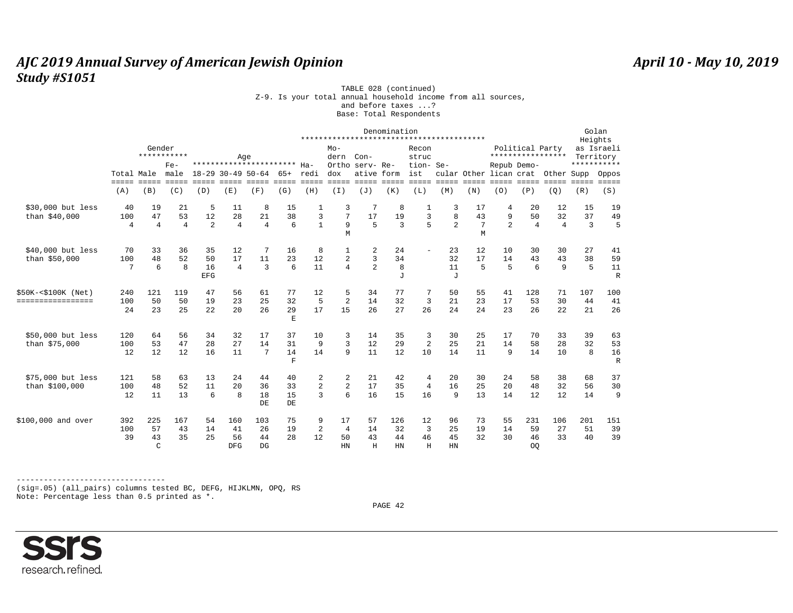# April 10 - May 10, 2019

#### TABLE 028 (continued) Z-9. Is your total annual household income from all sources, and before taxes ...? Base: Total Respondents

|                                          |                             |                                                    |                                             |                                             |                               |                                                  |                               |                          |                                  |                               | Denomination          |                           |                          |                             |                                       |                                             |                   |                            | Golan                              |
|------------------------------------------|-----------------------------|----------------------------------------------------|---------------------------------------------|---------------------------------------------|-------------------------------|--------------------------------------------------|-------------------------------|--------------------------|----------------------------------|-------------------------------|-----------------------|---------------------------|--------------------------|-----------------------------|---------------------------------------|---------------------------------------------|-------------------|----------------------------|------------------------------------|
|                                          |                             | Gender                                             | ***********                                 |                                             | Age                           |                                                  |                               |                          | $M_O -$<br>dern                  | $Con-$                        |                       | Recon<br>struc            |                          |                             |                                       | Political Party                             | ***************** |                            | Heights<br>as Israeli<br>Territory |
|                                          | Total Male                  |                                                    | $Fe-$<br>male                               |                                             |                               | *********************** Ha-<br>18-29 30-49 50-64 | $65+$                         | redi                     | dox                              | Ortho serv- Re-<br>ative form |                       | tion- Se-<br>ist          |                          |                             | Repub Demo-<br>cular Other lican crat |                                             | Other Supp        |                            | ***********<br>Oppos               |
|                                          | =====<br>(A)                | $\equiv \equiv \equiv \equiv \equiv \equiv$<br>(B) | $\equiv \equiv \equiv \equiv \equiv$<br>(C) | $\equiv \equiv \equiv \equiv \equiv$<br>(D) | (E)                           | (F)                                              | (G)                           | (H)                      | (T)                              | (J)                           | (K)                   | (L)                       | (M)                      | (N)                         | (0)                                   | $\equiv \equiv \equiv \equiv \equiv$<br>(P) | (Q)               | (R)                        | $=$ $=$ $=$ $=$<br>(S)             |
| \$30,000 but less<br>than \$40,000       | 40<br>100<br>$\overline{4}$ | 19<br>47<br>$\overline{4}$                         | 21<br>53<br>$\overline{4}$                  | 5<br>12<br>2                                | 11<br>28<br>$\overline{4}$    | 8<br>21<br>$\overline{4}$                        | 15<br>38<br>6                 | 1<br>3<br>$\mathbf{1}$   | 3<br>7<br>9                      | 17<br>5                       | 8<br>19<br>3          | 1<br>3<br>5               | 3<br>8<br>$\overline{2}$ | 17<br>43<br>$7\phantom{.0}$ | 4<br>9<br>$\overline{a}$              | 20<br>50<br>$\overline{4}$                  | 12<br>32<br>4     | 15<br>37<br>$\overline{3}$ | 19<br>49<br>5                      |
| \$40,000 but less<br>than \$50,000       | 70<br>100<br>7              | 33<br>48<br>6                                      | 36<br>52<br>8                               | 35<br>50<br>16                              | 12<br>17<br>$\overline{4}$    | 7<br>11<br>$\overline{3}$                        | 16<br>23<br>6                 | 8<br>12<br>11            | M<br>1<br>2<br>$\overline{4}$    | 2<br>$\overline{3}$<br>2      | 24<br>34<br>8         | $\overline{\phantom{m}}$  | 23<br>32<br>11           | M<br>12<br>17<br>5          | 10<br>14<br>5                         | 30<br>43<br>$6\overline{6}$                 | 30<br>43<br>9     | 27<br>38<br>5              | 41<br>59<br>11                     |
| \$50K-<\$100K (Net)<br>================= | 240<br>100                  | 121<br>50                                          | 119<br>50                                   | <b>EFG</b><br>47<br>19                      | 56<br>23                      | 61<br>25                                         | 77<br>32                      | 12<br>5                  | 5<br>$\overline{a}$              | 34<br>14                      | J<br>77<br>32         | 7<br>3                    | J<br>50<br>21            | 55<br>23                    | 41<br>17                              | 128<br>53                                   | 71<br>30          | 107<br>44                  | $\mathbb{R}$<br>100<br>41          |
|                                          | 24                          | 23                                                 | 25                                          | 22                                          | 20                            | 26                                               | 29<br>$\mathbf E$             | 17                       | 15                               | 26                            | 27                    | 26                        | 24                       | 2.4                         | 23                                    | 26                                          | 22                | 21                         | 26                                 |
| \$50,000 but less<br>than \$75,000       | 120<br>100<br>12            | 64<br>53<br>12                                     | 56<br>47<br>12                              | 34<br>28<br>16                              | 32<br>27<br>11                | 17<br>14<br>7                                    | 37<br>31<br>14<br>$\mathbf F$ | 10<br>9<br>14            | 3<br>$\overline{3}$<br>9         | 14<br>12<br>11                | 35<br>29<br>12        | 3<br>$\overline{2}$<br>10 | 30<br>25<br>14           | 25<br>21<br>11              | 17<br>14<br>9                         | 70<br>58<br>14                              | 33<br>28<br>10    | 39<br>32<br>8              | 63<br>53<br>16<br>$\mathbb{R}$     |
| \$75,000 but less<br>than \$100,000      | 121<br>100<br>12            | 58<br>48<br>11                                     | 63<br>52<br>13                              | 13<br>11<br>6                               | 24<br>20<br>8                 | 44<br>36<br>18<br>DE                             | 40<br>33<br>15<br>DE          | 2<br>$\overline{c}$<br>3 | 2<br>$\overline{a}$<br>6         | 21<br>17<br>16                | 42<br>35<br>15        | 4<br>$\sqrt{4}$<br>16     | 20<br>16<br>9            | 30<br>25<br>13              | 24<br>20<br>14                        | 58<br>48<br>12                              | 38<br>32<br>12    | 68<br>56<br>14             | 37<br>30<br>9                      |
| \$100,000 and over                       | 392<br>100<br>39            | 225<br>57<br>43<br>$\mathsf{C}$                    | 167<br>43<br>35                             | 54<br>14<br>25                              | 160<br>41<br>56<br><b>DFG</b> | 103<br>26<br>44<br>DG                            | 75<br>19<br>28                | 9<br>2<br>12             | 17<br>$\overline{4}$<br>50<br>HN | 57<br>14<br>43<br>H           | 126<br>32<br>44<br>HN | 12<br>3<br>46<br>H        | 96<br>25<br>45<br>HN     | 73<br>19<br>32              | 55<br>14<br>30                        | 231<br>59<br>46<br><b>OO</b>                | 106<br>27<br>33   | 201<br>51<br>40            | 151<br>39<br>39                    |

-----------------------------(sig=.05) (all\_pairs) columns tested BC, DEFG, HIJKLMN, OPQ, RS Note: Percentage less than 0.5 printed as \*.

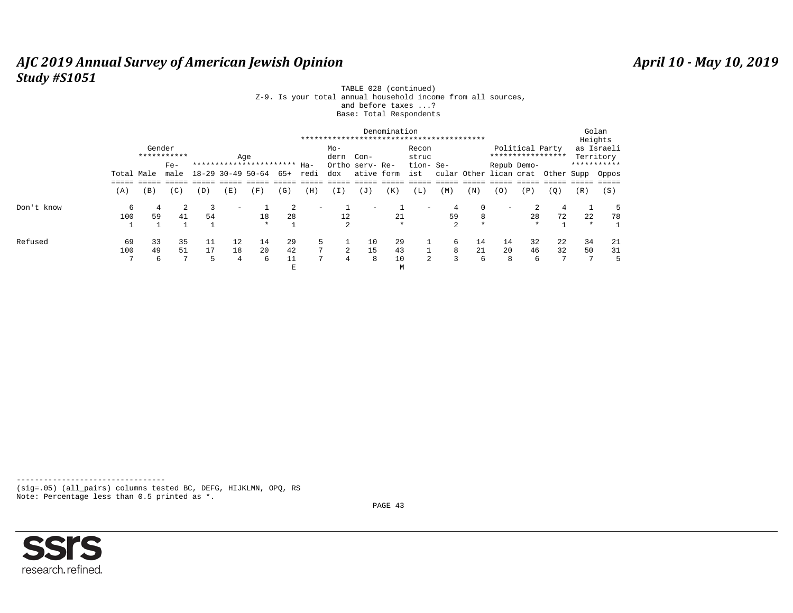# April 10 - May 10, 2019

#### TABLE 028 (continued) Z-9. Is your total annual household income from all sources, and before taxes ...? Base: Total Respondents

|            |                           |               |                      |               |               |                                    |                     |                           |                 |                         | Denomination        |                             |                         |                        |                          |                 |                   |               | Golan                                             |
|------------|---------------------------|---------------|----------------------|---------------|---------------|------------------------------------|---------------------|---------------------------|-----------------|-------------------------|---------------------|-----------------------------|-------------------------|------------------------|--------------------------|-----------------|-------------------|---------------|---------------------------------------------------|
|            |                           | Gender        | ***********<br>$Fe-$ |               |               | Aqe<br>*********************** Ha- |                     |                           | $M_O -$<br>dern | Con-<br>Ortho serv- Re- |                     | Recon<br>struc<br>tion- Se- |                         |                        | Repub Demo-              | Political Party | ***************** |               | Heights<br>as Israeli<br>Territory<br>*********** |
|            | Total Male                |               | male                 |               |               | 18-29 30-49 50-64                  | 65+                 | redi                      | dox             | ative form              |                     | ist                         |                         | cular Other lican crat |                          |                 | Other Supp        |               | Oppos                                             |
|            | (A)                       | (B)           | (C)                  | (D)           | (E)           | (F)                                | (G)                 | (H)                       | (I)             | (J)                     | (K)                 | (L)                         | (M)                     | (N)                    | (0)                      | (P)             | (Q)               | (R)           | (S)                                               |
| Don't know | 6<br>100                  | 4<br>59       | 2<br>41              | 54            |               | 18<br>$\ast$                       | 2.<br>2.8           |                           | 12<br>2         |                         | 21<br>$\star$       | $\qquad \qquad -$           | 59<br>2                 | 8                      | $\overline{\phantom{0}}$ | 28<br>$\ast$    | 72                | 22<br>$\star$ | 78                                                |
| Refused    | 69<br>100<br>$\mathbf{r}$ | 33<br>49<br>6 | 35<br>51<br>7        | 11<br>17<br>5 | 12<br>18<br>4 | 14<br>20<br>6                      | 29<br>42<br>11<br>E | 5<br>$7\overline{ }$<br>7 | 2<br>4          | 10<br>15<br>8           | 29<br>43<br>10<br>М | $\overline{2}$              | 6<br>8<br>$\mathcal{L}$ | 14<br>21<br>6          | 14<br>20<br>8            | 32<br>46<br>6   | 22<br>32          | 34<br>50<br>7 | 21<br>31                                          |

(sig=.05) (all\_pairs) columns tested BC, DEFG, HIJKLMN, OPQ, RS Note: Percentage less than 0.5 printed as \*.

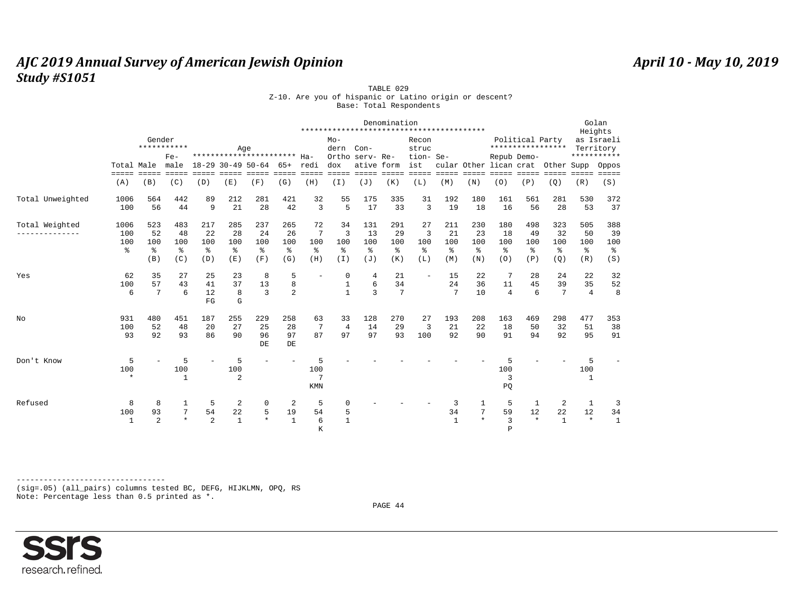#### TABLE 029 Z-10. Are you of hispanic or Latino origin or descent? Base: Total Respondents

|                                  |                          |                              |                              |                               |                              |                                    |                              |                            |                                         |                                             | Denomination                                                                                                                                                                                                                                                                                                                                                                                                                                                                                  |                                         |                              |                                             |                              |                                |                              |                               | Golan<br>Heights                       |
|----------------------------------|--------------------------|------------------------------|------------------------------|-------------------------------|------------------------------|------------------------------------|------------------------------|----------------------------|-----------------------------------------|---------------------------------------------|-----------------------------------------------------------------------------------------------------------------------------------------------------------------------------------------------------------------------------------------------------------------------------------------------------------------------------------------------------------------------------------------------------------------------------------------------------------------------------------------------|-----------------------------------------|------------------------------|---------------------------------------------|------------------------------|--------------------------------|------------------------------|-------------------------------|----------------------------------------|
|                                  |                          | Gender                       | ***********<br>$Fe-$         |                               |                              | Age<br>*********************** Ha- |                              |                            | $M_O -$<br>dern                         | $Con-$<br>Ortho serv- Re-                   |                                                                                                                                                                                                                                                                                                                                                                                                                                                                                               | Recon<br>struc<br>tion- Se-             |                              |                                             |                              | Political Party<br>Repub Demo- | *****************            |                               | as Israeli<br>Territory<br>*********** |
|                                  |                          | Total Male male              |                              |                               |                              | 18-29 30-49 50-64 65+ redi         |                              |                            | dox                                     | ative form                                  |                                                                                                                                                                                                                                                                                                                                                                                                                                                                                               | ist                                     |                              |                                             | cular Other lican crat       |                                |                              | Other Supp Oppos              |                                        |
|                                  | (A)                      | SSSSS SSSSS<br>(B)           | $-----$<br>(C)               | (D)                           | (E)                          | (F)                                | -----<br>(G)                 | -----<br>(H)               | $= 1.12$<br>$(\top)$                    | $\equiv \equiv \equiv \equiv \equiv$<br>(J) | $\begin{array}{cccccccccc} \multicolumn{2}{c}{} & \multicolumn{2}{c}{} & \multicolumn{2}{c}{} & \multicolumn{2}{c}{} & \multicolumn{2}{c}{} & \multicolumn{2}{c}{} & \multicolumn{2}{c}{} & \multicolumn{2}{c}{} & \multicolumn{2}{c}{} & \multicolumn{2}{c}{} & \multicolumn{2}{c}{} & \multicolumn{2}{c}{} & \multicolumn{2}{c}{} & \multicolumn{2}{c}{} & \multicolumn{2}{c}{} & \multicolumn{2}{c}{} & \multicolumn{2}{c}{} & \multicolumn{2}{c}{} & \multicolumn{2}{c}{} & \mult$<br>(K) | (L)                                     | esses esses<br>(M)           | $\equiv \equiv \equiv \equiv \equiv$<br>(N) | $\frac{1}{2}$<br>(0)         | $\frac{1}{2}$<br>(P)           | (Q)                          | $\frac{1}{2}$<br>(R)          | $= 22222$<br>(S)                       |
| Total Unweighted                 | 1006<br>100              | 564<br>56                    | 442<br>44                    | 89<br>9                       | 212<br>21                    | 281<br>28                          | 421<br>42                    | 32<br>3                    | 55<br>5                                 | 175<br>17                                   | 335<br>33                                                                                                                                                                                                                                                                                                                                                                                                                                                                                     | 31<br>3                                 | 192<br>19                    | 180<br>18                                   | 161<br>16                    | 561<br>56                      | 281<br>28                    | 530<br>53                     | 372<br>37                              |
| Total Weighted<br>-------------- | 1006<br>100<br>100<br>፠  | 523<br>52<br>100<br>ి<br>(B) | 483<br>48<br>100<br>ి<br>(C) | 217<br>22<br>100<br>۶.<br>(D) | 285<br>28<br>100<br>ి<br>(E) | 237<br>24<br>100<br>ి<br>(F)       | 265<br>26<br>100<br>ి<br>(G) | 72<br>7<br>100<br>ႜ<br>(H) | 34<br>$\overline{3}$<br>100<br>ి<br>(T) | 131<br>13<br>100<br>ి<br>(J)                | 291<br>29<br>100<br>ႜ<br>(K)                                                                                                                                                                                                                                                                                                                                                                                                                                                                  | 27<br>$\overline{3}$<br>100<br>ి<br>(L) | 211<br>21<br>100<br>⊱<br>(M) | 230<br>23<br>100<br>ి<br>(N)                | 180<br>18<br>100<br>ႜ<br>(0) | 498<br>49<br>100<br>る<br>(P)   | 323<br>32<br>100<br>ి<br>(Q) | 505<br>50<br>100<br>နွ<br>(R) | 388<br>39<br>100<br>ి<br>(S)           |
| Yes                              | 62<br>100<br>6           | 35<br>57<br>7                | 27<br>43<br>6                | 25<br>41<br>12<br>FG          | 23<br>37<br>8<br>G           | 8<br>13<br>3                       | 5<br>8<br>$\overline{a}$     |                            | 0<br>1<br>$\mathbf{1}$                  | 4<br>6<br>3                                 | 21<br>34<br>7                                                                                                                                                                                                                                                                                                                                                                                                                                                                                 | $\overline{\phantom{a}}$                | 15<br>24<br>7                | 22<br>36<br>10                              | 7<br>11<br>$\overline{4}$    | 28<br>45<br>6                  | 24<br>39<br>7                | 22<br>35<br>$\overline{4}$    | 32<br>52<br>8                          |
| No                               | 931<br>100<br>93         | 480<br>52<br>92              | 451<br>48<br>93              | 187<br>20<br>86               | 255<br>27<br>90              | 229<br>25<br>96<br>DE              | 258<br>28<br>97<br>DE        | 63<br>7<br>87              | 33<br>$\overline{4}$<br>97              | 128<br>14<br>97                             | 270<br>29<br>93                                                                                                                                                                                                                                                                                                                                                                                                                                                                               | 27<br>3<br>100                          | 193<br>21<br>92              | 208<br>22<br>90                             | 163<br>18<br>91              | 469<br>50<br>94                | 298<br>32<br>92              | 477<br>51<br>95               | 353<br>38<br>91                        |
| Don't Know                       | 5<br>100<br>$\star$      |                              | 5<br>100<br>$\mathbf{1}$     |                               | 5<br>100<br>$\overline{2}$   |                                    |                              | 5<br>100<br>7<br>KMN       |                                         |                                             |                                                                                                                                                                                                                                                                                                                                                                                                                                                                                               |                                         |                              |                                             | 5<br>100<br>3<br>PQ          |                                |                              | 5<br>100<br>$\mathbf{1}$      |                                        |
| Refused                          | 8<br>100<br>$\mathbf{1}$ | 8<br>93<br>$\overline{a}$    | 1<br>7<br>$\star$            | 5<br>54<br>$\overline{a}$     | 2<br>22<br>$\mathbf{1}$      | 0<br>5<br>$\star$                  | 2<br>19<br>$\mathbf{1}$      | 5<br>54<br>6<br>K          | 0<br>5<br>$\mathbf{1}$                  |                                             |                                                                                                                                                                                                                                                                                                                                                                                                                                                                                               |                                         | 3<br>34<br>$\mathbf{1}$      | 1<br>7<br>$\star$                           | 5<br>59<br>3<br>$\mathsf{P}$ | 1<br>12<br>$\star$             | 2<br>22<br>$\mathbf{1}$      | 1<br>12<br>$\star$            | 3<br>34<br>$\mathbf{1}$                |

-----------------------------

(sig=.05) (all\_pairs) columns tested BC, DEFG, HIJKLMN, OPQ, RS Note: Percentage less than 0.5 printed as \*.

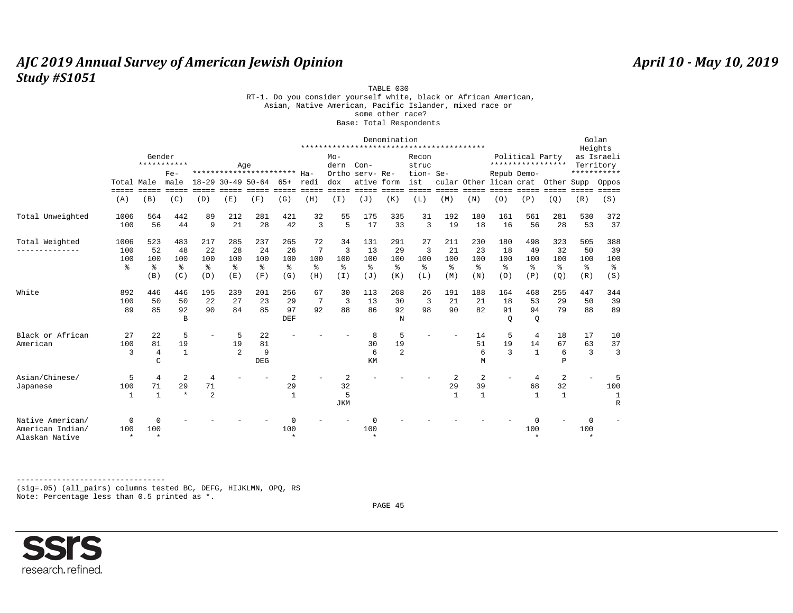#### TABLE 030 RT-1. Do you consider yourself white, black or African American, Asian, Native American, Pacific Islander, mixed race or some other race? Base: Total Respondents

|                                                        |                            |                                                                                                                                                                                                                                                                                                                                                                                                                                                                                               |                               |                               |                                       |                                    |                              | Denomination                | ************************                |                              |                               |                                         |                              |                              | Heights                       | Golan                                |                               |                              |                               |
|--------------------------------------------------------|----------------------------|-----------------------------------------------------------------------------------------------------------------------------------------------------------------------------------------------------------------------------------------------------------------------------------------------------------------------------------------------------------------------------------------------------------------------------------------------------------------------------------------------|-------------------------------|-------------------------------|---------------------------------------|------------------------------------|------------------------------|-----------------------------|-----------------------------------------|------------------------------|-------------------------------|-----------------------------------------|------------------------------|------------------------------|-------------------------------|--------------------------------------|-------------------------------|------------------------------|-------------------------------|
|                                                        |                            | Gender                                                                                                                                                                                                                                                                                                                                                                                                                                                                                        | ***********<br>$Fe-$          |                               |                                       | Aqe<br>*********************** Ha- |                              |                             | ************<br>$Mo-$<br>dern           | $Con-$<br>Ortho serv- Re-    |                               | Recon<br>struc                          |                              |                              |                               | Political Party<br>***************** |                               | Territory                    | as Israeli<br>***********     |
|                                                        | Total Male                 |                                                                                                                                                                                                                                                                                                                                                                                                                                                                                               | male                          | 18-29 30-49 50-64             |                                       |                                    | $65+$                        | redi                        | dox                                     | ative form                   |                               | tion- Se-<br>ist                        |                              |                              | cular Other lican crat        | Repub Demo-                          | Other Supp                    |                              | Oppos                         |
|                                                        | $=$ $=$ $=$ $=$<br>(A)     | $\begin{array}{cccccccccc} \multicolumn{2}{c}{} & \multicolumn{2}{c}{} & \multicolumn{2}{c}{} & \multicolumn{2}{c}{} & \multicolumn{2}{c}{} & \multicolumn{2}{c}{} & \multicolumn{2}{c}{} & \multicolumn{2}{c}{} & \multicolumn{2}{c}{} & \multicolumn{2}{c}{} & \multicolumn{2}{c}{} & \multicolumn{2}{c}{} & \multicolumn{2}{c}{} & \multicolumn{2}{c}{} & \multicolumn{2}{c}{} & \multicolumn{2}{c}{} & \multicolumn{2}{c}{} & \multicolumn{2}{c}{} & \multicolumn{2}{c}{} & \mult$<br>(B) | (C)                           | (D)                           | (E)                                   | (F)                                | (G)                          | (H)                         | (I)                                     | (J)                          | (K)                           | (L)                                     | (M)                          | (N)                          | (0)                           | (P)                                  | (Q)                           | (R)                          | =====<br>(S)                  |
| Total Unweighted                                       | 1006<br>100                | 564<br>56                                                                                                                                                                                                                                                                                                                                                                                                                                                                                     | 442<br>44                     | 89<br>9                       | 212<br>21                             | 281<br>28                          | 421<br>42                    | 32<br>3                     | 55<br>5                                 | 175<br>17                    | 335<br>33                     | 31<br>3                                 | 192<br>19                    | 180<br>18                    | 161<br>16                     | 561<br>56                            | 281<br>28                     | 530<br>53                    | 372<br>37                     |
| Total Weighted                                         | 1006<br>100<br>100<br>÷,   | 523<br>52<br>100<br>ి<br>(B)                                                                                                                                                                                                                                                                                                                                                                                                                                                                  | 483<br>48<br>100<br>နွ<br>(C) | 217<br>22<br>100<br>နွ<br>(D) | 285<br>28<br>100<br>$\epsilon$<br>(E) | 237<br>24<br>100<br>ి<br>(F)       | 265<br>26<br>100<br>ႜ<br>(G) | 72<br>7<br>100<br>နွ<br>(H) | 34<br>$\overline{3}$<br>100<br>ి<br>(T) | 131<br>13<br>100<br>ႜ<br>(J) | 291<br>29<br>100<br>နွ<br>(K) | 27<br>$\overline{3}$<br>100<br>ి<br>(L) | 211<br>21<br>100<br>⊱<br>(M) | 230<br>23<br>100<br>៖<br>(N) | 180<br>18<br>100<br>နွ<br>(0) | 498<br>49<br>100<br>⊱<br>(P)         | 323<br>32<br>100<br>နွ<br>(Q) | 505<br>50<br>100<br>ి<br>(R) | 388<br>39<br>100<br>ిక<br>(S) |
| White                                                  | 892<br>100<br>89           | 446<br>50<br>85                                                                                                                                                                                                                                                                                                                                                                                                                                                                               | 446<br>50<br>92<br>B          | 195<br>22<br>90               | 239<br>27<br>84                       | 201<br>23<br>85                    | 256<br>29<br>97<br>DEF       | 67<br>7<br>92               | 30<br>3<br>88                           | 113<br>13<br>86              | 268<br>30<br>92<br>N          | 26<br>3<br>98                           | 191<br>21<br>90              | 188<br>21<br>82              | 164<br>18<br>91<br>Q          | 468<br>53<br>94<br>$\mathsf{Q}$      | 255<br>29<br>79               | 447<br>50<br>88              | 344<br>39<br>89               |
| Black or African<br>American                           | 27<br>100<br>3             | 22<br>81<br>$\overline{4}$<br>C                                                                                                                                                                                                                                                                                                                                                                                                                                                               | 5<br>19<br>$\mathbf{1}$       |                               | 5<br>19<br>$\overline{2}$             | 22<br>81<br>9<br><b>DEG</b>        |                              |                             |                                         | 8<br>30<br>6<br>KM           | 5<br>19<br>$\overline{a}$     |                                         |                              | 14<br>51<br>6<br>М           | 5<br>19<br>3                  | 4<br>14<br>$\mathbf{1}$              | 18<br>67<br>6<br>$\mathbf{P}$ | 17<br>63<br>3                | 10<br>37<br>3                 |
| Asian/Chinese/<br>Japanese                             | 5<br>100<br>$\mathbf{1}$   | 4<br>71<br>$\mathbf{1}$                                                                                                                                                                                                                                                                                                                                                                                                                                                                       | 2<br>29<br>$\star$            | 4<br>71<br>$\overline{2}$     |                                       |                                    | 2<br>29<br>$\mathbf{1}$      |                             | 2<br>32<br>5<br><b>JKM</b>              |                              |                               |                                         | 2<br>29<br>$\mathbf{1}$      | 2<br>39<br>$\mathbf{1}$      |                               | 4<br>68<br>$\mathbf{1}$              | 2<br>32<br>$\mathbf{1}$       |                              | 5<br>100<br>1<br>R            |
| Native American/<br>American Indian/<br>Alaskan Native | $\Omega$<br>100<br>$\star$ | $\Omega$<br>100<br>$\star$                                                                                                                                                                                                                                                                                                                                                                                                                                                                    |                               |                               |                                       |                                    | 100<br>$\star$               |                             |                                         | 100<br>$\star$               |                               |                                         |                              |                              |                               | $\Omega$<br>100<br>$\star$           |                               | $\Omega$<br>100<br>$\star$   |                               |

----------------------------(sig=.05) (all\_pairs) columns tested BC, DEFG, HIJKLMN, OPQ, RS Note: Percentage less than 0.5 printed as \*.

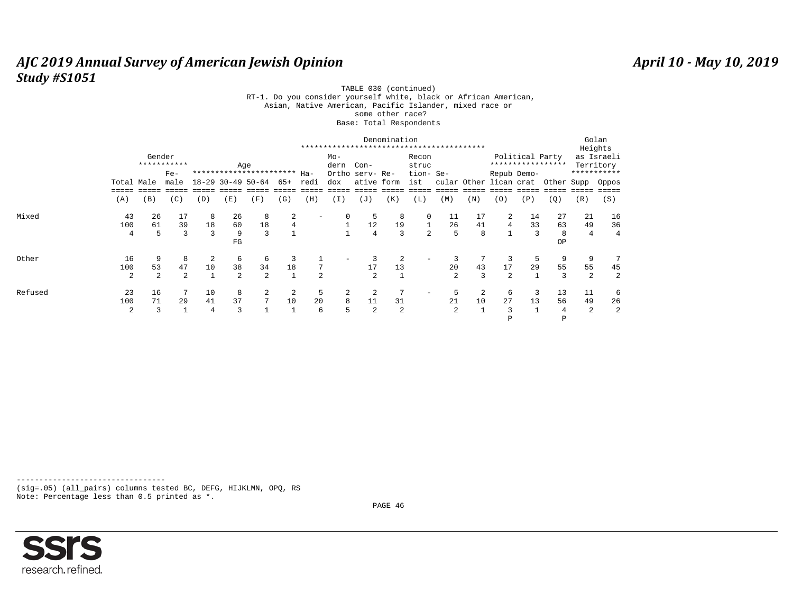### TABLE 030 (continued) RT-1. Do you consider yourself white, black or African American, Asian, Native American, Pacific Islander, mixed race or some other race? Base: Total Respondents

|         |                |               |                      |                           |                     |                                    |         |                |                 |                         | Denomination |                             |                      |                                   |                   |                                |                     |               | Golan                                             |
|---------|----------------|---------------|----------------------|---------------------------|---------------------|------------------------------------|---------|----------------|-----------------|-------------------------|--------------|-----------------------------|----------------------|-----------------------------------|-------------------|--------------------------------|---------------------|---------------|---------------------------------------------------|
|         |                | Gender        | ***********<br>$Fe-$ |                           |                     | Age<br>*********************** Ha- |         |                | $M_O -$<br>dern | Con-<br>Ortho serv- Re- |              | Recon<br>struc<br>tion- Se- |                      |                                   |                   | Political Party<br>Repub Demo- | *****************   |               | Heights<br>as Israeli<br>Territory<br>*********** |
|         | Total Male     |               | male                 |                           |                     | $18-29$ $30-49$ $50-64$            | 65+     | redi           | dox             |                         | ative form   | ist                         |                      | cular Other lican crat Other Supp |                   |                                |                     |               | Oppos                                             |
|         | (A)            | (B)           | (C)                  | (D)                       | (E)                 | (F)                                | (G)     | (H)            | (I)             | (J)                     | (K)          | (L)                         | (M)                  | (N)                               | (0)               | (P)                            | (Q)                 | (R)           | (S)                                               |
| Mixed   | 43<br>100<br>4 | 26<br>61<br>5 | 17<br>39<br>3        | 8<br>18<br>$\overline{3}$ | 26<br>60<br>9<br>FG | 8<br>18<br>3                       |         |                | $\Omega$        | 12<br>4                 | 8<br>19<br>3 | $\mathbf 0$<br>2            | 11<br>26<br>5        | 17<br>41<br>8                     | 2<br>4            | 14<br>33                       | 27<br>63<br>8<br>OP | 21<br>49<br>4 | 16<br>36<br>4                                     |
| Other   | 16<br>100<br>2 | 9<br>53<br>2  | 8<br>47<br>2         | 2<br>10                   | 6<br>38<br>2        | 6<br>34<br>2                       | 3<br>18 | $\overline{2}$ |                 | 17<br>2                 | 13           |                             | 20<br>$\overline{a}$ | 43<br>3                           | 3<br>17<br>2      | 29                             | 9<br>55<br>3        | 9<br>55<br>2  | 45<br>2                                           |
| Refused | 23<br>100<br>2 | 16<br>71<br>3 | 29                   | 10<br>41<br>4             | 8<br>37<br>3        | 2<br>$7\overline{ }$               | 2<br>10 | 5<br>20<br>6   | 2<br>8<br>5     | 2<br>11<br>2            | 31<br>2      | $\overline{\phantom{0}}$    | 21<br>$\overline{2}$ | 2<br>10                           | 6<br>27<br>3<br>Ρ | 13                             | 13<br>56<br>4<br>P  | 11<br>49<br>2 | 6<br>26<br>2                                      |

---------------------------------

(sig=.05) (all\_pairs) columns tested BC, DEFG, HIJKLMN, OPQ, RS Note: Percentage less than 0.5 printed as \*.

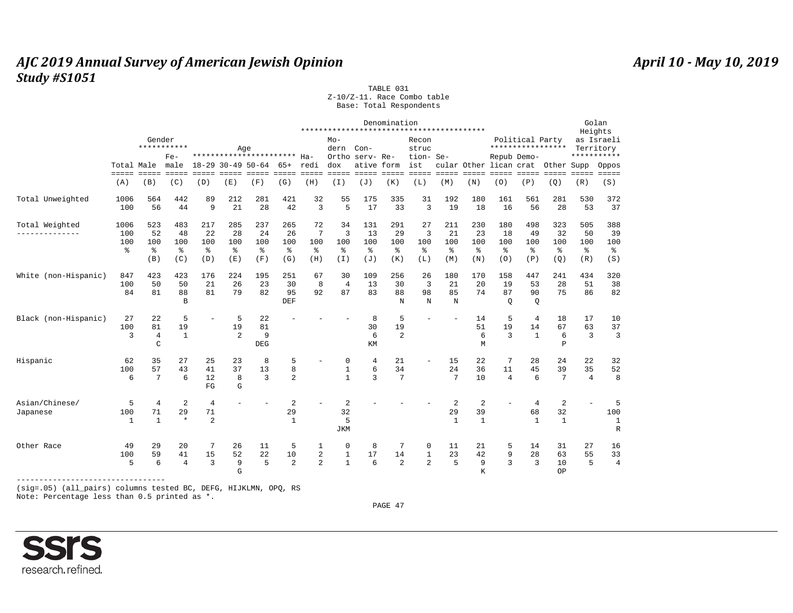#### TABLE 031 Z-10/Z-11. Race Combo table Base: Total Respondents

|                      |              |                                                         |                                      |                                      |                      |                             |                      |                                           |                              |                             | Denomination         |                                |                       |               |                        |                                      |                             |                      | Golan<br>Heights        |
|----------------------|--------------|---------------------------------------------------------|--------------------------------------|--------------------------------------|----------------------|-----------------------------|----------------------|-------------------------------------------|------------------------------|-----------------------------|----------------------|--------------------------------|-----------------------|---------------|------------------------|--------------------------------------|-----------------------------|----------------------|-------------------------|
|                      |              | Gender                                                  | ***********                          |                                      |                      | Aqe                         |                      |                                           | $M_O -$<br>dern              | $Con-$                      |                      | Recon<br>struc                 |                       |               |                        | Political Party<br>***************** |                             |                      | as Israeli<br>Territory |
|                      |              |                                                         | $Fe-$                                |                                      |                      | *********************** Ha- |                      |                                           |                              | Ortho serv- Re-             |                      | tion- Se-                      |                       |               |                        | Repub Demo-                          |                             |                      | ***********             |
|                      | <b>BEBEE</b> | Total Male male<br>$\equiv \equiv \equiv \equiv \equiv$ | $\equiv \equiv \equiv \equiv \equiv$ | $\equiv \equiv \equiv \equiv \equiv$ |                      | 18-29 30-49 50-64           | $65+$                | redi<br>$---$                             | dox<br>$\frac{1}{2}$         | ative form<br>$\frac{1}{2}$ | $= 1000000000$       | ist<br>$\frac{1}{2}$           | $\frac{1}{2}$         | $\frac{1}{2}$ | cular Other lican crat | doced coded                          | Other Supp<br>$\frac{1}{2}$ | -----                | Oppos<br>$= 100000000$  |
|                      | (A)          | (B)                                                     | (C)                                  | (D)                                  | (E)                  | (F)                         | (G)                  | (H)                                       | $(\top)$                     | (J)                         | (K)                  | (L)                            | (M)                   | (N)           | (0)                    | (P)                                  | (Q)                         | (R)                  | (S)                     |
| Total Unweighted     | 1006<br>100  | 564<br>56                                               | 442<br>44                            | 89<br>9                              | 212<br>21            | 281<br>28                   | 421<br>42            | 32<br>3                                   | 55<br>5                      | 175<br>17                   | 335<br>33            | 31<br>$\overline{3}$           | 192<br>19             | 180<br>18     | 161<br>16              | 561<br>56                            | 281<br>28                   | 530<br>53            | 372<br>37               |
| Total Weighted       | 1006<br>100  | 523<br>52                                               | 483<br>48                            | 217<br>22                            | 285<br>28            | 237<br>24                   | 265<br>26            | 72<br>7                                   | 34<br>$\overline{3}$         | 131<br>13                   | 291<br>29            | 27<br>3                        | 211<br>21             | 230<br>23     | 180<br>18              | 498<br>49                            | 323<br>32                   | 505<br>50            | 388<br>39               |
|                      | 100          | 100                                                     | 100                                  | 100                                  | 100                  | 100                         | 100                  | 100                                       | 100                          | 100                         | 100                  | 100                            | 100                   | 100           | 100                    | 100                                  | 100                         | 100                  | 100                     |
|                      | ి            | ి<br>(B)                                                | ి<br>(C)                             | န့<br>(D)                            | $\epsilon$<br>(E)    | နွ<br>(F)                   | $\epsilon$<br>(G)    | $\epsilon$<br>(H)                         | ి<br>$(\top)$                | နွ<br>(J)                   | နွ<br>(K)            | ి<br>(L)                       | $\,$ $\,$ $\,$<br>(M) | ి<br>(N)      | $\epsilon$<br>(0)      | ి<br>(P)                             | နွ<br>(Q)                   | $\epsilon$<br>(R)    | ి<br>(S)                |
| White (non-Hispanic) | 847          | 423                                                     | 423                                  | 176                                  | 224                  | 195                         | 251                  | 67                                        | 30                           | 109                         | 256                  | 26                             | 180                   | 170           | 158                    | 447                                  | 241                         | 434                  | 320                     |
|                      | 100<br>84    | 50<br>81                                                | 50<br>88                             | 21<br>81                             | 26<br>79             | 23<br>82                    | 30<br>95             | 8<br>92                                   | $\overline{4}$<br>87         | 13<br>83                    | 30<br>88             | 3<br>98                        | 21<br>85              | 20<br>74      | 19<br>87               | 53<br>90                             | 28<br>75                    | 51<br>86             | 38<br>82                |
|                      |              |                                                         | B                                    |                                      |                      |                             | DEF                  |                                           |                              |                             | N                    | N                              | N                     |               | Q                      | Q                                    |                             |                      |                         |
| Black (non-Hispanic) | 27           | 22                                                      | 5                                    |                                      | 5                    | 22                          |                      |                                           |                              | 8                           | 5                    |                                |                       | 14            | 5                      | 4                                    | 18                          | 17                   | 10                      |
|                      | 100<br>3     | 81<br>$\overline{4}$                                    | 19<br>$\mathbf{1}$                   |                                      | 19<br>$\overline{2}$ | 81<br>9                     |                      |                                           |                              | 30<br>6                     | 19<br>$\overline{a}$ |                                |                       | 51<br>6       | 19<br>3                | 14<br>$\mathbf{1}$                   | 67<br>6                     | 63<br>$\overline{3}$ | 37<br>$\overline{3}$    |
|                      |              | C                                                       |                                      |                                      |                      | <b>DEG</b>                  |                      |                                           |                              | KM                          |                      |                                |                       | M             |                        |                                      | P                           |                      |                         |
| Hispanic             | 62           | 35                                                      | 27                                   | 25                                   | 23                   | 8                           | 5                    |                                           | $\mathbf 0$                  | 4                           | 21                   |                                | 15                    | 22            | 7                      | 28                                   | 24                          | 22                   | 32                      |
|                      | 100<br>6     | 57<br>$7\phantom{.0}$                                   | 43<br>6                              | 41<br>12<br>FG                       | 37<br>8<br>G         | 13<br>3                     | 8<br>$\overline{a}$  |                                           | $\mathbf{1}$<br>$\mathbf{1}$ | 6<br>3                      | 34<br>7              |                                | 24<br>7               | 36<br>10      | 11<br>$\overline{4}$   | 45<br>6                              | 39<br>$7\phantom{.0}$       | 35<br>$\overline{4}$ | 52<br>8                 |
| Asian/Chinese/       | 5            | 4                                                       | 2                                    | $\overline{4}$                       |                      |                             | 2                    |                                           | 2                            |                             |                      |                                | 2                     | 2             |                        | 4                                    | 2                           |                      | 5                       |
| Japanese             | 100          | 71                                                      | 29                                   | 71                                   |                      |                             | 29                   |                                           | 32                           |                             |                      |                                | 29                    | 39            |                        | 68                                   | 32                          |                      | 100                     |
|                      | $\mathbf{1}$ | $\mathbf{1}$                                            | $\star$                              | $\overline{2}$                       |                      |                             | $\mathbf{1}$         |                                           | 5<br><b>JKM</b>              |                             |                      |                                | $\mathbf{1}$          | $\mathbf{1}$  |                        | $\mathbf{1}$                         | $\mathbf{1}$                |                      | $1\,$<br>$\mathbb R$    |
| Other Race           | 49           | 29                                                      | 20                                   | 7                                    | 26                   | 11                          | 5                    | 1                                         | $\mathbf 0$                  | 8                           | 7                    | 0                              | 11                    | 21            | 5                      | 14                                   | 31                          | 27                   | 16                      |
|                      | 100<br>5     | 59<br>6                                                 | 41<br>$\overline{4}$                 | 15<br>3                              | 52<br>9              | 22<br>5                     | 10<br>$\overline{a}$ | $\overline{\mathbf{c}}$<br>$\overline{a}$ | $\mathbf{1}$<br>$\mathbf{1}$ | 17<br>6                     | 14<br>$\mathfrak{D}$ | $\mathbf{1}$<br>$\overline{2}$ | 23<br>5               | 42<br>9       | 9<br>3                 | 28<br>3                              | 63<br>10                    | 55<br>5              | 33<br>$\overline{4}$    |
|                      |              |                                                         |                                      |                                      | G                    |                             |                      |                                           |                              |                             |                      |                                |                       | K             |                        |                                      | OD                          |                      |                         |

----------------------------------(sig=.05) (all\_pairs) columns tested BC, DEFG, HIJKLMN, OPQ, RS Note: Percentage less than 0.5 printed as \*.

PAGE 47



# April 10 - May 10, 2019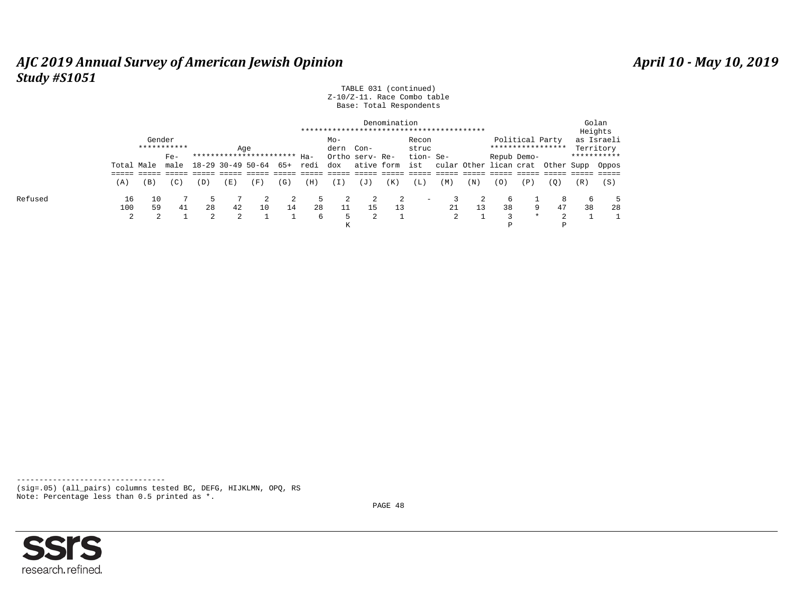# April 10 - May 10, 2019

TABLE 031 (continued) Z-10/Z-11. Race Combo table Base: Total Respondents

|         |     |                    |       |     |                             |                        |                                     |      |           |                 | Denomination   |                          |     |     |                                   |         |                                | Golan       |         |  |
|---------|-----|--------------------|-------|-----|-----------------------------|------------------------|-------------------------------------|------|-----------|-----------------|----------------|--------------------------|-----|-----|-----------------------------------|---------|--------------------------------|-------------|---------|--|
|         |     |                    |       |     |                             |                        |                                     |      |           |                 |                |                          |     |     |                                   |         |                                |             | Heights |  |
|         |     | Gender             |       |     |                             |                        | Political Party<br>$M_O -$<br>Recon |      |           |                 |                |                          |     |     |                                   |         |                                | as Israeli  |         |  |
|         |     | ***********<br>Aqe |       |     |                             |                        |                                     |      | dern Con- |                 |                | struc                    |     |     |                                   |         | *****************<br>Territory |             |         |  |
|         |     |                    | $Fe-$ |     | *********************** Ha- |                        |                                     |      |           | Ortho serv- Re- |                | tion- Se-                |     |     | Repub Demo-                       |         |                                | *********** |         |  |
|         |     | Total Male         |       |     |                             | male 18-29 30-49 50-64 | 65+                                 | redi | dox       |                 | ative form ist |                          |     |     | cular Other lican crat Other Supp |         |                                |             | Oppos   |  |
|         |     |                    |       |     |                             |                        |                                     |      |           |                 |                |                          |     |     |                                   |         |                                |             |         |  |
|         | (A) | (B)                | (C)   | (D) | $\vert$ E )                 | F)                     | (G)                                 | (H)  | (I)       | ( J             | (K)            | (L)                      | (M) | (N) | (0)                               | ΈP,     | (Q)                            | (R)         | (S)     |  |
| Refused | 16  | 10                 |       |     |                             |                        | $\overline{2}$                      | 5    |           |                 |                | $\overline{\phantom{a}}$ |     |     | -6                                |         | 8                              | 6           | 5       |  |
|         | 100 | 59                 | 41    | 28  | 42                          | 10                     | 14                                  | 28   | 11        | 15              | 13             |                          | 21  | 13  | 38                                | 9       | 47                             | 38          | 28      |  |
|         | 2   |                    |       | 2   | $\mathfrak{D}$              |                        |                                     | 6    | 5.        | $\mathcal{L}$   |                |                          |     |     |                                   | $\star$ | $\mathfrak{D}$                 |             |         |  |
|         |     |                    |       |     |                             |                        |                                     |      | v         |                 |                |                          |     |     | P                                 |         | P                              |             |         |  |

----------------------------------

(sig=.05) (all\_pairs) columns tested BC, DEFG, HIJKLMN, OPQ, RS Note: Percentage less than 0.5 printed as \*.

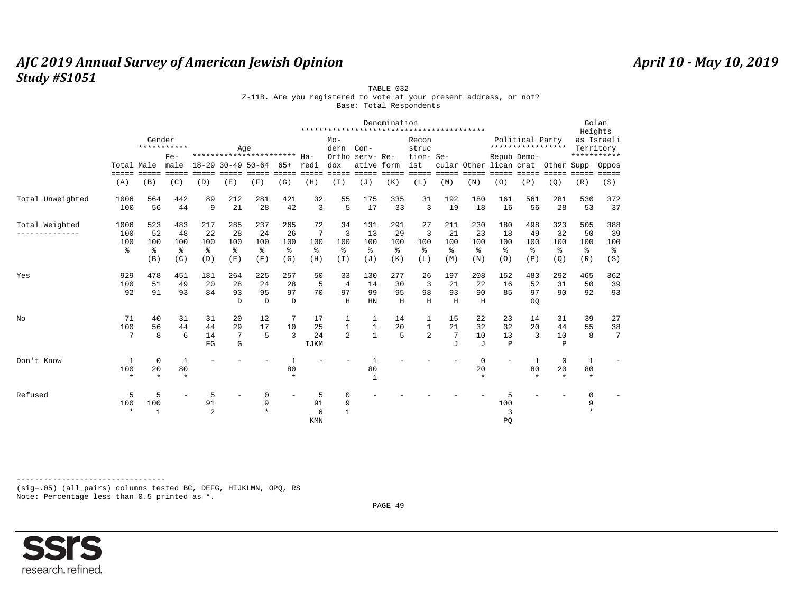#### TABLE 032 Z-11B. Are you registered to vote at your present address, or not? Base: Total Respondents

|                              | Denomination               |                                                                                                                                                                                                                                                                                                                                                                                                                                                                                        |                              |                                      |                              |                                |                              |                                                       |                                              |                              |                              |                                          |                                 |                                  | Golan<br>Heights                                    |                              |                                           |                               |                                        |
|------------------------------|----------------------------|----------------------------------------------------------------------------------------------------------------------------------------------------------------------------------------------------------------------------------------------------------------------------------------------------------------------------------------------------------------------------------------------------------------------------------------------------------------------------------------|------------------------------|--------------------------------------|------------------------------|--------------------------------|------------------------------|-------------------------------------------------------|----------------------------------------------|------------------------------|------------------------------|------------------------------------------|---------------------------------|----------------------------------|-----------------------------------------------------|------------------------------|-------------------------------------------|-------------------------------|----------------------------------------|
|                              |                            | Gender                                                                                                                                                                                                                                                                                                                                                                                                                                                                                 | ***********<br>$Fe-$         |                                      |                              | Age<br>*********************** |                              | $M_O -$<br>$Con-$<br>dern<br>Ortho serv- Re-<br>$Ha-$ |                                              |                              | Recon<br>struc<br>tion- Se-  |                                          |                                 |                                  | Political Party<br>*****************<br>Repub Demo- |                              |                                           |                               | as Israeli<br>Territory<br>*********** |
|                              | Total Male<br><b>EBBEE</b> | $\begin{array}{cccccccccc} \multicolumn{2}{c}{} & \multicolumn{2}{c}{} & \multicolumn{2}{c}{} & \multicolumn{2}{c}{} & \multicolumn{2}{c}{} & \multicolumn{2}{c}{} & \multicolumn{2}{c}{} & \multicolumn{2}{c}{} & \multicolumn{2}{c}{} & \multicolumn{2}{c}{} & \multicolumn{2}{c}{} & \multicolumn{2}{c}{} & \multicolumn{2}{c}{} & \multicolumn{2}{c}{} & \multicolumn{2}{c}{} & \multicolumn{2}{c}{} & \multicolumn{2}{c}{} & \multicolumn{2}{c}{} & \multicolumn{2}{c}{} & \mult$ | male                         | 18-29 30-49 50-64                    |                              |                                | $65+$                        | redi                                                  | dox<br>-----                                 | ative form                   |                              | ist<br>-----                             |                                 |                                  | cular Other lican crat                              |                              | Other Supp                                |                               | Oppos<br>$=$ $=$ $=$ $=$               |
|                              | (A)                        | (B)                                                                                                                                                                                                                                                                                                                                                                                                                                                                                    | =====<br>(C)                 | (D)                                  | (E)                          | (F)                            | (G)                          | (H)                                                   | (I)                                          | (J)                          | (K)                          | (L)                                      | (M)                             | (N)                              | (0)                                                 | (P)                          | (Q)                                       | (R)                           | (S)                                    |
| Total Unweighted             | 1006<br>100                | 564<br>56                                                                                                                                                                                                                                                                                                                                                                                                                                                                              | 442<br>44                    | 89<br>9                              | 212<br>21                    | 281<br>28                      | 421<br>42                    | 32<br>3                                               | 55<br>5                                      | 175<br>17                    | 335<br>33                    | 31<br>3                                  | 192<br>19                       | 180<br>18                        | 161<br>16                                           | 561<br>56                    | 281<br>28                                 | 530<br>53                     | 372<br>37                              |
| Total Weighted<br>---------- | 1006<br>100<br>100<br>る    | 523<br>52<br>100<br>ႜ<br>(B)                                                                                                                                                                                                                                                                                                                                                                                                                                                           | 483<br>48<br>100<br>ႜ<br>(C) | 217<br>22<br>100<br>$\approx$<br>(D) | 285<br>28<br>100<br>⊱<br>(E) | 237<br>24<br>100<br>ႜ<br>(F)   | 265<br>26<br>100<br>ႜ<br>(G) | 72<br>7<br>100<br>ႜ<br>(H)                            | 34<br>$\overline{3}$<br>100<br>ి<br>$(\top)$ | 131<br>13<br>100<br>⊱<br>(J) | 291<br>29<br>100<br>ి<br>(K) | 27<br>$\overline{3}$<br>100<br>နွ<br>(L) | 211<br>21<br>100<br>°<br>(M)    | 230<br>23<br>100<br>ႜ<br>(N)     | 180<br>18<br>100<br>ႜ<br>(0)                        | 498<br>49<br>100<br>昙<br>(P) | 323<br>32<br>100<br>ႜ<br>(Q)              | 505<br>50<br>100<br>နွ<br>(R) | 388<br>39<br>100<br>ႜ<br>(S)           |
| Yes                          | 929<br>100<br>92           | 478<br>51<br>91                                                                                                                                                                                                                                                                                                                                                                                                                                                                        | 451<br>49<br>93              | 181<br>20<br>84                      | 264<br>2.8<br>93<br>D        | 225<br>24<br>95<br>D           | 257<br>28<br>97<br>D         | 50<br>5<br>70                                         | 33<br>4<br>97<br>H                           | 130<br>14<br>99<br>HN        | 277<br>30<br>95<br>H         | 26<br>3<br>98<br>H                       | 197<br>21<br>93<br>H            | 208<br>22<br>90<br>H             | 152<br>16<br>85                                     | 483<br>52<br>97<br>OO        | 292<br>31<br>90                           | 465<br>50<br>92               | 362<br>39<br>93                        |
| No                           | 71<br>100<br>7             | 40<br>56<br>8                                                                                                                                                                                                                                                                                                                                                                                                                                                                          | 31<br>44<br>6                | 31<br>44<br>14<br>FG                 | 20<br>29<br>7<br>G           | 12<br>17<br>5                  | 7<br>10<br>$\mathbf{3}$      | 17<br>25<br>2.4<br>IJKM                               | 1<br>1<br>$\overline{a}$                     | 1<br>$\mathbf{1}$            | 14<br>20<br>5                | 1<br>1<br>$\overline{2}$                 | 15<br>21<br>7<br>$\overline{J}$ | 22<br>32<br>10<br>$\overline{J}$ | 23<br>32<br>13<br>$\mathbf{P}$                      | 14<br>20<br>$\mathbf{3}$     | 31<br>44<br>10<br>P                       | 39<br>55<br>8                 | 27<br>38<br>$7\phantom{.0}$            |
| Don't Know                   | 1<br>100<br>$\star$        | 0<br>20<br>$\star$                                                                                                                                                                                                                                                                                                                                                                                                                                                                     | 1<br>80<br>$\star$           |                                      |                              |                                | 80<br>$\Phi$                 |                                                       |                                              | 80<br>1                      |                              |                                          |                                 | 0<br>20<br>$\ddot{\phantom{0}}$  | $\overline{\phantom{0}}$                            | 80                           | $\mathbf 0$<br>20<br>$\ddot{\phantom{1}}$ | 1<br>80<br>$\star$            |                                        |
| Refused                      | 5<br>100<br>$\star$        | 5<br>100<br>$\mathbf{1}$                                                                                                                                                                                                                                                                                                                                                                                                                                                               |                              | 5<br>91<br>2                         |                              | $\Omega$<br>9<br>$\star$       |                              | 5<br>91<br>6<br>KMN                                   | $\mathbf 0$<br>9<br>$\overline{1}$           |                              |                              |                                          |                                 |                                  | 100<br>3<br>P <sub>O</sub>                          |                              |                                           | $\Omega$<br>9                 |                                        |

-----------------------------

(sig=.05) (all\_pairs) columns tested BC, DEFG, HIJKLMN, OPQ, RS Note: Percentage less than 0.5 printed as \*.

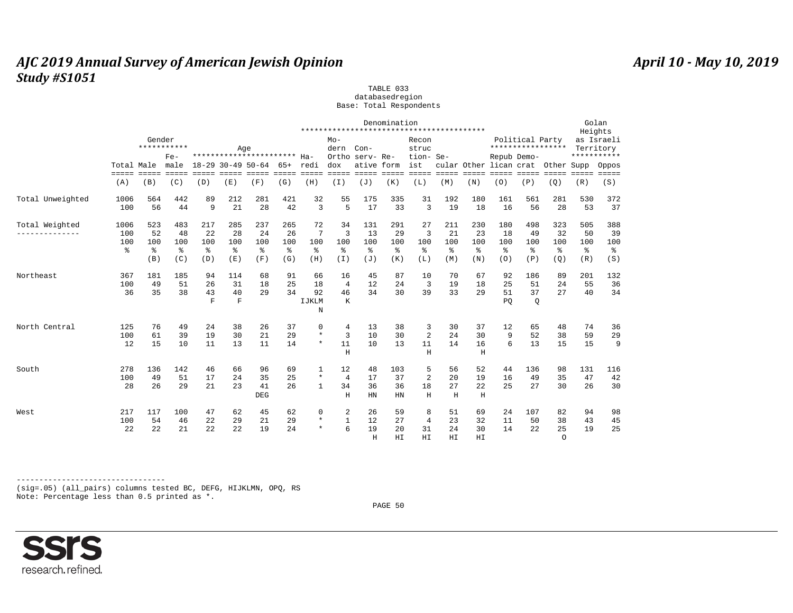#### TABLE 033 databasedregion Base: Total Respondents

|                  | Denomination        |                                      |                         |                                                           |              |            |                                                                                                                                                                                                                                                                                                                                                                                                                                                                                        |                                             |                                             |            |                     |                        |           |                     |                                                                              | Golan<br>Heights                     |                                                                                                                                                                                                                                                                                                                                                                                                                                                                                                      |                 |                         |
|------------------|---------------------|--------------------------------------|-------------------------|-----------------------------------------------------------|--------------|------------|----------------------------------------------------------------------------------------------------------------------------------------------------------------------------------------------------------------------------------------------------------------------------------------------------------------------------------------------------------------------------------------------------------------------------------------------------------------------------------------|---------------------------------------------|---------------------------------------------|------------|---------------------|------------------------|-----------|---------------------|------------------------------------------------------------------------------|--------------------------------------|------------------------------------------------------------------------------------------------------------------------------------------------------------------------------------------------------------------------------------------------------------------------------------------------------------------------------------------------------------------------------------------------------------------------------------------------------------------------------------------------------|-----------------|-------------------------|
|                  |                     | Gender                               | ***********             |                                                           | Aqe          |            |                                                                                                                                                                                                                                                                                                                                                                                                                                                                                        | $M_O -$<br>Recon<br>$Con-$<br>dern<br>struc |                                             |            |                     |                        |           |                     |                                                                              | Political Party<br>***************** |                                                                                                                                                                                                                                                                                                                                                                                                                                                                                                      |                 | as Israeli<br>Territory |
|                  |                     |                                      | $Fe-$                   | *********************** Ha-<br>18-29 30-49 50-64 65+ redi |              |            |                                                                                                                                                                                                                                                                                                                                                                                                                                                                                        |                                             | Ortho serv- Re-                             |            |                     | tion- Se-              |           |                     |                                                                              | Repub Demo-                          |                                                                                                                                                                                                                                                                                                                                                                                                                                                                                                      |                 | ***********             |
|                  | Total Male<br>===== | $\equiv \equiv \equiv \equiv \equiv$ | male<br>$=$ $=$ $=$ $=$ | $=$ $=$                                                   |              |            | $\begin{array}{cccccccccc} \multicolumn{2}{c}{} & \multicolumn{2}{c}{} & \multicolumn{2}{c}{} & \multicolumn{2}{c}{} & \multicolumn{2}{c}{} & \multicolumn{2}{c}{} & \multicolumn{2}{c}{} & \multicolumn{2}{c}{} & \multicolumn{2}{c}{} & \multicolumn{2}{c}{} & \multicolumn{2}{c}{} & \multicolumn{2}{c}{} & \multicolumn{2}{c}{} & \multicolumn{2}{c}{} & \multicolumn{2}{c}{} & \multicolumn{2}{c}{} & \multicolumn{2}{c}{} & \multicolumn{2}{c}{} & \multicolumn{2}{c}{} & \mult$ | $\equiv \equiv \equiv \equiv \equiv$        | dox<br>$\equiv \equiv \equiv \equiv \equiv$ | ative form | $=$ $=$ $=$ $=$ $=$ | ist<br>$=$ $=$ $=$ $=$ | $= 1.12$  | $=$ $=$ $=$ $=$ $=$ | cular Other lican crat<br>$\qquad \qquad \equiv \equiv \equiv \equiv \equiv$ | <b>EEEEE</b>                         | Other Supp<br>$\begin{array}{cccccccccc} \multicolumn{2}{c}{} & \multicolumn{2}{c}{} & \multicolumn{2}{c}{} & \multicolumn{2}{c}{} & \multicolumn{2}{c}{} & \multicolumn{2}{c}{} & \multicolumn{2}{c}{} & \multicolumn{2}{c}{} & \multicolumn{2}{c}{} & \multicolumn{2}{c}{} & \multicolumn{2}{c}{} & \multicolumn{2}{c}{} & \multicolumn{2}{c}{} & \multicolumn{2}{c}{} & \multicolumn{2}{c}{} & \multicolumn{2}{c}{} & \multicolumn{2}{c}{} & \multicolumn{2}{c}{} & \multicolumn{2}{c}{} & \mult$ | $=$ $=$ $=$ $=$ | Oppos<br>$= = = = =$    |
|                  | (A)                 | (B)                                  | (C)                     | (D)                                                       | (E)          | (F)        | (G)                                                                                                                                                                                                                                                                                                                                                                                                                                                                                    | (H)                                         | $(\top)$                                    | (J)        | (K)                 | (L)                    | (M)       | (N)                 | (0)                                                                          | (P)                                  | (Q)                                                                                                                                                                                                                                                                                                                                                                                                                                                                                                  | (R)             | (S)                     |
| Total Unweighted | 1006<br>100         | 564<br>56                            | 442<br>44               | 89<br>9                                                   | 212<br>21    | 281<br>28  | 421<br>42                                                                                                                                                                                                                                                                                                                                                                                                                                                                              | 32<br>3                                     | 55<br>5                                     | 175<br>17  | 335<br>33           | 31<br>3                | 192<br>19 | 180<br>18           | 161<br>16                                                                    | 561<br>56                            | 281<br>28                                                                                                                                                                                                                                                                                                                                                                                                                                                                                            | 530<br>53       | 372<br>37               |
| Total Weighted   | 1006                | 523                                  | 483                     | 217                                                       | 285          | 237        | 265                                                                                                                                                                                                                                                                                                                                                                                                                                                                                    | 72                                          | 34                                          | 131        | 291                 | 27                     | 211       | 230                 | 180                                                                          | 498                                  | 323                                                                                                                                                                                                                                                                                                                                                                                                                                                                                                  | 505             | 388                     |
| ------------     | 100                 | 52                                   | 48                      | 22                                                        | 28           | 24         | 26                                                                                                                                                                                                                                                                                                                                                                                                                                                                                     | 7                                           | 3                                           | 13         | 29                  | 3                      | 21        | 23                  | 18                                                                           | 49                                   | 32                                                                                                                                                                                                                                                                                                                                                                                                                                                                                                   | 50              | 39                      |
|                  | 100                 | 100                                  | 100                     | 100                                                       | 100          | 100        | 100                                                                                                                                                                                                                                                                                                                                                                                                                                                                                    | 100                                         | 100                                         | 100        | 100                 | 100                    | 100       | 100                 | 100                                                                          | 100                                  | 100                                                                                                                                                                                                                                                                                                                                                                                                                                                                                                  | 100             | 100                     |
|                  | ፠                   | ి                                    | ి                       | ႜ                                                         | ÷,           | ి          | ႜ                                                                                                                                                                                                                                                                                                                                                                                                                                                                                      | နွ                                          | $\,$ $\,$ $\,$                              | ి          | ႜ                   | ႜ                      | ႜ         | ႜ                   | ి                                                                            | ి                                    | နွ                                                                                                                                                                                                                                                                                                                                                                                                                                                                                                   | ႜ               | ి                       |
|                  |                     | (B)                                  | (C)                     | (D)                                                       | (E)          | (F)        | (G)                                                                                                                                                                                                                                                                                                                                                                                                                                                                                    | (H)                                         | $(\top)$                                    | (J)        | (K)                 | (L)                    | (M)       | (N)                 | (0)                                                                          | (P)                                  | (Q)                                                                                                                                                                                                                                                                                                                                                                                                                                                                                                  | (R)             | (S)                     |
| Northeast        | 367                 | 181                                  | 185                     | 94                                                        | 114          | 68         | 91                                                                                                                                                                                                                                                                                                                                                                                                                                                                                     | 66                                          | 16                                          | 45         | 87                  | 10                     | 70        | 67                  | 92                                                                           | 186                                  | 89                                                                                                                                                                                                                                                                                                                                                                                                                                                                                                   | 201             | 132                     |
|                  | 100                 | 49                                   | 51                      | 26                                                        | 31           | 18         | 25                                                                                                                                                                                                                                                                                                                                                                                                                                                                                     | 18                                          | $\overline{4}$                              | 12         | 24                  | 3                      | 19        | 18                  | 25                                                                           | 51                                   | 24                                                                                                                                                                                                                                                                                                                                                                                                                                                                                                   | 55              | 36                      |
|                  | 36                  | 35                                   | 38                      | 43                                                        | 40           | 2.9        | 34                                                                                                                                                                                                                                                                                                                                                                                                                                                                                     | 92                                          | 46                                          | 34         | 30                  | 39                     | 33        | 2.9                 | 51                                                                           | 37                                   | 27                                                                                                                                                                                                                                                                                                                                                                                                                                                                                                   | 40              | 34                      |
|                  |                     |                                      |                         | $\mathbf{F}$                                              | $\mathbf{F}$ |            |                                                                                                                                                                                                                                                                                                                                                                                                                                                                                        | <b>IJKLM</b><br>N                           | K                                           |            |                     |                        |           |                     | PO                                                                           | Q                                    |                                                                                                                                                                                                                                                                                                                                                                                                                                                                                                      |                 |                         |
| North Central    | 125                 | 76                                   | 49                      | 24                                                        | 38           | 26         | 37                                                                                                                                                                                                                                                                                                                                                                                                                                                                                     | $\Omega$                                    | 4                                           | 13         | 38                  | 3                      | 30        | 37                  | 12                                                                           | 65                                   | 48                                                                                                                                                                                                                                                                                                                                                                                                                                                                                                   | 74              | 36                      |
|                  | 100                 | 61                                   | 39                      | 19                                                        | 30           | 21         | 29                                                                                                                                                                                                                                                                                                                                                                                                                                                                                     | $\star$                                     | 3                                           | 10         | 30                  | 2                      | 24        | 30                  | 9                                                                            | 52                                   | 38                                                                                                                                                                                                                                                                                                                                                                                                                                                                                                   | 59              | 29                      |
|                  | 12                  | 15                                   | 10                      | 11                                                        | 13           | 11         | 14                                                                                                                                                                                                                                                                                                                                                                                                                                                                                     | $\star$                                     | 11                                          | 10         | 13                  | 11                     | 14        | 16                  | 6                                                                            | 13                                   | 15                                                                                                                                                                                                                                                                                                                                                                                                                                                                                                   | 15              | 9                       |
|                  |                     |                                      |                         |                                                           |              |            |                                                                                                                                                                                                                                                                                                                                                                                                                                                                                        |                                             | $\mathbf H$                                 |            |                     | H                      |           | H                   |                                                                              |                                      |                                                                                                                                                                                                                                                                                                                                                                                                                                                                                                      |                 |                         |
| South            | 278                 | 136                                  | 142                     | 46                                                        | 66           | 96         | 69                                                                                                                                                                                                                                                                                                                                                                                                                                                                                     | 1                                           | 12                                          | 48         | 103                 | 5                      | 56        | 52                  | 44                                                                           | 136                                  | 98                                                                                                                                                                                                                                                                                                                                                                                                                                                                                                   | 131             | 116                     |
|                  | 100                 | 49                                   | 51                      | 17                                                        | 24           | 35         | 25                                                                                                                                                                                                                                                                                                                                                                                                                                                                                     | $\star$                                     | $\overline{4}$                              | 17         | 37                  | 2                      | 20        | 19                  | 16                                                                           | 49                                   | 35                                                                                                                                                                                                                                                                                                                                                                                                                                                                                                   | 47              | 42                      |
|                  | 28                  | 26                                   | 2.9                     | 2.1                                                       | 2.3          | 41         | 26                                                                                                                                                                                                                                                                                                                                                                                                                                                                                     | $\mathbf{1}$                                | 34                                          | 36         | 36                  | 18                     | 27        | 22                  | 2.5                                                                          | 27                                   | 30                                                                                                                                                                                                                                                                                                                                                                                                                                                                                                   | 26              | 30                      |
|                  |                     |                                      |                         |                                                           |              | <b>DEG</b> |                                                                                                                                                                                                                                                                                                                                                                                                                                                                                        |                                             | H                                           | HN         | HN                  | H                      | H         | H                   |                                                                              |                                      |                                                                                                                                                                                                                                                                                                                                                                                                                                                                                                      |                 |                         |
| West             | 217                 | 117                                  | 100                     | 47                                                        | 62           | 45         | 62                                                                                                                                                                                                                                                                                                                                                                                                                                                                                     | 0                                           | 2                                           | 26         | 59                  | 8                      | 51        | 69                  | 24                                                                           | 107                                  | 82                                                                                                                                                                                                                                                                                                                                                                                                                                                                                                   | 94              | 98                      |
|                  | 100                 | 54                                   | 46                      | 22                                                        | 29           | 21         | 29                                                                                                                                                                                                                                                                                                                                                                                                                                                                                     | $\star$                                     | 1                                           | 12         | 27                  | 4                      | 23        | 32                  | 11                                                                           | 50                                   | 38                                                                                                                                                                                                                                                                                                                                                                                                                                                                                                   | 43              | 45                      |
|                  | 22                  | 22                                   | 21                      | 22                                                        | 22           | 19         | 2.4                                                                                                                                                                                                                                                                                                                                                                                                                                                                                    | $\star$                                     | 6                                           | 19         | 20                  | 31                     | 2.4       | 30                  | 14                                                                           | 22                                   | 25                                                                                                                                                                                                                                                                                                                                                                                                                                                                                                   | 19              | 25                      |
|                  |                     |                                      |                         |                                                           |              |            |                                                                                                                                                                                                                                                                                                                                                                                                                                                                                        |                                             |                                             | H          | HT                  | HI                     | HI        | HT                  |                                                                              |                                      | $\Omega$                                                                                                                                                                                                                                                                                                                                                                                                                                                                                             |                 |                         |

------------------------------ $\frac{1}{2}$ 

(sig=.05) (all\_pairs) columns tested BC, DEFG, HIJKLMN, OPQ, RS Note: Percentage less than 0.5 printed as \*.

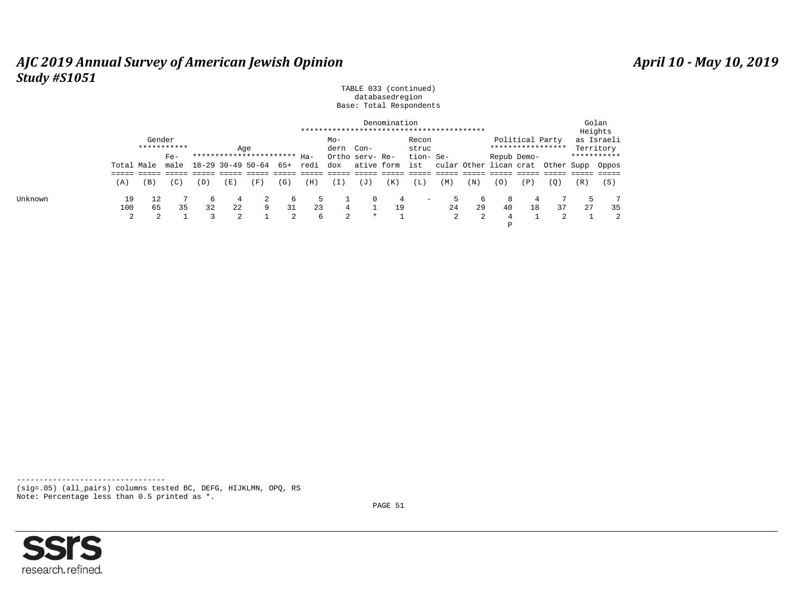#### TABLE 033 (continued) databasedregion Base: Total Respondents

|         |              |        |             |                             |                |                        |     |           |                 |         | Denomination |                          |                                                  |                   |           |                 |             |     | Golan   |
|---------|--------------|--------|-------------|-----------------------------|----------------|------------------------|-----|-----------|-----------------|---------|--------------|--------------------------|--------------------------------------------------|-------------------|-----------|-----------------|-------------|-----|---------|
|         |              |        |             |                             |                |                        |     |           |                 |         |              |                          |                                                  |                   |           |                 |             |     | Heights |
|         |              | Gender |             |                             |                |                        |     |           | $M_O -$         |         |              | Recon                    |                                                  |                   |           | Political Party | as Israeli  |     |         |
|         |              |        | *********** | Aqe                         |                |                        |     | dern Con- |                 |         |              | struc                    |                                                  | ***************** | Territory |                 |             |     |         |
|         |              |        | $Fe-$       | *********************** Ha- |                |                        |     |           | Ortho serv- Re- |         |              |                          | tion- Se-                                        |                   |           | Repub Demo-     | *********** |     |         |
|         | Total Male   |        |             |                             |                | male 18-29 30-49 50-64 | 65+ | redi      | dox             |         |              |                          | ative form ist cular Other lican crat Other Supp |                   |           |                 |             |     | Oppos   |
|         |              |        |             |                             |                |                        |     |           |                 |         |              |                          |                                                  |                   |           |                 |             |     |         |
|         | (A)          | (B)    | (C)         | (D)                         | (E)            | (F)                    | (G) | (H)       | ΊI              | (J)     | (K)          | (L)                      | (M)                                              | (N)               | (0)       | (P)             | (Q)         | (R) | (S)     |
| Unknown | 19           |        |             | 6                           | 4              |                        | 6   |           |                 |         | 4            | $\overline{\phantom{a}}$ | 5.                                               | 6                 | 8         |                 |             |     |         |
|         | 100          | 65     | 35          | 32                          | 2.2.           | 9                      | 31  | 23        | 4               |         | 19           |                          | 24                                               | 29                | 40        | 18              | 37          | 27  | 35      |
|         | $\mathbf{2}$ |        |             |                             | $\mathfrak{D}$ |                        | 2   | 6         | 2               | $\star$ |              |                          |                                                  |                   | 4<br>P    |                 |             |     | 2       |

---------------------------------

(sig=.05) (all\_pairs) columns tested BC, DEFG, HIJKLMN, OPQ, RS Note: Percentage less than 0.5 printed as \*.

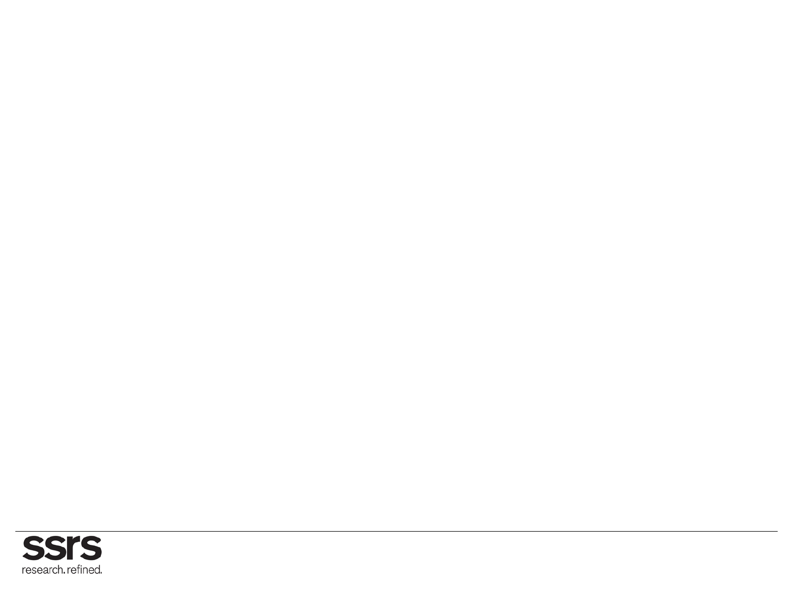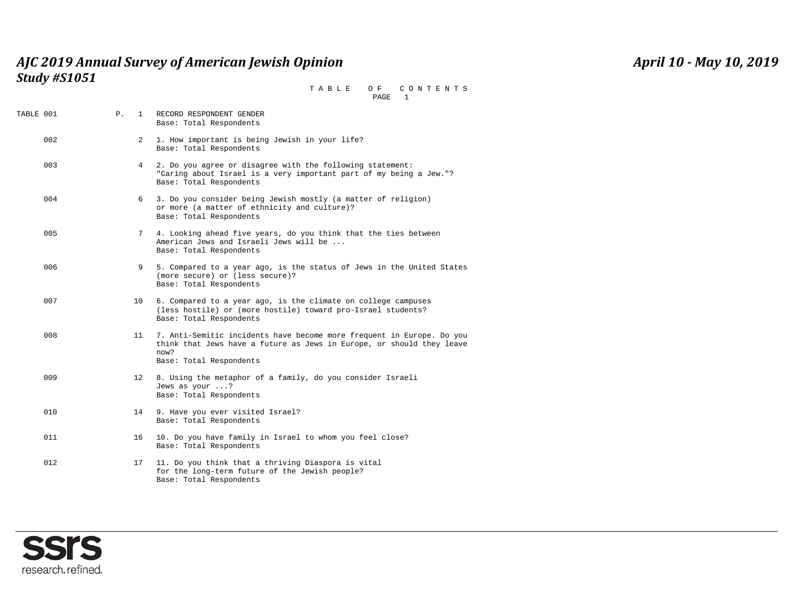### TABLE OF CONTENTS<br>PAGE 1 PAGE 1

| TABLE 001 |     | Ρ. | $\mathbf{1}$    | RECORD RESPONDENT GENDER<br>Base: Total Respondents                                                                                                                               |
|-----------|-----|----|-----------------|-----------------------------------------------------------------------------------------------------------------------------------------------------------------------------------|
|           | 002 |    | $\overline{a}$  | 1. How important is being Jewish in your life?<br>Base: Total Respondents                                                                                                         |
|           | 003 |    | $4\overline{ }$ | 2. Do you agree or disagree with the following statement:<br>"Caring about Israel is a very important part of my being a Jew."?<br>Base: Total Respondents                        |
|           | 004 |    | 6               | 3. Do you consider being Jewish mostly (a matter of religion)<br>or more (a matter of ethnicity and culture)?<br>Base: Total Respondents                                          |
|           | 005 |    | $7^{\circ}$     | 4. Looking ahead five years, do you think that the ties between<br>American Jews and Israeli Jews will be<br>Base: Total Respondents                                              |
|           | 006 |    | 9               | 5. Compared to a year ago, is the status of Jews in the United States<br>(more secure) or (less secure)?<br>Base: Total Respondents                                               |
|           | 007 |    | 10              | 6. Compared to a year ago, is the climate on college campuses<br>(less hostile) or (more hostile) toward pro-Israel students?<br>Base: Total Respondents                          |
|           | 008 |    | 11              | 7. Anti-Semitic incidents have become more frequent in Europe. Do you<br>think that Jews have a future as Jews in Europe, or should they leave<br>now?<br>Base: Total Respondents |
|           | 009 |    | 12 <sup>°</sup> | 8. Using the metaphor of a family, do you consider Israeli<br>Jews as your ?<br>Base: Total Respondents                                                                           |
|           | 010 |    | 14              | 9. Have you ever visited Israel?<br>Base: Total Respondents                                                                                                                       |
|           | 011 |    | 16              | 10. Do you have family in Israel to whom you feel close?<br>Base: Total Respondents                                                                                               |
|           | 012 |    | 17              | 11. Do you think that a thriving Diaspora is vital<br>for the long-term future of the Jewish people?<br>Base: Total Respondents                                                   |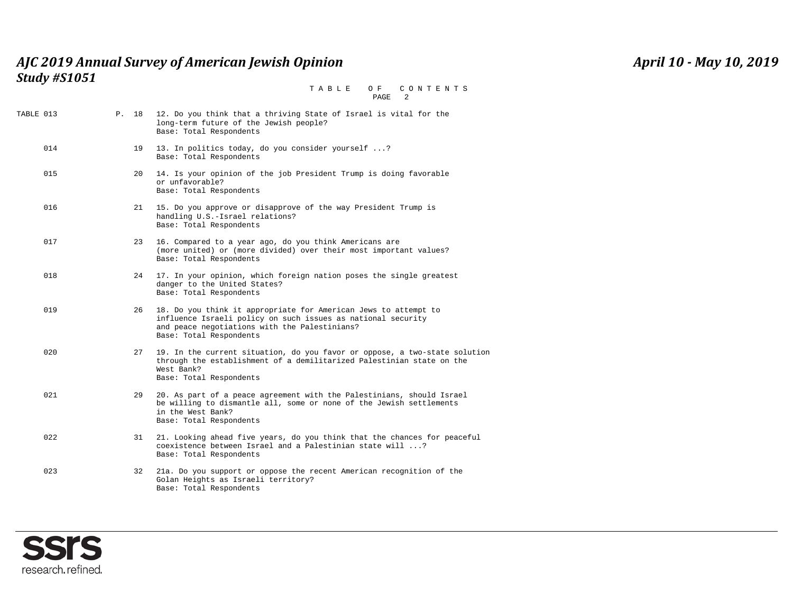TABLE OF CONTENTS<br>PAGE 2 PAGE 2

| TABLE 013 |     | P. 18 | 12. Do you think that a thriving State of Israel is vital for the<br>long-term future of the Jewish people?<br>Base: Total Respondents                                                                      |
|-----------|-----|-------|-------------------------------------------------------------------------------------------------------------------------------------------------------------------------------------------------------------|
|           | 014 | 19    | 13. In politics today, do you consider yourself ?<br>Base: Total Respondents                                                                                                                                |
|           | 015 | 20    | 14. Is your opinion of the job President Trump is doing favorable<br>or unfavorable?<br>Base: Total Respondents                                                                                             |
|           | 016 | 21    | 15. Do you approve or disapprove of the way President Trump is<br>handling U.S.-Israel relations?<br>Base: Total Respondents                                                                                |
|           | 017 | 23    | 16. Compared to a year ago, do you think Americans are<br>(more united) or (more divided) over their most important values?<br>Base: Total Respondents                                                      |
|           | 018 | 24    | 17. In your opinion, which foreign nation poses the single greatest<br>danger to the United States?<br>Base: Total Respondents                                                                              |
|           | 019 | 26    | 18. Do you think it appropriate for American Jews to attempt to<br>influence Israeli policy on such issues as national security<br>and peace negotiations with the Palestinians?<br>Base: Total Respondents |
|           | 020 | 27    | 19. In the current situation, do you favor or oppose, a two-state solution<br>through the establishment of a demilitarized Palestinian state on the<br>West Bank?<br>Base: Total Respondents                |
|           | 021 | 29    | 20. As part of a peace agreement with the Palestinians, should Israel<br>be willing to dismantle all, some or none of the Jewish settlements<br>in the West Bank?<br>Base: Total Respondents                |
|           | 022 | 31    | 21. Looking ahead five years, do you think that the chances for peaceful<br>coexistence between Israel and a Palestinian state will ?<br>Base: Total Respondents                                            |
|           | 023 | 32    | 21a. Do you support or oppose the recent American recognition of the<br>Golan Heights as Israeli territory?<br>Base: Total Respondents                                                                      |